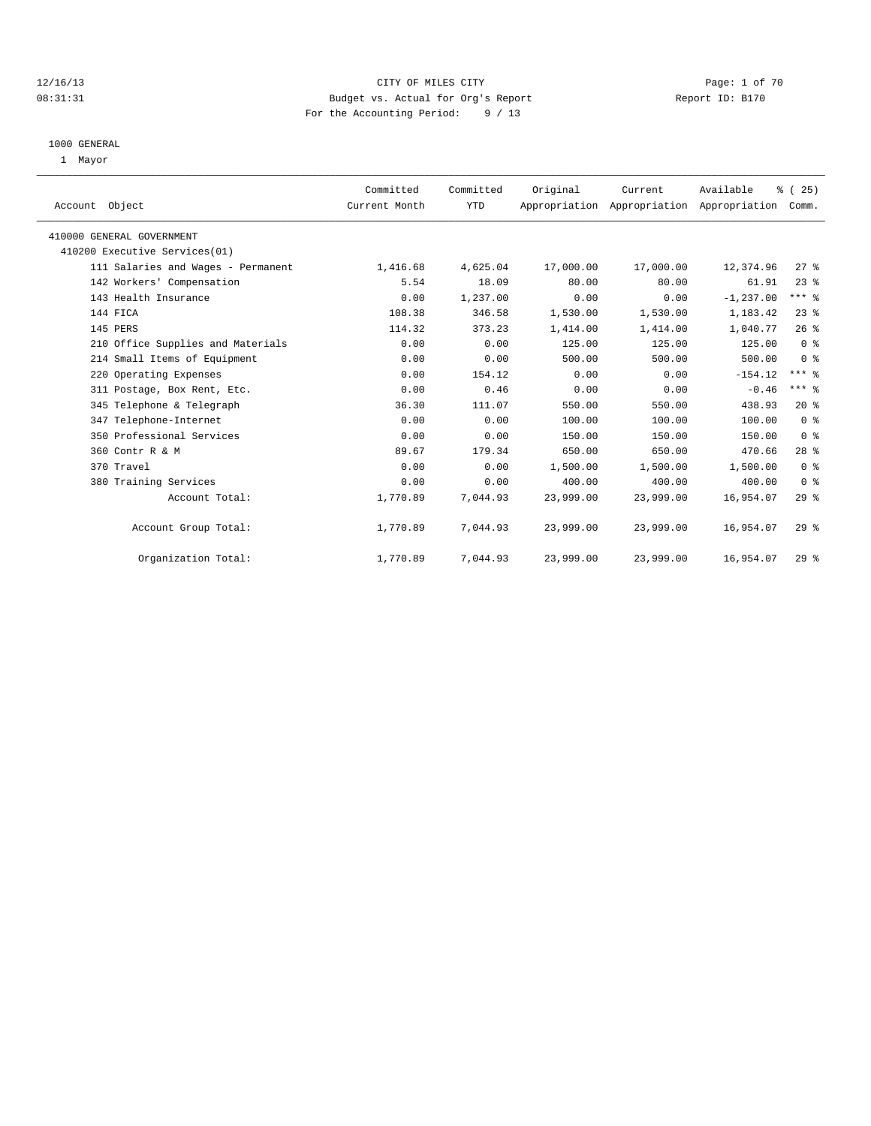### 12/16/13 CITY OF MILES CITY Page: 1 of 70 08:31:31 Budget vs. Actual for Org's Report Changer Report ID: B170 For the Accounting Period: 9 / 13

#### 1000 GENERAL

1 Mayor

| Account Object                     | Committed<br>Current Month | Committed<br>YTD | Original  | Current   | Available<br>Appropriation Appropriation Appropriation | % (25)<br>Comm. |  |
|------------------------------------|----------------------------|------------------|-----------|-----------|--------------------------------------------------------|-----------------|--|
| 410000 GENERAL GOVERNMENT          |                            |                  |           |           |                                                        |                 |  |
| 410200 Executive Services(01)      |                            |                  |           |           |                                                        |                 |  |
| 111 Salaries and Wages - Permanent | 1,416.68                   | 4,625.04         | 17,000.00 | 17,000.00 | 12,374.96                                              | 27%             |  |
| 142 Workers' Compensation          | 5.54                       | 18.09            | 80.00     | 80.00     | 61.91                                                  | 23%             |  |
| 143 Health Insurance               | 0.00                       | 1,237.00         | 0.00      | 0.00      | $-1, 237.00$                                           | $***$ $%$       |  |
| 144 FICA                           | 108.38                     | 346.58           | 1,530.00  | 1,530.00  | 1,183.42                                               | 23%             |  |
| 145 PERS                           | 114.32                     | 373.23           | 1,414.00  | 1,414.00  | 1,040.77                                               | 26%             |  |
| 210 Office Supplies and Materials  | 0.00                       | 0.00             | 125.00    | 125.00    | 125.00                                                 | 0 <sup>8</sup>  |  |
| 214 Small Items of Equipment       | 0.00                       | 0.00             | 500.00    | 500.00    | 500.00                                                 | 0 <sup>8</sup>  |  |
| 220 Operating Expenses             | 0.00                       | 154.12           | 0.00      | 0.00      | $-154.12$                                              | $***$ $-$       |  |
| 311 Postage, Box Rent, Etc.        | 0.00                       | 0.46             | 0.00      | 0.00      | $-0.46$                                                | $***$ $_{8}$    |  |
| 345 Telephone & Telegraph          | 36.30                      | 111.07           | 550.00    | 550.00    | 438.93                                                 | 20%             |  |
| 347 Telephone-Internet             | 0.00                       | 0.00             | 100.00    | 100.00    | 100.00                                                 | 0 <sup>8</sup>  |  |
| 350 Professional Services          | 0.00                       | 0.00             | 150.00    | 150.00    | 150.00                                                 | 0 <sup>8</sup>  |  |
| 360 Contr R & M                    | 89.67                      | 179.34           | 650.00    | 650.00    | 470.66                                                 | $28$ %          |  |
| 370 Travel                         | 0.00                       | 0.00             | 1,500.00  | 1,500.00  | 1,500.00                                               | 0 <sup>8</sup>  |  |
| 380 Training Services              | 0.00                       | 0.00             | 400.00    | 400.00    | 400.00                                                 | 0 <sup>8</sup>  |  |
| Account Total:                     | 1,770.89                   | 7,044.93         | 23,999.00 | 23,999.00 | 16,954.07                                              | $29*$           |  |
| Account Group Total:               | 1,770.89                   | 7,044.93         | 23,999.00 | 23,999.00 | 16,954.07                                              | $29*$           |  |
| Organization Total:                | 1,770.89                   | 7,044.93         | 23,999.00 | 23,999.00 | 16,954.07                                              | 29%             |  |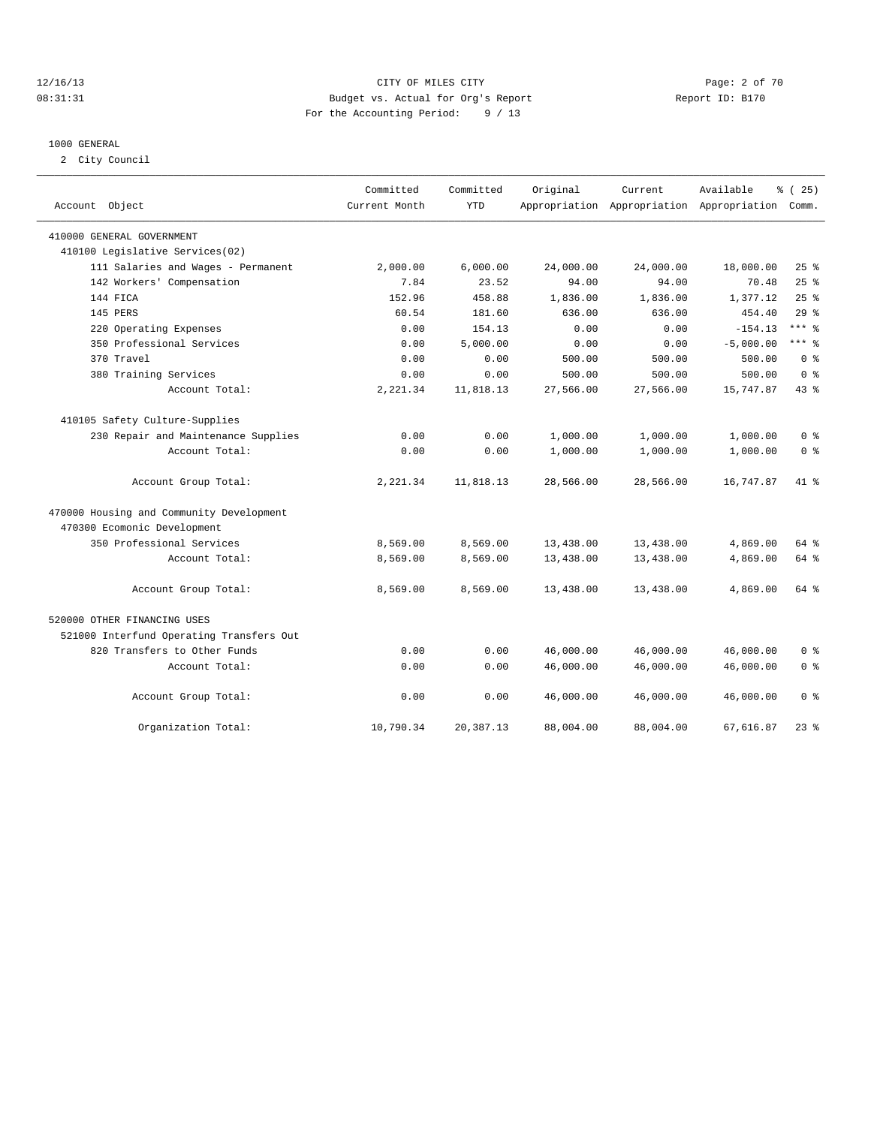### 12/16/13 CITY OF MILES CITY Page: 2 of 70 08:31:31 Budget vs. Actual for Org's Report Changer Report ID: B170 For the Accounting Period: 9 / 13

### 1000 GENERAL

2 City Council

| Account Object                           | Committed<br>Current Month | Committed<br><b>YTD</b> | Original  | Current   | Available<br>Appropriation Appropriation Appropriation | % (25)<br>Comm. |
|------------------------------------------|----------------------------|-------------------------|-----------|-----------|--------------------------------------------------------|-----------------|
| 410000 GENERAL GOVERNMENT                |                            |                         |           |           |                                                        |                 |
| 410100 Legislative Services(02)          |                            |                         |           |           |                                                        |                 |
| 111 Salaries and Wages - Permanent       | 2,000.00                   | 6,000.00                | 24,000.00 | 24,000.00 | 18,000.00                                              | 25%             |
| 142 Workers' Compensation                | 7.84                       | 23.52                   | 94.00     | 94.00     | 70.48                                                  | 25%             |
| 144 FICA                                 | 152.96                     | 458.88                  | 1,836.00  | 1,836.00  | 1,377.12                                               | 25%             |
| 145 PERS                                 | 60.54                      | 181.60                  | 636.00    | 636.00    | 454.40                                                 | 29%             |
| 220 Operating Expenses                   | 0.00                       | 154.13                  | 0.00      | 0.00      | $-154.13$                                              | $***$ 8         |
| 350 Professional Services                | 0.00                       | 5,000.00                | 0.00      | 0.00      | $-5,000.00$                                            | $***$ 8         |
| 370 Travel                               | 0.00                       | 0.00                    | 500.00    | 500.00    | 500.00                                                 | 0 <sup>8</sup>  |
| 380 Training Services                    | 0.00                       | 0.00                    | 500.00    | 500.00    | 500.00                                                 | 0 <sup>8</sup>  |
| Account Total:                           | 2,221.34                   | 11,818.13               | 27,566.00 | 27,566.00 | 15,747.87                                              | 43 %            |
| 410105 Safety Culture-Supplies           |                            |                         |           |           |                                                        |                 |
| 230 Repair and Maintenance Supplies      | 0.00                       | 0.00                    | 1,000.00  | 1,000.00  | 1,000.00                                               | 0 <sup>8</sup>  |
| Account Total:                           | 0.00                       | 0.00                    | 1,000.00  | 1,000.00  | 1,000.00                                               | 0 <sup>8</sup>  |
| Account Group Total:                     | 2,221.34                   | 11,818.13               | 28,566.00 | 28,566.00 | 16,747.87                                              | $41*$           |
| 470000 Housing and Community Development |                            |                         |           |           |                                                        |                 |
| 470300 Ecomonic Development              |                            |                         |           |           |                                                        |                 |
| 350 Professional Services                | 8,569.00                   | 8,569.00                | 13,438.00 | 13,438.00 | 4,869.00                                               | $64$ $%$        |
| Account Total:                           | 8,569.00                   | 8,569.00                | 13,438.00 | 13,438.00 | 4,869.00                                               | 64 %            |
| Account Group Total:                     | 8,569.00                   | 8,569.00                | 13,438.00 | 13,438.00 | 4,869.00                                               | 64 %            |
| 520000 OTHER FINANCING USES              |                            |                         |           |           |                                                        |                 |
| 521000 Interfund Operating Transfers Out |                            |                         |           |           |                                                        |                 |
| 820 Transfers to Other Funds             | 0.00                       | 0.00                    | 46,000.00 | 46,000.00 | 46,000.00                                              | 0 <sup>8</sup>  |
| Account Total:                           | 0.00                       | 0.00                    | 46,000.00 | 46,000.00 | 46,000.00                                              | 0 <sup>8</sup>  |
| Account Group Total:                     | 0.00                       | 0.00                    | 46,000.00 | 46,000.00 | 46,000.00                                              | 0 <sup>8</sup>  |
| Organization Total:                      | 10,790.34                  | 20,387.13               | 88,004.00 | 88,004.00 | 67,616.87                                              | $23$ $%$        |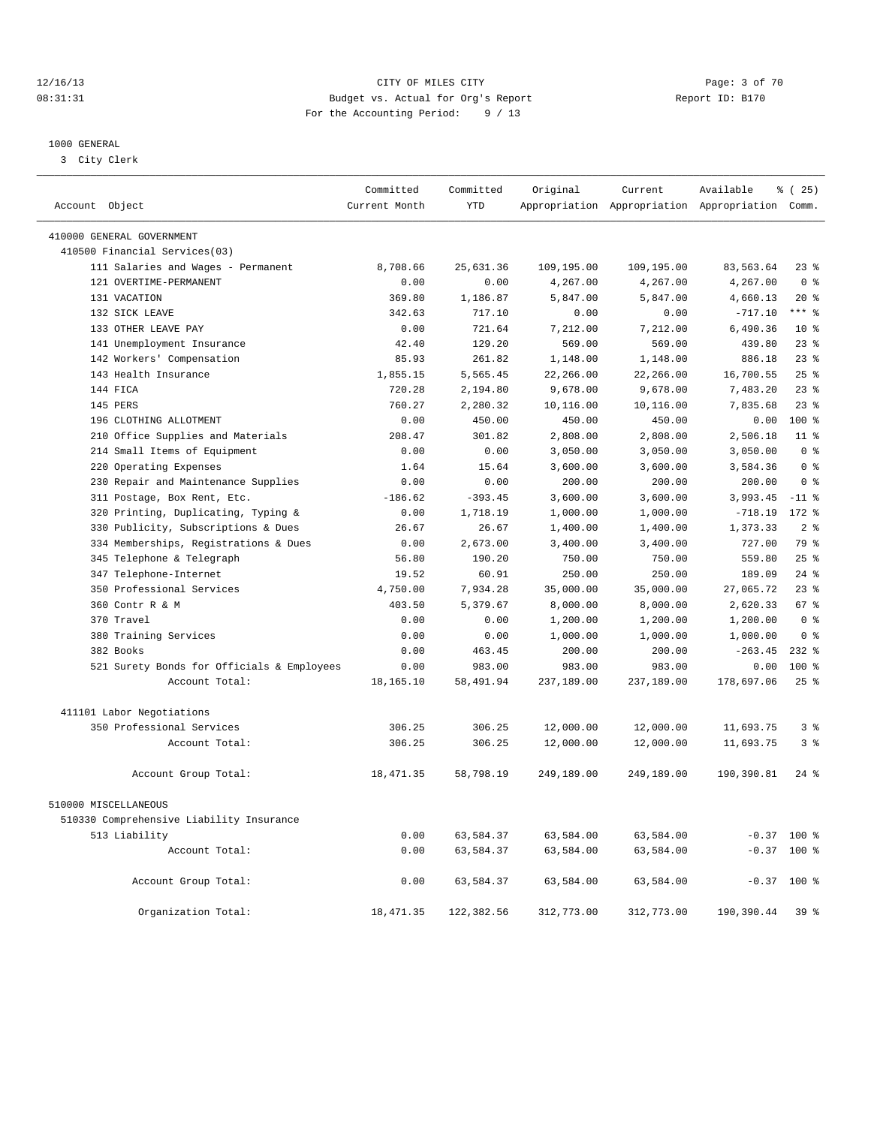### 12/16/13 CITY OF MILES CITY Page: 3 of 70 08:31:31 Budget vs. Actual for Org's Report Changer Report ID: B170 For the Accounting Period: 9 / 13

————————————————————————————————————————————————————————————————————————————————————————————————————————————————————————————————————

#### 1000 GENERAL

3 City Clerk

|                                            | Committed     | Committed  | Original   | Current    | Available                                       | $*(25)$         |
|--------------------------------------------|---------------|------------|------------|------------|-------------------------------------------------|-----------------|
| Account Object                             | Current Month | <b>YTD</b> |            |            | Appropriation Appropriation Appropriation Comm. |                 |
| 410000 GENERAL GOVERNMENT                  |               |            |            |            |                                                 |                 |
| 410500 Financial Services(03)              |               |            |            |            |                                                 |                 |
| 111 Salaries and Wages - Permanent         | 8,708.66      | 25,631.36  | 109,195.00 | 109,195.00 | 83,563.64                                       | $23$ $%$        |
| 121 OVERTIME-PERMANENT                     | 0.00          | 0.00       | 4,267.00   | 4,267.00   | 4,267.00                                        | 0 <sup>8</sup>  |
| 131 VACATION                               | 369.80        | 1,186.87   | 5,847.00   | 5,847.00   | 4,660.13                                        | $20*$           |
| 132 SICK LEAVE                             | 342.63        | 717.10     | 0.00       | 0.00       | $-717.10$                                       | $***$ $%$       |
| 133 OTHER LEAVE PAY                        | 0.00          | 721.64     | 7,212.00   | 7,212.00   | 6,490.36                                        | $10*$           |
| 141 Unemployment Insurance                 | 42.40         | 129.20     | 569.00     | 569.00     | 439.80                                          | 23%             |
| 142 Workers' Compensation                  | 85.93         | 261.82     | 1,148.00   | 1,148.00   | 886.18                                          | 23 <sup>8</sup> |
| 143 Health Insurance                       | 1,855.15      | 5,565.45   | 22,266.00  | 22,266.00  | 16,700.55                                       | 25%             |
| 144 FICA                                   | 720.28        | 2,194.80   | 9,678.00   | 9,678.00   | 7,483.20                                        | 23 <sup>8</sup> |
| 145 PERS                                   | 760.27        | 2,280.32   | 10,116.00  | 10,116.00  | 7,835.68                                        | 23%             |
| 196 CLOTHING ALLOTMENT                     | 0.00          | 450.00     | 450.00     | 450.00     | 0.00                                            | 100 %           |
| 210 Office Supplies and Materials          | 208.47        | 301.82     | 2,808.00   | 2,808.00   | 2,506.18                                        | $11$ %          |
| 214 Small Items of Equipment               | 0.00          | 0.00       | 3,050.00   | 3,050.00   | 3,050.00                                        | 0 <sup>8</sup>  |
| 220 Operating Expenses                     | 1.64          | 15.64      | 3,600.00   | 3,600.00   | 3,584.36                                        | 0 <sup>8</sup>  |
| 230 Repair and Maintenance Supplies        | 0.00          | 0.00       | 200.00     | 200.00     | 200.00                                          | 0 <sup>8</sup>  |
| 311 Postage, Box Rent, Etc.                | $-186.62$     | $-393.45$  | 3,600.00   | 3,600.00   | 3,993.45                                        | $-11$ %         |
| 320 Printing, Duplicating, Typing &        | 0.00          | 1,718.19   | 1,000.00   | 1,000.00   | $-718.19$                                       | 172 %           |
| 330 Publicity, Subscriptions & Dues        | 26.67         | 26.67      | 1,400.00   | 1,400.00   | 1,373.33                                        | 2 <sup>8</sup>  |
| 334 Memberships, Registrations & Dues      | 0.00          | 2,673.00   | 3,400.00   | 3,400.00   | 727.00                                          | 79 %            |
| 345 Telephone & Telegraph                  | 56.80         | 190.20     | 750.00     | 750.00     | 559.80                                          | 25%             |
| 347 Telephone-Internet                     | 19.52         | 60.91      | 250.00     | 250.00     | 189.09                                          | $24$ %          |
| 350 Professional Services                  | 4,750.00      | 7,934.28   | 35,000.00  | 35,000.00  | 27,065.72                                       | $23$ $%$        |
| 360 Contr R & M                            | 403.50        | 5,379.67   | 8,000.00   | 8,000.00   | 2,620.33                                        | 67 %            |
| 370 Travel                                 | 0.00          | 0.00       | 1,200.00   | 1,200.00   | 1,200.00                                        | 0 <sup>8</sup>  |
| 380 Training Services                      | 0.00          | 0.00       | 1,000.00   | 1,000.00   | 1,000.00                                        | 0 <sup>8</sup>  |
| 382 Books                                  | 0.00          | 463.45     | 200.00     | 200.00     | $-263.45$                                       | $232$ %         |
| 521 Surety Bonds for Officials & Employees | 0.00          | 983.00     | 983.00     | 983.00     | 0.00                                            | 100 %           |
| Account Total:                             | 18,165.10     | 58,491.94  | 237,189.00 | 237,189.00 | 178,697.06                                      | 25%             |
|                                            |               |            |            |            |                                                 |                 |
| 411101 Labor Negotiations                  |               |            |            |            |                                                 |                 |
| 350 Professional Services                  | 306.25        | 306.25     | 12,000.00  | 12,000.00  | 11,693.75                                       | 3 <sup>8</sup>  |
| Account Total:                             | 306.25        | 306.25     | 12,000.00  | 12,000.00  | 11,693.75                                       | 3%              |
|                                            |               |            |            |            |                                                 |                 |
| Account Group Total:                       | 18, 471.35    | 58,798.19  | 249,189.00 | 249,189.00 | 190,390.81                                      | $24$ $%$        |
| 510000 MISCELLANEOUS                       |               |            |            |            |                                                 |                 |
| 510330 Comprehensive Liability Insurance   |               |            |            |            |                                                 |                 |
| 513 Liability                              | 0.00          | 63,584.37  | 63,584.00  | 63,584.00  |                                                 | $-0.37$ 100 %   |
| Account Total:                             | 0.00          | 63,584.37  | 63,584.00  | 63,584.00  | $-0.37$                                         | $100*$          |
| Account Group Total:                       | 0.00          | 63,584.37  | 63,584.00  | 63,584.00  |                                                 | $-0.37$ 100 %   |
| Organization Total:                        | 18, 471.35    | 122,382.56 | 312,773.00 | 312,773.00 | 190,390.44                                      | 39 %            |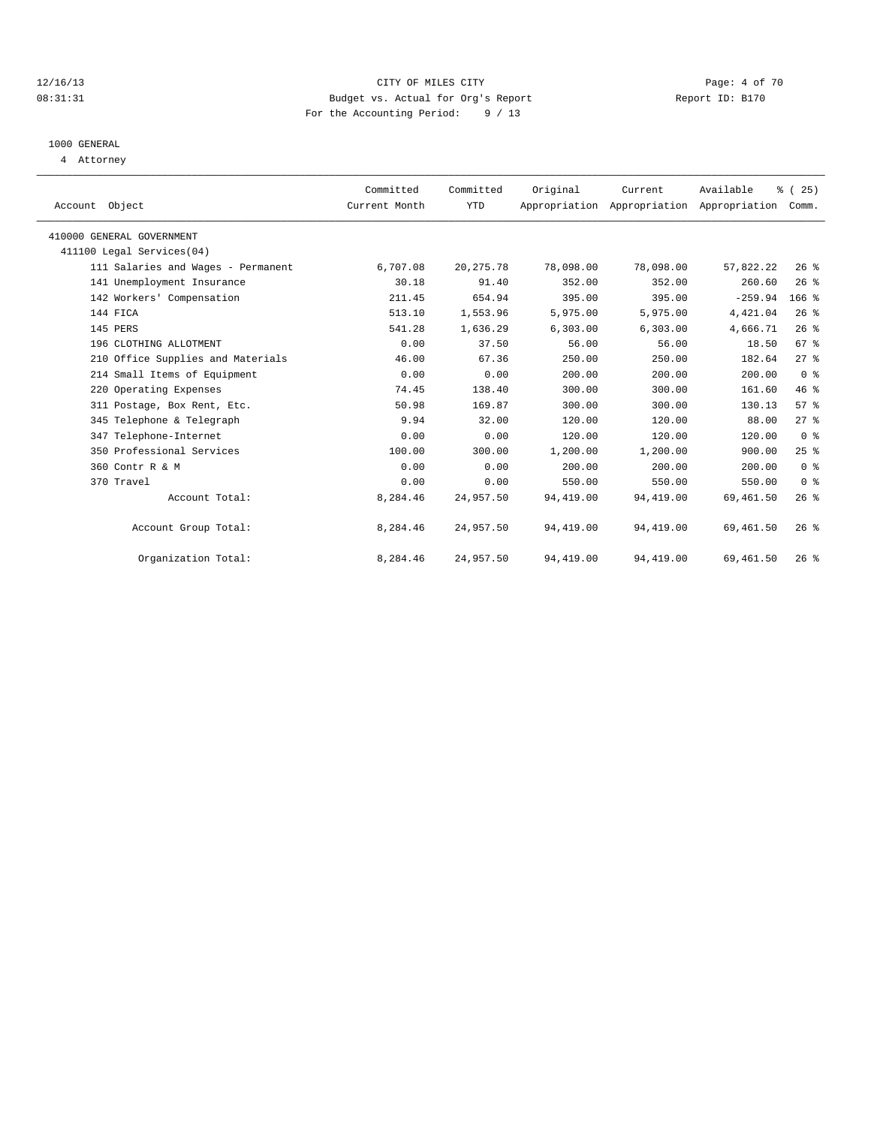### 12/16/13 CITY OF MILES CITY Page: 4 of 70 08:31:31 Budget vs. Actual for Org's Report Changer Report ID: B170 For the Accounting Period: 9 / 13

### 1000 GENERAL

4 Attorney

| Account Object                     | Committed<br>Current Month | Committed<br>YTD | Original   | Current<br>Appropriation Appropriation Appropriation | Available  | $\frac{1}{6}$ ( 25 )<br>Comm. |  |
|------------------------------------|----------------------------|------------------|------------|------------------------------------------------------|------------|-------------------------------|--|
|                                    |                            |                  |            |                                                      |            |                               |  |
| 410000 GENERAL GOVERNMENT          |                            |                  |            |                                                      |            |                               |  |
| 411100 Legal Services (04)         |                            |                  |            |                                                      |            |                               |  |
| 111 Salaries and Wages - Permanent | 6,707.08                   | 20, 275.78       | 78,098.00  | 78,098.00                                            | 57,822.22  | 26%                           |  |
| 141 Unemployment Insurance         | 30.18                      | 91.40            | 352.00     | 352.00                                               | 260.60     | 26%                           |  |
| 142 Workers' Compensation          | 211.45                     | 654.94           | 395.00     | 395.00                                               | $-259.94$  | $166$ %                       |  |
| 144 FICA                           | 513.10                     | 1,553.96         | 5,975.00   | 5,975.00                                             | 4,421.04   | 26%                           |  |
| 145 PERS                           | 541.28                     | 1,636.29         | 6,303.00   | 6,303.00                                             | 4,666.71   | 26%                           |  |
| 196 CLOTHING ALLOTMENT             | 0.00                       | 37.50            | 56.00      | 56.00                                                | 18.50      | 67 %                          |  |
| 210 Office Supplies and Materials  | 46.00                      | 67.36            | 250.00     | 250.00                                               | 182.64     | $27$ $%$                      |  |
| 214 Small Items of Equipment       | 0.00                       | 0.00             | 200.00     | 200.00                                               | 200.00     | 0 <sup>8</sup>                |  |
| 220 Operating Expenses             | 74.45                      | 138.40           | 300.00     | 300.00                                               | 161.60     | 46.8                          |  |
| 311 Postage, Box Rent, Etc.        | 50.98                      | 169.87           | 300.00     | 300.00                                               | 130.13     | 57%                           |  |
| 345 Telephone & Telegraph          | 9.94                       | 32.00            | 120.00     | 120.00                                               | 88.00      | 27%                           |  |
| 347 Telephone-Internet             | 0.00                       | 0.00             | 120.00     | 120.00                                               | 120.00     | 0 <sup>8</sup>                |  |
| 350 Professional Services          | 100.00                     | 300.00           | 1,200.00   | 1,200.00                                             | 900.00     | 25%                           |  |
| 360 Contr R & M                    | 0.00                       | 0.00             | 200.00     | 200.00                                               | 200.00     | 0 <sup>8</sup>                |  |
| 370 Travel                         | 0.00                       | 0.00             | 550.00     | 550.00                                               | 550.00     | 0 <sup>8</sup>                |  |
| Account Total:                     | 8,284.46                   | 24,957.50        | 94,419.00  | 94,419.00                                            | 69, 461.50 | $26*$                         |  |
| Account Group Total:               | 8,284.46                   | 24,957.50        | 94,419.00  | 94,419.00                                            | 69,461.50  | $26*$                         |  |
| Organization Total:                | 8,284.46                   | 24,957.50        | 94, 419.00 | 94, 419.00                                           | 69, 461.50 | 26%                           |  |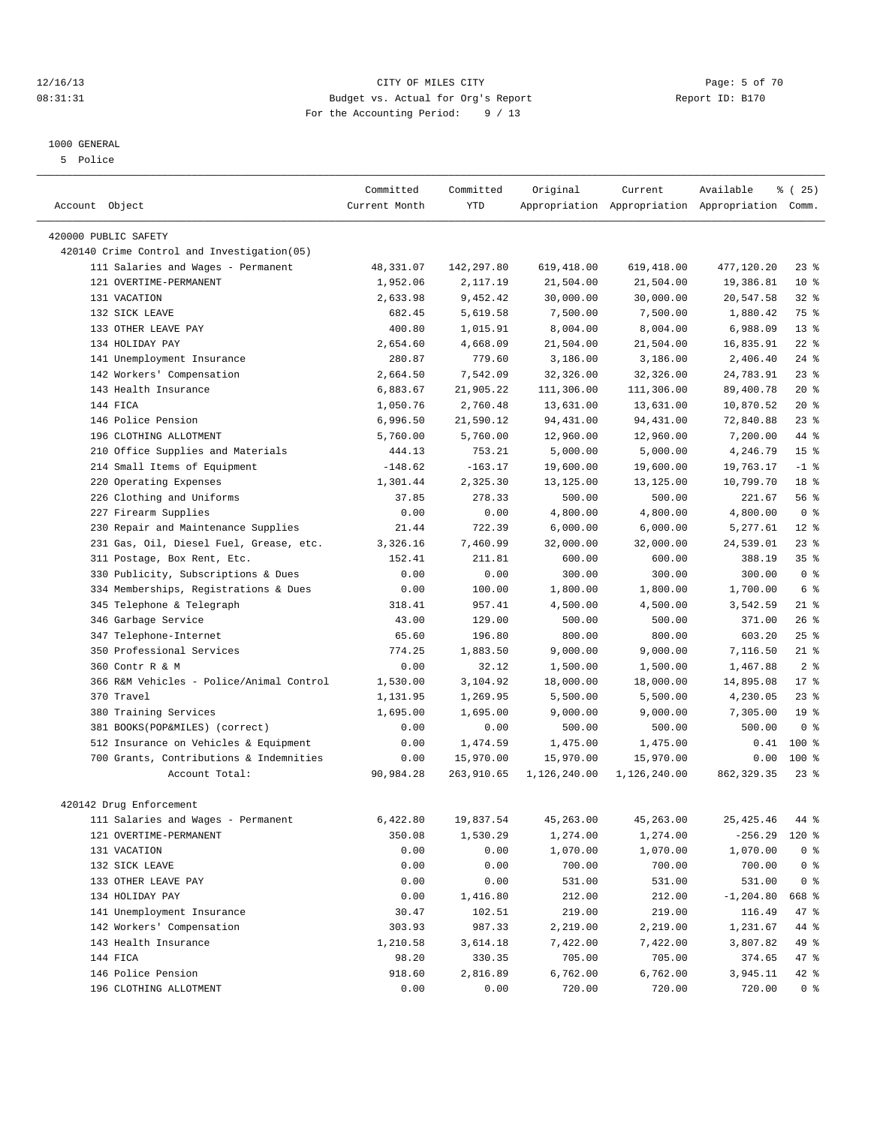### 12/16/13 CITY OF MILES CITY Page: 5 of 70 08:31:31 Budget vs. Actual for Org's Report Changer Report ID: B170 For the Accounting Period: 9 / 13

#### 1000 GENERAL

5 Police

|                                            | Committed     | Committed  | Original     | Current      | Available                                       | % (25)          |  |
|--------------------------------------------|---------------|------------|--------------|--------------|-------------------------------------------------|-----------------|--|
| Account Object                             | Current Month | <b>YTD</b> |              |              | Appropriation Appropriation Appropriation Comm. |                 |  |
|                                            |               |            |              |              |                                                 |                 |  |
| 420000 PUBLIC SAFETY                       |               |            |              |              |                                                 |                 |  |
| 420140 Crime Control and Investigation(05) |               |            |              |              |                                                 |                 |  |
| 111 Salaries and Wages - Permanent         | 48,331.07     | 142,297.80 | 619,418.00   | 619,418.00   | 477,120.20                                      | $23$ $%$        |  |
| 121 OVERTIME-PERMANENT                     | 1,952.06      | 2,117.19   | 21,504.00    | 21,504.00    | 19,386.81                                       | $10*$           |  |
| 131 VACATION                               | 2,633.98      | 9,452.42   | 30,000.00    | 30,000.00    | 20,547.58                                       | $32$ $%$        |  |
| 132 SICK LEAVE                             | 682.45        | 5,619.58   | 7,500.00     | 7,500.00     | 1,880.42                                        | 75 %            |  |
| 133 OTHER LEAVE PAY                        | 400.80        | 1,015.91   | 8,004.00     | 8,004.00     | 6,988.09                                        | $13*$           |  |
| 134 HOLIDAY PAY                            | 2,654.60      | 4,668.09   | 21,504.00    | 21,504.00    | 16,835.91                                       | $22$ %          |  |
| 141 Unemployment Insurance                 | 280.87        | 779.60     | 3,186.00     | 3,186.00     | 2,406.40                                        | $24$ %          |  |
| 142 Workers' Compensation                  | 2,664.50      | 7,542.09   | 32,326.00    | 32,326.00    | 24,783.91                                       | $23$ $%$        |  |
| 143 Health Insurance                       | 6,883.67      | 21,905.22  | 111,306.00   | 111,306.00   | 89,400.78                                       | $20*$           |  |
| 144 FICA                                   | 1,050.76      | 2,760.48   | 13,631.00    | 13,631.00    | 10,870.52                                       | $20*$           |  |
| 146 Police Pension                         | 6,996.50      | 21,590.12  | 94,431.00    | 94,431.00    | 72,840.88                                       | $23$ $%$        |  |
| 196 CLOTHING ALLOTMENT                     | 5,760.00      | 5,760.00   | 12,960.00    | 12,960.00    | 7,200.00                                        | 44 %            |  |
| Office Supplies and Materials<br>210       | 444.13        | 753.21     | 5,000.00     | 5,000.00     | 4,246.79                                        | 15 <sup>°</sup> |  |
| 214 Small Items of Equipment               | $-148.62$     | $-163.17$  | 19,600.00    | 19,600.00    | 19,763.17                                       | $-1$ %          |  |
| 220 Operating Expenses                     | 1,301.44      | 2,325.30   | 13,125.00    | 13,125.00    | 10,799.70                                       | 18 <sup>8</sup> |  |
| 226 Clothing and Uniforms                  | 37.85         | 278.33     | 500.00       | 500.00       | 221.67                                          | 56%             |  |
| 227 Firearm Supplies                       | 0.00          | 0.00       | 4,800.00     | 4,800.00     | 4,800.00                                        | 0 <sup>8</sup>  |  |
| Repair and Maintenance Supplies<br>230     | 21.44         | 722.39     | 6,000.00     | 6,000.00     | 5,277.61                                        | $12*$           |  |
| 231 Gas, Oil, Diesel Fuel, Grease, etc.    | 3,326.16      | 7,460.99   | 32,000.00    | 32,000.00    | 24,539.01                                       | $23$ $%$        |  |
| 311 Postage, Box Rent, Etc.                | 152.41        | 211.81     | 600.00       | 600.00       | 388.19                                          | 35 <sup>8</sup> |  |
| 330 Publicity, Subscriptions & Dues        | 0.00          | 0.00       | 300.00       | 300.00       | 300.00                                          | 0 <sup>8</sup>  |  |
| 334 Memberships, Registrations & Dues      | 0.00          | 100.00     | 1,800.00     | 1,800.00     | 1,700.00                                        | 6 %             |  |
| Telephone & Telegraph<br>345               | 318.41        | 957.41     | 4,500.00     | 4,500.00     | 3,542.59                                        | $21$ %          |  |
| 346 Garbage Service                        | 43.00         | 129.00     | 500.00       | 500.00       | 371.00                                          | $26$ %          |  |
| 347 Telephone-Internet                     | 65.60         | 196.80     | 800.00       | 800.00       | 603.20                                          | 25%             |  |
| 350 Professional Services                  | 774.25        | 1,883.50   | 9,000.00     | 9,000.00     | 7,116.50                                        | $21$ %          |  |
| 360 Contr R & M                            | 0.00          | 32.12      | 1,500.00     | 1,500.00     | 1,467.88                                        | 2 <sup>8</sup>  |  |
| 366 R&M Vehicles - Police/Animal Control   | 1,530.00      | 3,104.92   | 18,000.00    | 18,000.00    | 14,895.08                                       | $17*$           |  |
| 370 Travel                                 | 1,131.95      | 1,269.95   | 5,500.00     | 5,500.00     | 4,230.05                                        | $23$ $%$        |  |
| 380 Training Services                      | 1,695.00      | 1,695.00   | 9,000.00     | 9,000.00     | 7,305.00                                        | 19 <sup>°</sup> |  |
| 381 BOOKS(POP&MILES) (correct)             | 0.00          | 0.00       | 500.00       | 500.00       | 500.00                                          | 0 <sup>8</sup>  |  |
| 512 Insurance on Vehicles & Equipment      | 0.00          | 1,474.59   | 1,475.00     | 1,475.00     | 0.41                                            | 100 %           |  |
| 700 Grants, Contributions & Indemnities    | 0.00          | 15,970.00  | 15,970.00    | 15,970.00    | 0.00                                            | $100*$          |  |
| Account Total:                             | 90,984.28     | 263,910.65 | 1,126,240.00 | 1,126,240.00 | 862, 329.35                                     | $23$ $%$        |  |
|                                            |               |            |              |              |                                                 |                 |  |
| 420142 Drug Enforcement                    |               |            |              |              |                                                 |                 |  |
| 111 Salaries and Wages - Permanent         | 6,422.80      | 19,837.54  | 45,263.00    | 45,263.00    | 25, 425.46                                      | 44 %            |  |
| 121 OVERTIME-PERMANENT                     | 350.08        | 1,530.29   | 1,274.00     | 1,274.00     | $-256.29$                                       | 120 %           |  |
| 131 VACATION                               | 0.00          | 0.00       | 1,070.00     | 1,070.00     | 1,070.00                                        | 0 <sup>8</sup>  |  |
| 132 SICK LEAVE                             | 0.00          | 0.00       | 700.00       | 700.00       | 700.00                                          | 0 <sup>8</sup>  |  |
| 133 OTHER LEAVE PAY                        | 0.00          | 0.00       | 531.00       | 531.00       | 531.00                                          | $0$ %           |  |
| 134 HOLIDAY PAY                            | 0.00          | 1,416.80   | 212.00       | 212.00       | $-1, 204.80$                                    | 668 %           |  |
| 141 Unemployment Insurance                 | 30.47         | 102.51     | 219.00       | 219.00       | 116.49                                          | 47 %            |  |
| 142 Workers' Compensation                  | 303.93        | 987.33     | 2,219.00     | 2,219.00     | 1,231.67                                        | 44 %            |  |
| 143 Health Insurance                       | 1,210.58      | 3,614.18   | 7,422.00     | 7,422.00     | 3,807.82                                        | 49 %            |  |
| 144 FICA                                   | 98.20         | 330.35     | 705.00       | 705.00       | 374.65                                          | 47 %            |  |
| 146 Police Pension                         | 918.60        | 2,816.89   | 6,762.00     | 6,762.00     | 3,945.11                                        | 42 %            |  |
| 196 CLOTHING ALLOTMENT                     | 0.00          | 0.00       | 720.00       | 720.00       | 720.00                                          | 0 <sup>8</sup>  |  |
|                                            |               |            |              |              |                                                 |                 |  |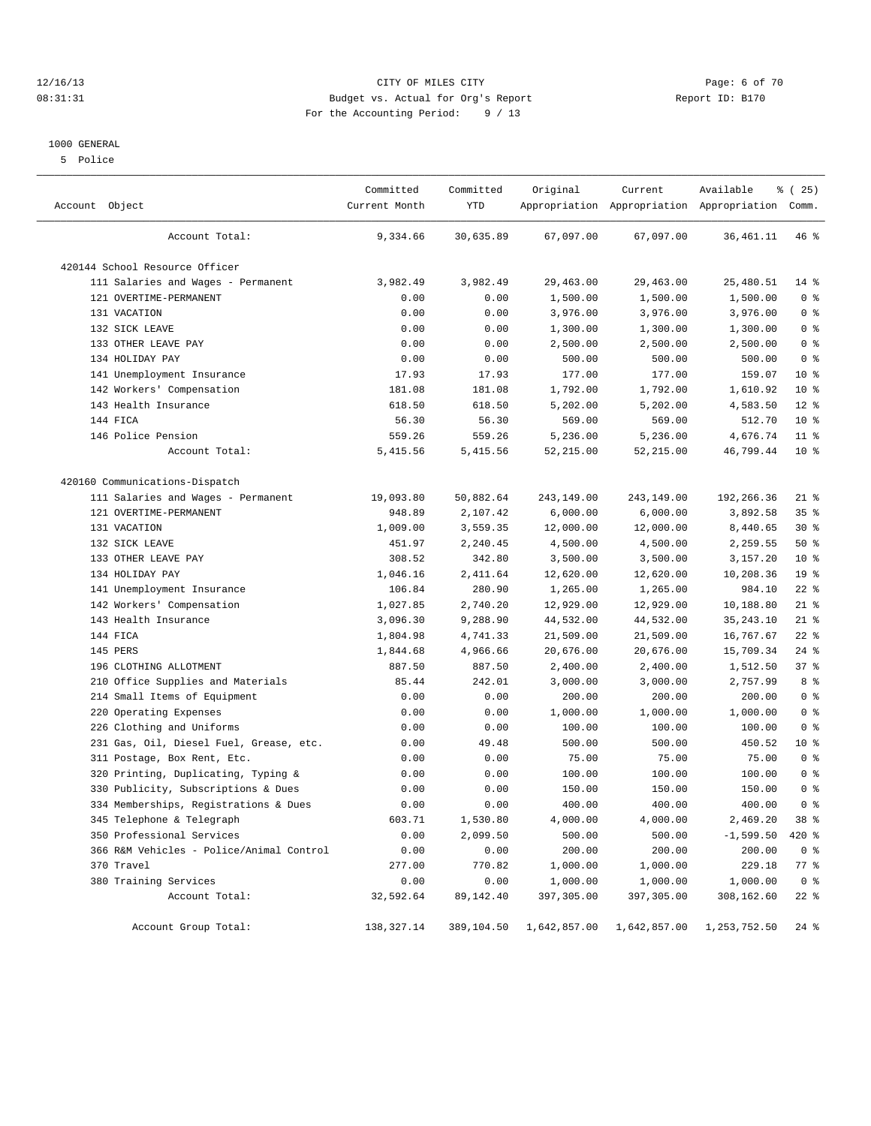### 12/16/13 CITY OF MILES CITY Page: 6 of 70 08:31:31 Budget vs. Actual for Org's Report Changer Report ID: B170 For the Accounting Period: 9 / 13

#### 1000 GENERAL

5 Police

| Account Object                           | Committed<br>Current Month | Committed<br>YTD | Original     | Current      | Available<br>Appropriation Appropriation Appropriation Comm. | % (25)          |
|------------------------------------------|----------------------------|------------------|--------------|--------------|--------------------------------------------------------------|-----------------|
| Account Total:                           | 9,334.66                   | 30,635.89        | 67,097.00    | 67,097.00    | 36, 461.11                                                   | 46 %            |
| 420144 School Resource Officer           |                            |                  |              |              |                                                              |                 |
| 111 Salaries and Wages - Permanent       | 3,982.49                   | 3,982.49         | 29,463.00    | 29,463.00    | 25,480.51                                                    | $14$ %          |
| 121 OVERTIME-PERMANENT                   | 0.00                       | 0.00             | 1,500.00     | 1,500.00     | 1,500.00                                                     | 0 <sup>8</sup>  |
| 131 VACATION                             | 0.00                       | 0.00             | 3,976.00     | 3,976.00     | 3,976.00                                                     | 0 <sup>8</sup>  |
| 132 SICK LEAVE                           | 0.00                       | 0.00             | 1,300.00     | 1,300.00     | 1,300.00                                                     | 0 <sup>8</sup>  |
| 133 OTHER LEAVE PAY                      | 0.00                       | 0.00             | 2,500.00     | 2,500.00     | 2,500.00                                                     | 0 <sup>8</sup>  |
| 134 HOLIDAY PAY                          | 0.00                       | 0.00             | 500.00       | 500.00       | 500.00                                                       | 0 <sup>8</sup>  |
| 141 Unemployment Insurance               | 17.93                      | 17.93            | 177.00       | 177.00       | 159.07                                                       | $10*$           |
| 142 Workers' Compensation                | 181.08                     | 181.08           | 1,792.00     | 1,792.00     | 1,610.92                                                     | $10*$           |
| 143 Health Insurance                     | 618.50                     | 618.50           | 5,202.00     | 5,202.00     | 4,583.50                                                     | $12*$           |
| 144 FICA                                 | 56.30                      | 56.30            | 569.00       | 569.00       | 512.70                                                       | $10*$           |
| 146 Police Pension                       | 559.26                     | 559.26           | 5,236.00     | 5,236.00     | 4,676.74                                                     | 11 <sup>°</sup> |
| Account Total:                           | 5,415.56                   | 5,415.56         | 52,215.00    | 52, 215.00   | 46,799.44                                                    | $10*$           |
| 420160 Communications-Dispatch           |                            |                  |              |              |                                                              |                 |
| 111 Salaries and Wages - Permanent       | 19,093.80                  | 50,882.64        | 243,149.00   | 243,149.00   | 192,266.36                                                   | $21$ %          |
| 121 OVERTIME-PERMANENT                   | 948.89                     | 2,107.42         | 6,000.00     | 6,000.00     | 3,892.58                                                     | $35$ %          |
| 131 VACATION                             | 1,009.00                   | 3,559.35         | 12,000.00    | 12,000.00    | 8,440.65                                                     | $30*$           |
| 132 SICK LEAVE                           | 451.97                     | 2,240.45         | 4,500.00     | 4,500.00     | 2,259.55                                                     | 50%             |
| 133 OTHER LEAVE PAY                      | 308.52                     | 342.80           | 3,500.00     | 3,500.00     | 3,157.20                                                     | $10*$           |
| 134 HOLIDAY PAY                          | 1,046.16                   | 2,411.64         | 12,620.00    | 12,620.00    | 10,208.36                                                    | 19 <sup>°</sup> |
| 141 Unemployment Insurance               | 106.84                     | 280.90           | 1,265.00     | 1,265.00     | 984.10                                                       | $22$ %          |
| 142 Workers' Compensation                | 1,027.85                   | 2,740.20         | 12,929.00    | 12,929.00    | 10,188.80                                                    | $21$ %          |
| 143 Health Insurance                     | 3,096.30                   | 9,288.90         | 44,532.00    | 44,532.00    | 35, 243. 10                                                  | $21$ %          |
| 144 FICA                                 | 1,804.98                   | 4,741.33         | 21,509.00    | 21,509.00    | 16,767.67                                                    | $22$ %          |
| 145 PERS                                 | 1,844.68                   | 4,966.66         | 20,676.00    | 20,676.00    | 15,709.34                                                    | $24$ %          |
| 196 CLOTHING ALLOTMENT                   | 887.50                     | 887.50           | 2,400.00     | 2,400.00     | 1,512.50                                                     | 37%             |
| Office Supplies and Materials<br>210     | 85.44                      | 242.01           | 3,000.00     | 3,000.00     | 2,757.99                                                     | 8 %             |
| 214 Small Items of Equipment             | 0.00                       | 0.00             | 200.00       | 200.00       | 200.00                                                       | 0 <sup>8</sup>  |
| 220 Operating Expenses                   | 0.00                       | 0.00             | 1,000.00     | 1,000.00     | 1,000.00                                                     | 0 <sup>8</sup>  |
| 226 Clothing and Uniforms                | 0.00                       | 0.00             | 100.00       | 100.00       | 100.00                                                       | 0 <sup>8</sup>  |
| 231 Gas, Oil, Diesel Fuel, Grease, etc.  | 0.00                       | 49.48            | 500.00       | 500.00       | 450.52                                                       | $10*$           |
| 311 Postage, Box Rent, Etc.              | 0.00                       | 0.00             | 75.00        | 75.00        | 75.00                                                        | 0 <sup>8</sup>  |
| 320 Printing, Duplicating, Typing &      | 0.00                       | 0.00             | 100.00       | 100.00       | 100.00                                                       | 0 <sup>8</sup>  |
| 330 Publicity, Subscriptions & Dues      | 0.00                       | 0.00             | 150.00       | 150.00       | 150.00                                                       | 0 <sup>°</sup>  |
| 334 Memberships, Registrations & Dues    | 0.00                       | 0.00             | 400.00       | 400.00       | 400.00                                                       | 0 <sup>8</sup>  |
| 345 Telephone & Telegraph                | 603.71                     | 1,530.80         | 4,000.00     | 4,000.00     | 2,469.20                                                     | 38 %            |
| 350 Professional Services                | 0.00                       | 2,099.50         | 500.00       | 500.00       | $-1,599.50$                                                  | 420 %           |
| 366 R&M Vehicles - Police/Animal Control | 0.00                       | 0.00             | 200.00       | 200.00       | 200.00                                                       | 0 <sup>8</sup>  |
| 370 Travel                               | 277.00                     | 770.82           | 1,000.00     | 1,000.00     | 229.18                                                       | 77 %            |
| 380 Training Services                    | 0.00                       | 0.00             | 1,000.00     | 1,000.00     | 1,000.00                                                     | 0 <sup>8</sup>  |
| Account Total:                           | 32,592.64                  | 89,142.40        | 397,305.00   | 397,305.00   | 308,162.60                                                   | $22$ %          |
| Account Group Total:                     | 138,327.14                 | 389,104.50       | 1,642,857.00 | 1,642,857.00 | 1,253,752.50                                                 | $24$ %          |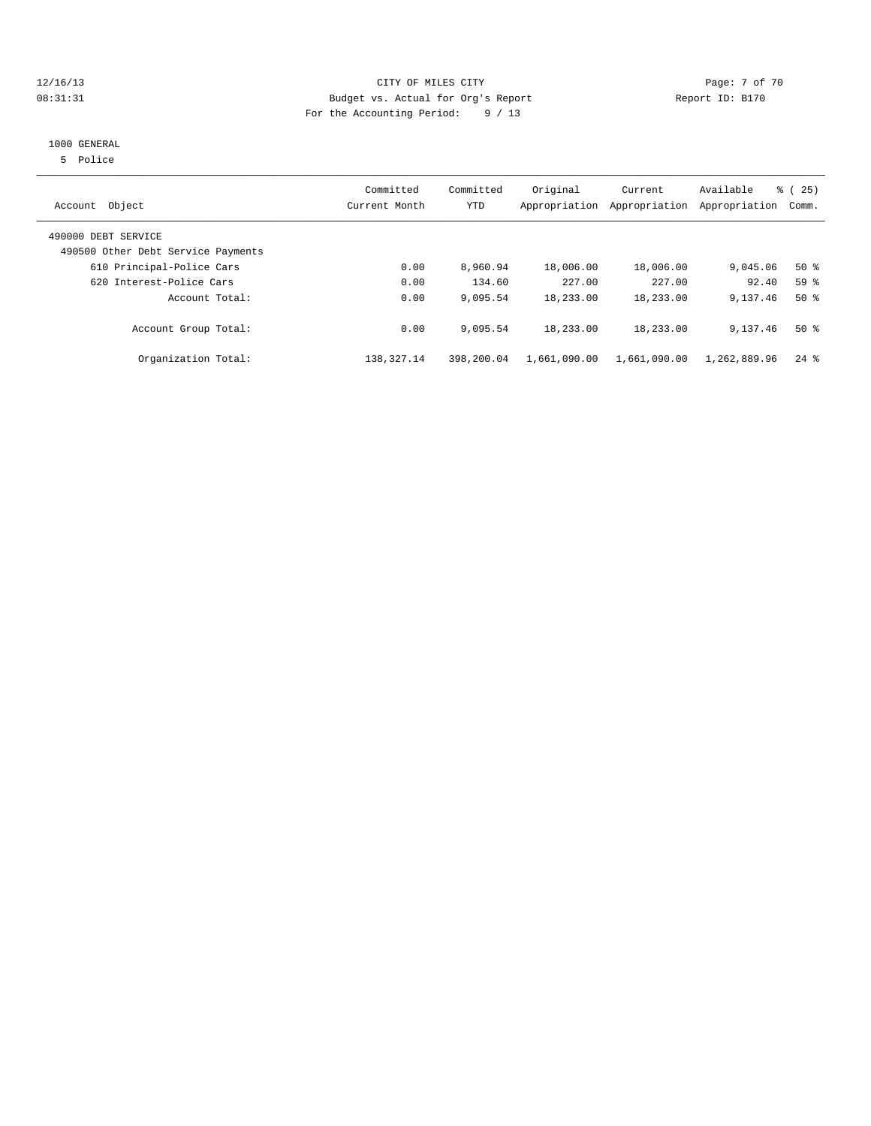### 12/16/13 CITY OF MILES CITY Page: 7 of 70 08:31:31 Budget vs. Actual for Org's Report Changer Report ID: B170 For the Accounting Period: 9 / 13

#### 1000 GENERAL

5 Police

| Object<br>Account                                         | Committed<br>Current Month | Committed<br><b>YTD</b> | Original     | Current<br>Appropriation Appropriation | Available<br>Appropriation | % (25)<br>Comm.    |
|-----------------------------------------------------------|----------------------------|-------------------------|--------------|----------------------------------------|----------------------------|--------------------|
| 490000 DEBT SERVICE<br>490500 Other Debt Service Payments |                            |                         |              |                                        |                            |                    |
| 610 Principal-Police Cars                                 | 0.00                       | 8,960.94                | 18,006.00    | 18,006.00                              | 9,045.06                   | $50*$              |
| 620 Interest-Police Cars                                  | 0.00                       | 134.60                  | 227.00       | 227.00                                 | 92.40                      | 59 <sub>8</sub>    |
| Account Total:                                            | 0.00                       | 9,095.54                | 18,233.00    | 18,233.00                              | 9,137.46                   | $50*$              |
| Account Group Total:                                      | 0.00                       | 9,095.54                | 18,233.00    | 18,233.00                              | 9,137.46                   | $50*$              |
| Organization Total:                                       | 138, 327. 14               | 398,200.04              | 1,661,090.00 | 1,661,090.00                           | 1,262,889.96               | $24$ $\frac{6}{3}$ |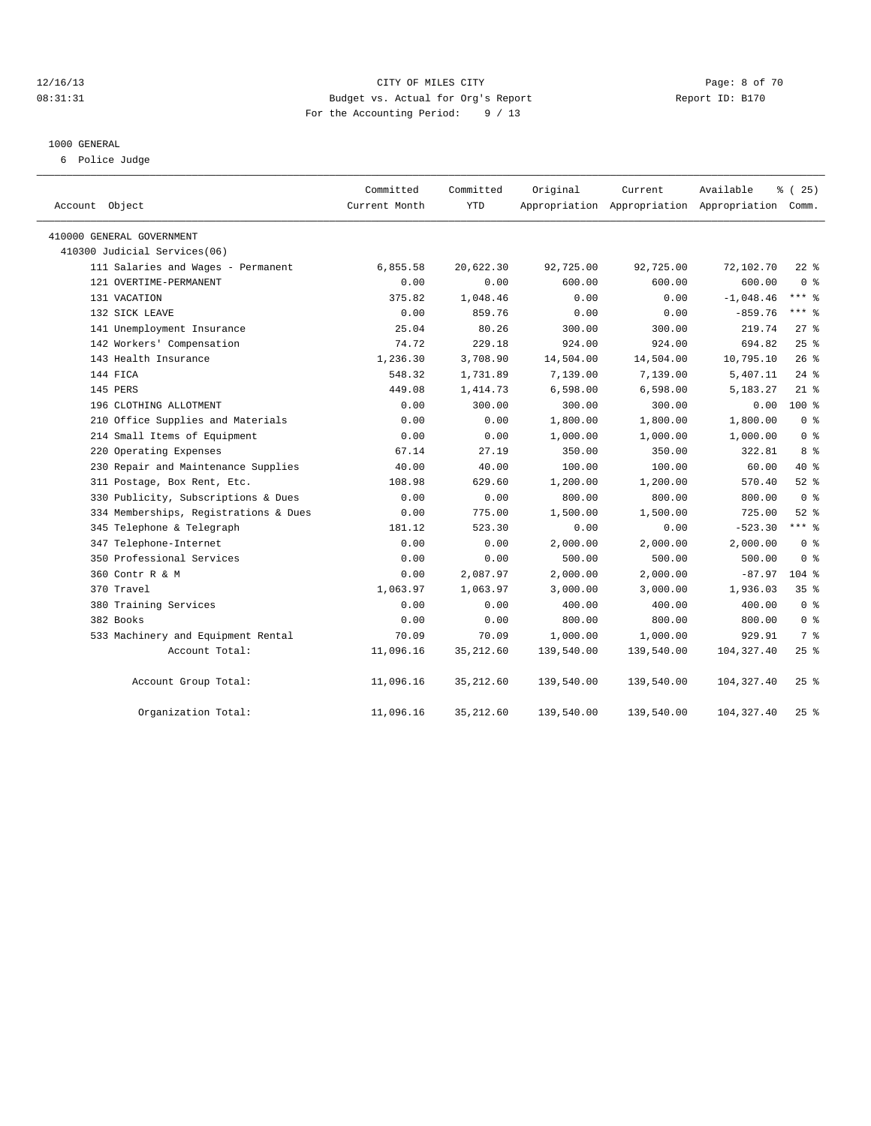### 12/16/13 CITY OF MILES CITY Page: 8 of 70 08:31:31 Budget vs. Actual for Org's Report Changer Report ID: B170 For the Accounting Period: 9 / 13

#### 1000 GENERAL

6 Police Judge

| Account Object                        | Committed<br>Current Month | Committed<br><b>YTD</b> | Original   | Current    | Available<br>Appropriation Appropriation Appropriation Comm. | % (25)             |
|---------------------------------------|----------------------------|-------------------------|------------|------------|--------------------------------------------------------------|--------------------|
|                                       |                            |                         |            |            |                                                              |                    |
| 410000 GENERAL GOVERNMENT             |                            |                         |            |            |                                                              |                    |
| 410300 Judicial Services(06)          |                            |                         |            |            |                                                              |                    |
| 111 Salaries and Wages - Permanent    | 6,855.58                   | 20,622.30               | 92,725.00  | 92,725.00  | 72,102.70                                                    | $22$ %             |
| 121 OVERTIME-PERMANENT                | 0.00                       | 0.00                    | 600.00     | 600.00     | 600.00                                                       | 0 <sup>8</sup>     |
| 131 VACATION                          | 375.82                     | 1,048.46                | 0.00       | 0.00       | $-1,048.46$                                                  | $***$ 8            |
| 132 SICK LEAVE                        | 0.00                       | 859.76                  | 0.00       | 0.00       | $-859.76$                                                    | $***$ $%$          |
| 141 Unemployment Insurance            | 25.04                      | 80.26                   | 300.00     | 300.00     | 219.74                                                       | $27$ %             |
| 142 Workers' Compensation             | 74.72                      | 229.18                  | 924.00     | 924.00     | 694.82                                                       | 25%                |
| 143 Health Insurance                  | 1,236.30                   | 3,708.90                | 14,504.00  | 14,504.00  | 10,795.10                                                    | $26$ %             |
| 144 FICA                              | 548.32                     | 1,731.89                | 7,139.00   | 7,139.00   | 5,407.11                                                     | $24$ %             |
| 145 PERS                              | 449.08                     | 1,414.73                | 6,598.00   | 6,598.00   | 5,183.27                                                     | $21$ %             |
| 196 CLOTHING ALLOTMENT                | 0.00                       | 300.00                  | 300.00     | 300.00     | 0.00                                                         | $100*$             |
| 210 Office Supplies and Materials     | 0.00                       | 0.00                    | 1,800.00   | 1,800.00   | 1,800.00                                                     | 0 <sup>8</sup>     |
| 214 Small Items of Equipment          | 0.00                       | 0.00                    | 1,000.00   | 1,000.00   | 1,000.00                                                     | 0 <sup>8</sup>     |
| 220 Operating Expenses                | 67.14                      | 27.19                   | 350.00     | 350.00     | 322.81                                                       | 8 %                |
| 230 Repair and Maintenance Supplies   | 40.00                      | 40.00                   | 100.00     | 100.00     | 60.00                                                        | 40 %               |
| 311 Postage, Box Rent, Etc.           | 108.98                     | 629.60                  | 1,200.00   | 1,200.00   | 570.40                                                       | $52$ $%$           |
| 330 Publicity, Subscriptions & Dues   | 0.00                       | 0.00                    | 800.00     | 800.00     | 800.00                                                       | 0 <sup>8</sup>     |
| 334 Memberships, Registrations & Dues | 0.00                       | 775.00                  | 1,500.00   | 1,500.00   | 725.00                                                       | $52$ $%$           |
| 345 Telephone & Telegraph             | 181.12                     | 523.30                  | 0.00       | 0.00       | $-523.30$                                                    | $***$ 8            |
| 347 Telephone-Internet                | 0.00                       | 0.00                    | 2,000.00   | 2,000.00   | 2,000.00                                                     | 0 <sup>8</sup>     |
| 350 Professional Services             | 0.00                       | 0.00                    | 500.00     | 500.00     | 500.00                                                       | 0 <sup>8</sup>     |
| 360 Contr R & M                       | 0.00                       | 2,087.97                | 2,000.00   | 2,000.00   | $-87.97$                                                     | $104$ %            |
| 370 Travel                            | 1,063.97                   | 1,063.97                | 3,000.00   | 3,000.00   | 1,936.03                                                     | 35 <sup>8</sup>    |
| 380 Training Services                 | 0.00                       | 0.00                    | 400.00     | 400.00     | 400.00                                                       | 0 <sup>8</sup>     |
| 382 Books                             | 0.00                       | 0.00                    | 800.00     | 800.00     | 800.00                                                       | 0 <sup>8</sup>     |
| 533 Machinery and Equipment Rental    | 70.09                      | 70.09                   | 1,000.00   | 1,000.00   | 929.91                                                       | 7 %                |
| Account Total:                        | 11,096.16                  | 35, 212.60              | 139,540.00 | 139,540.00 | 104,327.40                                                   | $25$ %             |
| Account Group Total:                  | 11,096.16                  | 35, 212.60              | 139,540.00 | 139,540.00 | 104,327.40                                                   | $25$ $\frac{6}{5}$ |
| Organization Total:                   | 11,096.16                  | 35, 212.60              | 139,540.00 | 139,540.00 | 104, 327.40                                                  | $25$ $%$           |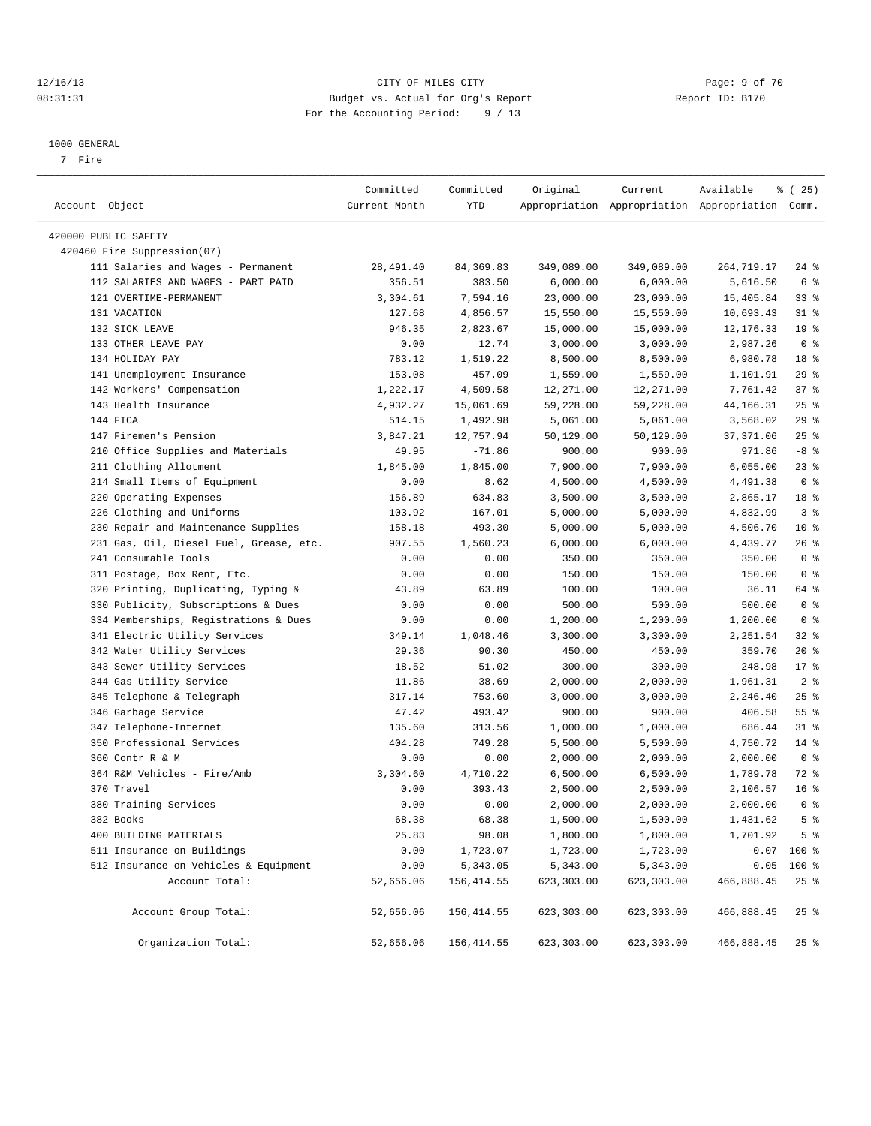### 12/16/13 CITY OF MILES CITY Page: 9 of 70 08:31:31 Budget vs. Actual for Org's Report Changer Report ID: B170 For the Accounting Period: 9 / 13

————————————————————————————————————————————————————————————————————————————————————————————————————————————————————————————————————

#### 1000 GENERAL

7 Fire

|                                                                 | Committed        | Committed        | Original   | Current    | Available                                       | <sub>है</sub> (25)         |
|-----------------------------------------------------------------|------------------|------------------|------------|------------|-------------------------------------------------|----------------------------|
| Account Object                                                  | Current Month    | YTD              |            |            | Appropriation Appropriation Appropriation Comm. |                            |
| 420000 PUBLIC SAFETY                                            |                  |                  |            |            |                                                 |                            |
| 420460 Fire Suppression(07)                                     |                  |                  |            |            |                                                 |                            |
| 111 Salaries and Wages - Permanent                              | 28,491.40        | 84, 369.83       | 349,089.00 | 349,089.00 | 264,719.17                                      | $24$ %                     |
| 112 SALARIES AND WAGES - PART PAID                              | 356.51           | 383.50           | 6,000.00   | 6,000.00   | 5,616.50                                        | 6 %                        |
| 121 OVERTIME-PERMANENT                                          | 3,304.61         | 7,594.16         | 23,000.00  | 23,000.00  | 15,405.84                                       | 338                        |
| 131 VACATION                                                    | 127.68           | 4,856.57         | 15,550.00  | 15,550.00  | 10,693.43                                       | $31$ %                     |
| 132 SICK LEAVE                                                  | 946.35           | 2,823.67         | 15,000.00  | 15,000.00  | 12, 176.33                                      | 19 <sup>°</sup>            |
| 133 OTHER LEAVE PAY                                             | 0.00             | 12.74            | 3,000.00   | 3,000.00   | 2,987.26                                        | 0 <sup>8</sup>             |
| 134 HOLIDAY PAY                                                 | 783.12           | 1,519.22         | 8,500.00   | 8,500.00   | 6,980.78                                        | 18 <sup>8</sup>            |
| 141 Unemployment Insurance                                      | 153.08           | 457.09           | 1,559.00   | 1,559.00   | 1,101.91                                        | 29%                        |
| 142 Workers' Compensation                                       | 1,222.17         | 4,509.58         | 12,271.00  | 12,271.00  | 7,761.42                                        | 37%                        |
| 143 Health Insurance                                            | 4,932.27         | 15,061.69        | 59,228.00  | 59,228.00  | 44,166.31                                       | $25$ $%$                   |
| 144 FICA                                                        | 514.15           | 1,492.98         | 5,061.00   | 5,061.00   | 3,568.02                                        | 29%                        |
| 147 Firemen's Pension                                           | 3,847.21         | 12,757.94        | 50,129.00  | 50,129.00  | 37, 371.06                                      | $25$ $%$                   |
|                                                                 |                  | $-71.86$         |            |            |                                                 | $-8$ %                     |
| 210 Office Supplies and Materials                               | 49.95            |                  | 900.00     | 900.00     | 971.86                                          |                            |
| 211 Clothing Allotment<br>214 Small Items of Equipment          | 1,845.00<br>0.00 | 1,845.00<br>8.62 | 7,900.00   | 7,900.00   | 6,055.00<br>4,491.38                            | $23$ $%$<br>0 <sup>8</sup> |
| 220 Operating Expenses                                          | 156.89           | 634.83           | 4,500.00   | 4,500.00   | 2,865.17                                        | 18 <sup>8</sup>            |
| 226 Clothing and Uniforms                                       | 103.92           | 167.01           | 3,500.00   | 3,500.00   |                                                 | 3%                         |
|                                                                 |                  |                  | 5,000.00   | 5,000.00   | 4,832.99                                        | $10*$                      |
| 230 Repair and Maintenance Supplies                             | 158.18           | 493.30           | 5,000.00   | 5,000.00   | 4,506.70                                        |                            |
| 231 Gas, Oil, Diesel Fuel, Grease, etc.<br>241 Consumable Tools | 907.55           | 1,560.23         | 6,000.00   | 6,000.00   | 4,439.77                                        | $26$ %<br>0 <sup>8</sup>   |
|                                                                 | 0.00             | 0.00             | 350.00     | 350.00     | 350.00                                          |                            |
| 311 Postage, Box Rent, Etc.                                     | 0.00             | 0.00             | 150.00     | 150.00     | 150.00                                          | 0 <sup>8</sup>             |
| 320 Printing, Duplicating, Typing &                             | 43.89            | 63.89            | 100.00     | 100.00     | 36.11                                           | 64 %                       |
| 330 Publicity, Subscriptions & Dues                             | 0.00             | 0.00             | 500.00     | 500.00     | 500.00                                          | 0 <sup>8</sup>             |
| 334 Memberships, Registrations & Dues                           | 0.00             | 0.00             | 1,200.00   | 1,200.00   | 1,200.00                                        | 0 <sup>8</sup>             |
| 341 Electric Utility Services                                   | 349.14           | 1,048.46         | 3,300.00   | 3,300.00   | 2,251.54                                        | $32$ $%$                   |
| 342 Water Utility Services                                      | 29.36            | 90.30            | 450.00     | 450.00     | 359.70                                          | $20*$                      |
| 343 Sewer Utility Services                                      | 18.52            | 51.02            | 300.00     | 300.00     | 248.98                                          | $17*$                      |
| 344 Gas Utility Service                                         | 11.86            | 38.69            | 2,000.00   | 2,000.00   | 1,961.31                                        | 2 <sup>8</sup>             |
| 345 Telephone & Telegraph                                       | 317.14           | 753.60           | 3,000.00   | 3,000.00   | 2,246.40                                        | $25$ $%$                   |
| 346 Garbage Service                                             | 47.42            | 493.42           | 900.00     | 900.00     | 406.58                                          | $55$ $%$                   |
| 347 Telephone-Internet                                          | 135.60           | 313.56           | 1,000.00   | 1,000.00   | 686.44                                          | $31$ $8$                   |
| 350 Professional Services                                       | 404.28           | 749.28           | 5,500.00   | 5,500.00   | 4,750.72                                        | $14*$                      |
| 360 Contr R & M                                                 | 0.00             | 0.00             | 2,000.00   | 2,000.00   | 2,000.00                                        | 0 <sup>8</sup>             |
| 364 R&M Vehicles - Fire/Amb                                     | 3,304.60         | 4,710.22         | 6,500.00   | 6,500.00   | 1,789.78                                        | 72 %                       |
| 370 Travel                                                      | 0.00             | 393.43           | 2,500.00   | 2,500.00   | 2,106.57                                        | 16 <sup>8</sup>            |
| 380 Training Services                                           | 0.00             | 0.00             | 2,000.00   | 2,000.00   | 2,000.00                                        | 0 <sup>8</sup>             |
| 382 Books                                                       | 68.38            | 68.38            | 1,500.00   | 1,500.00   | 1,431.62                                        | 5 <sup>8</sup>             |
| 400 BUILDING MATERIALS                                          | 25.83            | 98.08            | 1,800.00   | 1,800.00   | 1,701.92                                        | 5 <sup>°</sup>             |
| 511 Insurance on Buildings                                      | 0.00             | 1,723.07         | 1,723.00   | 1,723.00   |                                                 | $-0.07$ 100 %              |
| 512 Insurance on Vehicles & Equipment                           | 0.00             | 5,343.05         | 5,343.00   | 5,343.00   | $-0.05$                                         | 100 %                      |
| Account Total:                                                  | 52,656.06        | 156, 414.55      | 623,303.00 | 623,303.00 | 466,888.45                                      | 25%                        |
| Account Group Total:                                            | 52,656.06        | 156,414.55       | 623,303.00 | 623,303.00 | 466,888.45                                      | $25$ %                     |
| Organization Total:                                             | 52,656.06        | 156,414.55       | 623,303.00 | 623,303.00 | 466,888.45                                      | $25$ %                     |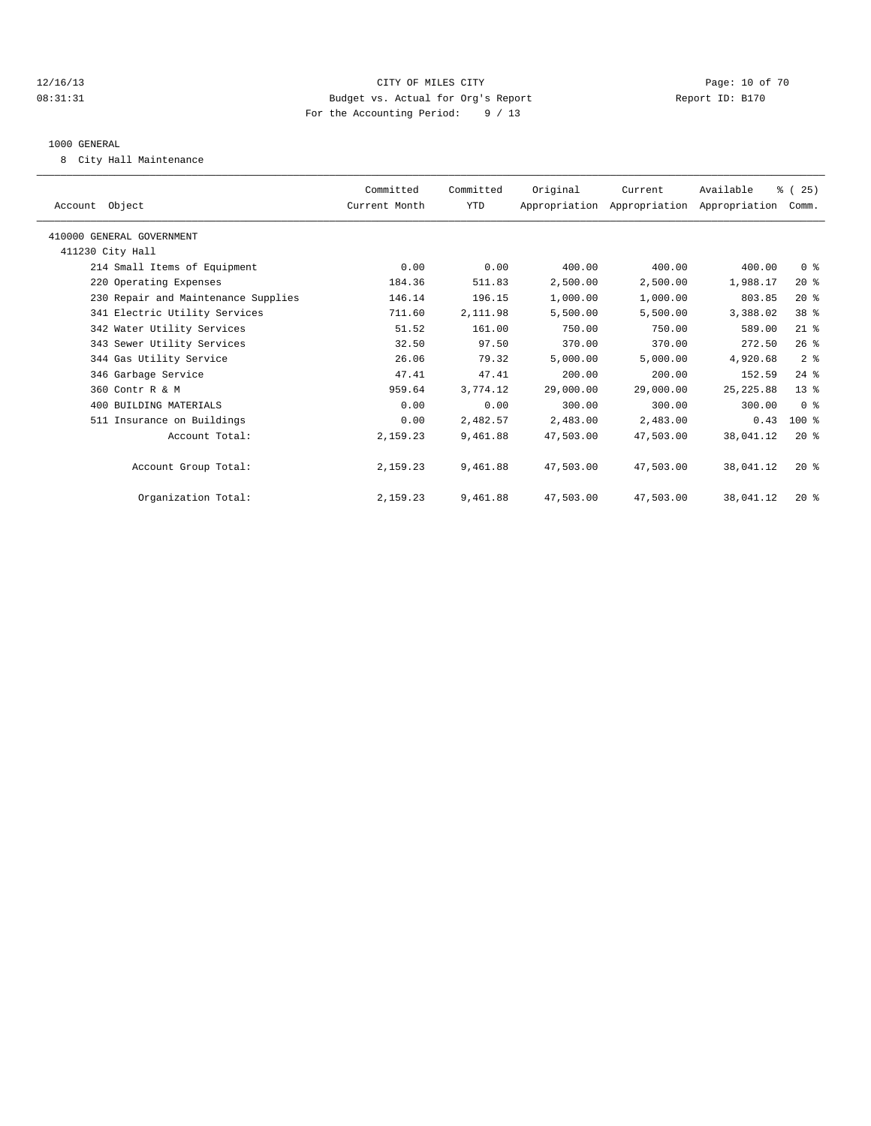### 12/16/13 Page: 10 of 70 08:31:31 Budget vs. Actual for Org's Report Changer Report ID: B170 For the Accounting Period: 9 / 13

### 1000 GENERAL

8 City Hall Maintenance

| Account Object                      | Committed<br>Current Month | Committed<br>YTD | Original  | Current<br>Appropriation Appropriation Appropriation | Available  | % (25)<br>Comm. |  |
|-------------------------------------|----------------------------|------------------|-----------|------------------------------------------------------|------------|-----------------|--|
| 410000 GENERAL GOVERNMENT           |                            |                  |           |                                                      |            |                 |  |
| 411230 City Hall                    |                            |                  |           |                                                      |            |                 |  |
| 214 Small Items of Equipment        | 0.00                       | 0.00             | 400.00    | 400.00                                               | 400.00     | 0 <sup>8</sup>  |  |
| 220 Operating Expenses              | 184.36                     | 511.83           | 2,500.00  | 2,500.00                                             | 1,988.17   | $20*$           |  |
| 230 Repair and Maintenance Supplies | 146.14                     | 196.15           | 1,000.00  | 1,000.00                                             | 803.85     | $20*$           |  |
| 341 Electric Utility Services       | 711.60                     | 2,111.98         | 5,500.00  | 5,500.00                                             | 3,388.02   | 38 <sup>8</sup> |  |
| 342 Water Utility Services          | 51.52                      | 161.00           | 750.00    | 750.00                                               | 589.00     | $21$ %          |  |
| 343 Sewer Utility Services          | 32.50                      | 97.50            | 370.00    | 370.00                                               | 272.50     | 26%             |  |
| 344 Gas Utility Service             | 26.06                      | 79.32            | 5,000.00  | 5,000.00                                             | 4,920.68   | 2 <sup>°</sup>  |  |
| 346 Garbage Service                 | 47.41                      | 47.41            | 200.00    | 200.00                                               | 152.59     | $24$ $%$        |  |
| 360 Contr R & M                     | 959.64                     | 3,774.12         | 29,000.00 | 29,000.00                                            | 25, 225.88 | $13*$           |  |
| 400 BUILDING MATERIALS              | 0.00                       | 0.00             | 300.00    | 300.00                                               | 300.00     | 0 <sup>8</sup>  |  |
| 511 Insurance on Buildings          | 0.00                       | 2,482.57         | 2,483.00  | 2,483.00                                             | 0.43       | $100$ %         |  |
| Account Total:                      | 2,159.23                   | 9,461.88         | 47,503.00 | 47,503.00                                            | 38,041.12  | 20%             |  |
| Account Group Total:                | 2,159.23                   | 9,461.88         | 47,503.00 | 47,503.00                                            | 38,041.12  | $20*$           |  |
| Organization Total:                 | 2,159.23                   | 9,461.88         | 47,503.00 | 47,503.00                                            | 38,041.12  | $20*$           |  |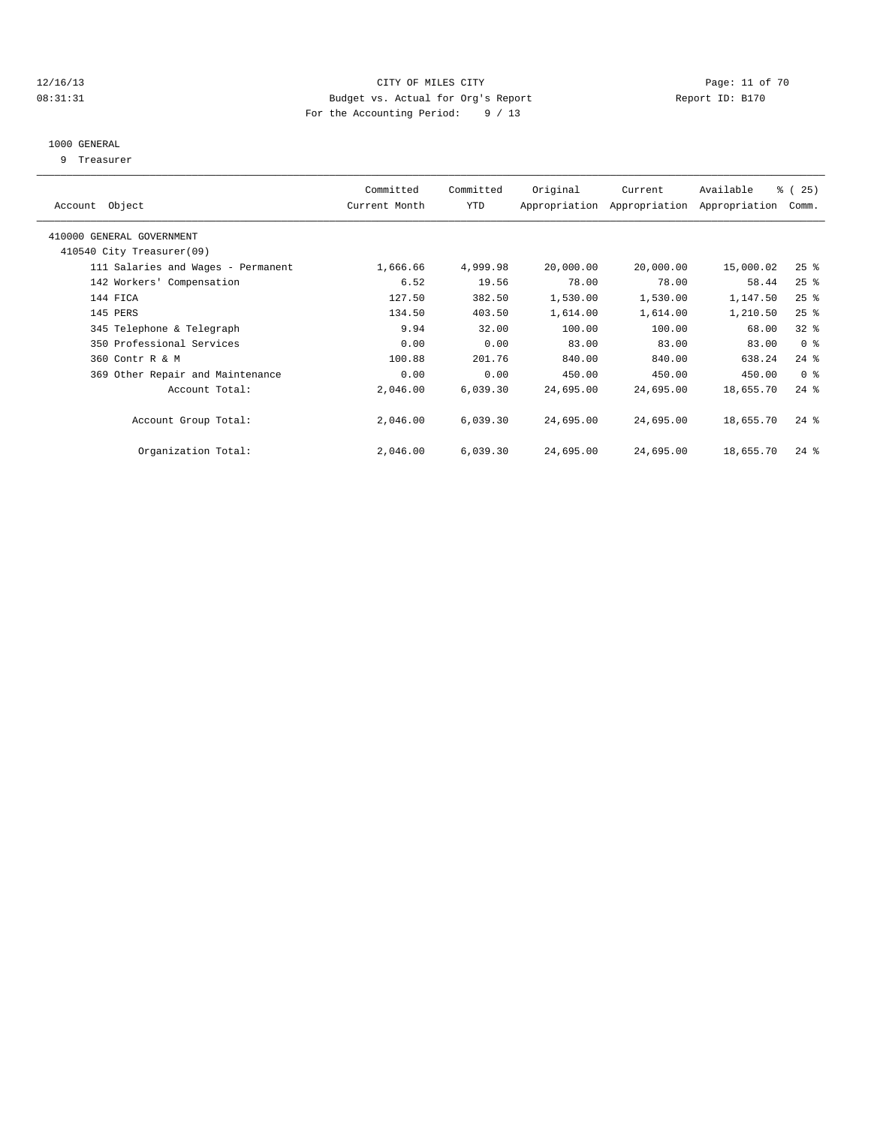### 12/16/13 Page: 11 of 70 08:31:31 Budget vs. Actual for Org's Report Changer Report ID: B170 For the Accounting Period: 9 / 13

### 1000 GENERAL

9 Treasurer

|                                    | Committed     | Committed | Original  | Current                     | Available     | % (25)         |  |
|------------------------------------|---------------|-----------|-----------|-----------------------------|---------------|----------------|--|
| Account Object                     | Current Month | YTD       |           | Appropriation Appropriation | Appropriation | Comm.          |  |
| 410000 GENERAL GOVERNMENT          |               |           |           |                             |               |                |  |
| 410540 City Treasurer(09)          |               |           |           |                             |               |                |  |
| 111 Salaries and Wages - Permanent | 1,666.66      | 4,999.98  | 20,000.00 | 20,000.00                   | 15,000.02     | $25$ %         |  |
| 142 Workers' Compensation          | 6.52          | 19.56     | 78.00     | 78.00                       | 58.44         | $25$ $%$       |  |
| 144 FICA                           | 127.50        | 382.50    | 1,530.00  | 1,530.00                    | 1,147.50      | $25$ $%$       |  |
| 145 PERS                           | 134.50        | 403.50    | 1,614.00  | 1,614.00                    | 1,210.50      | $25$ $%$       |  |
| 345 Telephone & Telegraph          | 9.94          | 32.00     | 100.00    | 100.00                      | 68.00         | $32*$          |  |
| 350 Professional Services          | 0.00          | 0.00      | 83.00     | 83.00                       | 83.00         | 0 <sup>8</sup> |  |
| 360 Contr R & M                    | 100.88        | 201.76    | 840.00    | 840.00                      | 638.24        | $24$ %         |  |
| 369 Other Repair and Maintenance   | 0.00          | 0.00      | 450.00    | 450.00                      | 450.00        | 0 <sup>8</sup> |  |
| Account Total:                     | 2,046.00      | 6,039.30  | 24,695.00 | 24,695.00                   | 18,655.70     | $24$ $%$       |  |
|                                    |               |           |           |                             |               |                |  |
| Account Group Total:               | 2,046.00      | 6,039.30  | 24,695.00 | 24,695.00                   | 18,655.70     | $24$ %         |  |
|                                    |               |           |           |                             |               |                |  |
| Organization Total:                | 2,046.00      | 6,039.30  | 24,695.00 | 24,695.00                   | 18,655.70     | $24$ %         |  |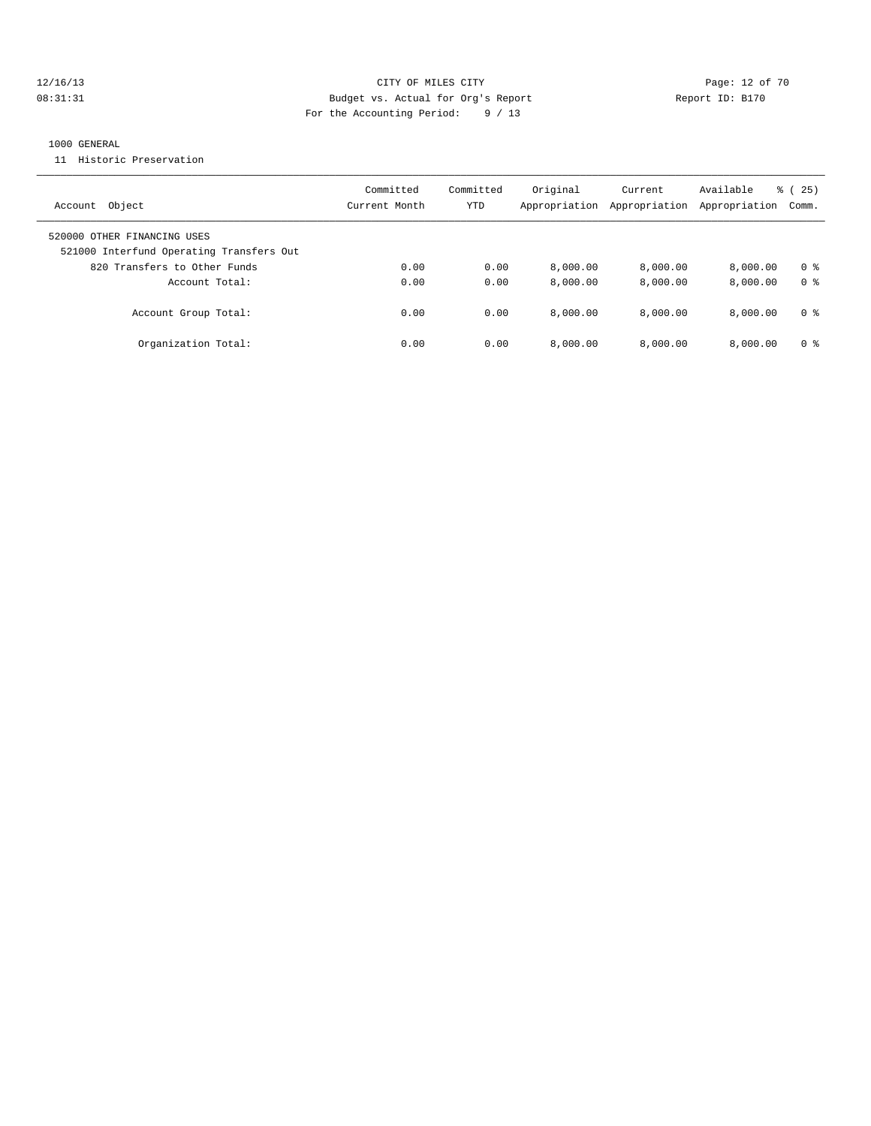### 12/16/13 Page: 12 of 70 08:31:31 Budget vs. Actual for Org's Report Changer Report ID: B170 For the Accounting Period: 9 / 13

#### 1000 GENERAL

11 Historic Preservation

| Object<br>Account                                                       | Committed<br>Current Month | Committed<br>YTD | Original<br>Appropriation | Current<br>Appropriation | Available<br>Appropriation | 25)<br>ී (<br>Comm. |
|-------------------------------------------------------------------------|----------------------------|------------------|---------------------------|--------------------------|----------------------------|---------------------|
| 520000 OTHER FINANCING USES<br>521000 Interfund Operating Transfers Out |                            |                  |                           |                          |                            |                     |
| 820 Transfers to Other Funds                                            | 0.00                       | 0.00             | 8.000.00                  | 8,000.00                 | 8.000.00                   | 0 <sup>8</sup>      |
| Account Total:                                                          | 0.00                       | 0.00             | 8.000.00                  | 8.000.00                 | 8.000.00                   | 0 <sup>8</sup>      |
| Account Group Total:                                                    | 0.00                       | 0.00             | 8.000.00                  | 8.000.00                 | 8.000.00                   | 0 %                 |
| Organization Total:                                                     | 0.00                       | 0.00             | 8,000.00                  | 8.000.00                 | 8.000.00                   | 0 <sup>8</sup>      |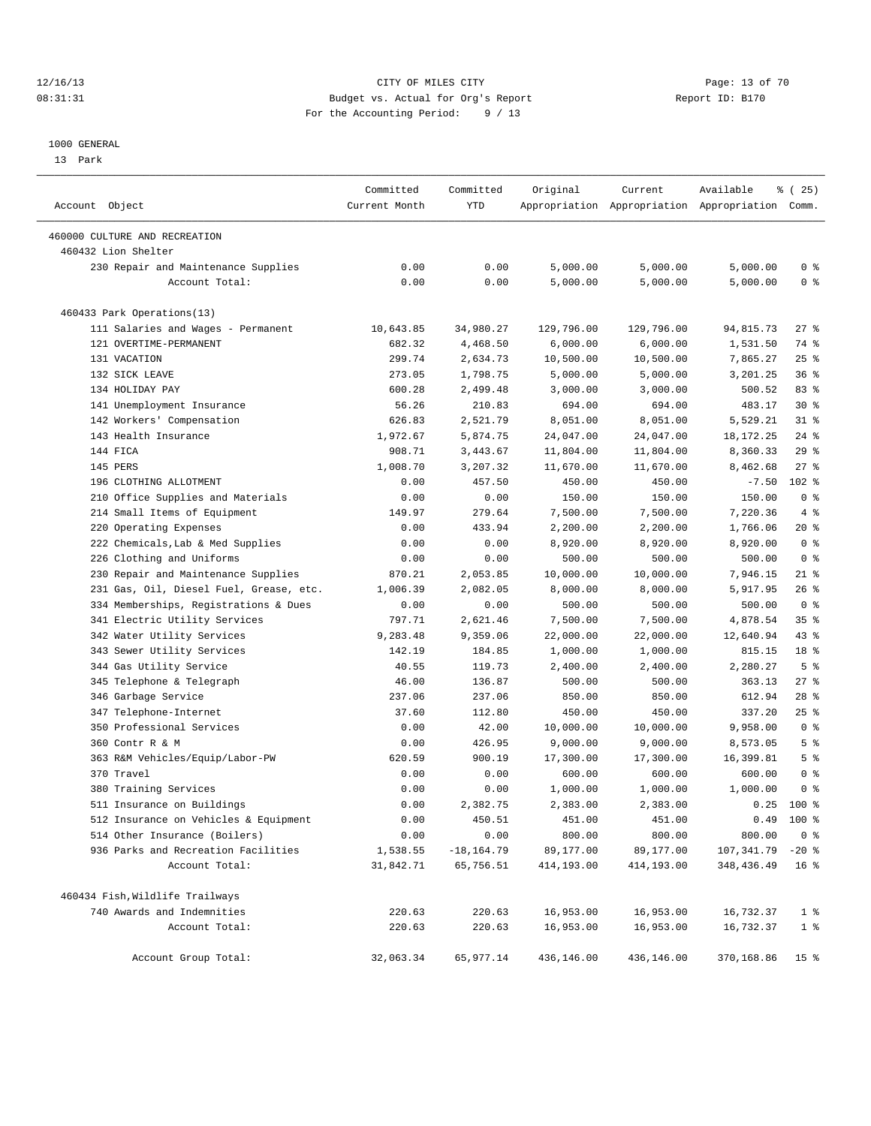### 12/16/13 Page: 13 of 70 08:31:31 Budget vs. Actual for Org's Report Changer Report ID: B170 For the Accounting Period: 9 / 13

————————————————————————————————————————————————————————————————————————————————————————————————————————————————————————————————————

#### 1000 GENERAL

13 Park

|                                                      | Committed     | Committed     | Original   | Current                                         | Available          | <sub>है</sub> (25) |
|------------------------------------------------------|---------------|---------------|------------|-------------------------------------------------|--------------------|--------------------|
| Account Object                                       | Current Month | YTD           |            | Appropriation Appropriation Appropriation Comm. |                    |                    |
|                                                      |               |               |            |                                                 |                    |                    |
| 460000 CULTURE AND RECREATION<br>460432 Lion Shelter |               |               |            |                                                 |                    |                    |
| 230 Repair and Maintenance Supplies                  | 0.00          | 0.00          | 5,000.00   | 5,000.00                                        | 5,000.00           | 0 <sup>8</sup>     |
| Account Total:                                       | 0.00          | 0.00          | 5,000.00   | 5,000.00                                        | 5,000.00           | 0 <sup>8</sup>     |
|                                                      |               |               |            |                                                 |                    |                    |
| 460433 Park Operations(13)                           |               |               |            |                                                 |                    |                    |
| 111 Salaries and Wages - Permanent                   | 10,643.85     | 34,980.27     | 129,796.00 | 129,796.00                                      | 94,815.73          | $27$ %             |
| 121 OVERTIME-PERMANENT                               | 682.32        | 4,468.50      | 6,000.00   | 6,000.00                                        | 1,531.50           | 74 %               |
| 131 VACATION                                         | 299.74        | 2,634.73      | 10,500.00  | 10,500.00                                       | 7,865.27           | $25$ $%$           |
| 132 SICK LEAVE                                       | 273.05        | 1,798.75      | 5,000.00   | 5,000.00                                        | 3,201.25           | 36%                |
| 134 HOLIDAY PAY                                      | 600.28        | 2,499.48      | 3,000.00   | 3,000.00                                        | 500.52             | 83%                |
| 141 Unemployment Insurance                           | 56.26         | 210.83        | 694.00     | 694.00                                          | 483.17             | $30*$              |
| 142 Workers' Compensation                            | 626.83        | 2,521.79      | 8,051.00   | 8,051.00                                        | 5,529.21           | $31$ %             |
| 143 Health Insurance                                 | 1,972.67      | 5,874.75      | 24,047.00  | 24,047.00                                       | 18, 172. 25        | $24$ %             |
| 144 FICA                                             | 908.71        | 3,443.67      | 11,804.00  | 11,804.00                                       | 8,360.33           | 29%                |
| 145 PERS                                             | 1,008.70      | 3,207.32      | 11,670.00  | 11,670.00                                       | 8,462.68           | $27$ %             |
| 196 CLOTHING ALLOTMENT                               | 0.00          | 457.50        | 450.00     | 450.00                                          | $-7.50$            | $102*$             |
| 210 Office Supplies and Materials                    | 0.00          | 0.00          | 150.00     | 150.00                                          | 150.00             | 0 <sup>8</sup>     |
| 214 Small Items of Equipment                         | 149.97        | 279.64        | 7,500.00   | 7,500.00                                        | 7,220.36           | 4%                 |
| 220 Operating Expenses                               | 0.00          | 433.94        | 2,200.00   | 2,200.00                                        | 1,766.06           | $20*$              |
| 222 Chemicals, Lab & Med Supplies                    | 0.00          | 0.00          | 8,920.00   | 8,920.00                                        | 8,920.00           | 0 <sup>8</sup>     |
| 226 Clothing and Uniforms                            | 0.00          | 0.00          | 500.00     | 500.00                                          | 500.00             | 0 <sup>8</sup>     |
| 230 Repair and Maintenance Supplies                  | 870.21        | 2,053.85      | 10,000.00  | 10,000.00                                       | 7,946.15           | 21 %               |
| 231 Gas, Oil, Diesel Fuel, Grease, etc.              | 1,006.39      | 2,082.05      | 8,000.00   | 8,000.00                                        | 5,917.95           | $26$ %             |
| 334 Memberships, Registrations & Dues                | 0.00          | 0.00          | 500.00     | 500.00                                          | 500.00             | 0 <sup>8</sup>     |
| 341 Electric Utility Services                        | 797.71        | 2,621.46      | 7,500.00   | 7,500.00                                        | 4,878.54           | 35%                |
| 342 Water Utility Services                           | 9,283.48      | 9,359.06      | 22,000.00  | 22,000.00                                       | 12,640.94          | 43 %               |
| 343 Sewer Utility Services                           | 142.19        | 184.85        | 1,000.00   | 1,000.00                                        | 815.15             | 18 %               |
| 344 Gas Utility Service                              | 40.55         | 119.73        | 2,400.00   | 2,400.00                                        | 2,280.27           | 5 <sup>°</sup>     |
| 345 Telephone & Telegraph                            | 46.00         | 136.87        | 500.00     | 500.00                                          | 363.13             | $27$ %             |
| 346 Garbage Service                                  | 237.06        | 237.06        | 850.00     | 850.00                                          | 612.94             | $28$ %             |
| 347 Telephone-Internet                               | 37.60         | 112.80        | 450.00     | 450.00                                          | 337.20             | $25$ %             |
| 350 Professional Services                            | 0.00          | 42.00         | 10,000.00  | 10,000.00                                       | 9,958.00           | 0 <sup>8</sup>     |
| 360 Contr R & M                                      | 0.00          | 426.95        | 9,000.00   | 9,000.00                                        | 8,573.05           | 5 <sup>°</sup>     |
| 363 R&M Vehicles/Equip/Labor-PW                      | 620.59        | 900.19        | 17,300.00  | 17,300.00                                       | 16,399.81          | 5 <sup>°</sup>     |
| 370 Travel                                           | 0.00          | 0.00          | 600.00     | 600.00                                          | 600.00             | 0 <sup>8</sup>     |
| 380 Training Services                                | 0.00          | 0.00          | 1,000.00   | 1,000.00                                        | 1,000.00           | 0 <sup>8</sup>     |
| 511 Insurance on Buildings                           | 0.00          | 2,382.75      | 2,383.00   | 2,383.00                                        |                    | $0.25$ 100 %       |
| 512 Insurance on Vehicles & Equipment                | 0.00          | 450.51        | 451.00     | 451.00                                          |                    | $0.49$ 100 %       |
| 514 Other Insurance (Boilers)                        | 0.00          | 0.00          | 800.00     | 800.00                                          | 800.00             | 0 <sup>8</sup>     |
| 936 Parks and Recreation Facilities                  | 1,538.55      | $-18, 164.79$ | 89,177.00  | 89,177.00                                       | $107,341.79 -20$ % |                    |
| Account Total:                                       | 31,842.71     | 65,756.51     | 414,193.00 | 414,193.00                                      | 348,436.49         | 16 <sup>8</sup>    |
| 460434 Fish, Wildlife Trailways                      |               |               |            |                                                 |                    |                    |
| 740 Awards and Indemnities                           | 220.63        | 220.63        | 16,953.00  | 16,953.00                                       | 16,732.37          | 1 <sup>8</sup>     |
| Account Total:                                       | 220.63        | 220.63        | 16,953.00  | 16,953.00                                       | 16,732.37          | 1 <sup>8</sup>     |
|                                                      |               |               |            |                                                 |                    |                    |
| Account Group Total:                                 | 32,063.34     | 65,977.14     | 436,146.00 | 436,146.00                                      | 370,168.86         | 15 <sup>°</sup>    |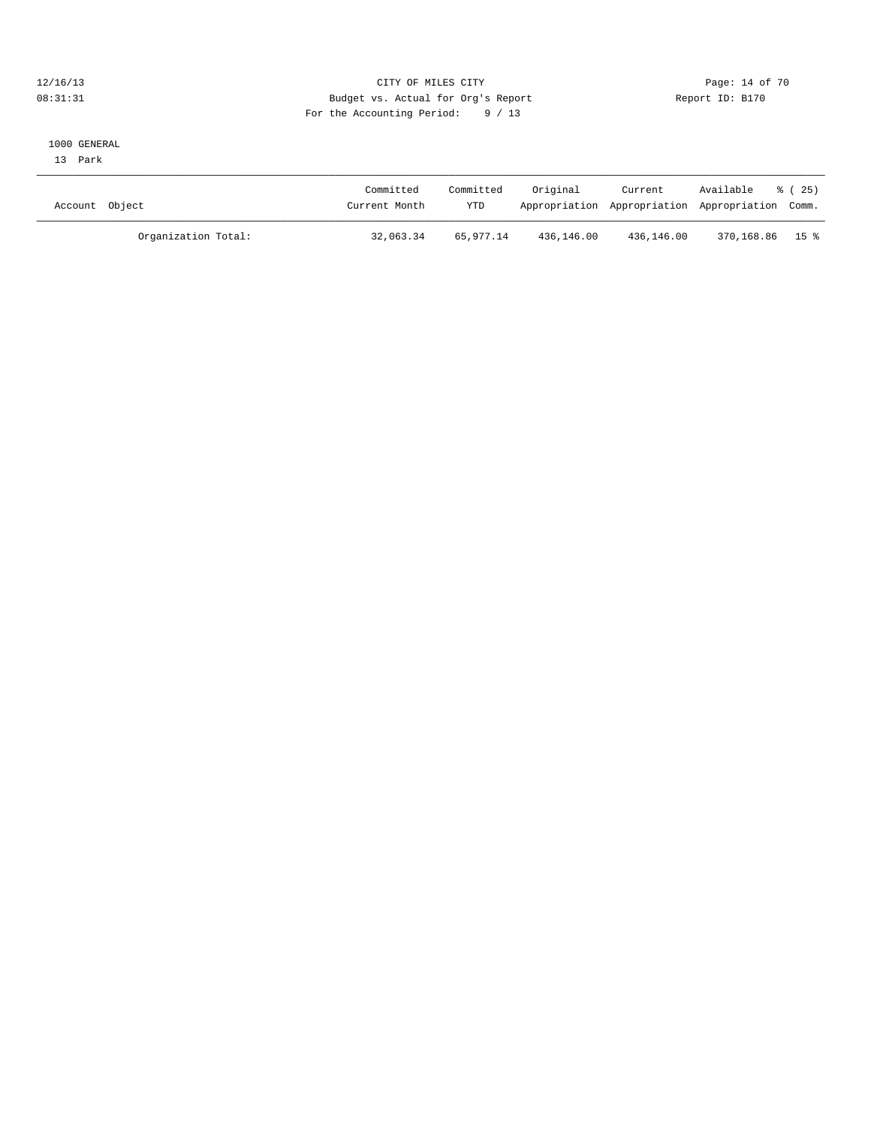### 12/16/13 Page: 14 of 70 08:31:31 Budget vs. Actual for Org's Report Changer Report ID: B170 For the Accounting Period: 9 / 13

### 1000 GENERAL

13 Park

| Account Object |                     | Committed<br>Current Month | Committed<br>YTD | Original   | Current    | Available<br>Appropriation Appropriation Appropriation Comm. | 8 (25) |
|----------------|---------------------|----------------------------|------------------|------------|------------|--------------------------------------------------------------|--------|
|                | Organization Total: | 32,063.34                  | 65,977.14        | 436,146.00 | 436,146.00 | 370,168.86 15%                                               |        |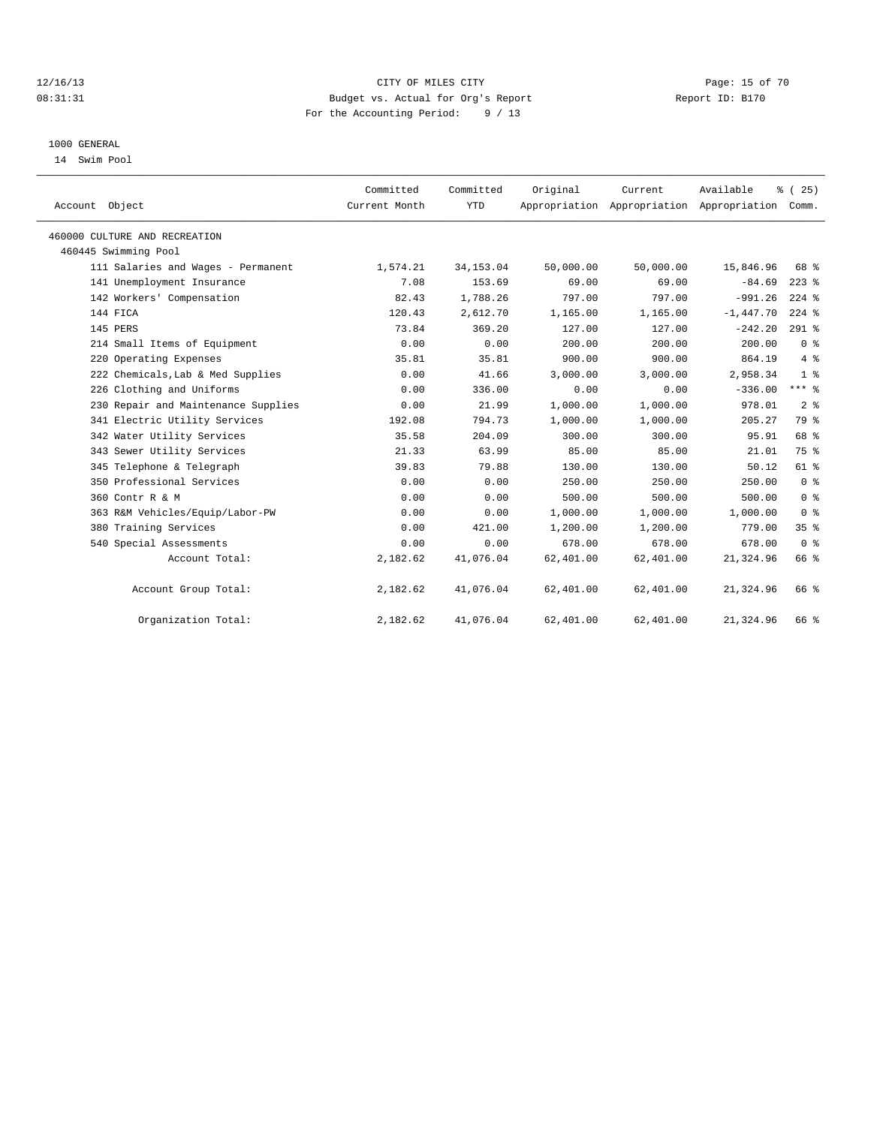### 12/16/13 Page: 15 of 70 08:31:31 Budget vs. Actual for Org's Report Changer Report ID: B170 For the Accounting Period: 9 / 13

### 1000 GENERAL

14 Swim Pool

| Account Object                      | Committed<br>Current Month | Committed<br><b>YTD</b> | Original  | Current   | Available<br>Appropriation Appropriation Appropriation Comm. | % (25)          |  |
|-------------------------------------|----------------------------|-------------------------|-----------|-----------|--------------------------------------------------------------|-----------------|--|
| 460000 CULTURE AND RECREATION       |                            |                         |           |           |                                                              |                 |  |
| 460445 Swimming Pool                |                            |                         |           |           |                                                              |                 |  |
| 111 Salaries and Wages - Permanent  | 1,574.21                   | 34, 153.04              | 50,000.00 | 50,000.00 | 15,846.96                                                    | 68 %            |  |
| 141 Unemployment Insurance          | 7.08                       | 153.69                  | 69.00     | 69.00     | $-84.69$                                                     | $223$ $%$       |  |
| 142 Workers' Compensation           | 82.43                      | 1,788.26                | 797.00    | 797.00    | $-991.26$                                                    | $224$ %         |  |
| 144 FICA                            | 120.43                     | 2,612.70                | 1,165.00  | 1,165.00  | $-1,447.70$                                                  | $224$ %         |  |
| 145 PERS                            | 73.84                      | 369.20                  | 127.00    | 127.00    | $-242.20$                                                    | $291$ %         |  |
| 214 Small Items of Equipment        | 0.00                       | 0.00                    | 200.00    | 200.00    | 200.00                                                       | 0 <sup>8</sup>  |  |
| 220 Operating Expenses              | 35.81                      | 35.81                   | 900.00    | 900.00    | 864.19                                                       | $4\degree$      |  |
| 222 Chemicals, Lab & Med Supplies   | 0.00                       | 41.66                   | 3,000.00  | 3,000.00  | 2,958.34                                                     | 1 <sup>8</sup>  |  |
| 226 Clothing and Uniforms           | 0.00                       | 336.00                  | 0.00      | 0.00      | $-336.00$                                                    | $***$ $_{8}$    |  |
| 230 Repair and Maintenance Supplies | 0.00                       | 21.99                   | 1,000.00  | 1,000.00  | 978.01                                                       | 2 <sup>°</sup>  |  |
| 341 Electric Utility Services       | 192.08                     | 794.73                  | 1,000.00  | 1,000.00  | 205.27                                                       | 79 %            |  |
| 342 Water Utility Services          | 35.58                      | 204.09                  | 300.00    | 300.00    | 95.91                                                        | 68 %            |  |
| 343 Sewer Utility Services          | 21.33                      | 63.99                   | 85.00     | 85.00     | 21.01                                                        | 75 %            |  |
| 345 Telephone & Telegraph           | 39.83                      | 79.88                   | 130.00    | 130.00    | 50.12                                                        | 61 %            |  |
| 350 Professional Services           | 0.00                       | 0.00                    | 250.00    | 250.00    | 250.00                                                       | 0 <sup>8</sup>  |  |
| 360 Contr R & M                     | 0.00                       | 0.00                    | 500.00    | 500.00    | 500.00                                                       | 0 <sup>8</sup>  |  |
| 363 R&M Vehicles/Equip/Labor-PW     | 0.00                       | 0.00                    | 1,000.00  | 1,000.00  | 1,000.00                                                     | 0 <sup>8</sup>  |  |
| 380 Training Services               | 0.00                       | 421.00                  | 1,200.00  | 1,200.00  | 779.00                                                       | 35 <sup>8</sup> |  |
| 540 Special Assessments             | 0.00                       | 0.00                    | 678.00    | 678.00    | 678.00                                                       | 0 <sup>8</sup>  |  |
| Account Total:                      | 2,182.62                   | 41,076.04               | 62,401.00 | 62,401.00 | 21,324.96                                                    | 66 %            |  |
| Account Group Total:                | 2,182.62                   | 41,076.04               | 62,401.00 | 62,401.00 | 21, 324.96                                                   | 66 %            |  |
| Organization Total:                 | 2,182.62                   | 41,076.04               | 62,401.00 | 62,401.00 | 21, 324.96                                                   | 66 %            |  |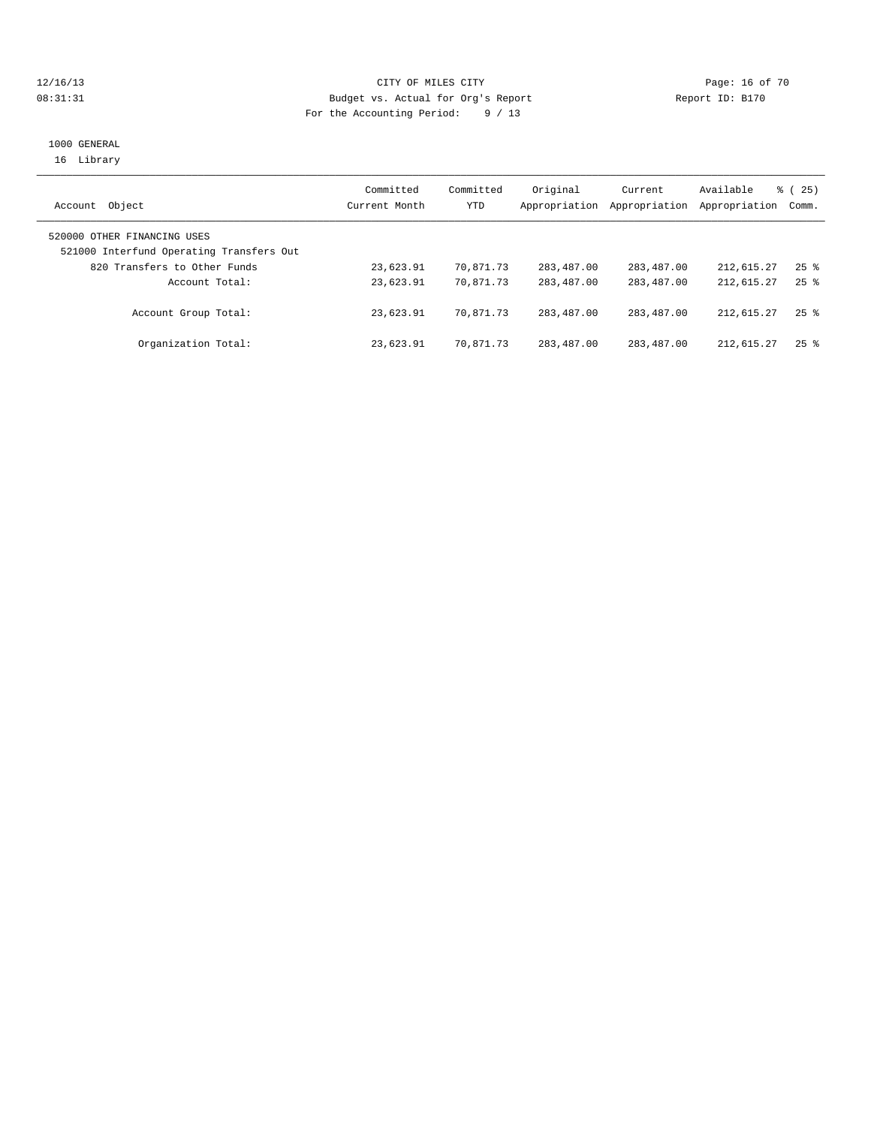### 12/16/13 Page: 16 of 70 08:31:31 Budget vs. Actual for Org's Report Changer Report ID: B170 For the Accounting Period: 9 / 13

### 1000 GENERAL 16 Library

| Object<br>Account                                                       | Committed<br>Current Month | Committed<br>YTD | Original<br>Appropriation | Current<br>Appropriation | Available<br>Appropriation | 8 (25)<br>Comm.    |
|-------------------------------------------------------------------------|----------------------------|------------------|---------------------------|--------------------------|----------------------------|--------------------|
| 520000 OTHER FINANCING USES<br>521000 Interfund Operating Transfers Out |                            |                  |                           |                          |                            |                    |
| 820 Transfers to Other Funds                                            | 23,623.91                  | 70,871.73        | 283,487.00                | 283,487.00               | 212,615.27                 | $25$ $\frac{6}{3}$ |
| Account Total:                                                          | 23,623.91                  | 70,871.73        | 283, 487, 00              | 283,487.00               | 212,615.27                 | $25$ $\frac{6}{3}$ |
| Account Group Total:                                                    | 23,623.91                  | 70,871.73        | 283, 487, 00              | 283,487.00               | 212,615.27                 | $25$ $\frac{6}{3}$ |
| Organization Total:                                                     | 23,623.91                  | 70,871.73        | 283,487.00                | 283,487.00               | 212,615.27                 | $25$ $\frac{6}{3}$ |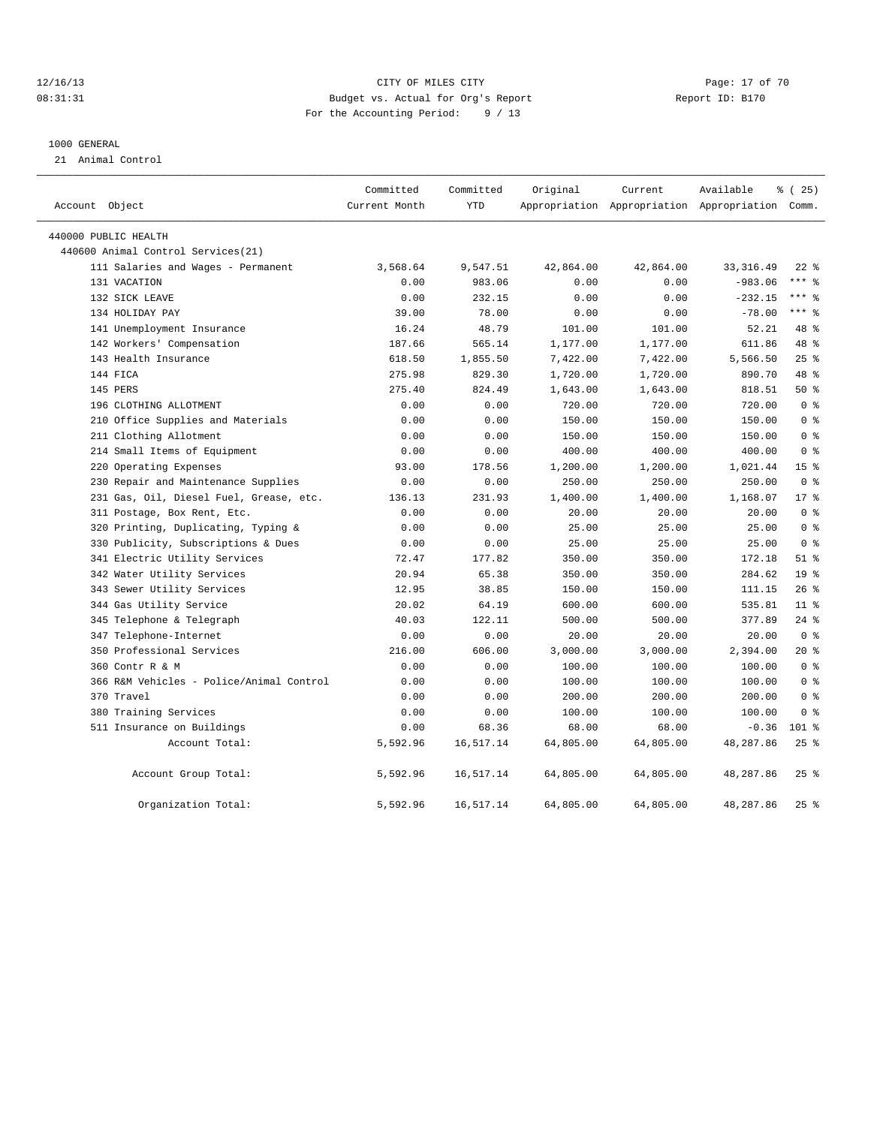### 12/16/13 Page: 17 of 70 08:31:31 Budget vs. Actual for Org's Report Changer Report ID: B170 For the Accounting Period: 9 / 13

#### 1000 GENERAL

21 Animal Control

| Account Object                           | Committed<br>Current Month | Committed<br><b>YTD</b> | Original  | Current   | Available<br>Appropriation Appropriation Appropriation Comm. | % (25)          |
|------------------------------------------|----------------------------|-------------------------|-----------|-----------|--------------------------------------------------------------|-----------------|
| 440000 PUBLIC HEALTH                     |                            |                         |           |           |                                                              |                 |
| 440600 Animal Control Services (21)      |                            |                         |           |           |                                                              |                 |
| 111 Salaries and Wages - Permanent       | 3,568.64                   | 9,547.51                | 42,864.00 | 42,864.00 | 33, 316.49                                                   | $22$ $%$        |
| 131 VACATION                             | 0.00                       | 983.06                  | 0.00      | 0.00      | $-983.06$                                                    | $***$ $_{8}$    |
| 132 SICK LEAVE                           | 0.00                       | 232.15                  | 0.00      | 0.00      | $-232.15$                                                    | $***$ 8         |
| 134 HOLIDAY PAY                          | 39.00                      | 78.00                   | 0.00      | 0.00      | $-78.00$                                                     | $***$ 8         |
| 141 Unemployment Insurance               | 16.24                      | 48.79                   | 101.00    | 101.00    | 52.21                                                        | 48 %            |
| 142 Workers' Compensation                | 187.66                     | 565.14                  | 1,177.00  | 1,177.00  | 611.86                                                       | 48 %            |
| 143 Health Insurance                     | 618.50                     | 1,855.50                | 7,422.00  | 7,422.00  | 5,566.50                                                     | 25%             |
| 144 FICA                                 | 275.98                     | 829.30                  | 1,720.00  | 1,720.00  | 890.70                                                       | 48 %            |
| 145 PERS                                 | 275.40                     | 824.49                  | 1,643.00  | 1,643.00  | 818.51                                                       | 50%             |
| 196 CLOTHING ALLOTMENT                   | 0.00                       | 0.00                    | 720.00    | 720.00    | 720.00                                                       | 0 <sup>8</sup>  |
| 210 Office Supplies and Materials        | 0.00                       | 0.00                    | 150.00    | 150.00    | 150.00                                                       | 0 <sup>8</sup>  |
| 211 Clothing Allotment                   | 0.00                       | 0.00                    | 150.00    | 150.00    | 150.00                                                       | 0 <sup>8</sup>  |
| 214 Small Items of Equipment             | 0.00                       | 0.00                    | 400.00    | 400.00    | 400.00                                                       | 0 <sup>8</sup>  |
| Operating Expenses<br>220                | 93.00                      | 178.56                  | 1,200.00  | 1,200.00  | 1,021.44                                                     | 15 <sup>8</sup> |
| 230 Repair and Maintenance Supplies      | 0.00                       | 0.00                    | 250.00    | 250.00    | 250.00                                                       | 0 <sup>8</sup>  |
| 231 Gas, Oil, Diesel Fuel, Grease, etc.  | 136.13                     | 231.93                  | 1,400.00  | 1,400.00  | 1,168.07                                                     | $17*$           |
| 311 Postage, Box Rent, Etc.              | 0.00                       | 0.00                    | 20.00     | 20.00     | 20.00                                                        | 0 <sup>8</sup>  |
| Printing, Duplicating, Typing &<br>320   | 0.00                       | 0.00                    | 25.00     | 25.00     | 25.00                                                        | 0 <sup>8</sup>  |
| 330 Publicity, Subscriptions & Dues      | 0.00                       | 0.00                    | 25.00     | 25.00     | 25.00                                                        | 0 <sup>8</sup>  |
| 341 Electric Utility Services            | 72.47                      | 177.82                  | 350.00    | 350.00    | 172.18                                                       | $51$ %          |
| 342 Water Utility Services               | 20.94                      | 65.38                   | 350.00    | 350.00    | 284.62                                                       | 19 <sup>°</sup> |
| 343 Sewer Utility Services               | 12.95                      | 38.85                   | 150.00    | 150.00    | 111.15                                                       | 26%             |
| 344 Gas Utility Service                  | 20.02                      | 64.19                   | 600.00    | 600.00    | 535.81                                                       | 11 <sup>8</sup> |
| 345 Telephone & Telegraph                | 40.03                      | 122.11                  | 500.00    | 500.00    | 377.89                                                       | $24$ %          |
| 347 Telephone-Internet                   | 0.00                       | 0.00                    | 20.00     | 20.00     | 20.00                                                        | 0 <sup>8</sup>  |
| 350 Professional Services                | 216.00                     | 606.00                  | 3,000.00  | 3,000.00  | 2,394.00                                                     | 20%             |
| 360 Contr R & M                          | 0.00                       | 0.00                    | 100.00    | 100.00    | 100.00                                                       | 0 <sup>8</sup>  |
| 366 R&M Vehicles - Police/Animal Control | 0.00                       | 0.00                    | 100.00    | 100.00    | 100.00                                                       | 0 <sup>8</sup>  |
| 370 Travel                               | 0.00                       | 0.00                    | 200.00    | 200.00    | 200.00                                                       | 0 <sup>8</sup>  |
| 380 Training Services                    | 0.00                       | 0.00                    | 100.00    | 100.00    | 100.00                                                       | 0 <sup>8</sup>  |
| 511 Insurance on Buildings               | 0.00                       | 68.36                   | 68.00     | 68.00     | $-0.36$                                                      | $101$ %         |
| Account Total:                           | 5,592.96                   | 16,517.14               | 64,805.00 | 64,805.00 | 48,287.86                                                    | $25$ $%$        |
| Account Group Total:                     | 5,592.96                   | 16,517.14               | 64,805.00 | 64,805.00 | 48,287.86                                                    | $25$ $%$        |
| Organization Total:                      | 5,592.96                   | 16,517.14               | 64,805.00 | 64,805.00 | 48,287.86                                                    | $25$ %          |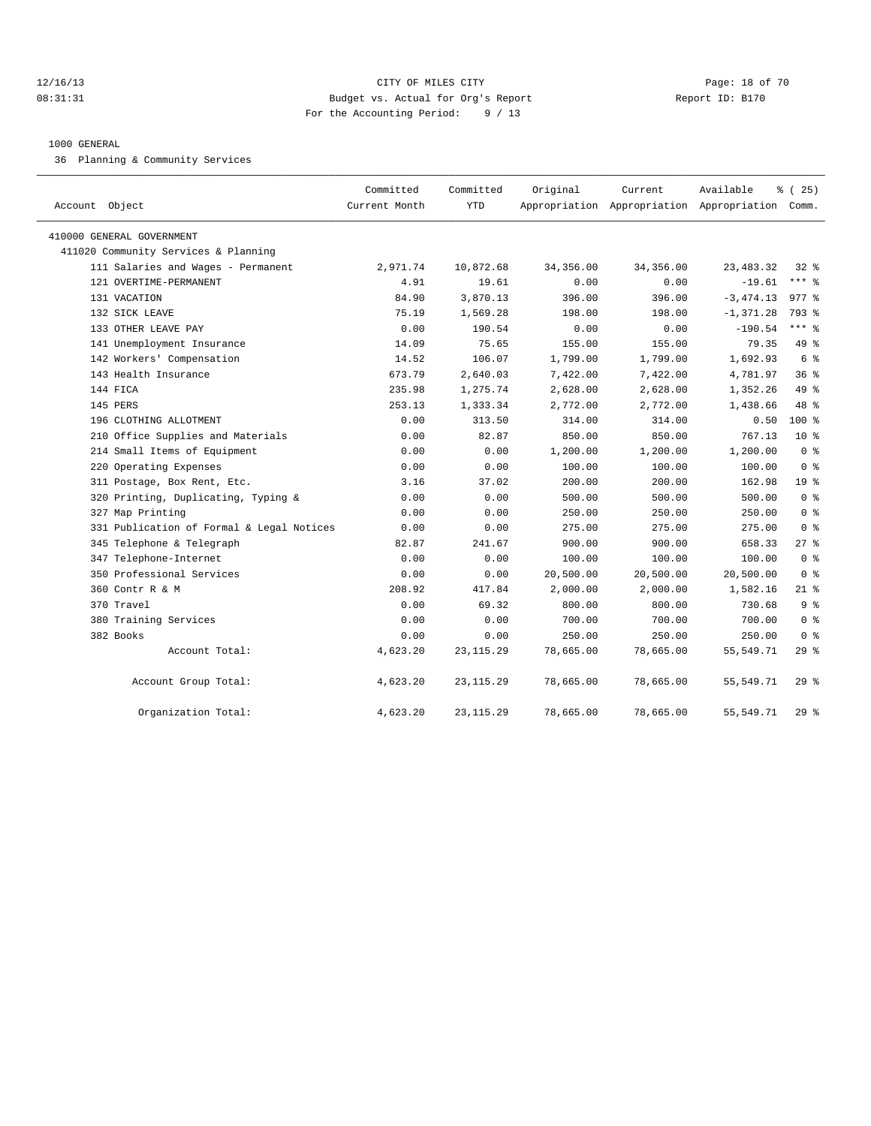### 12/16/13 Page: 18 of 70 08:31:31 Budget vs. Actual for Org's Report Changer Report ID: B170 For the Accounting Period: 9 / 13

### 1000 GENERAL

36 Planning & Community Services

| Account Object                                                    | Committed<br>Current Month | Committed<br><b>YTD</b> | Original       | Current   | Available<br>Appropriation Appropriation Appropriation Comm. | % (25)                   |
|-------------------------------------------------------------------|----------------------------|-------------------------|----------------|-----------|--------------------------------------------------------------|--------------------------|
|                                                                   |                            |                         |                |           |                                                              |                          |
| 410000 GENERAL GOVERNMENT<br>411020 Community Services & Planning |                            |                         |                |           |                                                              |                          |
| 111 Salaries and Wages - Permanent                                | 2,971.74                   | 10,872.68               | 34, 356.00     | 34,356.00 | 23, 483. 32                                                  | $32*$                    |
| 121 OVERTIME-PERMANENT                                            | 4.91                       | 19.61                   | 0.00           | 0.00      | $-19.61$                                                     | $***$ $%$                |
| 131 VACATION                                                      | 84.90                      | 3,870.13                | 396.00         | 396.00    | $-3,474.13$                                                  | $977$ $%$                |
| 132 SICK LEAVE                                                    | 75.19                      | 1,569.28                |                | 198.00    | $-1, 371.28$                                                 | 793 %                    |
| 133 OTHER LEAVE PAY                                               | 0.00                       | 190.54                  | 198.00<br>0.00 | 0.00      | $-190.54$                                                    | *** 응                    |
|                                                                   | 14.09                      | 75.65                   | 155.00         | 155.00    | 79.35                                                        | 49 %                     |
| 141 Unemployment Insurance<br>142 Workers' Compensation           |                            | 106.07                  |                |           |                                                              | 6 %                      |
|                                                                   | 14.52                      |                         | 1,799.00       | 1,799.00  | 1,692.93                                                     | 36 <sup>8</sup>          |
| 143 Health Insurance                                              | 673.79                     | 2,640.03                | 7,422.00       | 7,422.00  | 4,781.97                                                     |                          |
| 144 FICA                                                          | 235.98                     | 1,275.74                | 2,628.00       | 2,628.00  | 1,352.26                                                     | 49 %                     |
| 145 PERS                                                          | 253.13                     | 1,333.34                | 2,772.00       | 2,772.00  | 1,438.66                                                     | 48 %                     |
| 196 CLOTHING ALLOTMENT                                            | 0.00                       | 313.50                  | 314.00         | 314.00    | 0.50<br>767.13                                               | 100 %<br>10 <sup>°</sup> |
| 210 Office Supplies and Materials                                 | 0.00                       | 82.87                   | 850.00         | 850.00    |                                                              |                          |
| 214 Small Items of Equipment                                      | 0.00                       | 0.00                    | 1,200.00       | 1,200.00  | 1,200.00                                                     | 0 <sup>8</sup>           |
| 220 Operating Expenses                                            | 0.00                       | 0.00                    | 100.00         | 100.00    | 100.00                                                       | 0 <sup>8</sup>           |
| 311 Postage, Box Rent, Etc.                                       | 3.16                       | 37.02                   | 200.00         | 200.00    | 162.98                                                       | 19 %                     |
| 320 Printing, Duplicating, Typing &                               | 0.00                       | 0.00                    | 500.00         | 500.00    | 500.00                                                       | 0 <sup>8</sup>           |
| 327 Map Printing                                                  | 0.00                       | 0.00                    | 250.00         | 250.00    | 250.00                                                       | 0 <sup>8</sup>           |
| 331 Publication of Formal & Legal Notices                         | 0.00                       | 0.00                    | 275.00         | 275.00    | 275.00                                                       | 0 <sup>8</sup>           |
| 345 Telephone & Telegraph                                         | 82.87                      | 241.67                  | 900.00         | 900.00    | 658.33                                                       | $27$ %                   |
| 347 Telephone-Internet                                            | 0.00                       | 0.00                    | 100.00         | 100.00    | 100.00                                                       | 0 <sup>8</sup>           |
| 350 Professional Services                                         | 0.00                       | 0.00                    | 20,500.00      | 20,500.00 | 20,500.00                                                    | 0 <sup>8</sup>           |
| 360 Contr R & M                                                   | 208.92                     | 417.84                  | 2,000.00       | 2,000.00  | 1,582.16                                                     | $21$ %                   |
| 370 Travel                                                        | 0.00                       | 69.32                   | 800.00         | 800.00    | 730.68                                                       | 9%                       |
| 380 Training Services                                             | 0.00                       | 0.00                    | 700.00         | 700.00    | 700.00                                                       | 0 <sup>8</sup>           |
| 382 Books                                                         | 0.00                       | 0.00                    | 250.00         | 250.00    | 250.00                                                       | 0 <sup>8</sup>           |
| Account Total:                                                    | 4,623.20                   | 23, 115.29              | 78,665.00      | 78,665.00 | 55,549.71                                                    | 29%                      |
| Account Group Total:                                              | 4,623.20                   | 23, 115.29              | 78,665.00      | 78,665.00 | 55,549.71                                                    | 29%                      |
| Organization Total:                                               | 4,623.20                   | 23, 115.29              | 78,665.00      | 78,665.00 | 55, 549. 71                                                  | 29%                      |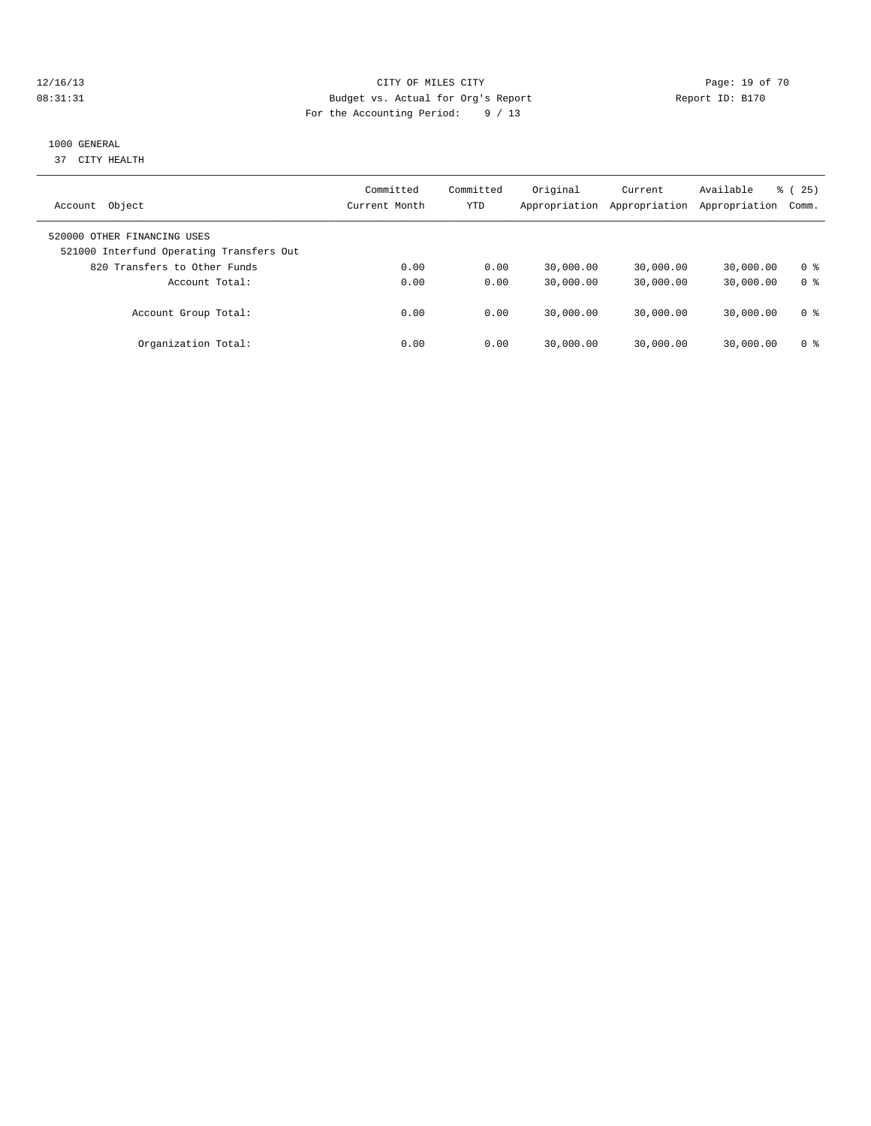### 12/16/13 Page: 19 of 70 08:31:31 Budget vs. Actual for Org's Report Changer Report ID: B170 For the Accounting Period: 9 / 13

### 1000 GENERAL

37 CITY HEALTH

| Object<br>Account                                                       | Committed<br>Current Month | Committed<br>YTD | Original<br>Appropriation | Current<br>Appropriation | Available<br>Appropriation | $\frac{3}{6}$ ( 25 )<br>Comm. |
|-------------------------------------------------------------------------|----------------------------|------------------|---------------------------|--------------------------|----------------------------|-------------------------------|
| 520000 OTHER FINANCING USES<br>521000 Interfund Operating Transfers Out |                            |                  |                           |                          |                            |                               |
| 820 Transfers to Other Funds                                            | 0.00                       | 0.00             | 30,000.00                 | 30,000.00                | 30,000.00                  | 0 ક                           |
| Account Total:                                                          | 0.00                       | 0.00             | 30,000.00                 | 30,000.00                | 30,000.00                  | 0 <sup>8</sup>                |
| Account Group Total:                                                    | 0.00                       | 0.00             | 30,000.00                 | 30,000.00                | 30,000.00                  | 0 ક                           |
| Organization Total:                                                     | 0.00                       | 0.00             | 30,000.00                 | 30,000.00                | 30,000.00                  | 0 ક                           |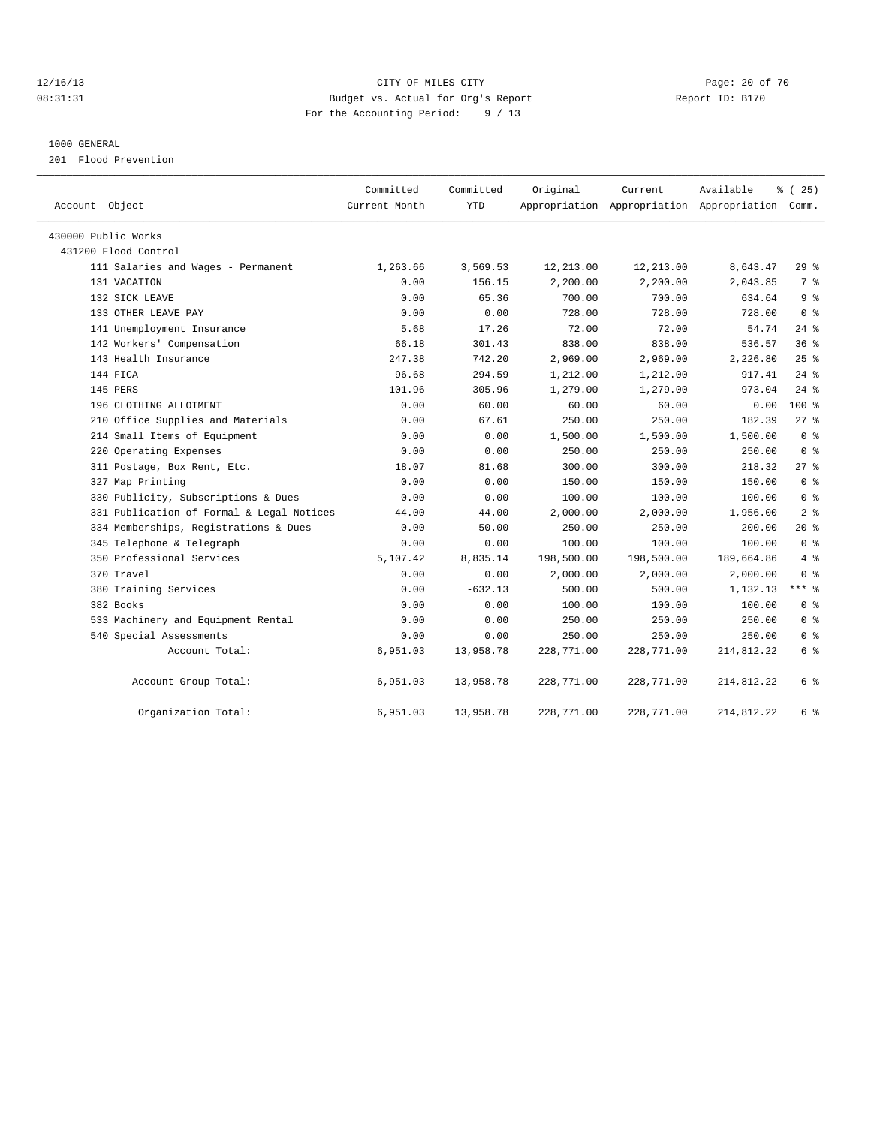### 12/16/13 Page: 20 of 70 08:31:31 Budget vs. Actual for Org's Report Changer Report ID: B170 For the Accounting Period: 9 / 13

### 1000 GENERAL

201 Flood Prevention

|                                           | Committed<br>Current Month | Committed<br><b>YTD</b> | Original   | Current    | Available                                       | % (25)         |
|-------------------------------------------|----------------------------|-------------------------|------------|------------|-------------------------------------------------|----------------|
| Account Object                            |                            |                         |            |            | Appropriation Appropriation Appropriation Comm. |                |
| 430000 Public Works                       |                            |                         |            |            |                                                 |                |
| 431200 Flood Control                      |                            |                         |            |            |                                                 |                |
| 111 Salaries and Wages - Permanent        | 1,263.66                   | 3,569.53                | 12, 213.00 | 12,213.00  | 8,643.47                                        | 29%            |
| 131 VACATION                              | 0.00                       | 156.15                  | 2,200.00   | 2,200.00   | 2,043.85                                        | 7 %            |
| 132 SICK LEAVE                            | 0.00                       | 65.36                   | 700.00     | 700.00     | 634.64                                          | 9 <sup>8</sup> |
| 133 OTHER LEAVE PAY                       | 0.00                       | 0.00                    | 728.00     | 728.00     | 728.00                                          | 0 <sup>8</sup> |
| 141 Unemployment Insurance                | 5.68                       | 17.26                   | 72.00      | 72.00      | 54.74                                           | $24$ %         |
| 142 Workers' Compensation                 | 66.18                      | 301.43                  | 838.00     | 838.00     | 536.57                                          | 36%            |
| 143 Health Insurance                      | 247.38                     | 742.20                  | 2,969.00   | 2,969.00   | 2,226.80                                        | $25$ $%$       |
| 144 FICA                                  | 96.68                      | 294.59                  | 1,212.00   | 1,212.00   | 917.41                                          | $24$ %         |
| 145 PERS                                  | 101.96                     | 305.96                  | 1,279.00   | 1,279.00   | 973.04                                          | $24$ %         |
| 196 CLOTHING ALLOTMENT                    | 0.00                       | 60.00                   | 60.00      | 60.00      | 0.00                                            | $100*$         |
| 210 Office Supplies and Materials         | 0.00                       | 67.61                   | 250.00     | 250.00     | 182.39                                          | $27*$          |
| 214 Small Items of Equipment              | 0.00                       | 0.00                    | 1,500.00   | 1,500.00   | 1,500.00                                        | 0 <sup>8</sup> |
| 220 Operating Expenses                    | 0.00                       | 0.00                    | 250.00     | 250.00     | 250.00                                          | 0 <sup>8</sup> |
| 311 Postage, Box Rent, Etc.               | 18.07                      | 81.68                   | 300.00     | 300.00     | 218.32                                          | 27%            |
| 327 Map Printing                          | 0.00                       | 0.00                    | 150.00     | 150.00     | 150.00                                          | 0 <sup>8</sup> |
| 330 Publicity, Subscriptions & Dues       | 0.00                       | 0.00                    | 100.00     | 100.00     | 100.00                                          | 0 <sup>8</sup> |
| 331 Publication of Formal & Legal Notices | 44.00                      | 44.00                   | 2,000.00   | 2,000.00   | 1,956.00                                        | 2 <sup>8</sup> |
| 334 Memberships, Registrations & Dues     | 0.00                       | 50.00                   | 250.00     | 250.00     | 200.00                                          | $20*$          |
| 345 Telephone & Telegraph                 | 0.00                       | 0.00                    | 100.00     | 100.00     | 100.00                                          | 0 <sup>8</sup> |
| 350 Professional Services                 | 5,107.42                   | 8,835.14                | 198,500.00 | 198,500.00 | 189,664.86                                      | 4%             |
| 370 Travel                                | 0.00                       | 0.00                    | 2,000.00   | 2,000.00   | 2,000.00                                        | 0 <sup>8</sup> |
| 380 Training Services                     | 0.00                       | $-632.13$               | 500.00     | 500.00     | 1,132.13                                        | $***$ 8        |
| 382 Books                                 | 0.00                       | 0.00                    | 100.00     | 100.00     | 100.00                                          | 0 <sup>8</sup> |
| 533 Machinery and Equipment Rental        | 0.00                       | 0.00                    | 250.00     | 250.00     | 250.00                                          | 0 <sup>8</sup> |
| 540 Special Assessments                   | 0.00                       | 0.00                    | 250.00     | 250.00     | 250.00                                          | 0 <sup>8</sup> |
| Account Total:                            | 6,951.03                   | 13,958.78               | 228,771.00 | 228,771.00 | 214,812.22                                      | 6 %            |
| Account Group Total:                      | 6,951.03                   | 13,958.78               | 228,771.00 | 228,771.00 | 214,812.22                                      | 6 %            |
| Organization Total:                       | 6,951.03                   | 13,958.78               | 228,771.00 | 228,771.00 | 214,812.22                                      | 6 %            |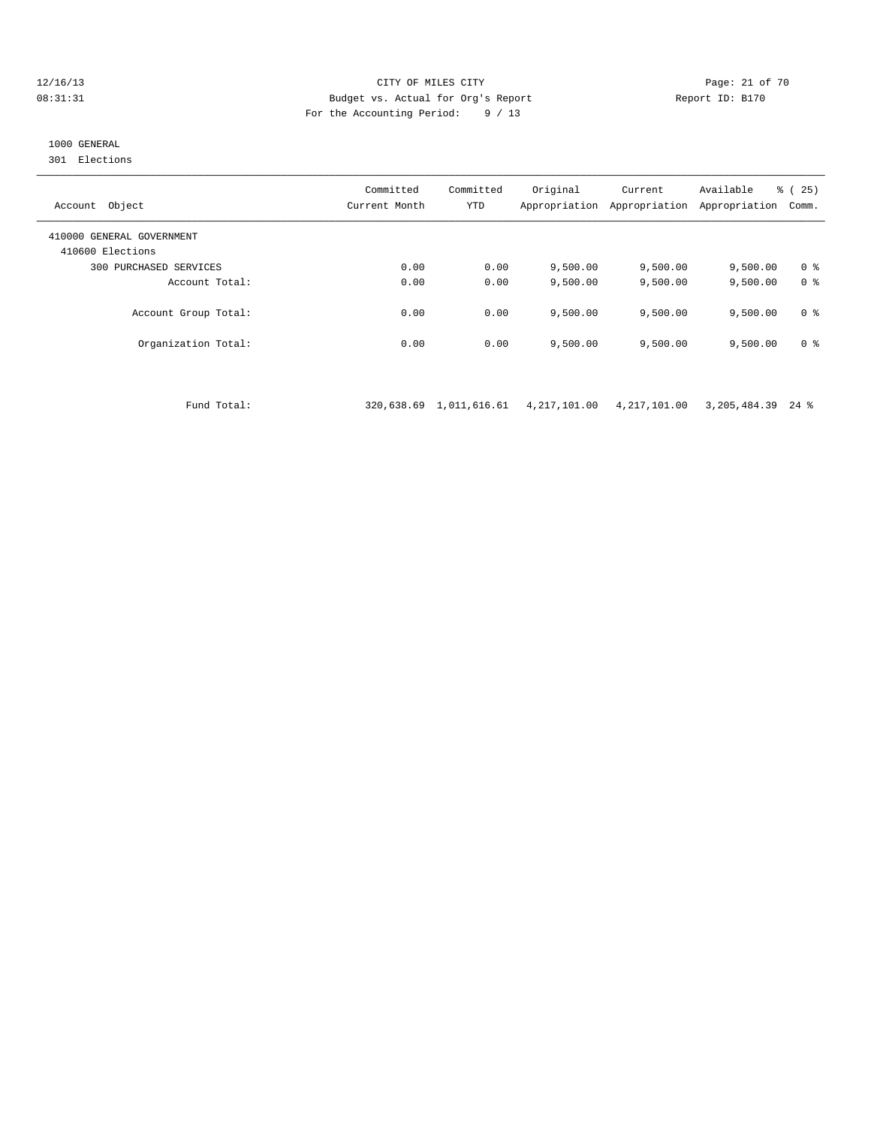### 12/16/13 Page: 21 of 70 08:31:31 Budget vs. Actual for Org's Report Report ID: B170 For the Accounting Period: 9 / 13

### 1000 GENERAL

301 Elections

| Object<br>Account                             | Committed<br>Current Month | Committed<br>YTD | Original<br>Appropriation | Current<br>Appropriation | Available<br>Appropriation | % (25)<br>Comm. |
|-----------------------------------------------|----------------------------|------------------|---------------------------|--------------------------|----------------------------|-----------------|
| 410000 GENERAL GOVERNMENT<br>410600 Elections |                            |                  |                           |                          |                            |                 |
| 300 PURCHASED SERVICES                        | 0.00                       | 0.00             | 9.500.00                  | 9,500.00                 | 9,500.00                   | 0 <sup>8</sup>  |
| Account Total:                                | 0.00                       | 0.00             | 9.500.00                  | 9,500.00                 | 9,500.00                   | 0 <sup>8</sup>  |
| Account Group Total:                          | 0.00                       | 0.00             | 9.500.00                  | 9.500.00                 | 9,500.00                   | 0 <sup>8</sup>  |
| Organization Total:                           | 0.00                       | 0.00             | 9,500.00                  | 9,500.00                 | 9,500.00                   | 0 <sup>8</sup>  |

Fund Total: 320,638.69 1,011,616.61 4,217,101.00 4,217,101.00 3,205,484.39 24 %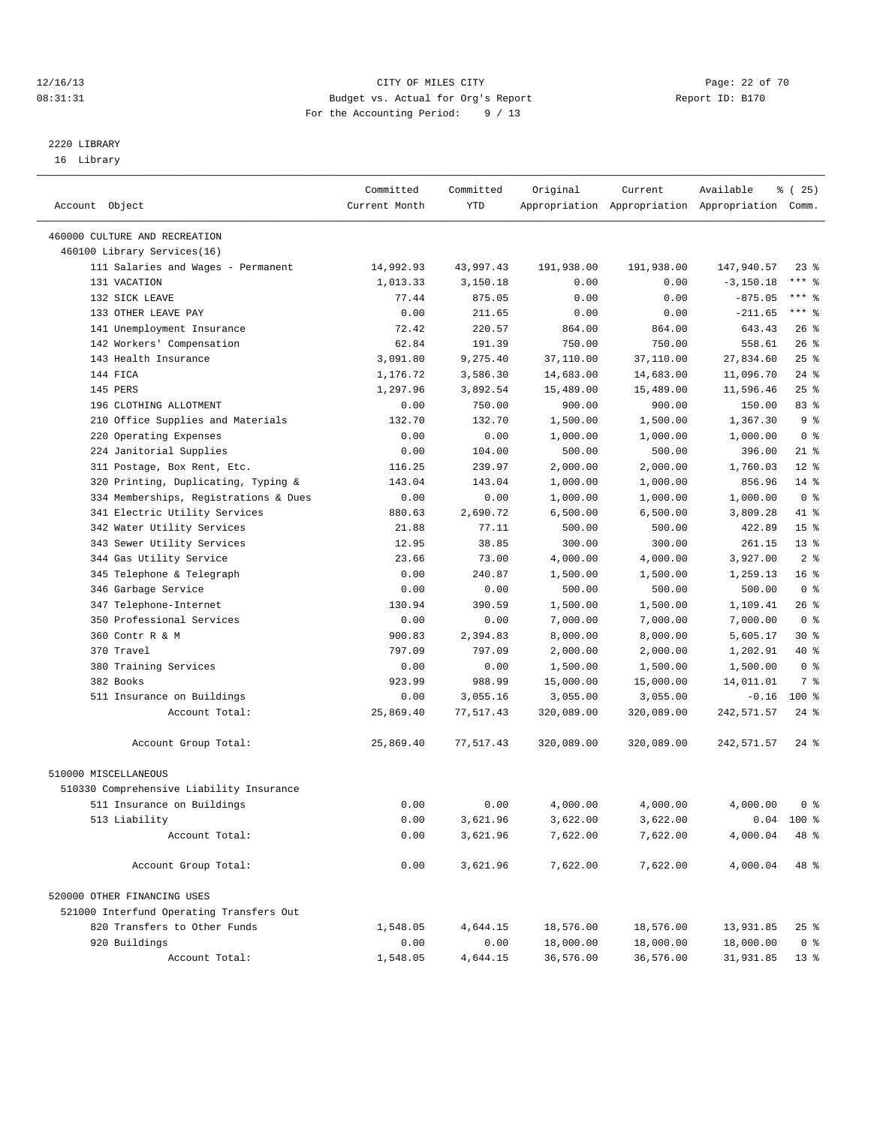### 12/16/13 Page: 22 of 70 08:31:31 Budget vs. Actual for Org's Report Changer Report ID: B170 For the Accounting Period: 9 / 13

————————————————————————————————————————————————————————————————————————————————————————————————————————————————————————————————————

# 2220 LIBRARY

16 Library

|                                          | Committed     | Committed  | Original            | Current    | Available                                       | % (25)          |
|------------------------------------------|---------------|------------|---------------------|------------|-------------------------------------------------|-----------------|
| Account Object                           | Current Month | <b>YTD</b> |                     |            | Appropriation Appropriation Appropriation Comm. |                 |
| 460000 CULTURE AND RECREATION            |               |            |                     |            |                                                 |                 |
| 460100 Library Services(16)              |               |            |                     |            |                                                 |                 |
| 111 Salaries and Wages - Permanent       | 14,992.93     | 43,997.43  | 191,938.00          | 191,938.00 | 147,940.57                                      | $23$ $%$        |
| 131 VACATION                             | 1,013.33      | 3,150.18   | 0.00                | 0.00       | $-3, 150.18$                                    | $***$ $-$       |
| 132 SICK LEAVE                           | 77.44         | 875.05     | 0.00                | 0.00       | $-875.05$                                       | *** 응           |
| 133 OTHER LEAVE PAY                      | 0.00          | 211.65     | 0.00                | 0.00       | $-211.65$                                       | $***$ $%$       |
| 141 Unemployment Insurance               | 72.42         | 220.57     | 864.00              | 864.00     | 643.43                                          | $26$ %          |
| 142 Workers' Compensation                | 62.84         | 191.39     | 750.00              | 750.00     | 558.61                                          | $26$ %          |
| 143 Health Insurance                     | 3,091.80      | 9,275.40   | 37,110.00           | 37,110.00  | 27,834.60                                       | 25%             |
| 144 FICA                                 | 1,176.72      | 3,586.30   | 14,683.00           | 14,683.00  | 11,096.70                                       | $24$ %          |
| 145 PERS                                 | 1,297.96      | 3,892.54   |                     | 15,489.00  | 11,596.46                                       | 25%             |
| 196 CLOTHING ALLOTMENT                   | 0.00          | 750.00     | 15,489.00<br>900.00 | 900.00     | 150.00                                          | 83%             |
|                                          |               |            |                     |            |                                                 | 9 <sub>8</sub>  |
| 210 Office Supplies and Materials        | 132.70        | 132.70     | 1,500.00            | 1,500.00   | 1,367.30                                        |                 |
| 220 Operating Expenses                   | 0.00          | 0.00       | 1,000.00            | 1,000.00   | 1,000.00                                        | 0 <sup>8</sup>  |
| 224 Janitorial Supplies                  | 0.00          | 104.00     | 500.00              | 500.00     | 396.00                                          | $21$ %          |
| 311 Postage, Box Rent, Etc.              | 116.25        | 239.97     | 2,000.00            | 2,000.00   | 1,760.03                                        | $12*$           |
| 320 Printing, Duplicating, Typing &      | 143.04        | 143.04     | 1,000.00            | 1,000.00   | 856.96                                          | $14*$           |
| 334 Memberships, Registrations & Dues    | 0.00          | 0.00       | 1,000.00            | 1,000.00   | 1,000.00                                        | 0 <sup>8</sup>  |
| 341 Electric Utility Services            | 880.63        | 2,690.72   | 6,500.00            | 6,500.00   | 3,809.28                                        | 41 %            |
| 342 Water Utility Services               | 21.88         | 77.11      | 500.00              | 500.00     | 422.89                                          | 15 <sup>8</sup> |
| 343 Sewer Utility Services               | 12.95         | 38.85      | 300.00              | 300.00     | 261.15                                          | $13*$           |
| 344 Gas Utility Service                  | 23.66         | 73.00      | 4,000.00            | 4,000.00   | 3,927.00                                        | 2 <sub>8</sub>  |
| 345 Telephone & Telegraph                | 0.00          | 240.87     | 1,500.00            | 1,500.00   | 1,259.13                                        | 16 <sup>8</sup> |
| 346 Garbage Service                      | 0.00          | 0.00       | 500.00              | 500.00     | 500.00                                          | 0 <sup>8</sup>  |
| 347 Telephone-Internet                   | 130.94        | 390.59     | 1,500.00            | 1,500.00   | 1,109.41                                        | 26 %            |
| 350 Professional Services                | 0.00          | 0.00       | 7,000.00            | 7,000.00   | 7,000.00                                        | 0 <sup>8</sup>  |
| 360 Contr R & M                          | 900.83        | 2,394.83   | 8,000.00            | 8,000.00   | 5,605.17                                        | $30*$           |
| 370 Travel                               | 797.09        | 797.09     | 2,000.00            | 2,000.00   | 1,202.91                                        | 40 %            |
| 380 Training Services                    | 0.00          | 0.00       | 1,500.00            | 1,500.00   | 1,500.00                                        | 0 <sup>8</sup>  |
| 382 Books                                | 923.99        | 988.99     | 15,000.00           | 15,000.00  | 14,011.01                                       | 7 %             |
| 511 Insurance on Buildings               | 0.00          | 3,055.16   | 3,055.00            | 3,055.00   | $-0.16$                                         | 100 %           |
| Account Total:                           | 25,869.40     | 77,517.43  | 320,089.00          | 320,089.00 | 242,571.57                                      | $24$ %          |
| Account Group Total:                     | 25,869.40     | 77,517.43  | 320,089.00          | 320,089.00 | 242,571.57                                      | 24 %            |
| 510000 MISCELLANEOUS                     |               |            |                     |            |                                                 |                 |
| 510330 Comprehensive Liability Insurance |               |            |                     |            |                                                 |                 |
| 511 Insurance on Buildings               | 0.00          | 0.00       | 4,000.00            | 4,000.00   | 4,000.00                                        | 0 %             |
| 513 Liability                            | 0.00          | 3,621.96   | 3,622.00            | 3,622.00   |                                                 | $0.04$ 100 %    |
| Account Total:                           | 0.00          | 3,621.96   | 7,622.00            | 7,622.00   | 4,000.04                                        | 48 %            |
|                                          |               |            |                     |            |                                                 |                 |
| Account Group Total:                     | 0.00          | 3,621.96   | 7,622.00            | 7,622.00   | 4,000.04                                        | 48 %            |
| 520000 OTHER FINANCING USES              |               |            |                     |            |                                                 |                 |
| 521000 Interfund Operating Transfers Out |               |            |                     |            |                                                 |                 |
| 820 Transfers to Other Funds             | 1,548.05      | 4,644.15   | 18,576.00           | 18,576.00  | 13,931.85                                       | $25$ $%$        |
| 920 Buildings                            | 0.00          | 0.00       | 18,000.00           | 18,000.00  | 18,000.00                                       | 0 <sup>8</sup>  |
| Account Total:                           | 1,548.05      | 4,644.15   | 36,576.00           | 36,576.00  | 31,931.85                                       | 13 <sub>8</sub> |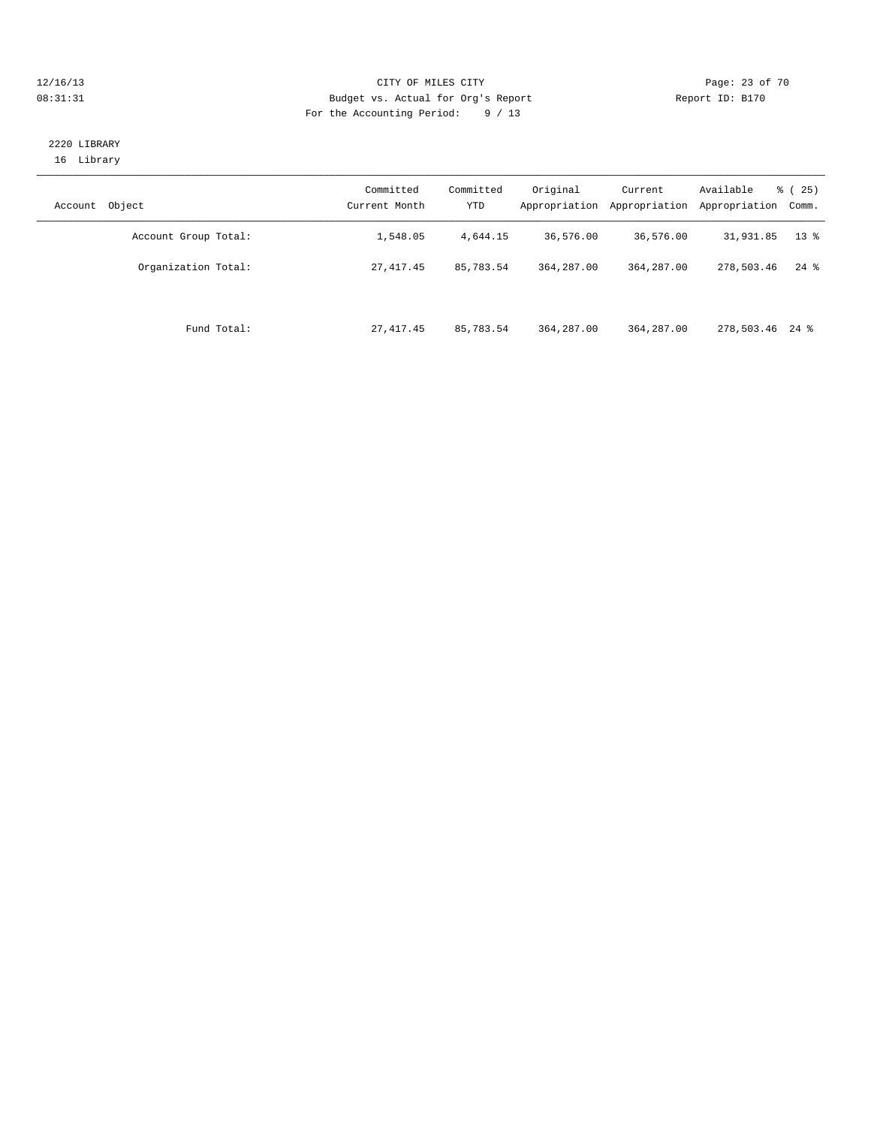### 12/16/13 Page: 23 of 70 08:31:31 Budget vs. Actual for Org's Report Changer Report ID: B170 For the Accounting Period: 9 / 13

### 2220 LIBRARY 16 Library

| Object<br>Account    | Committed<br>Current Month | Committed<br><b>YTD</b> | Original<br>Appropriation | Current<br>Appropriation | Available<br>Appropriation | $\frac{3}{6}$ ( 25 )<br>Comm. |
|----------------------|----------------------------|-------------------------|---------------------------|--------------------------|----------------------------|-------------------------------|
| Account Group Total: | 1,548.05                   | 4,644.15                | 36,576.00                 | 36,576.00                | 31,931.85                  | $13*$                         |
| Organization Total:  | 27, 417.45                 | 85,783.54               | 364, 287, 00              | 364, 287, 00             | 278,503.46                 | $24$ %                        |
| Fund Total:          | 27, 417.45                 | 85,783.54               | 364, 287, 00              | 364,287.00               | 278,503.46 24 %            |                               |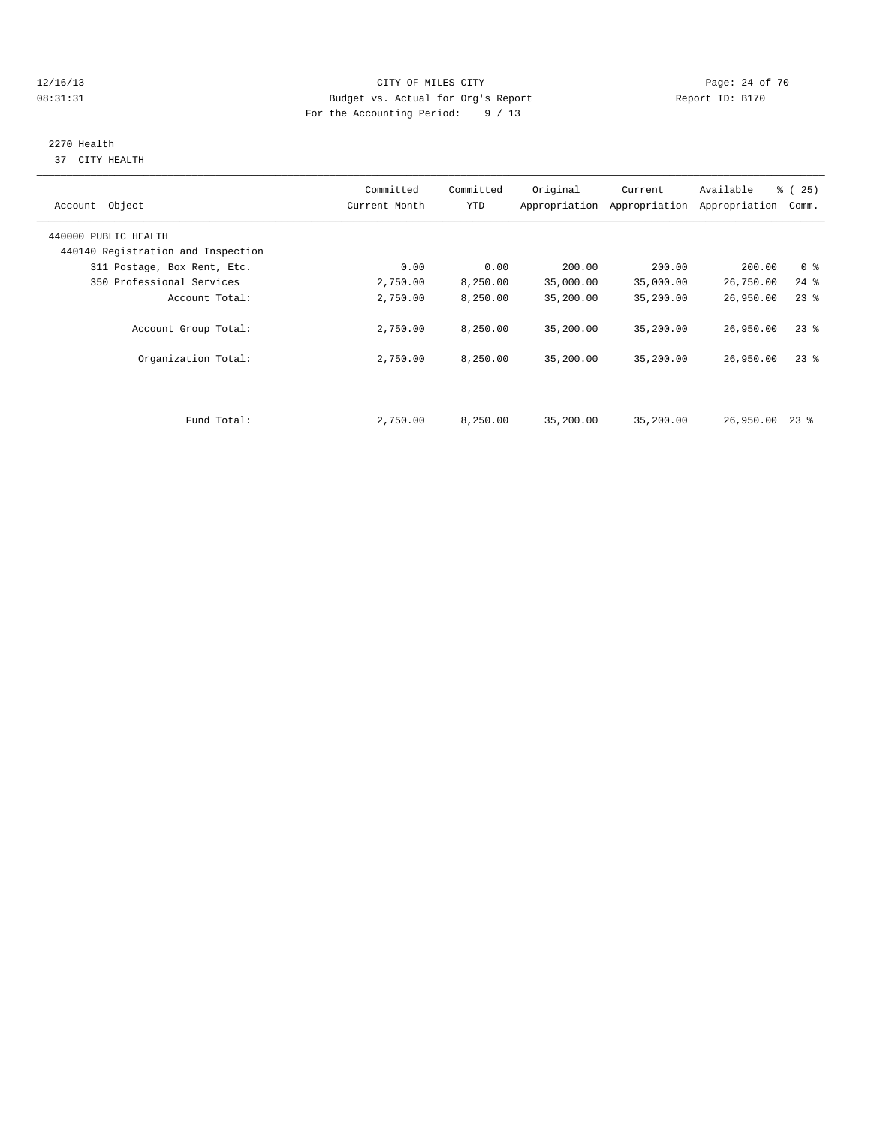### 12/16/13 Page: 24 of 70 08:31:31 Budget vs. Actual for Org's Report Changer Report ID: B170 For the Accounting Period: 9 / 13

# 2270 Health

37 CITY HEALTH

| Account Object                     | Committed<br>Current Month | Committed<br><b>YTD</b> | Original  | Current<br>Appropriation Appropriation | Available<br>Appropriation | % (25)<br>Comm. |
|------------------------------------|----------------------------|-------------------------|-----------|----------------------------------------|----------------------------|-----------------|
| 440000 PUBLIC HEALTH               |                            |                         |           |                                        |                            |                 |
| 440140 Registration and Inspection |                            |                         |           |                                        |                            |                 |
| 311 Postage, Box Rent, Etc.        | 0.00                       | 0.00                    | 200.00    | 200.00                                 | 200.00                     | 0 <sup>8</sup>  |
| 350 Professional Services          | 2,750.00                   | 8,250.00                | 35,000.00 | 35,000.00                              | 26,750.00                  | $24$ %          |
| Account Total:                     | 2,750.00                   | 8,250.00                | 35,200.00 | 35,200.00                              | 26,950.00                  | $23$ $%$        |
| Account Group Total:               | 2,750.00                   | 8,250.00                | 35,200.00 | 35,200.00                              | 26,950.00                  | $23$ $%$        |
| Organization Total:                | 2,750.00                   | 8,250.00                | 35,200.00 | 35,200.00                              | 26,950.00                  | $23$ $%$        |
|                                    |                            |                         |           |                                        |                            |                 |
| Fund Total:                        | 2,750.00                   | 8,250.00                | 35,200.00 | 35,200.00                              | 26,950.00                  | $23$ %          |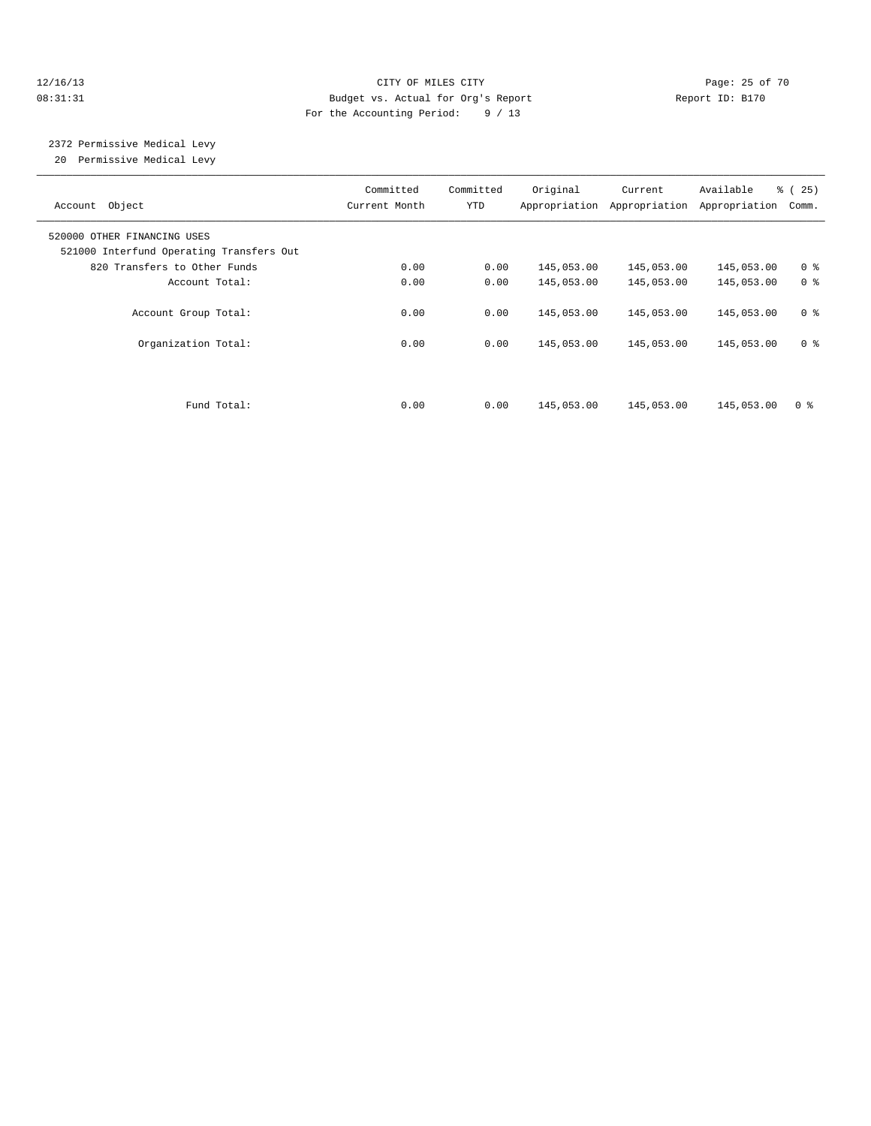### 12/16/13 Page: 25 of 70 08:31:31 Budget vs. Actual for Org's Report Changer Report ID: B170 For the Accounting Period: 9 / 13

# 2372 Permissive Medical Levy

20 Permissive Medical Levy

| Account Object                                                          | Committed<br>Current Month | Committed<br>YTD | Original   | Current<br>Appropriation Appropriation | Available<br>Appropriation | % (25)<br>Comm. |
|-------------------------------------------------------------------------|----------------------------|------------------|------------|----------------------------------------|----------------------------|-----------------|
| 520000 OTHER FINANCING USES<br>521000 Interfund Operating Transfers Out |                            |                  |            |                                        |                            |                 |
| 820 Transfers to Other Funds                                            | 0.00                       | 0.00             | 145,053.00 | 145,053.00                             | 145,053.00                 | 0 <sup>8</sup>  |
| Account Total:                                                          | 0.00                       | 0.00             | 145,053.00 | 145,053.00                             | 145,053.00                 | 0 <sup>8</sup>  |
| Account Group Total:                                                    | 0.00                       | 0.00             | 145,053.00 | 145,053.00                             | 145,053.00                 | 0 <sup>8</sup>  |
| Organization Total:                                                     | 0.00                       | 0.00             | 145,053.00 | 145,053.00                             | 145,053.00                 | 0 <sup>8</sup>  |
|                                                                         |                            |                  |            |                                        |                            |                 |
| Fund Total:                                                             | 0.00                       | 0.00             | 145,053.00 | 145,053.00                             | 145,053.00                 | 0 <sup>8</sup>  |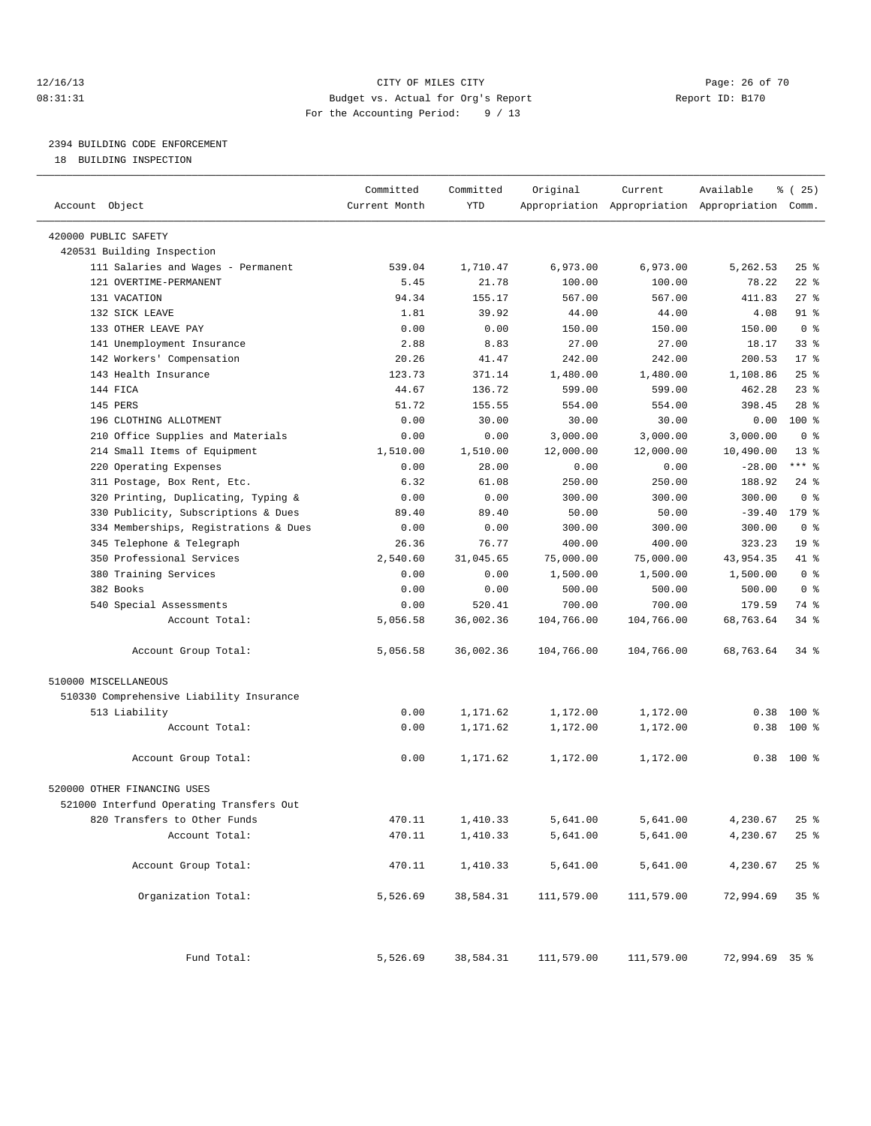### 12/16/13 Page: 26 of 70 08:31:31 Budget vs. Actual for Org's Report Report ID: B170 For the Accounting Period: 9 / 13

————————————————————————————————————————————————————————————————————————————————————————————————————————————————————————————————————

### 2394 BUILDING CODE ENFORCEMENT

18 BUILDING INSPECTION

|                                          | Committed     | Committed | Original   | Current    | Available                                       | <sub>है</sub> (25) |
|------------------------------------------|---------------|-----------|------------|------------|-------------------------------------------------|--------------------|
| Account Object                           | Current Month | YTD       |            |            | Appropriation Appropriation Appropriation Comm. |                    |
|                                          |               |           |            |            |                                                 |                    |
| 420000 PUBLIC SAFETY                     |               |           |            |            |                                                 |                    |
| 420531 Building Inspection               |               |           |            |            |                                                 |                    |
| 111 Salaries and Wages - Permanent       | 539.04        | 1,710.47  | 6,973.00   | 6,973.00   | 5,262.53                                        | $25$ %             |
| 121 OVERTIME-PERMANENT                   | 5.45          | 21.78     | 100.00     | 100.00     | 78.22                                           | $22$ %             |
| 131 VACATION                             | 94.34         | 155.17    | 567.00     | 567.00     | 411.83                                          | $27$ %             |
| 132 SICK LEAVE                           | 1.81          | 39.92     | 44.00      | 44.00      | 4.08                                            | 91 %               |
| 133 OTHER LEAVE PAY                      | 0.00          | 0.00      | 150.00     | 150.00     | 150.00                                          | 0 <sup>8</sup>     |
| 141 Unemployment Insurance               | 2.88          | 8.83      | 27.00      | 27.00      | 18.17                                           | $33$ $%$           |
| 142 Workers' Compensation                | 20.26         | 41.47     | 242.00     | 242.00     | 200.53                                          | $17*$              |
| 143 Health Insurance                     | 123.73        | 371.14    | 1,480.00   | 1,480.00   | 1,108.86                                        | 25%                |
| 144 FICA                                 | 44.67         | 136.72    | 599.00     | 599.00     | 462.28                                          | $23$ $%$           |
| 145 PERS                                 | 51.72         | 155.55    | 554.00     | 554.00     | 398.45                                          | $28$ %             |
| 196 CLOTHING ALLOTMENT                   | 0.00          | 30.00     | 30.00      | 30.00      | 0.00                                            | $100*$             |
| 210 Office Supplies and Materials        | 0.00          | 0.00      | 3,000.00   | 3,000.00   | 3,000.00                                        | 0 <sup>8</sup>     |
| 214 Small Items of Equipment             | 1,510.00      | 1,510.00  | 12,000.00  | 12,000.00  | 10,490.00                                       | 13 <sup>°</sup>    |
| 220 Operating Expenses                   | 0.00          | 28.00     | 0.00       | 0.00       | $-28.00$                                        | $***$ $-$          |
| 311 Postage, Box Rent, Etc.              | 6.32          | 61.08     | 250.00     | 250.00     | 188.92                                          | $24$ %             |
| 320 Printing, Duplicating, Typing &      | 0.00          | 0.00      | 300.00     | 300.00     | 300.00                                          | 0 <sup>8</sup>     |
| 330 Publicity, Subscriptions & Dues      | 89.40         | 89.40     | 50.00      | 50.00      | $-39.40$                                        | $179$ %            |
| 334 Memberships, Registrations & Dues    | 0.00          | 0.00      | 300.00     | 300.00     | 300.00                                          | 0 <sup>8</sup>     |
| 345 Telephone & Telegraph                | 26.36         | 76.77     | 400.00     | 400.00     | 323.23                                          | 19 <sup>°</sup>    |
| 350 Professional Services                | 2,540.60      | 31,045.65 | 75,000.00  | 75,000.00  | 43,954.35                                       | 41 %               |
| 380 Training Services                    | 0.00          | 0.00      | 1,500.00   | 1,500.00   | 1,500.00                                        | 0 <sup>8</sup>     |
| 382 Books                                | 0.00          | 0.00      | 500.00     | 500.00     | 500.00                                          | 0 <sup>8</sup>     |
| 540 Special Assessments                  | 0.00          | 520.41    | 700.00     | 700.00     | 179.59                                          | 74 %               |
| Account Total:                           | 5,056.58      | 36,002.36 | 104,766.00 | 104,766.00 | 68,763.64                                       | 34 %               |
| Account Group Total:                     | 5,056.58      | 36,002.36 | 104,766.00 | 104,766.00 | 68,763.64                                       | 34 %               |
| 510000 MISCELLANEOUS                     |               |           |            |            |                                                 |                    |
| 510330 Comprehensive Liability Insurance |               |           |            |            |                                                 |                    |
| 513 Liability                            | 0.00          | 1,171.62  | 1,172.00   | 1,172.00   | 0.38                                            | 100 %              |
| Account Total:                           | 0.00          | 1,171.62  | 1,172.00   | 1,172.00   | 0.38                                            | $100*$             |
| Account Group Total:                     | 0.00          | 1,171.62  | 1,172.00   | 1,172.00   |                                                 | $0.38$ 100 %       |
| 520000 OTHER FINANCING USES              |               |           |            |            |                                                 |                    |
| 521000 Interfund Operating Transfers Out |               |           |            |            |                                                 |                    |
| 820 Transfers to Other Funds             | 470.11        | 1,410.33  | 5,641.00   | 5,641.00   | 4,230.67                                        | $25$ %             |
| Account Total:                           | 470.11        | 1,410.33  | 5,641.00   | 5,641.00   | 4,230.67                                        | $25$ $\frac{6}{5}$ |
|                                          |               |           |            |            |                                                 |                    |
| Account Group Total:                     | 470.11        | 1,410.33  | 5,641.00   | 5,641.00   | 4,230.67                                        | 25%                |
| Organization Total:                      | 5,526.69      | 38,584.31 | 111,579.00 | 111,579.00 | 72,994.69                                       | 35%                |
| Fund Total:                              | 5,526.69      | 38,584.31 | 111,579.00 | 111,579.00 | 72,994.69 35 %                                  |                    |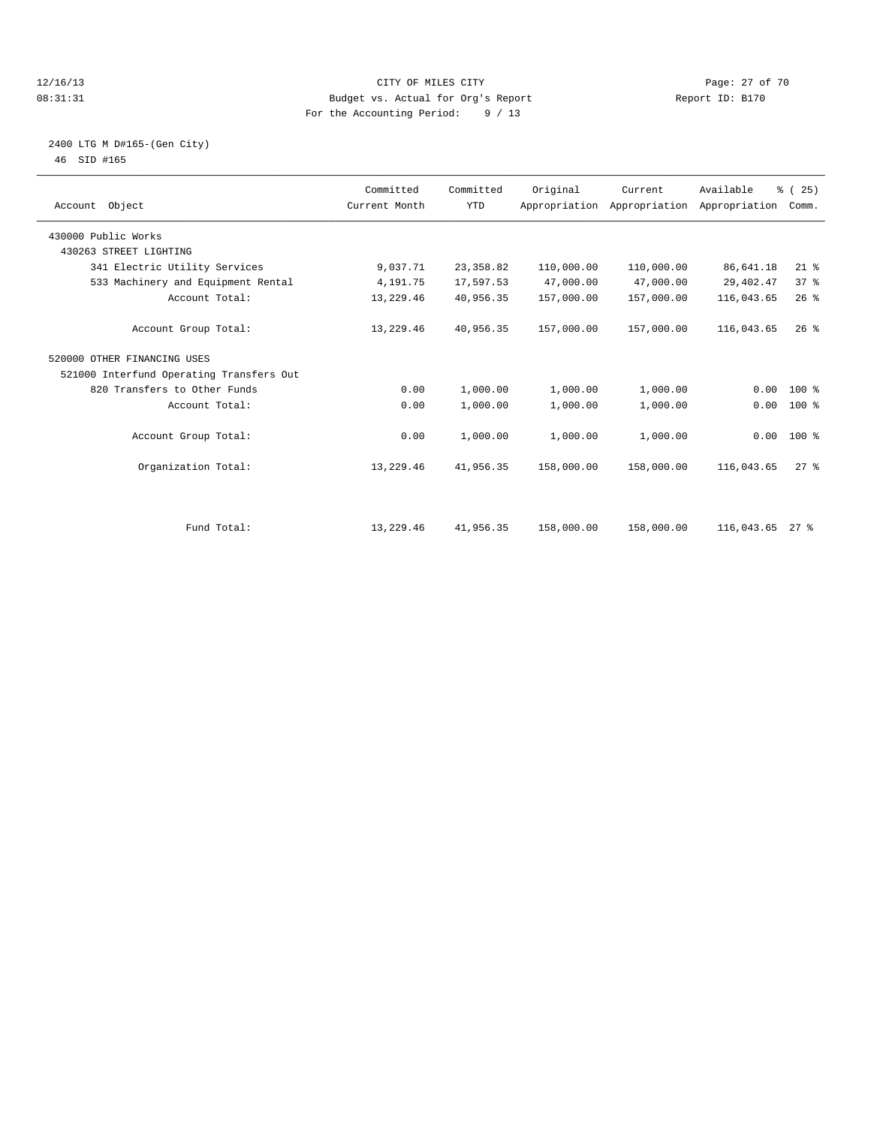### 12/16/13 Page: 27 of 70 08:31:31 Budget vs. Actual for Org's Report Report ID: B170 For the Accounting Period: 9 / 13

### 2400 LTG M D#165-(Gen City) 46 SID #165

| Account Object                           | Committed<br>Current Month | Committed<br><b>YTD</b> | Original   | Current<br>Appropriation Appropriation Appropriation | Available   | % (25)<br>Comm. |  |
|------------------------------------------|----------------------------|-------------------------|------------|------------------------------------------------------|-------------|-----------------|--|
| 430000 Public Works                      |                            |                         |            |                                                      |             |                 |  |
| 430263 STREET LIGHTING                   |                            |                         |            |                                                      |             |                 |  |
| 341 Electric Utility Services            | 9,037.71                   | 23, 358.82              | 110,000.00 | 110,000.00                                           | 86,641.18   | $21$ %          |  |
| 533 Machinery and Equipment Rental       | 4,191.75                   | 17,597.53               | 47,000.00  | 47,000.00                                            | 29, 402. 47 | 37 <sup>8</sup> |  |
| Account Total:                           | 13,229.46                  | 40,956.35               | 157,000.00 | 157,000.00                                           | 116,043.65  | 26%             |  |
| Account Group Total:                     | 13,229.46                  | 40,956.35               | 157,000.00 | 157,000.00                                           | 116,043.65  | 26%             |  |
| 520000 OTHER FINANCING USES              |                            |                         |            |                                                      |             |                 |  |
| 521000 Interfund Operating Transfers Out |                            |                         |            |                                                      |             |                 |  |
| 820 Transfers to Other Funds             | 0.00                       | 1,000.00                | 1,000.00   | 1,000.00                                             | 0.00        | 100 %           |  |
| Account Total:                           | 0.00                       | 1,000.00                | 1,000.00   | 1,000.00                                             | 0.00        | 100 %           |  |
| Account Group Total:                     | 0.00                       | 1,000.00                | 1,000.00   | 1,000.00                                             |             | $0.00$ 100 %    |  |
| Organization Total:                      | 13,229.46                  | 41,956.35               | 158,000.00 | 158,000.00                                           | 116,043.65  | $27$ $%$        |  |
|                                          |                            |                         |            |                                                      |             |                 |  |
| Fund Total:                              | 13,229.46                  | 41,956.35               | 158,000.00 | 158,000.00                                           | 116,043.65  | $27$ %          |  |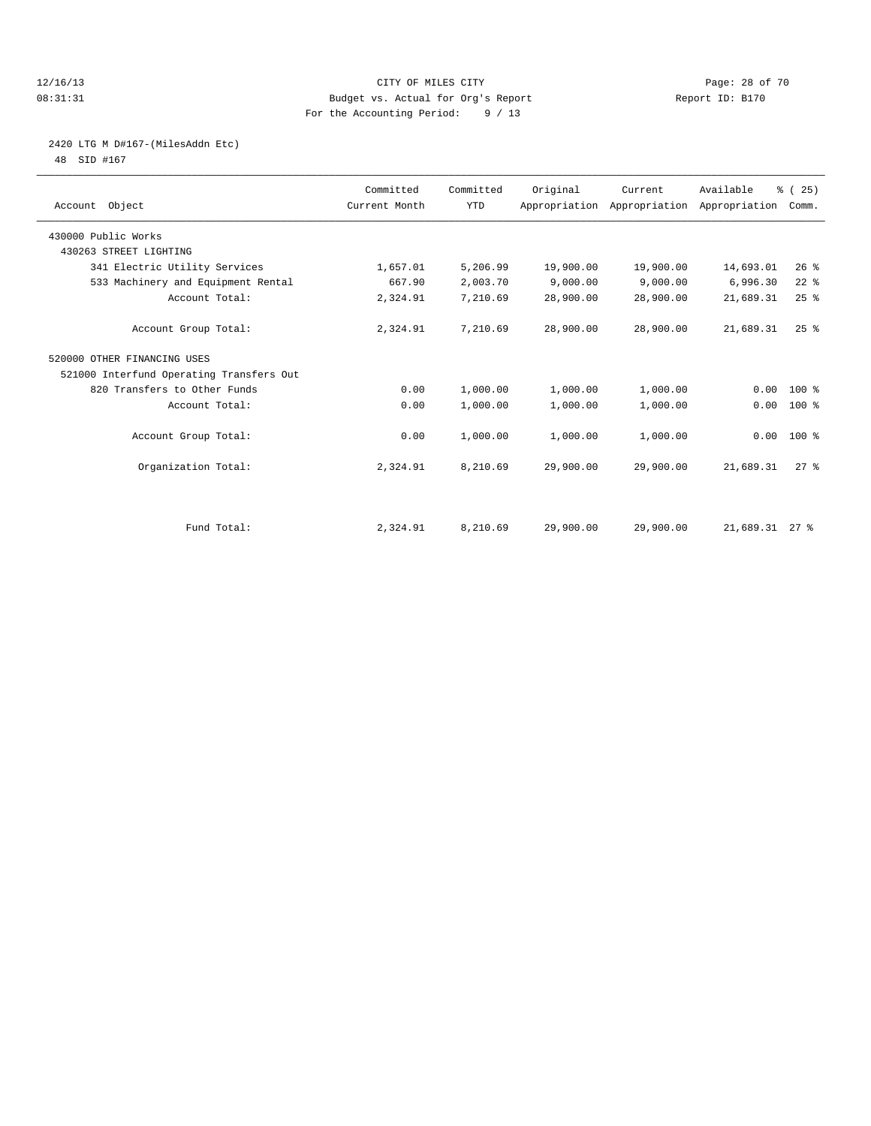### 12/16/13 Page: 28 of 70 08:31:31 Budget vs. Actual for Org's Report Report ID: B170 For the Accounting Period: 9 / 13

## 2420 LTG M D#167-(MilesAddn Etc)

48 SID #167

| Account Object                           | Committed<br>Current Month | Committed<br><b>YTD</b> | Original  | Current<br>Appropriation Appropriation Appropriation | Available      | % (25)<br>Comm.    |  |
|------------------------------------------|----------------------------|-------------------------|-----------|------------------------------------------------------|----------------|--------------------|--|
| 430000 Public Works                      |                            |                         |           |                                                      |                |                    |  |
| 430263 STREET LIGHTING                   |                            |                         |           |                                                      |                |                    |  |
| 341 Electric Utility Services            | 1,657.01                   | 5,206.99                | 19,900.00 | 19,900.00                                            | 14,693.01      | 26%                |  |
| 533 Machinery and Equipment Rental       | 667.90                     | 2,003.70                | 9,000.00  | 9,000.00                                             | 6,996.30       | $22$ %             |  |
| Account Total:                           | 2,324.91                   | 7,210.69                | 28,900.00 | 28,900.00                                            | 21,689.31      | 25%                |  |
| Account Group Total:                     | 2,324.91                   | 7,210.69                | 28,900.00 | 28,900.00                                            | 21,689.31      | $25$ $%$           |  |
| 520000 OTHER FINANCING USES              |                            |                         |           |                                                      |                |                    |  |
| 521000 Interfund Operating Transfers Out |                            |                         |           |                                                      |                |                    |  |
| 820 Transfers to Other Funds             | 0.00                       | 1,000.00                | 1,000.00  | 1,000.00                                             | 0.00           | $100*$             |  |
| Account Total:                           | 0.00                       | 1,000.00                | 1,000.00  | 1,000.00                                             | 0.00           | 100 %              |  |
| Account Group Total:                     | 0.00                       | 1,000.00                | 1,000.00  | 1,000.00                                             | 0.00           | 100 %              |  |
| Organization Total:                      | 2,324.91                   | 8,210.69                | 29,900.00 | 29,900.00                                            | 21,689.31      | $27$ $\frac{6}{3}$ |  |
|                                          |                            |                         |           |                                                      |                |                    |  |
| Fund Total:                              | 2,324.91                   | 8,210.69                | 29,900.00 | 29,900.00                                            | 21,689.31 27 % |                    |  |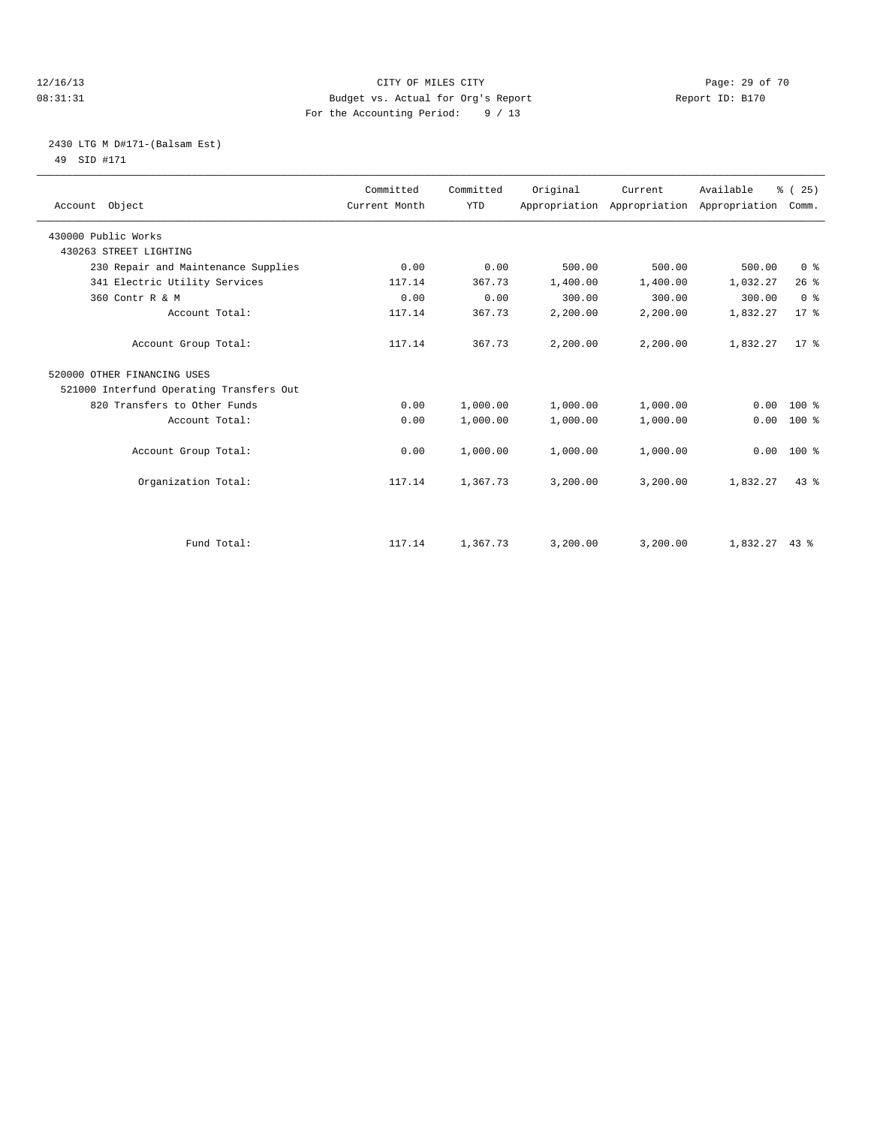### 12/16/13 Page: 29 of 70 08:31:31 Budget vs. Actual for Org's Report Changer Report ID: B170 For the Accounting Period: 9 / 13

### 2430 LTG M D#171-(Balsam Est) 49 SID #171

| Account Object                           | Committed<br>Current Month | Committed<br><b>YTD</b> | Original | Current<br>Appropriation Appropriation Appropriation | Available       | % (25)<br>Comm. |
|------------------------------------------|----------------------------|-------------------------|----------|------------------------------------------------------|-----------------|-----------------|
| 430000 Public Works                      |                            |                         |          |                                                      |                 |                 |
| 430263 STREET LIGHTING                   |                            |                         |          |                                                      |                 |                 |
| 230 Repair and Maintenance Supplies      | 0.00                       | 0.00                    | 500.00   | 500.00                                               | 500.00          | 0 <sup>8</sup>  |
| 341 Electric Utility Services            | 117.14                     | 367.73                  | 1,400.00 | 1,400.00                                             | 1,032.27        | 26%             |
| 360 Contr R & M                          | 0.00                       | 0.00                    | 300.00   | 300.00                                               | 300.00          | 0 <sup>8</sup>  |
| Account Total:                           | 117.14                     | 367.73                  | 2,200.00 | 2,200.00                                             | 1,832.27        | $17*$           |
| Account Group Total:                     | 117.14                     | 367.73                  | 2,200.00 | 2,200.00                                             | 1,832.27        | $17*$           |
| 520000 OTHER FINANCING USES              |                            |                         |          |                                                      |                 |                 |
| 521000 Interfund Operating Transfers Out |                            |                         |          |                                                      |                 |                 |
| 820 Transfers to Other Funds             | 0.00                       | 1,000.00                | 1,000.00 | 1,000.00                                             | 0.00            | $100*$          |
| Account Total:                           | 0.00                       | 1,000.00                | 1,000.00 | 1,000.00                                             | 0.00            | 100 %           |
| Account Group Total:                     | 0.00                       | 1,000.00                | 1,000.00 | 1,000.00                                             | 0.00            | $100*$          |
| Organization Total:                      | 117.14                     | 1,367.73                | 3,200.00 | 3,200.00                                             | 1,832.27        | 43.8            |
|                                          |                            |                         |          |                                                      |                 |                 |
| Fund Total:                              | 117.14                     | 1,367.73                | 3,200.00 | 3,200.00                                             | $1,832.27$ 43 % |                 |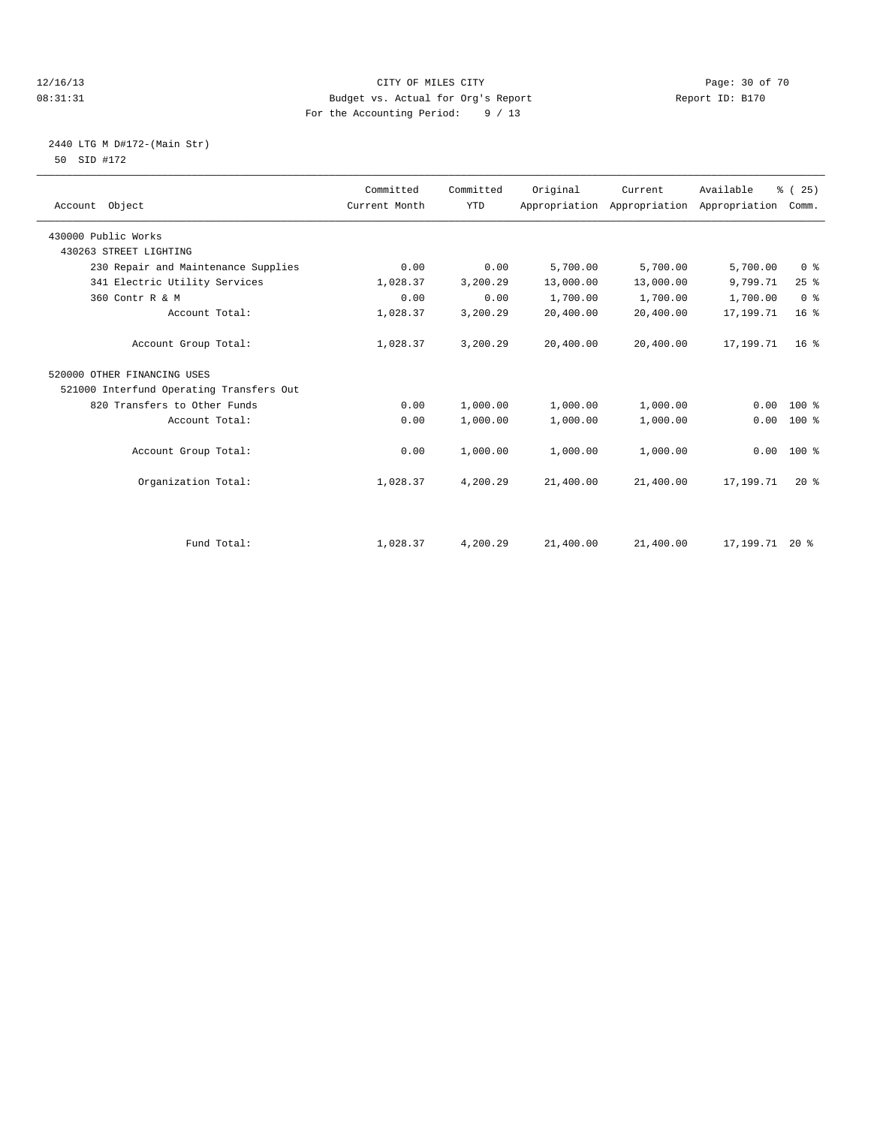### 12/16/13 Page: 30 of 70 08:31:31 Budget vs. Actual for Org's Report Changer Report ID: B170 For the Accounting Period: 9 / 13

### 2440 LTG M D#172-(Main Str) 50 SID #172

| Account Object                           | Committed<br>Current Month | Committed<br><b>YTD</b> | Original  | Current<br>Appropriation Appropriation | Available<br>Appropriation | % (25)<br>Comm. |
|------------------------------------------|----------------------------|-------------------------|-----------|----------------------------------------|----------------------------|-----------------|
| 430000 Public Works                      |                            |                         |           |                                        |                            |                 |
| 430263 STREET LIGHTING                   |                            |                         |           |                                        |                            |                 |
| 230 Repair and Maintenance Supplies      | 0.00                       | 0.00                    | 5,700.00  | 5,700.00                               | 5,700.00                   | 0 <sup>8</sup>  |
| 341 Electric Utility Services            | 1,028.37                   | 3,200.29                | 13,000.00 | 13,000.00                              | 9,799.71                   | 25%             |
| 360 Contr R & M                          | 0.00                       | 0.00                    | 1,700.00  | 1,700.00                               | 1,700.00                   | 0 <sup>8</sup>  |
| Account Total:                           | 1,028.37                   | 3,200.29                | 20,400.00 | 20,400.00                              | 17,199.71                  | 16 <sup>°</sup> |
| Account Group Total:                     | 1,028.37                   | 3,200.29                | 20,400.00 | 20,400.00                              | 17,199.71                  | 16 <sup>8</sup> |
| 520000 OTHER FINANCING USES              |                            |                         |           |                                        |                            |                 |
| 521000 Interfund Operating Transfers Out |                            |                         |           |                                        |                            |                 |
| 820 Transfers to Other Funds             | 0.00                       | 1,000.00                | 1,000.00  | 1,000.00                               | 0.00                       | $100*$          |
| Account Total:                           | 0.00                       | 1,000.00                | 1,000.00  | 1,000.00                               | 0.00                       | $100*$          |
| Account Group Total:                     | 0.00                       | 1,000.00                | 1,000.00  | 1,000.00                               | 0.00                       | $100*$          |
| Organization Total:                      | 1,028.37                   | 4,200.29                | 21,400.00 | 21,400.00                              | 17,199.71                  | $20*$           |
|                                          |                            |                         |           |                                        |                            |                 |
| Fund Total:                              | 1,028.37                   | 4,200.29                | 21,400.00 | 21,400.00                              | 17, 199. 71 20 %           |                 |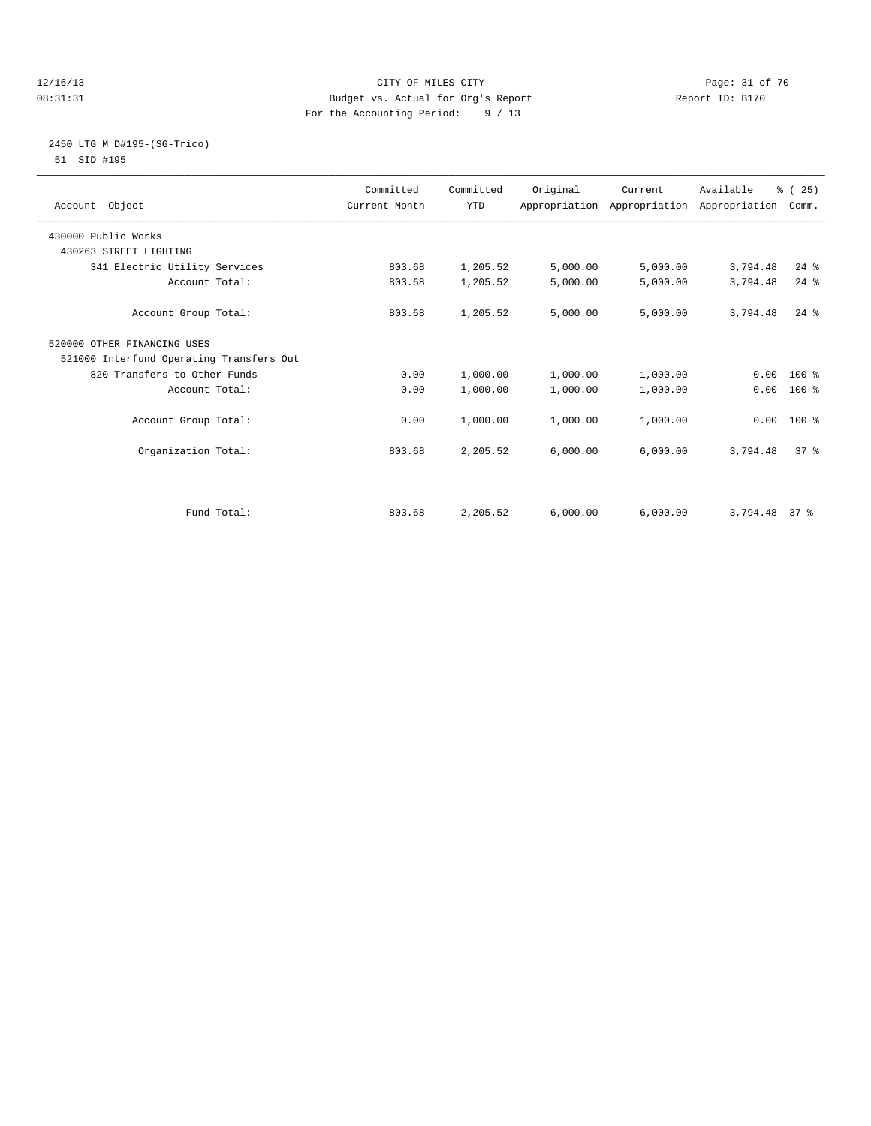### 12/16/13 Page: 31 of 70 08:31:31 Budget vs. Actual for Org's Report Changer Report ID: B170 For the Accounting Period: 9 / 13

### 2450 LTG M D#195-(SG-Trico) 51 SID #195

| Account Object                           | Committed<br>Current Month | Committed<br><b>YTD</b> | Original | Current<br>Appropriation Appropriation Appropriation | Available | % (25)<br>Comm. |  |
|------------------------------------------|----------------------------|-------------------------|----------|------------------------------------------------------|-----------|-----------------|--|
| 430000 Public Works                      |                            |                         |          |                                                      |           |                 |  |
| 430263 STREET LIGHTING                   |                            |                         |          |                                                      |           |                 |  |
| 341 Electric Utility Services            | 803.68                     | 1,205.52                | 5,000.00 | 5,000.00                                             | 3,794.48  | $24$ %          |  |
| Account Total:                           | 803.68                     | 1,205.52                | 5,000.00 | 5,000.00                                             | 3,794.48  | $24$ %          |  |
| Account Group Total:                     | 803.68                     | 1,205.52                | 5,000.00 | 5,000.00                                             | 3,794.48  | $24$ $%$        |  |
| 520000 OTHER FINANCING USES              |                            |                         |          |                                                      |           |                 |  |
| 521000 Interfund Operating Transfers Out |                            |                         |          |                                                      |           |                 |  |
| 820 Transfers to Other Funds             | 0.00                       | 1,000.00                | 1,000.00 | 1,000.00                                             |           | $0.00 100$ %    |  |
| Account Total:                           | 0.00                       | 1,000.00                | 1,000.00 | 1,000.00                                             | 0.00      | 100 %           |  |
| Account Group Total:                     | 0.00                       | 1,000.00                | 1,000.00 | 1,000.00                                             |           | $0.00$ 100 %    |  |
| Organization Total:                      | 803.68                     | 2,205.52                | 6,000.00 | 6,000.00                                             | 3,794.48  | 37 <sup>8</sup> |  |
|                                          |                            |                         |          |                                                      |           |                 |  |
| Fund Total:                              | 803.68                     | 2,205.52                | 6,000.00 | 6,000.00                                             | 3,794.48  | 37 <sup>8</sup> |  |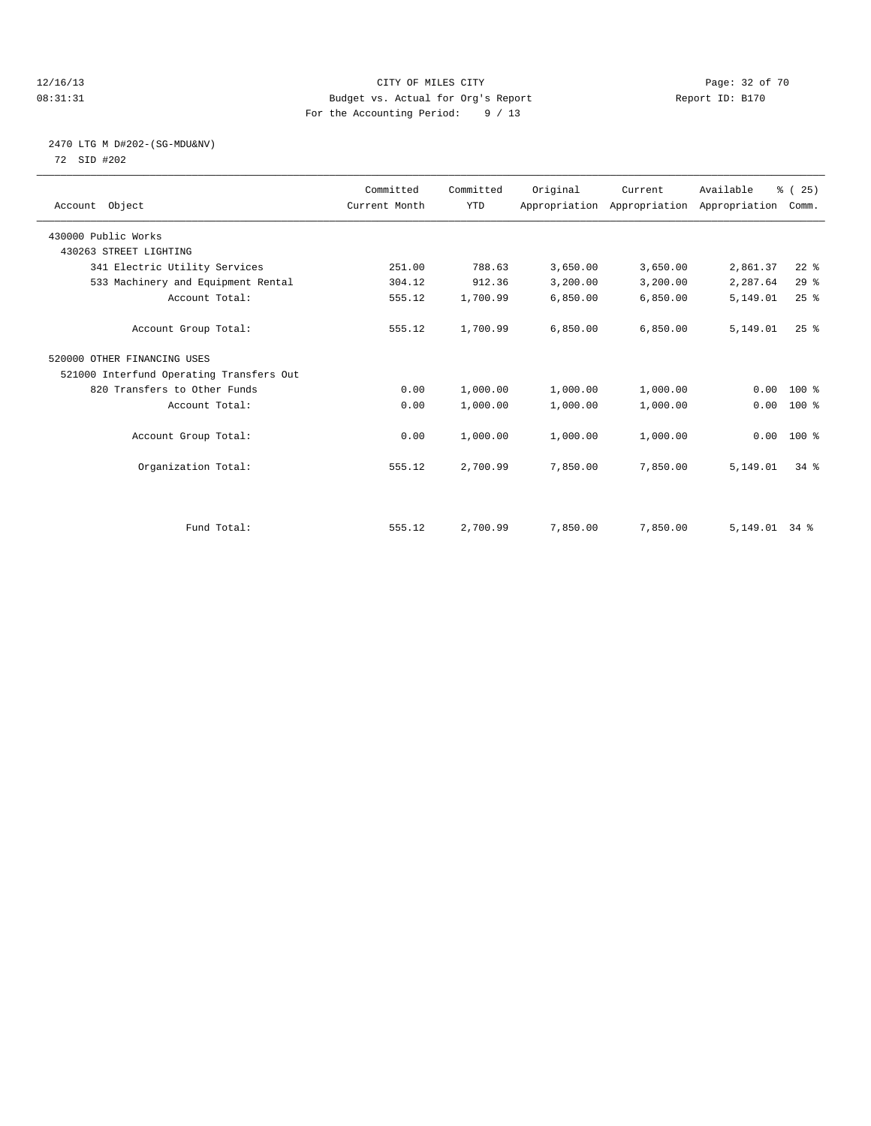### 12/16/13 Page: 32 of 70 08:31:31 Budget vs. Actual for Org's Report Changer Report ID: B170 For the Accounting Period: 9 / 13

### 2470 LTG M D#202-(SG-MDU&NV) 72 SID #202

| Account Object                           | Committed<br>Current Month | Committed<br><b>YTD</b> | Original | Current<br>Appropriation Appropriation Appropriation | Available | % (25)<br>Comm. |  |
|------------------------------------------|----------------------------|-------------------------|----------|------------------------------------------------------|-----------|-----------------|--|
| 430000 Public Works                      |                            |                         |          |                                                      |           |                 |  |
| 430263 STREET LIGHTING                   |                            |                         |          |                                                      |           |                 |  |
| 341 Electric Utility Services            | 251.00                     | 788.63                  | 3,650.00 | 3,650.00                                             | 2,861.37  | $22$ $%$        |  |
| 533 Machinery and Equipment Rental       | 304.12                     | 912.36                  | 3,200.00 | 3,200.00                                             | 2,287.64  | 29%             |  |
| Account Total:                           | 555.12                     | 1,700.99                | 6,850.00 | 6,850.00                                             | 5,149.01  | 25%             |  |
| Account Group Total:                     | 555.12                     | 1,700.99                | 6,850.00 | 6,850.00                                             | 5,149.01  | 25%             |  |
| 520000 OTHER FINANCING USES              |                            |                         |          |                                                      |           |                 |  |
| 521000 Interfund Operating Transfers Out |                            |                         |          |                                                      |           |                 |  |
| 820 Transfers to Other Funds             | 0.00                       | 1,000.00                | 1,000.00 | 1,000.00                                             | 0.00      | $100*$          |  |
| Account Total:                           | 0.00                       | 1,000.00                | 1,000.00 | 1,000.00                                             | 0.00      | $100*$          |  |
| Account Group Total:                     | 0.00                       | 1,000.00                | 1,000.00 | 1,000.00                                             |           | $0.00$ 100 %    |  |
| Organization Total:                      | 555.12                     | 2,700.99                | 7,850.00 | 7,850.00                                             | 5,149.01  | $34$ $%$        |  |
|                                          |                            |                         |          |                                                      |           |                 |  |
| Fund Total:                              | 555.12                     | 2,700.99                | 7,850.00 | 7,850.00                                             | 5,149.01  | $34$ $%$        |  |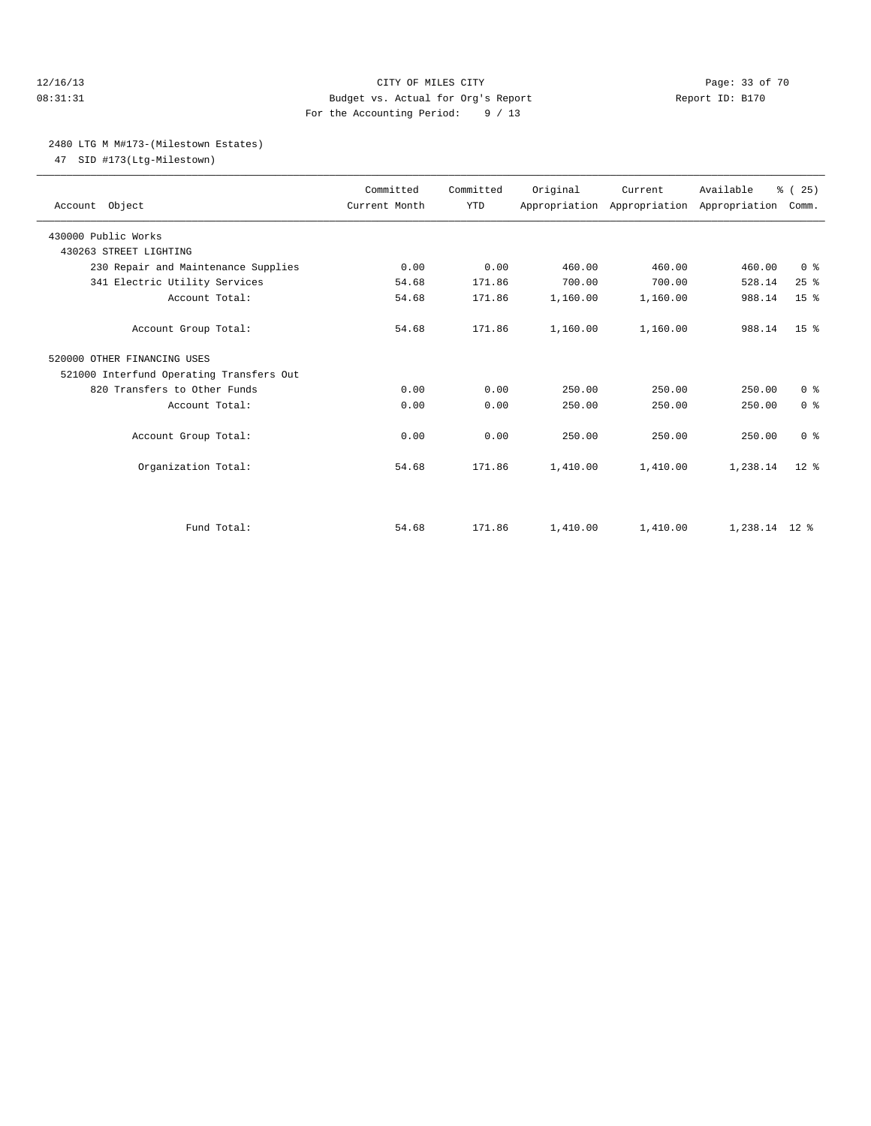### 12/16/13 Page: 33 of 70 08:31:31 Budget vs. Actual for Org's Report Report ID: B170 For the Accounting Period: 9 / 13

### 2480 LTG M M#173-(Milestown Estates)

47 SID #173(Ltg-Milestown)

| Account Object                                | Committed<br>Current Month | Committed<br><b>YTD</b> | Original | Current<br>Appropriation Appropriation Appropriation | Available       | % (25)<br>Comm. |  |
|-----------------------------------------------|----------------------------|-------------------------|----------|------------------------------------------------------|-----------------|-----------------|--|
| 430000 Public Works<br>430263 STREET LIGHTING |                            |                         |          |                                                      |                 |                 |  |
| 230 Repair and Maintenance Supplies           | 0.00                       | 0.00                    | 460.00   | 460.00                                               | 460.00          | 0 <sup>8</sup>  |  |
| 341 Electric Utility Services                 | 54.68                      | 171.86                  | 700.00   | 700.00                                               | 528.14          | 25%             |  |
| Account Total:                                | 54.68                      | 171.86                  | 1,160.00 | 1,160.00                                             | 988.14          | 15 <sup>8</sup> |  |
|                                               |                            |                         |          |                                                      |                 |                 |  |
| Account Group Total:                          | 54.68                      | 171.86                  | 1,160.00 | 1,160.00                                             | 988.14          | 15 <sup>8</sup> |  |
| 520000 OTHER FINANCING USES                   |                            |                         |          |                                                      |                 |                 |  |
| 521000 Interfund Operating Transfers Out      |                            |                         |          |                                                      |                 |                 |  |
| 820 Transfers to Other Funds                  | 0.00                       | 0.00                    | 250.00   | 250.00                                               | 250.00          | 0 <sup>8</sup>  |  |
| Account Total:                                | 0.00                       | 0.00                    | 250.00   | 250.00                                               | 250.00          | 0 <sup>8</sup>  |  |
| Account Group Total:                          | 0.00                       | 0.00                    | 250.00   | 250.00                                               | 250.00          | 0 <sup>8</sup>  |  |
| Organization Total:                           | 54.68                      | 171.86                  | 1,410.00 | 1,410.00                                             | 1,238.14        | $12*$           |  |
|                                               |                            |                         |          |                                                      |                 |                 |  |
| Fund Total:                                   | 54.68                      | 171.86                  | 1,410.00 | 1,410.00                                             | $1,238.14$ 12 % |                 |  |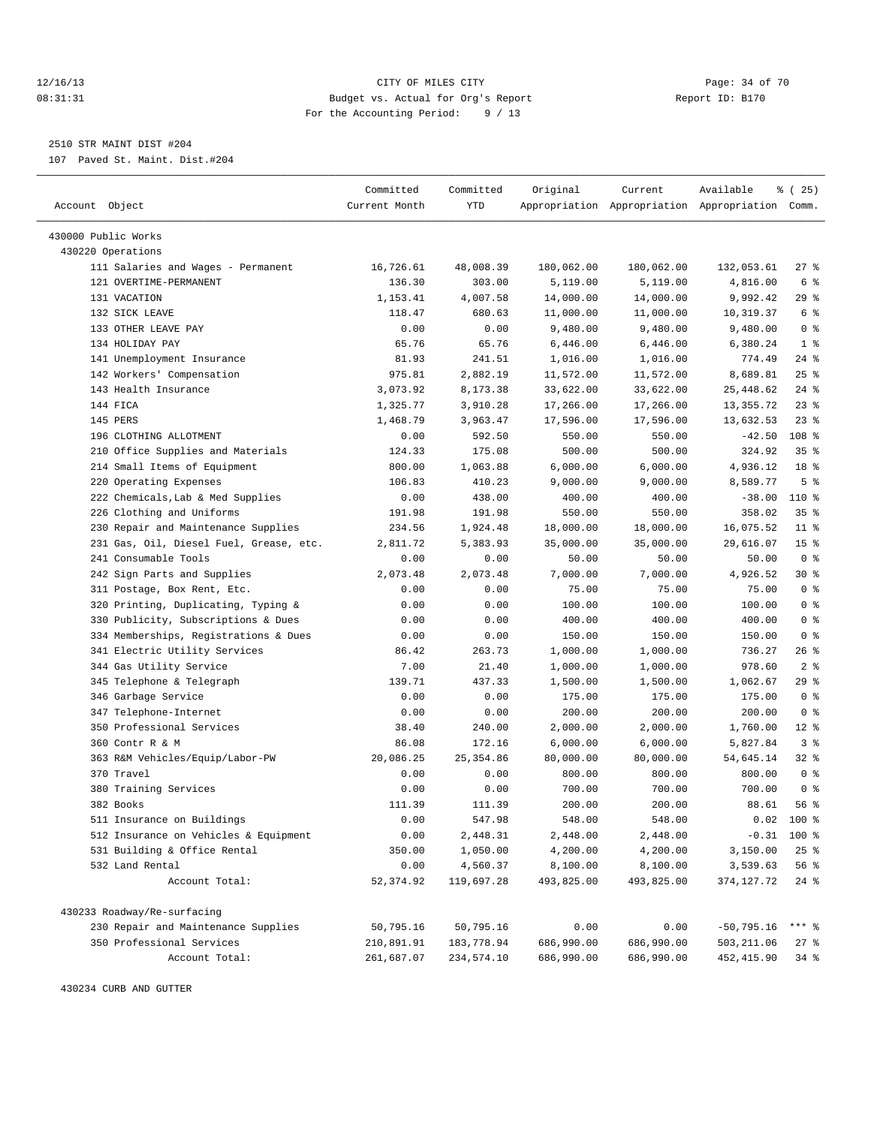### 12/16/13 Page: 34 of 70 08:31:31 Budget vs. Actual for Org's Report Report ID: B170 For the Accounting Period: 9 / 13

————————————————————————————————————————————————————————————————————————————————————————————————————————————————————————————————————

2510 STR MAINT DIST #204

107 Paved St. Maint. Dist.#204

|                                                                     | Committed     | Committed    | Original         | Current               | Available                                       | <sub>है</sub> (25)       |
|---------------------------------------------------------------------|---------------|--------------|------------------|-----------------------|-------------------------------------------------|--------------------------|
| Account Object                                                      | Current Month | YTD          |                  |                       | Appropriation Appropriation Appropriation Comm. |                          |
|                                                                     |               |              |                  |                       |                                                 |                          |
| 430000 Public Works                                                 |               |              |                  |                       |                                                 |                          |
| 430220 Operations                                                   |               |              |                  |                       |                                                 |                          |
| 111 Salaries and Wages - Permanent                                  | 16,726.61     | 48,008.39    | 180,062.00       | 180,062.00            | 132,053.61                                      | $27$ %                   |
| 121 OVERTIME-PERMANENT                                              | 136.30        | 303.00       | 5,119.00         | 5,119.00              | 4,816.00                                        | 6 %                      |
| 131 VACATION                                                        | 1,153.41      | 4,007.58     | 14,000.00        | 14,000.00             | 9,992.42                                        | $29$ %                   |
| 132 SICK LEAVE                                                      | 118.47        | 680.63       | 11,000.00        | 11,000.00             | 10,319.37                                       | 6 %                      |
| 133 OTHER LEAVE PAY                                                 | 0.00          | 0.00         | 9,480.00         | 9,480.00              | 9,480.00                                        | 0 <sup>8</sup>           |
| 134 HOLIDAY PAY                                                     | 65.76         | 65.76        | 6,446.00         | 6,446.00              | 6,380.24                                        | 1 <sup>8</sup>           |
| 141 Unemployment Insurance                                          | 81.93         | 241.51       | 1,016.00         | 1,016.00              | 774.49                                          | $24$ %                   |
| 142 Workers' Compensation                                           | 975.81        | 2,882.19     | 11,572.00        | 11,572.00             | 8,689.81                                        | $25$ %                   |
| 143 Health Insurance                                                | 3,073.92      | 8,173.38     | 33,622.00        | 33,622.00             | 25, 448.62                                      | $24$ %                   |
| 144 FICA                                                            | 1,325.77      | 3,910.28     | 17,266.00        | 17,266.00             | 13, 355. 72                                     | $23$ $%$                 |
| 145 PERS                                                            | 1,468.79      | 3,963.47     | 17,596.00        | 17,596.00             | 13,632.53                                       | $23$ $%$                 |
| 196 CLOTHING ALLOTMENT                                              | 0.00          | 592.50       | 550.00           | 550.00                | $-42.50$                                        | 108 %                    |
| 210 Office Supplies and Materials                                   | 124.33        | 175.08       | 500.00           | 500.00                | 324.92                                          | 35 <sup>8</sup>          |
| 214 Small Items of Equipment                                        | 800.00        | 1,063.88     | 6,000.00         | 6,000.00              | 4,936.12                                        | 18 <sup>°</sup>          |
| 220 Operating Expenses                                              | 106.83        | 410.23       | 9,000.00         | 9,000.00              | 8,589.77                                        | 5 <sup>°</sup>           |
| 222 Chemicals, Lab & Med Supplies                                   | 0.00          | 438.00       | 400.00           | 400.00                | $-38.00$                                        | 110 %                    |
| 226 Clothing and Uniforms                                           | 191.98        | 191.98       | 550.00           | 550.00                | 358.02                                          | 35 <sup>8</sup>          |
| 230 Repair and Maintenance Supplies                                 | 234.56        | 1,924.48     | 18,000.00        | 18,000.00             | 16,075.52                                       | $11$ %                   |
| 231 Gas, Oil, Diesel Fuel, Grease, etc.                             | 2,811.72      | 5,383.93     | 35,000.00        | 35,000.00             | 29,616.07                                       | 15 <sup>°</sup>          |
| 241 Consumable Tools                                                | 0.00          | 0.00         | 50.00            | 50.00                 | 50.00                                           | 0 <sup>8</sup>           |
| 242 Sign Parts and Supplies                                         | 2,073.48      | 2,073.48     | 7,000.00         | 7,000.00              | 4,926.52                                        | $30*$                    |
| 311 Postage, Box Rent, Etc.                                         | 0.00          | 0.00         | 75.00            | 75.00                 | 75.00                                           | 0 <sup>8</sup>           |
| 320 Printing, Duplicating, Typing &                                 | 0.00          | 0.00         | 100.00           | 100.00                | 100.00                                          | 0 <sup>8</sup>           |
| 330 Publicity, Subscriptions & Dues                                 | 0.00          | 0.00         | 400.00           | 400.00                | 400.00                                          | 0 <sup>8</sup>           |
| 334 Memberships, Registrations & Dues                               | 0.00          | 0.00         | 150.00           | 150.00                | 150.00                                          | 0 <sup>8</sup>           |
| 341 Electric Utility Services                                       | 86.42         | 263.73       | 1,000.00         | 1,000.00              | 736.27                                          | $26$ %                   |
| 344 Gas Utility Service                                             | 7.00          | 21.40        | 1,000.00         | 1,000.00              | 978.60                                          | 2 <sub>8</sub>           |
| 345 Telephone & Telegraph                                           | 139.71        | 437.33       | 1,500.00         | 1,500.00              | 1,062.67                                        | 29%                      |
| 346 Garbage Service                                                 | 0.00          | 0.00         | 175.00           | 175.00                | 175.00                                          | 0 <sup>8</sup>           |
| 347 Telephone-Internet<br>350 Professional Services                 | 0.00          | 0.00         | 200.00           | 200.00                | 200.00                                          | 0 <sup>8</sup>           |
|                                                                     | 38.40         | 240.00       | 2,000.00         | 2,000.00              | 1,760.00<br>5,827.84                            | $12$ %<br>3 <sup>8</sup> |
| 360 Contr R & M                                                     | 86.08         | 172.16       | 6,000.00         | 6,000.00<br>80,000.00 |                                                 | 32%                      |
| 363 R&M Vehicles/Equip/Labor-PW<br>370 Travel                       | 20,086.25     | 25, 354.86   | 80,000.00        | 800.00                | 54,645.14<br>800.00                             | 0 <sup>8</sup>           |
| 380 Training Services                                               | 0.00<br>0.00  | 0.00<br>0.00 | 800.00<br>700.00 | 700.00                | 700.00                                          | 0 <sup>8</sup>           |
| 382 Books                                                           | 111.39        | 111.39       | 200.00           | 200.00                | 88.61                                           | 56%                      |
|                                                                     | 0.00          | 547.98       | 548.00           | 548.00                | 0.02                                            | $100$ %                  |
| 511 Insurance on Buildings<br>512 Insurance on Vehicles & Equipment | 0.00          | 2,448.31     | 2,448.00         | 2,448.00              |                                                 | $-0.31$ 100 %            |
| 531 Building & Office Rental                                        | 350.00        | 1,050.00     | 4,200.00         | 4,200.00              | 3,150.00                                        | $25$ $%$                 |
| 532 Land Rental                                                     | 0.00          | 4,560.37     | 8,100.00         | 8,100.00              | 3,539.63                                        | 56 %                     |
| Account Total:                                                      | 52, 374.92    | 119,697.28   | 493,825.00       | 493,825.00            | 374, 127. 72                                    | $24$ %                   |
|                                                                     |               |              |                  |                       |                                                 |                          |
| 430233 Roadway/Re-surfacing                                         |               |              |                  |                       |                                                 |                          |
| 230 Repair and Maintenance Supplies                                 | 50,795.16     | 50,795.16    | 0.00             | 0.00                  | $-50,795.16$                                    | *** 응                    |
| 350 Professional Services                                           | 210,891.91    | 183,778.94   | 686,990.00       | 686,990.00            | 503,211.06                                      | 27%                      |
| Account Total:                                                      | 261,687.07    | 234,574.10   | 686,990.00       | 686,990.00            | 452, 415.90                                     | $34$ $\frac{6}{5}$       |

430234 CURB AND GUTTER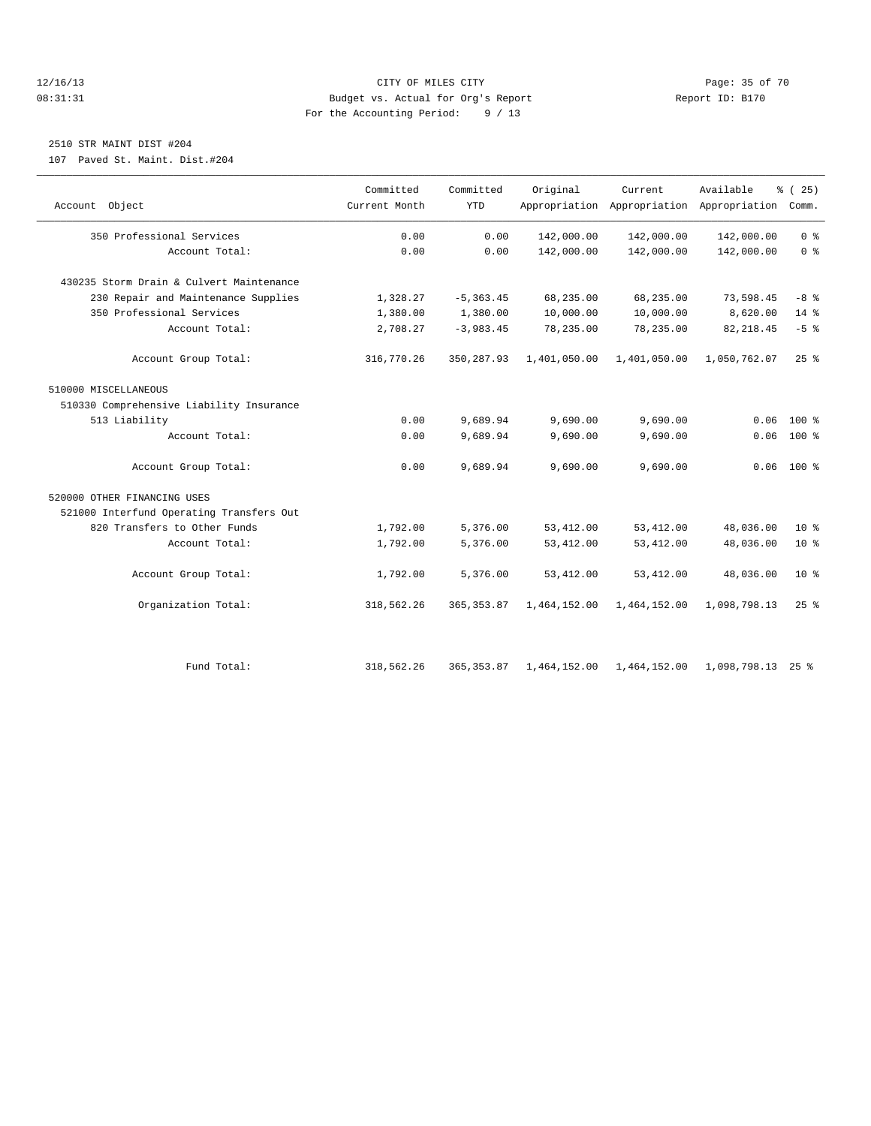### 12/16/13 Page: 35 of 70 08:31:31 Budget vs. Actual for Org's Report Changer Report ID: B170 For the Accounting Period: 9 / 13

### 2510 STR MAINT DIST #204

107 Paved St. Maint. Dist.#204

|                                          | Committed     | Committed    | Original     | Current      | Available                                 | % (25)         |
|------------------------------------------|---------------|--------------|--------------|--------------|-------------------------------------------|----------------|
| Account Object                           | Current Month | <b>YTD</b>   |              |              | Appropriation Appropriation Appropriation | Comm.          |
| 350 Professional Services                | 0.00          | 0.00         | 142,000.00   | 142,000.00   | 142,000.00                                | 0 <sup>8</sup> |
| Account Total:                           | 0.00          | 0.00         | 142,000.00   | 142,000.00   | 142,000.00                                | 0 <sup>8</sup> |
| 430235 Storm Drain & Culvert Maintenance |               |              |              |              |                                           |                |
| 230 Repair and Maintenance Supplies      | 1,328.27      | $-5, 363.45$ | 68,235.00    | 68,235.00    | 73,598.45                                 | $-8$ %         |
| 350 Professional Services                | 1,380.00      | 1,380.00     | 10,000.00    | 10,000.00    | 8,620.00                                  | 14 %           |
| Account Total:                           | 2,708.27      | $-3,983.45$  | 78,235.00    | 78,235.00    | 82, 218.45                                | $-5$ $%$       |
| Account Group Total:                     | 316,770.26    | 350, 287.93  | 1,401,050.00 | 1,401,050.00 | 1,050,762.07                              | $25$ %         |
| 510000 MISCELLANEOUS                     |               |              |              |              |                                           |                |
| 510330 Comprehensive Liability Insurance |               |              |              |              |                                           |                |
| 513 Liability                            | 0.00          | 9,689.94     | 9,690.00     | 9,690.00     | 0.06                                      | $100*$         |
| Account Total:                           | 0.00          | 9,689.94     | 9,690.00     | 9,690.00     | 0.06                                      | 100 %          |
| Account Group Total:                     | 0.00          | 9,689.94     | 9,690.00     | 9,690.00     |                                           | $0.06$ 100 %   |
| 520000 OTHER FINANCING USES              |               |              |              |              |                                           |                |
| 521000 Interfund Operating Transfers Out |               |              |              |              |                                           |                |
| 820 Transfers to Other Funds             | 1,792.00      | 5,376.00     | 53, 412.00   | 53, 412.00   | 48,036.00                                 | $10*$          |
| Account Total:                           | 1,792.00      | 5,376.00     | 53, 412.00   | 53, 412.00   | 48,036.00                                 | $10*$          |
| Account Group Total:                     | 1,792.00      | 5,376.00     | 53, 412.00   | 53, 412.00   | 48,036.00                                 | $10*$          |
| Organization Total:                      | 318,562.26    | 365, 353.87  | 1,464,152.00 | 1,464,152.00 | 1,098,798.13                              | 25%            |
|                                          |               |              |              |              |                                           |                |
| Fund Total:                              | 318,562.26    | 365, 353.87  | 1,464,152.00 | 1,464,152.00 | 1,098,798.13 25 %                         |                |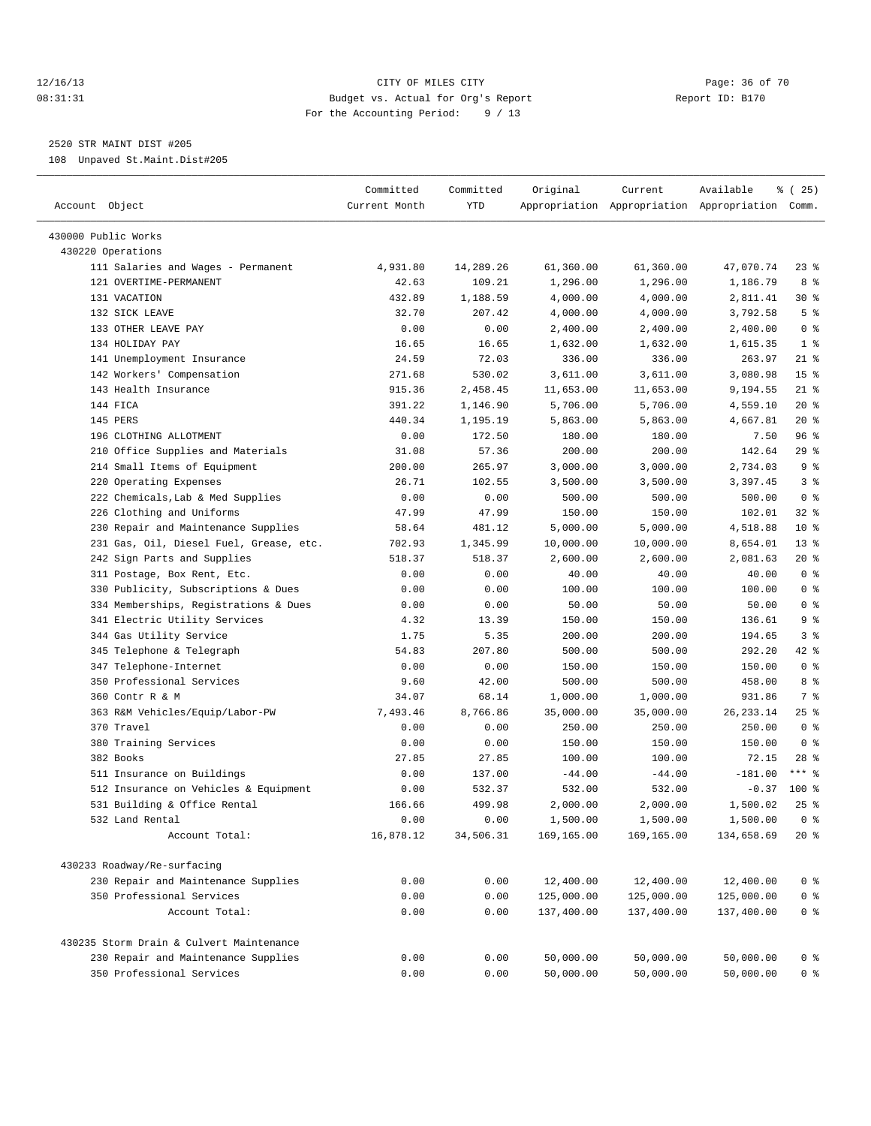### 12/16/13 Page: 36 of 70 08:31:31 Budget vs. Actual for Org's Report Report ID: B170 For the Accounting Period: 9 / 13

————————————————————————————————————————————————————————————————————————————————————————————————————————————————————————————————————

2520 STR MAINT DIST #205

108 Unpaved St.Maint.Dist#205

|                                          | Committed     | Committed | Original   | Current    | Available                                       | <sub>ර</sub> ි (25) |
|------------------------------------------|---------------|-----------|------------|------------|-------------------------------------------------|---------------------|
| Account Object                           | Current Month | YTD       |            |            | Appropriation Appropriation Appropriation Comm. |                     |
| 430000 Public Works                      |               |           |            |            |                                                 |                     |
| 430220 Operations                        |               |           |            |            |                                                 |                     |
| 111 Salaries and Wages - Permanent       | 4,931.80      | 14,289.26 | 61,360.00  | 61,360.00  | 47,070.74                                       | $23$ %              |
| 121 OVERTIME-PERMANENT                   | 42.63         | 109.21    | 1,296.00   | 1,296.00   | 1,186.79                                        | 8 %                 |
| 131 VACATION                             | 432.89        | 1,188.59  | 4,000.00   | 4,000.00   | 2,811.41                                        | $30*$               |
| 132 SICK LEAVE                           | 32.70         | 207.42    | 4,000.00   | 4,000.00   | 3,792.58                                        | 5 <sup>°</sup>      |
| 133 OTHER LEAVE PAY                      | 0.00          | 0.00      | 2,400.00   | 2,400.00   | 2,400.00                                        | 0 <sup>8</sup>      |
| 134 HOLIDAY PAY                          | 16.65         | 16.65     | 1,632.00   | 1,632.00   | 1,615.35                                        | 1 <sup>8</sup>      |
| 141 Unemployment Insurance               | 24.59         | 72.03     | 336.00     | 336.00     | 263.97                                          | $21$ %              |
| 142 Workers' Compensation                | 271.68        | 530.02    | 3,611.00   | 3,611.00   | 3,080.98                                        | 15 <sup>8</sup>     |
| 143 Health Insurance                     | 915.36        | 2,458.45  | 11,653.00  | 11,653.00  | 9,194.55                                        | $21$ %              |
| 144 FICA                                 | 391.22        | 1,146.90  | 5,706.00   | 5,706.00   | 4,559.10                                        | $20*$               |
| 145 PERS                                 | 440.34        | 1,195.19  | 5,863.00   | 5,863.00   | 4,667.81                                        | $20*$               |
| 196 CLOTHING ALLOTMENT                   | 0.00          | 172.50    | 180.00     | 180.00     | 7.50                                            | 96%                 |
| 210 Office Supplies and Materials        | 31.08         | 57.36     | 200.00     | 200.00     | 142.64                                          | 29 %                |
| 214 Small Items of Equipment             | 200.00        | 265.97    | 3,000.00   | 3,000.00   | 2,734.03                                        | 9 <sup>°</sup>      |
| 220 Operating Expenses                   | 26.71         | 102.55    | 3,500.00   | 3,500.00   | 3,397.45                                        | 3 <sup>8</sup>      |
| 222 Chemicals, Lab & Med Supplies        | 0.00          | 0.00      | 500.00     | 500.00     | 500.00                                          | 0 <sup>8</sup>      |
| 226 Clothing and Uniforms                | 47.99         | 47.99     | 150.00     | 150.00     | 102.01                                          | $32$ $%$            |
| 230 Repair and Maintenance Supplies      | 58.64         | 481.12    | 5,000.00   | 5,000.00   | 4,518.88                                        | $10*$               |
| 231 Gas, Oil, Diesel Fuel, Grease, etc.  | 702.93        | 1,345.99  | 10,000.00  | 10,000.00  | 8,654.01                                        | $13*$               |
| 242 Sign Parts and Supplies              | 518.37        | 518.37    | 2,600.00   | 2,600.00   | 2,081.63                                        | $20*$               |
| 311 Postage, Box Rent, Etc.              | 0.00          | 0.00      | 40.00      | 40.00      | 40.00                                           | 0 <sup>8</sup>      |
| 330 Publicity, Subscriptions & Dues      | 0.00          | 0.00      | 100.00     | 100.00     | 100.00                                          | 0 <sup>8</sup>      |
| 334 Memberships, Registrations & Dues    | 0.00          | 0.00      | 50.00      | 50.00      | 50.00                                           | 0 <sup>8</sup>      |
| 341 Electric Utility Services            | 4.32          | 13.39     | 150.00     | 150.00     | 136.61                                          | 9 <sub>8</sub>      |
| 344 Gas Utility Service                  | 1.75          | 5.35      | 200.00     | 200.00     | 194.65                                          | 3%                  |
| 345 Telephone & Telegraph                | 54.83         | 207.80    | 500.00     | 500.00     | 292.20                                          | 42 %                |
| 347 Telephone-Internet                   | 0.00          | 0.00      | 150.00     | 150.00     | 150.00                                          | 0 <sup>8</sup>      |
| 350 Professional Services                | 9.60          | 42.00     | 500.00     | 500.00     | 458.00                                          | 8 %                 |
| 360 Contr R & M                          | 34.07         | 68.14     | 1,000.00   | 1,000.00   | 931.86                                          | 7 %                 |
| 363 R&M Vehicles/Equip/Labor-PW          | 7,493.46      | 8,766.86  | 35,000.00  | 35,000.00  | 26, 233. 14                                     | $25$ %              |
| 370 Travel                               | 0.00          | 0.00      | 250.00     | 250.00     | 250.00                                          | 0 <sup>8</sup>      |
| 380 Training Services                    | 0.00          | 0.00      | 150.00     | 150.00     | 150.00                                          | 0 <sup>8</sup>      |
| 382 Books                                | 27.85         | 27.85     | 100.00     | 100.00     | 72.15                                           | $28$ %              |
| 511 Insurance on Buildings               | 0.00          | 137.00    | $-44.00$   | $-44.00$   | $-181.00$                                       | $***$ $-$           |
| 512 Insurance on Vehicles & Equipment    | 0.00          | 532.37    | 532.00     | 532.00     | $-0.37$                                         | $100$ %             |
| 531 Building & Office Rental             | 166.66        | 499.98    | 2,000.00   | 2,000.00   | 1,500.02                                        | $25$ $%$            |
| 532 Land Rental                          | 0.00          | 0.00      | 1,500.00   | 1,500.00   | 1,500.00                                        | 0 <sup>8</sup>      |
| Account Total:                           | 16,878.12     | 34,506.31 | 169,165.00 | 169,165.00 | 134,658.69                                      | $20*$               |
|                                          |               |           |            |            |                                                 |                     |
| 430233 Roadway/Re-surfacing              |               |           |            |            |                                                 |                     |
| 230 Repair and Maintenance Supplies      | 0.00          | 0.00      | 12,400.00  | 12,400.00  | 12,400.00                                       | $0$ %               |
| 350 Professional Services                | 0.00          | 0.00      | 125,000.00 | 125,000.00 | 125,000.00                                      | 0 <sub>8</sub>      |
| Account Total:                           | 0.00          | 0.00      | 137,400.00 | 137,400.00 | 137,400.00                                      | $0$ %               |
| 430235 Storm Drain & Culvert Maintenance |               |           |            |            |                                                 |                     |
| 230 Repair and Maintenance Supplies      | 0.00          | 0.00      | 50,000.00  | 50,000.00  | 50,000.00                                       | 0 %                 |
| 350 Professional Services                | 0.00          | 0.00      | 50,000.00  | 50,000.00  | 50,000.00                                       | $0$ %               |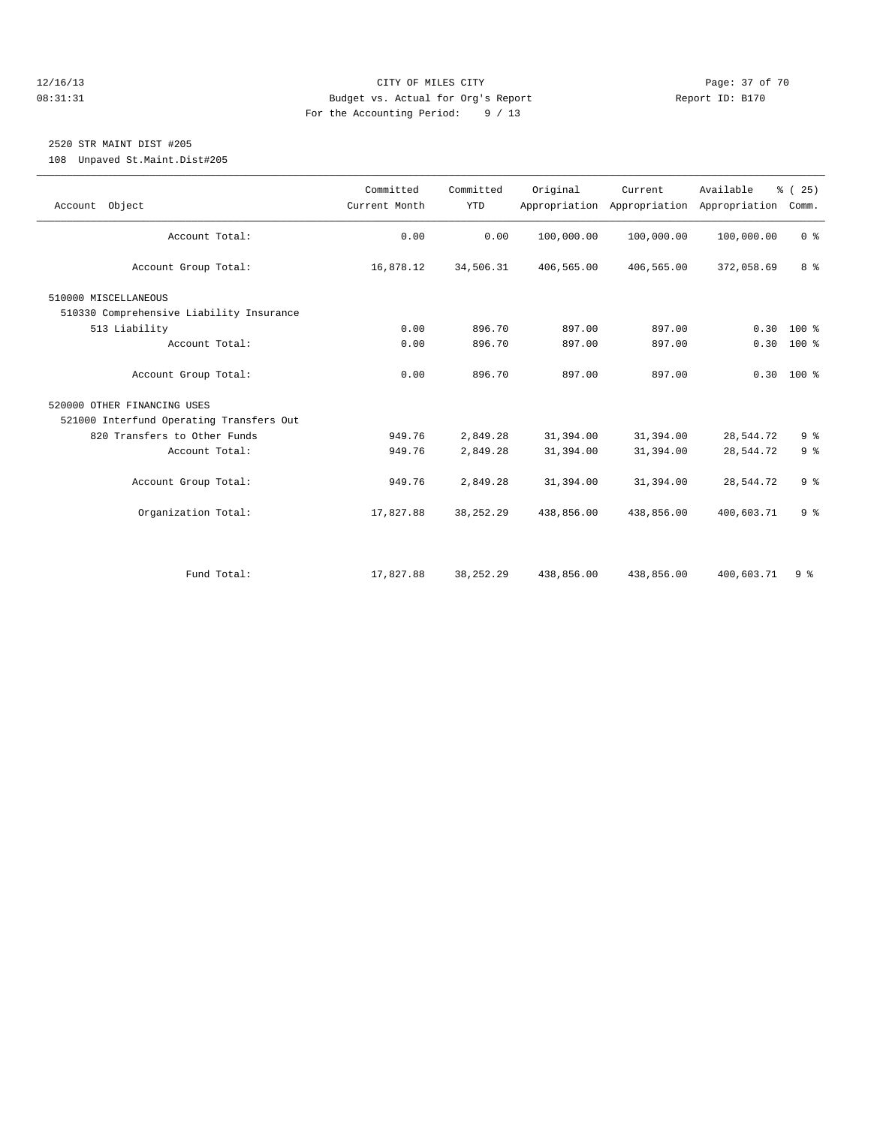### 12/16/13 Page: 37 of 70 08:31:31 Budget vs. Actual for Org's Report Changer Report ID: B170 For the Accounting Period: 9 / 13

### 2520 STR MAINT DIST #205

108 Unpaved St.Maint.Dist#205

| Account Object                           | Committed<br>Current Month | Committed<br><b>YTD</b> | Original   | Current<br>Appropriation Appropriation | Available<br>Appropriation | % (25)<br>Comm. |  |
|------------------------------------------|----------------------------|-------------------------|------------|----------------------------------------|----------------------------|-----------------|--|
| Account Total:                           | 0.00                       | 0.00                    | 100,000.00 | 100,000.00                             | 100,000.00                 | 0 <sup>8</sup>  |  |
|                                          |                            |                         |            |                                        |                            | 8 %             |  |
| Account Group Total:                     | 16,878.12                  | 34,506.31               | 406,565.00 | 406,565.00                             | 372,058.69                 |                 |  |
| 510000 MISCELLANEOUS                     |                            |                         |            |                                        |                            |                 |  |
| 510330 Comprehensive Liability Insurance |                            |                         |            |                                        |                            |                 |  |
| 513 Liability                            | 0.00                       | 896.70                  | 897.00     | 897.00                                 | 0.30                       | $100*$          |  |
| Account Total:                           | 0.00                       | 896.70                  | 897.00     | 897.00                                 |                            | $0.30 100$ %    |  |
|                                          |                            |                         |            |                                        |                            |                 |  |
| Account Group Total:                     | 0.00                       | 896.70                  | 897.00     | 897.00                                 |                            | $0.30$ 100 %    |  |
| 520000 OTHER FINANCING USES              |                            |                         |            |                                        |                            |                 |  |
| 521000 Interfund Operating Transfers Out |                            |                         |            |                                        |                            |                 |  |
| 820 Transfers to Other Funds             | 949.76                     | 2,849.28                | 31,394.00  | 31,394.00                              | 28,544.72                  | 9 <sup>°</sup>  |  |
| Account Total:                           | 949.76                     | 2,849.28                | 31,394.00  | 31,394.00                              | 28,544.72                  | 9 <sup>°</sup>  |  |
| Account Group Total:                     | 949.76                     | 2,849.28                | 31,394.00  | 31,394.00                              | 28,544.72                  | 9 <sup>8</sup>  |  |
|                                          |                            |                         |            |                                        |                            |                 |  |
| Organization Total:                      | 17,827.88                  | 38, 252. 29             | 438,856.00 | 438,856.00                             | 400,603.71                 | 9 <sup>°</sup>  |  |
|                                          |                            |                         |            |                                        |                            |                 |  |
|                                          |                            |                         |            |                                        |                            |                 |  |
| Fund Total:                              | 17,827.88                  | 38, 252. 29             | 438,856.00 | 438,856.00                             | 400,603.71                 | 9%              |  |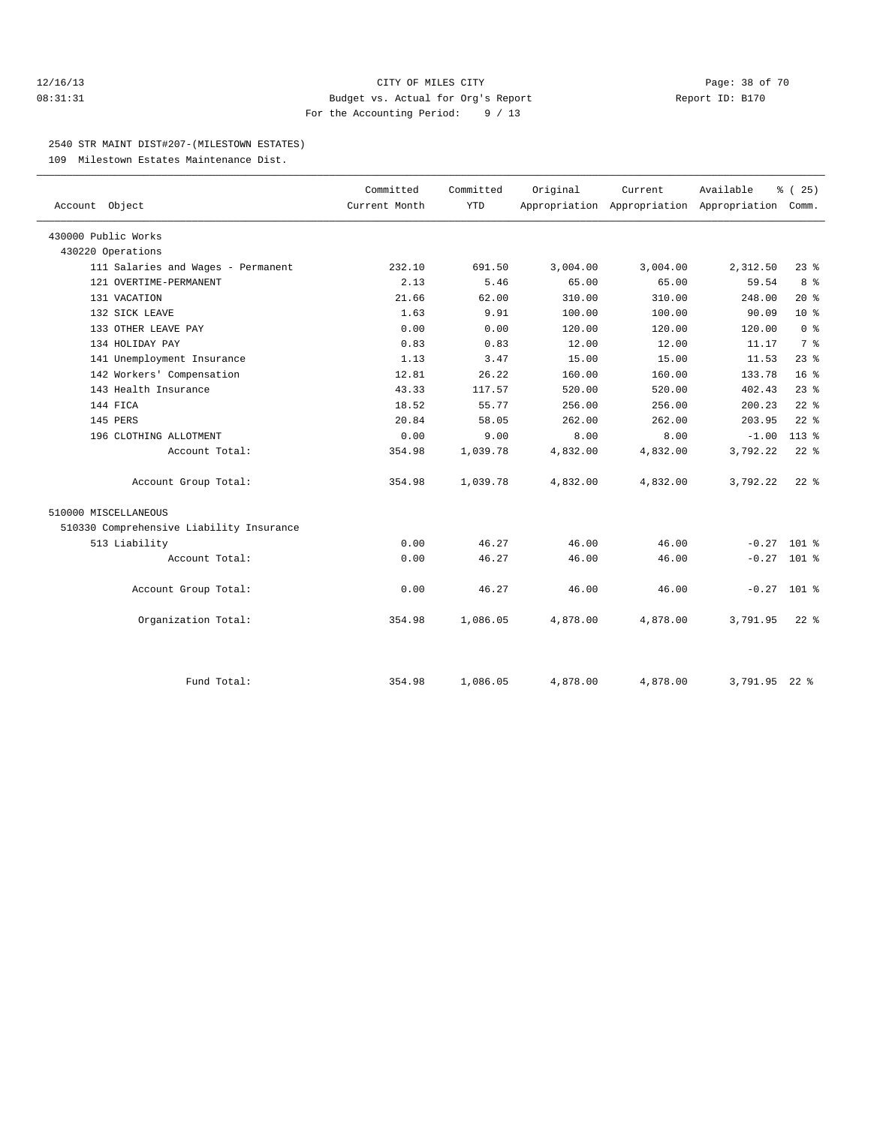### 12/16/13 Page: 38 of 70 08:31:31 Budget vs. Actual for Org's Report Report ID: B170 For the Accounting Period: 9 / 13

### 2540 STR MAINT DIST#207-(MILESTOWN ESTATES)

109 Milestown Estates Maintenance Dist.

| Account Object                           | Committed<br>Current Month | Committed<br><b>YTD</b> | Original | Current  | Available<br>Appropriation Appropriation Appropriation | % (25)<br>Comm. |
|------------------------------------------|----------------------------|-------------------------|----------|----------|--------------------------------------------------------|-----------------|
| 430000 Public Works                      |                            |                         |          |          |                                                        |                 |
| 430220 Operations                        |                            |                         |          |          |                                                        |                 |
| 111 Salaries and Wages - Permanent       | 232.10                     | 691.50                  | 3,004.00 | 3,004.00 | 2,312.50                                               | $23*$           |
| 121 OVERTIME-PERMANENT                   | 2.13                       | 5.46                    | 65.00    | 65.00    | 59.54                                                  | $8\degree$      |
| 131 VACATION                             | 21.66                      | 62.00                   | 310.00   | 310.00   | 248.00                                                 | $20*$           |
| 132 SICK LEAVE                           | 1.63                       | 9.91                    | 100.00   | 100.00   | 90.09                                                  | $10*$           |
| 133 OTHER LEAVE PAY                      | 0.00                       | 0.00                    | 120.00   | 120.00   | 120.00                                                 | 0 <sup>8</sup>  |
| 134 HOLIDAY PAY                          | 0.83                       | 0.83                    | 12.00    | 12.00    | 11.17                                                  | 7 <sup>°</sup>  |
| 141 Unemployment Insurance               | 1.13                       | 3.47                    | 15.00    | 15.00    |                                                        | $23$ $%$        |
|                                          | 12.81                      | 26.22                   | 160.00   | 160.00   | 11.53<br>133.78                                        | 16 <sup>8</sup> |
| 142 Workers' Compensation                | 43.33                      |                         | 520.00   | 520.00   | 402.43                                                 |                 |
| 143 Health Insurance                     |                            | 117.57                  |          |          |                                                        | $23$ $%$        |
| 144 FICA                                 | 18.52                      | 55.77                   | 256.00   | 256.00   | 200.23                                                 | $22$ $%$        |
| 145 PERS                                 | 20.84                      | 58.05                   | 262.00   | 262.00   | 203.95                                                 | $22$ $%$        |
| 196 CLOTHING ALLOTMENT                   | 0.00                       | 9.00                    | 8.00     | 8.00     | $-1.00$                                                | 113 %           |
| Account Total:                           | 354.98                     | 1,039.78                | 4,832.00 | 4,832.00 | 3,792.22                                               | $22$ %          |
| Account Group Total:                     | 354.98                     | 1,039.78                | 4,832.00 | 4,832.00 | 3,792.22                                               | $22*$           |
| 510000 MISCELLANEOUS                     |                            |                         |          |          |                                                        |                 |
| 510330 Comprehensive Liability Insurance |                            |                         |          |          |                                                        |                 |
| 513 Liability                            | 0.00                       | 46.27                   | 46.00    | 46.00    |                                                        | $-0.27$ 101 %   |
| Account Total:                           | 0.00                       | 46.27                   | 46.00    | 46.00    |                                                        | $-0.27$ 101 %   |
| Account Group Total:                     | 0.00                       | 46.27                   | 46.00    | 46.00    |                                                        | $-0.27$ 101 %   |
| Organization Total:                      | 354.98                     | 1,086.05                | 4,878.00 | 4,878.00 | 3,791.95                                               | $22*$           |
| Fund Total:                              | 354.98                     | 1,086.05                | 4,878.00 | 4,878.00 | 3,791.95 22 %                                          |                 |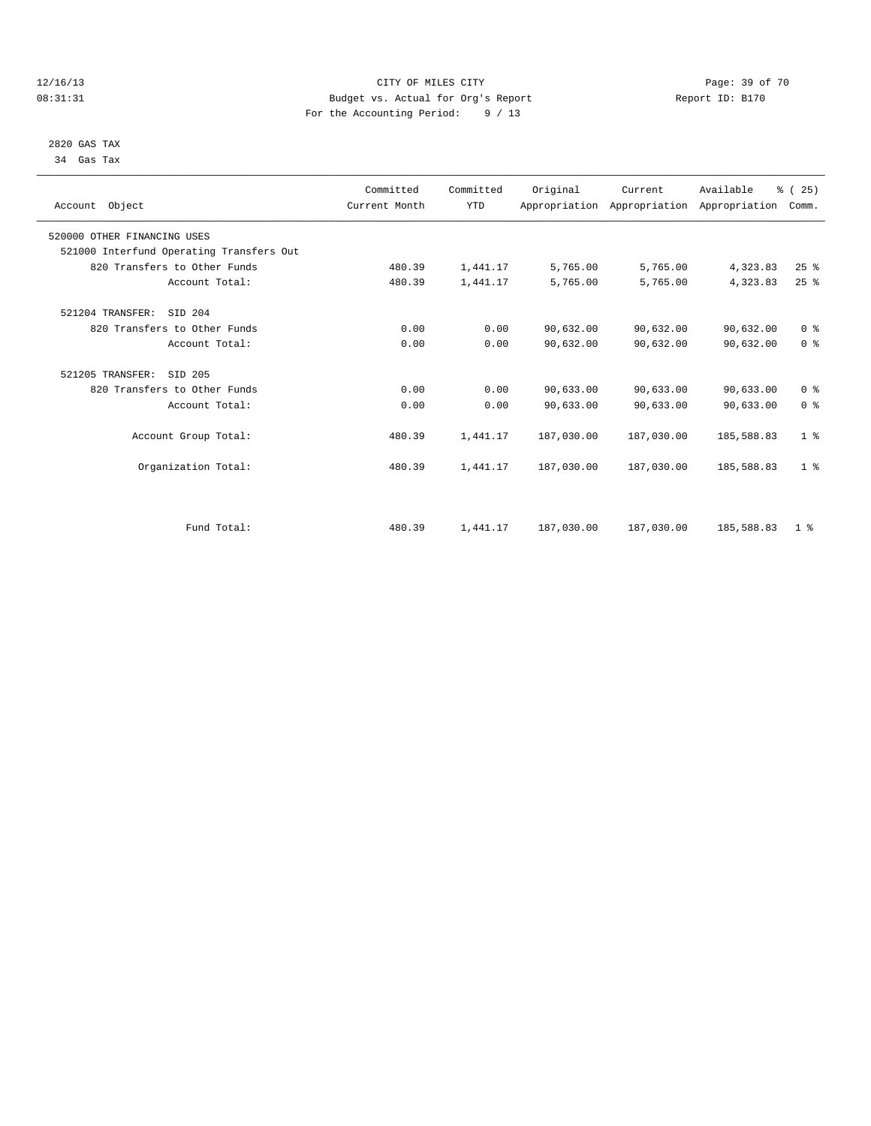### 12/16/13 Page: 39 of 70 08:31:31 Budget vs. Actual for Org's Report Changer Report ID: B170 For the Accounting Period: 9 / 13

### 2820 GAS TAX 34 Gas Tax

| Account Object                           | Committed<br>Current Month | Committed<br><b>YTD</b> | Original   | Current<br>Appropriation Appropriation Appropriation | Available  | % (25)<br>Comm. |  |
|------------------------------------------|----------------------------|-------------------------|------------|------------------------------------------------------|------------|-----------------|--|
| 520000 OTHER FINANCING USES              |                            |                         |            |                                                      |            |                 |  |
| 521000 Interfund Operating Transfers Out |                            |                         |            |                                                      |            |                 |  |
| 820 Transfers to Other Funds             | 480.39                     | 1,441.17                | 5,765.00   | 5,765.00                                             | 4,323.83   | 25%             |  |
| Account Total:                           | 480.39                     | 1,441.17                | 5,765.00   | 5,765.00                                             | 4,323.83   | $25$ $%$        |  |
| 521204 TRANSFER:<br>SID 204              |                            |                         |            |                                                      |            |                 |  |
| 820 Transfers to Other Funds             | 0.00                       | 0.00                    | 90,632.00  | 90,632.00                                            | 90,632.00  | 0 <sup>8</sup>  |  |
| Account Total:                           | 0.00                       | 0.00                    | 90,632.00  | 90,632.00                                            | 90,632.00  | 0 <sup>8</sup>  |  |
| 521205 TRANSFER:<br>SID 205              |                            |                         |            |                                                      |            |                 |  |
| 820 Transfers to Other Funds             | 0.00                       | 0.00                    | 90,633.00  | 90,633.00                                            | 90,633.00  | 0 <sup>8</sup>  |  |
| Account Total:                           | 0.00                       | 0.00                    | 90,633.00  | 90,633.00                                            | 90,633.00  | 0 <sup>8</sup>  |  |
| Account Group Total:                     | 480.39                     | 1,441.17                | 187,030.00 | 187,030.00                                           | 185,588.83 | 1 <sup>8</sup>  |  |
| Organization Total:                      | 480.39                     | 1,441.17                | 187,030.00 | 187,030.00                                           | 185,588.83 | 1 <sup>8</sup>  |  |
|                                          |                            |                         |            |                                                      |            |                 |  |
| Fund Total:                              | 480.39                     | 1,441.17                | 187,030.00 | 187,030.00                                           | 185,588.83 | 1 <sup>8</sup>  |  |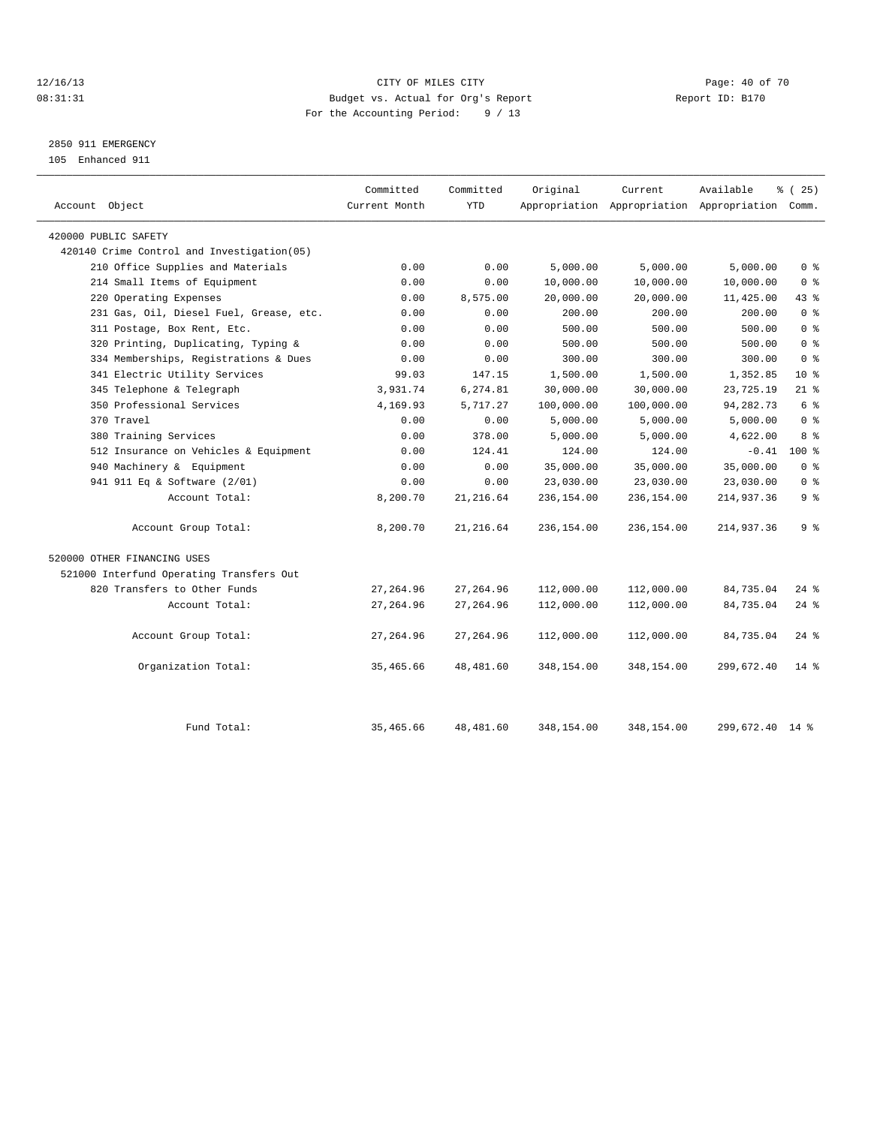### 12/16/13 Page: 40 of 70 08:31:31 Budget vs. Actual for Org's Report Changer Report ID: B170 For the Accounting Period: 9 / 13

### 2850 911 EMERGENCY

105 Enhanced 911

| Account Object                             | Committed<br>Current Month | Committed<br><b>YTD</b> | Original   | Current    | Available<br>Appropriation Appropriation Appropriation Comm. | % (25)             |
|--------------------------------------------|----------------------------|-------------------------|------------|------------|--------------------------------------------------------------|--------------------|
| 420000 PUBLIC SAFETY                       |                            |                         |            |            |                                                              |                    |
| 420140 Crime Control and Investigation(05) |                            |                         |            |            |                                                              |                    |
| 210 Office Supplies and Materials          | 0.00                       | 0.00                    | 5,000.00   | 5,000.00   | 5,000.00                                                     | 0 <sup>8</sup>     |
| 214 Small Items of Equipment               | 0.00                       | 0.00                    | 10,000.00  | 10,000.00  | 10,000.00                                                    | 0 <sup>8</sup>     |
| 220 Operating Expenses                     | 0.00                       | 8,575.00                | 20,000.00  | 20,000.00  | 11,425.00                                                    | 43.8               |
| 231 Gas, Oil, Diesel Fuel, Grease, etc.    | 0.00                       | 0.00                    | 200.00     | 200.00     | 200.00                                                       | 0 <sup>8</sup>     |
| 311 Postage, Box Rent, Etc.                | 0.00                       | 0.00                    | 500.00     | 500.00     | 500.00                                                       | 0 <sup>8</sup>     |
| 320 Printing, Duplicating, Typing &        | 0.00                       | 0.00                    | 500.00     | 500.00     | 500.00                                                       | 0 <sup>8</sup>     |
| 334 Memberships, Registrations & Dues      | 0.00                       | 0.00                    | 300.00     | 300.00     | 300.00                                                       | 0 <sup>8</sup>     |
| 341 Electric Utility Services              | 99.03                      | 147.15                  | 1,500.00   | 1,500.00   | 1,352.85                                                     | 10 <sup>8</sup>    |
| 345 Telephone & Telegraph                  | 3,931.74                   | 6,274.81                | 30,000.00  | 30,000.00  | 23,725.19                                                    | $21$ %             |
| 350 Professional Services                  | 4,169.93                   | 5,717.27                | 100,000.00 | 100,000.00 | 94, 282. 73                                                  | 6 %                |
| 370 Travel                                 | 0.00                       | 0.00                    | 5,000.00   | 5,000.00   | 5,000.00                                                     | 0 <sup>8</sup>     |
| 380 Training Services                      | 0.00                       | 378.00                  | 5,000.00   | 5,000.00   | 4,622.00                                                     | 8 %                |
| 512 Insurance on Vehicles & Equipment      | 0.00                       | 124.41                  | 124.00     | 124.00     | $-0.41$                                                      | $100*$             |
| 940 Machinery & Equipment                  | 0.00                       | 0.00                    | 35,000.00  | 35,000.00  | 35,000.00                                                    | 0 <sup>8</sup>     |
| 941 911 Eq & Software (2/01)               | 0.00                       | 0.00                    | 23,030.00  | 23,030.00  | 23,030.00                                                    | 0 <sup>8</sup>     |
| Account Total:                             | 8,200.70                   | 21, 216.64              | 236,154.00 | 236,154.00 | 214,937.36                                                   | 9 %                |
| Account Group Total:                       | 8,200.70                   | 21, 216.64              | 236,154.00 | 236,154.00 | 214,937.36                                                   | 9%                 |
| 520000 OTHER FINANCING USES                |                            |                         |            |            |                                                              |                    |
| 521000 Interfund Operating Transfers Out   |                            |                         |            |            |                                                              |                    |
| 820 Transfers to Other Funds               | 27, 264.96                 | 27, 264.96              | 112,000.00 | 112,000.00 | 84,735.04                                                    | $24$ %             |
| Account Total:                             | 27, 264.96                 | 27, 264.96              | 112,000.00 | 112,000.00 | 84,735.04                                                    | $24$ %             |
| Account Group Total:                       | 27, 264.96                 | 27, 264.96              | 112,000.00 | 112,000.00 | 84,735.04                                                    | $24$ $\frac{6}{5}$ |
| Organization Total:                        | 35,465.66                  | 48,481.60               | 348,154.00 | 348,154.00 | 299,672.40                                                   | $14*$              |
| Fund Total:                                | 35,465.66                  | 48,481.60               | 348,154.00 | 348,154.00 | 299,672.40 14 %                                              |                    |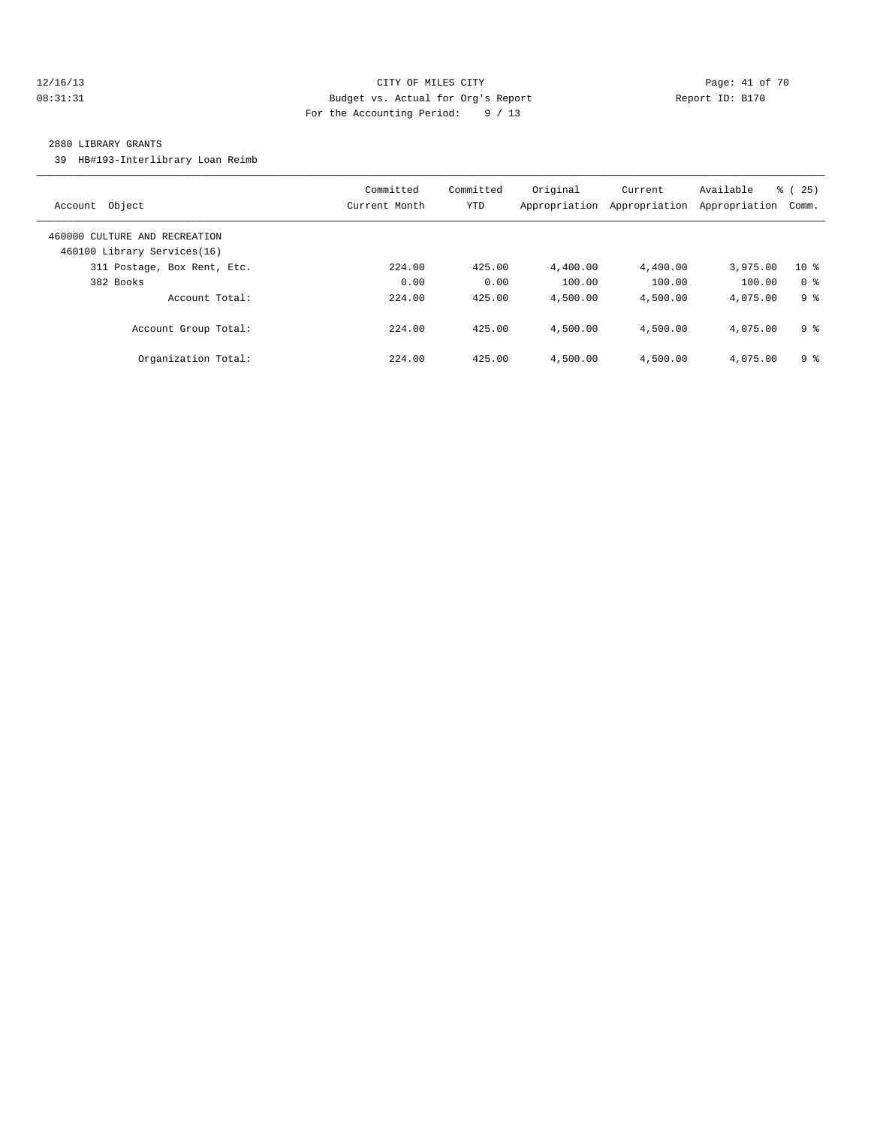### 12/16/13 Page: 41 of 70 08:31:31 Budget vs. Actual for Org's Report Changer Report ID: B170 For the Accounting Period: 9 / 13

### 2880 LIBRARY GRANTS

39 HB#193-Interlibrary Loan Reimb

| Object<br>Account                                            | Committed<br>Current Month | Committed<br><b>YTD</b> | Original<br>Appropriation | Current<br>Appropriation | Available<br>Appropriation | 25)<br>ී (<br>Comm. |
|--------------------------------------------------------------|----------------------------|-------------------------|---------------------------|--------------------------|----------------------------|---------------------|
| 460000 CULTURE AND RECREATION<br>460100 Library Services(16) |                            |                         |                           |                          |                            |                     |
| 311 Postage, Box Rent, Etc.                                  | 224.00                     | 425.00                  | 4,400.00                  | 4,400.00                 | 3,975.00                   | $10*$               |
| 382 Books                                                    | 0.00                       | 0.00                    | 100.00                    | 100.00                   | 100.00                     | 0 <sup>8</sup>      |
| Account Total:                                               | 224.00                     | 425.00                  | 4,500.00                  | 4,500.00                 | 4,075.00                   | 9 %                 |
| Account Group Total:                                         | 224.00                     | 425.00                  | 4,500.00                  | 4,500.00                 | 4,075.00                   | 9 <sup>8</sup>      |
| Organization Total:                                          | 224.00                     | 425.00                  | 4,500.00                  | 4,500.00                 | 4,075.00                   | 9 <sup>8</sup>      |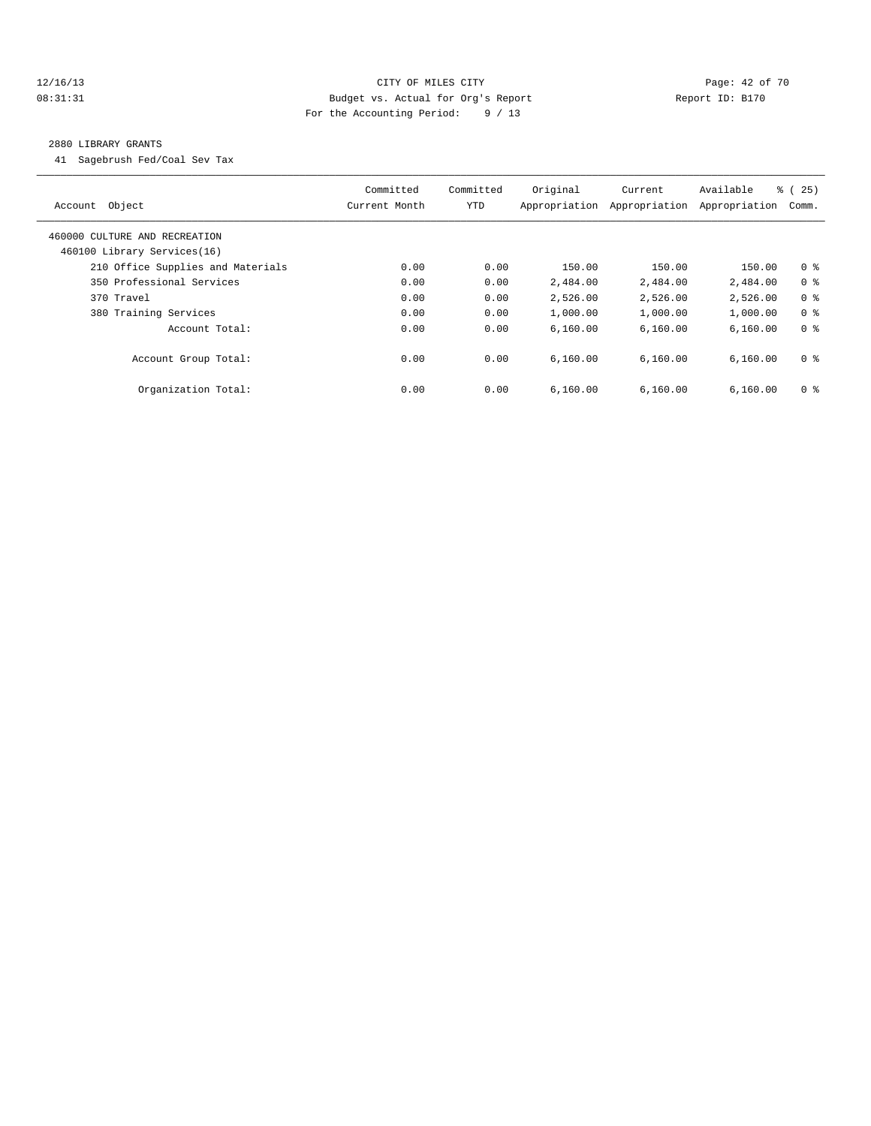### 12/16/13 Page: 42 of 70 08:31:31 Budget vs. Actual for Org's Report Changer Report ID: B170 For the Accounting Period: 9 / 13

#### 2880 LIBRARY GRANTS

41 Sagebrush Fed/Coal Sev Tax

| Object<br>Account                                            | Committed<br>Current Month | Committed<br>YTD | Original<br>Appropriation | Current<br>Appropriation | Available<br>Appropriation | % (25)<br>Comm. |
|--------------------------------------------------------------|----------------------------|------------------|---------------------------|--------------------------|----------------------------|-----------------|
| 460000 CULTURE AND RECREATION<br>460100 Library Services(16) |                            |                  |                           |                          |                            |                 |
| 210 Office Supplies and Materials                            | 0.00                       | 0.00             | 150.00                    | 150.00                   | 150.00                     | 0 <sup>8</sup>  |
| 350 Professional Services                                    | 0.00                       | 0.00             | 2,484.00                  | 2,484.00                 | 2,484.00                   | 0 <sup>8</sup>  |
| 370 Travel                                                   | 0.00                       | 0.00             | 2,526.00                  | 2,526.00                 | 2,526.00                   | 0 <sup>8</sup>  |
| 380 Training Services                                        | 0.00                       | 0.00             | 1,000.00                  | 1,000.00                 | 1,000.00                   | 0 <sup>8</sup>  |
| Account Total:                                               | 0.00                       | 0.00             | 6,160.00                  | 6,160.00                 | 6, 160.00                  | 0 <sup>8</sup>  |
| Account Group Total:                                         | 0.00                       | 0.00             | 6.160.00                  | 6.160.00                 | 6,160.00                   | 0 <sup>8</sup>  |
| Organization Total:                                          | 0.00                       | 0.00             | 6.160.00                  | 6.160.00                 | 6,160.00                   | 0 <sup>8</sup>  |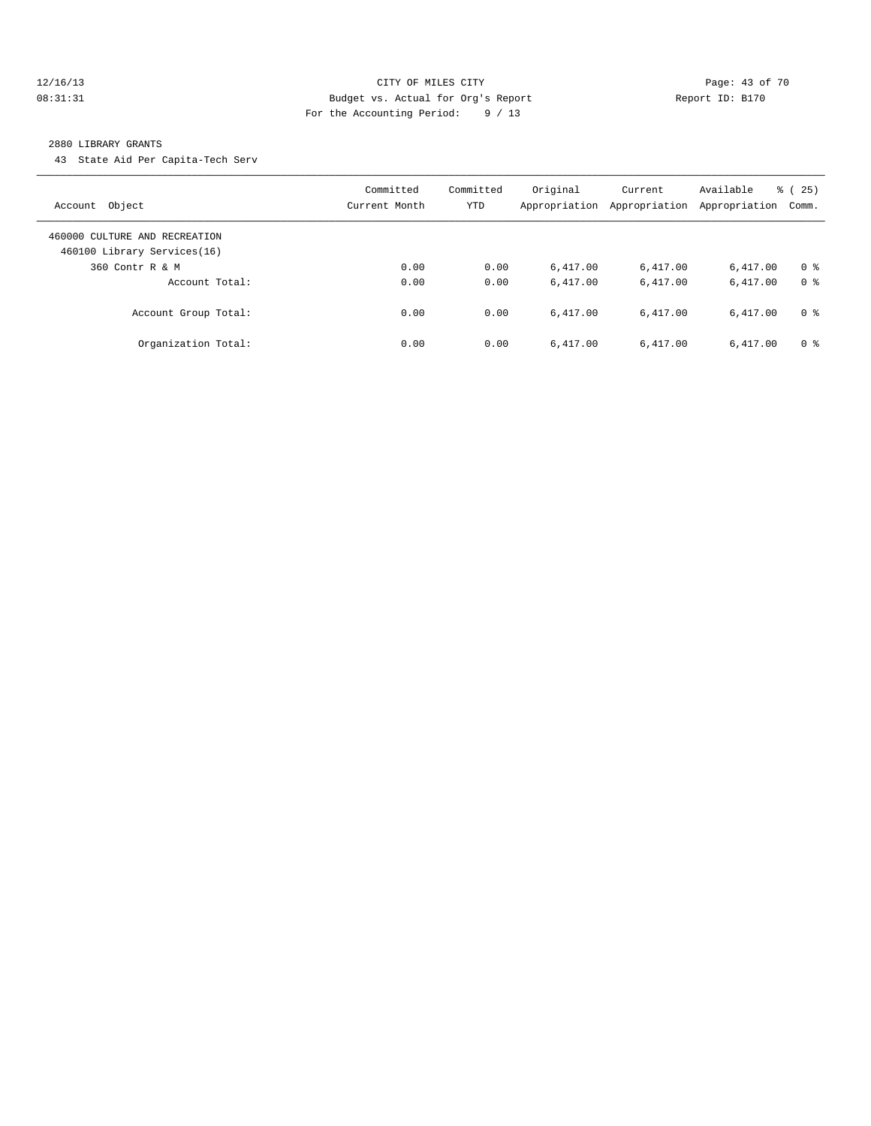### 12/16/13 Page: 43 of 70 08:31:31 Budget vs. Actual for Org's Report Changer Report ID: B170 For the Accounting Period: 9 / 13

#### 2880 LIBRARY GRANTS

43 State Aid Per Capita-Tech Serv

| Account Object                                               | Committed<br>Current Month | Committed<br>YTD | Original<br>Appropriation | Current<br>Appropriation | Available<br>Appropriation | $\frac{3}{6}$ ( 25 )<br>Comm. |
|--------------------------------------------------------------|----------------------------|------------------|---------------------------|--------------------------|----------------------------|-------------------------------|
| 460000 CULTURE AND RECREATION<br>460100 Library Services(16) |                            |                  |                           |                          |                            |                               |
| 360 Contr R & M                                              | 0.00                       | 0.00             | 6.417.00                  | 6,417.00                 | 6.417.00                   | 0 <sup>8</sup>                |
| Account Total:                                               | 0.00                       | 0.00             | 6.417.00                  | 6.417.00                 | 6,417.00                   | 0 <sup>8</sup>                |
| Account Group Total:                                         | 0.00                       | 0.00             | 6.417.00                  | 6.417.00                 | 6.417.00                   | 0 <sup>8</sup>                |
| Organization Total:                                          | 0.00                       | 0.00             | 6.417.00                  | 6,417.00                 | 6.417.00                   | 0 <sup>8</sup>                |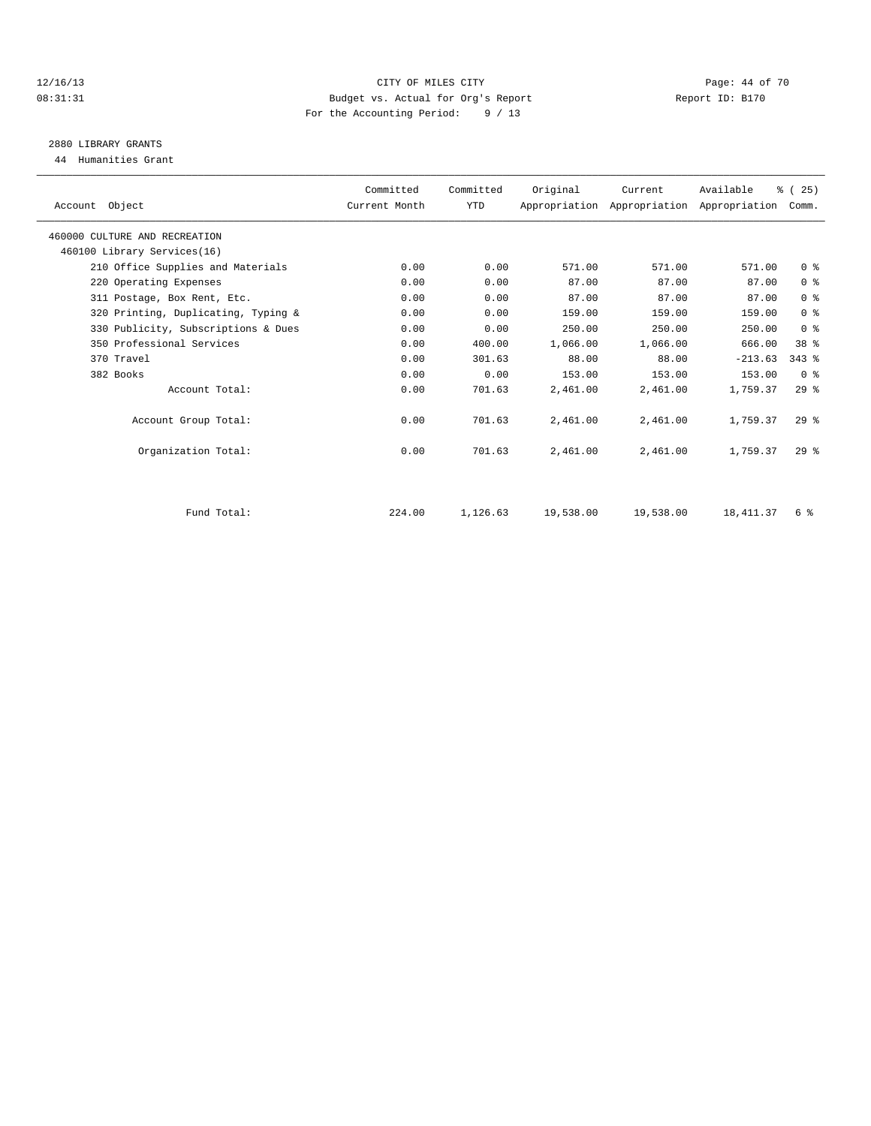### 12/16/13 Page: 44 of 70 08:31:31 Budget vs. Actual for Org's Report Report ID: B170 For the Accounting Period: 9 / 13

## 2880 LIBRARY GRANTS

44 Humanities Grant

| Account Object                      | Committed<br>Current Month | Committed<br><b>YTD</b> | Original  | Current<br>Appropriation Appropriation Appropriation | Available | % (25)<br>Comm. |  |
|-------------------------------------|----------------------------|-------------------------|-----------|------------------------------------------------------|-----------|-----------------|--|
| 460000 CULTURE AND RECREATION       |                            |                         |           |                                                      |           |                 |  |
| 460100 Library Services(16)         |                            |                         |           |                                                      |           |                 |  |
| 210 Office Supplies and Materials   | 0.00                       | 0.00                    | 571.00    | 571.00                                               | 571.00    | 0 <sup>8</sup>  |  |
| 220 Operating Expenses              | 0.00                       | 0.00                    | 87.00     | 87.00                                                | 87.00     | 0 <sup>8</sup>  |  |
| 311 Postage, Box Rent, Etc.         | 0.00                       | 0.00                    | 87.00     | 87.00                                                | 87.00     | 0 <sup>8</sup>  |  |
| 320 Printing, Duplicating, Typing & | 0.00                       | 0.00                    | 159.00    | 159.00                                               | 159.00    | 0 <sup>8</sup>  |  |
| 330 Publicity, Subscriptions & Dues | 0.00                       | 0.00                    | 250.00    | 250.00                                               | 250.00    | 0 <sup>8</sup>  |  |
| 350 Professional Services           | 0.00                       | 400.00                  | 1,066.00  | 1,066.00                                             | 666.00    | 38 %            |  |
| 370 Travel                          | 0.00                       | 301.63                  | 88.00     | 88.00                                                | $-213.63$ | $343$ $%$       |  |
| 382 Books                           | 0.00                       | 0.00                    | 153.00    | 153.00                                               | 153.00    | 0 <sup>8</sup>  |  |
| Account Total:                      | 0.00                       | 701.63                  | 2,461.00  | 2,461.00                                             | 1,759.37  | 29%             |  |
| Account Group Total:                | 0.00                       | 701.63                  | 2,461.00  | 2,461.00                                             | 1,759.37  | $29$ %          |  |
| Organization Total:                 | 0.00                       | 701.63                  | 2,461.00  | 2,461.00                                             | 1,759.37  | $29*$           |  |
|                                     |                            |                         |           |                                                      |           |                 |  |
| Fund Total:                         | 224.00                     | 1,126.63                | 19,538.00 | 19,538.00                                            | 18,411.37 | 6 %             |  |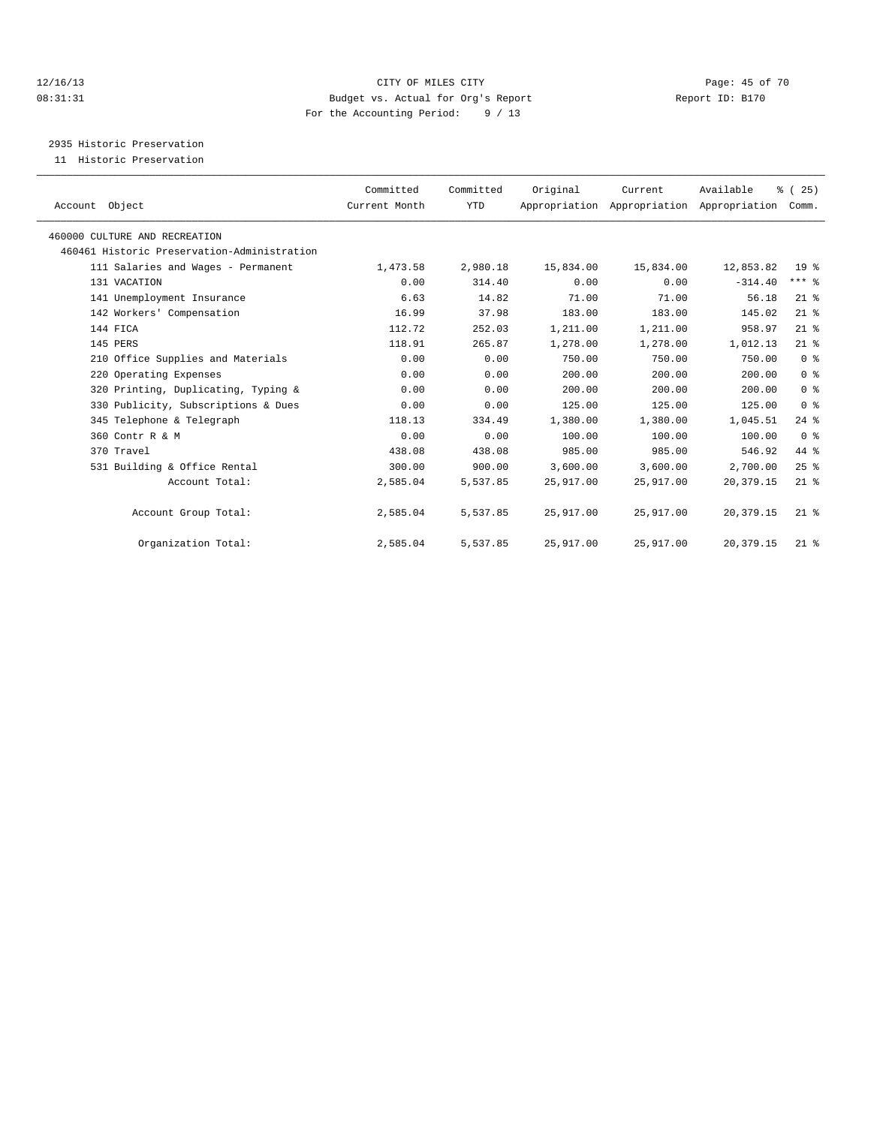### 12/16/13 Page: 45 of 70 08:31:31 Budget vs. Actual for Org's Report Changer Report ID: B170 For the Accounting Period: 9 / 13

2935 Historic Preservation

11 Historic Preservation

| Account Object                              | Committed<br>Current Month | Committed<br>YTD | Original  | Current<br>Appropriation Appropriation Appropriation | Available   | % (25)<br>Comm.    |  |
|---------------------------------------------|----------------------------|------------------|-----------|------------------------------------------------------|-------------|--------------------|--|
| 460000 CULTURE AND RECREATION               |                            |                  |           |                                                      |             |                    |  |
| 460461 Historic Preservation-Administration |                            |                  |           |                                                      |             |                    |  |
| 111 Salaries and Wages - Permanent          | 1,473.58                   | 2,980.18         | 15,834.00 | 15,834.00                                            | 12,853.82   | 19 <sup>°</sup>    |  |
| 131 VACATION                                | 0.00                       | 314.40           | 0.00      | 0.00                                                 | $-314.40$   | $***$ $-$          |  |
| 141 Unemployment Insurance                  | 6.63                       | 14.82            | 71.00     | 71.00                                                | 56.18       | $21$ %             |  |
| 142 Workers' Compensation                   | 16.99                      | 37.98            | 183.00    | 183.00                                               | 145.02      | $21$ %             |  |
| 144 FICA                                    | 112.72                     | 252.03           | 1,211.00  | 1,211.00                                             | 958.97      | $21$ %             |  |
| 145 PERS                                    | 118.91                     | 265.87           | 1,278.00  | 1,278.00                                             | 1,012.13    | $21$ %             |  |
| 210 Office Supplies and Materials           | 0.00                       | 0.00             | 750.00    | 750.00                                               | 750.00      | 0 <sup>8</sup>     |  |
| 220 Operating Expenses                      | 0.00                       | 0.00             | 200.00    | 200.00                                               | 200.00      | 0 <sup>8</sup>     |  |
| 320 Printing, Duplicating, Typing &         | 0.00                       | 0.00             | 200.00    | 200.00                                               | 200.00      | 0 <sup>8</sup>     |  |
| 330 Publicity, Subscriptions & Dues         | 0.00                       | 0.00             | 125.00    | 125.00                                               | 125.00      | 0 <sup>8</sup>     |  |
| 345 Telephone & Telegraph                   | 118.13                     | 334.49           | 1,380.00  | 1,380.00                                             | 1,045.51    | $24$ $\frac{6}{5}$ |  |
| 360 Contr R & M                             | 0.00                       | 0.00             | 100.00    | 100.00                                               | 100.00      | 0 <sup>8</sup>     |  |
| 370 Travel                                  | 438.08                     | 438.08           | 985.00    | 985.00                                               | 546.92      | 44 %               |  |
| 531 Building & Office Rental                | 300.00                     | 900.00           | 3,600.00  | 3,600.00                                             | 2,700.00    | 25%                |  |
| Account Total:                              | 2,585.04                   | 5,537.85         | 25,917.00 | 25,917.00                                            | 20, 379.15  | $21$ %             |  |
| Account Group Total:                        | 2,585.04                   | 5,537.85         | 25,917.00 | 25,917.00                                            | 20, 379. 15 | $21*$              |  |
| Organization Total:                         | 2,585.04                   | 5,537.85         | 25,917.00 | 25,917.00                                            | 20, 379.15  | $21$ %             |  |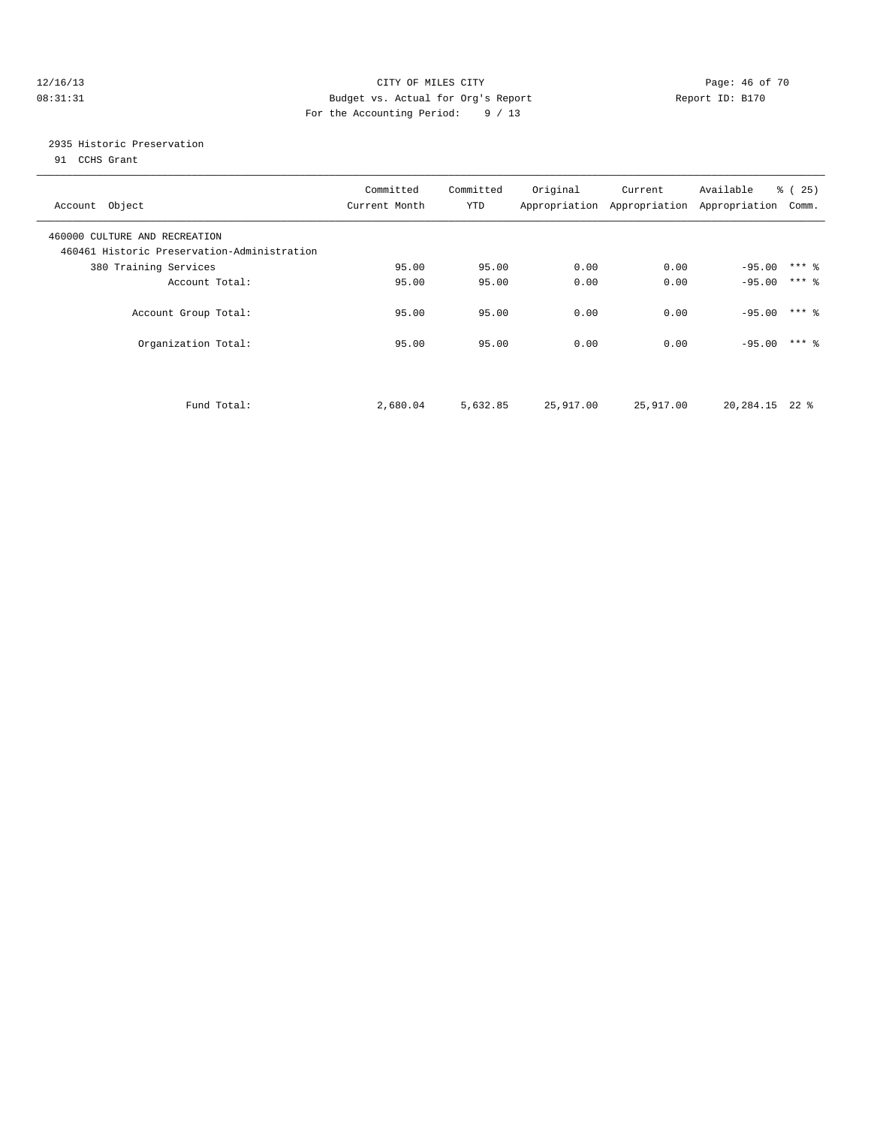### 12/16/13 Page: 46 of 70 08:31:31 Budget vs. Actual for Org's Report Changer Report ID: B170 For the Accounting Period: 9 / 13

### 2935 Historic Preservation

91 CCHS Grant

| Account Object                                                               | Committed<br>Current Month | Committed<br>YTD | Original  | Current<br>Appropriation Appropriation Appropriation | Available | % (25)<br>Comm. |
|------------------------------------------------------------------------------|----------------------------|------------------|-----------|------------------------------------------------------|-----------|-----------------|
| 460000 CULTURE AND RECREATION<br>460461 Historic Preservation-Administration |                            |                  |           |                                                      |           |                 |
| 380 Training Services                                                        | 95.00                      | 95.00            | 0.00      | 0.00                                                 | $-95.00$  | $***$ 2         |
| Account Total:                                                               | 95.00                      | 95.00            | 0.00      | 0.00                                                 | $-95.00$  | $***$ 2         |
| Account Group Total:                                                         | 95.00                      | 95.00            | 0.00      | 0.00                                                 | $-95.00$  | $***$ 2         |
| Organization Total:                                                          | 95.00                      | 95.00            | 0.00      | 0.00                                                 | $-95.00$  | $***$ 2         |
|                                                                              |                            |                  |           |                                                      |           |                 |
| Fund Total:                                                                  | 2,680.04                   | 5,632.85         | 25,917.00 | 25,917.00                                            | 20,284.15 | $22$ $%$        |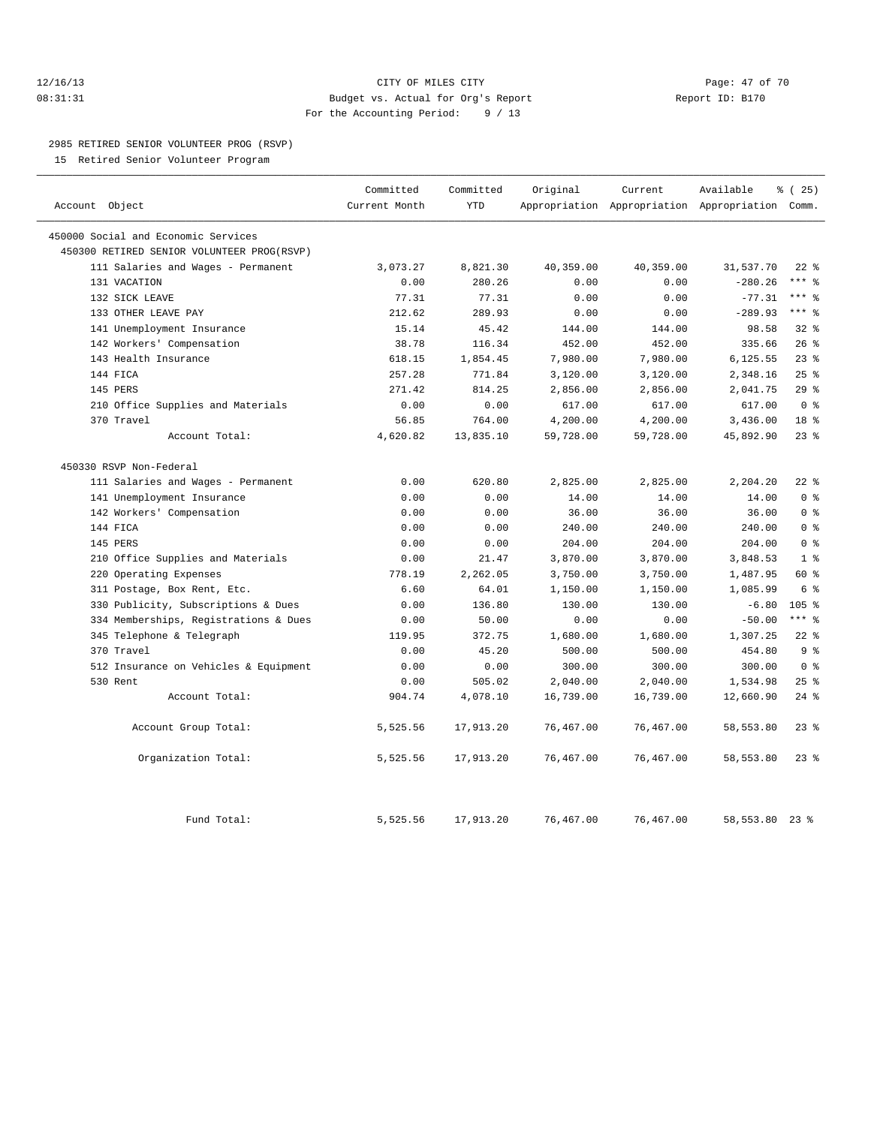### 12/16/13 Page: 47 of 70 08:31:31 Budget vs. Actual for Org's Report Report ID: B170 For the Accounting Period: 9 / 13

#### 2985 RETIRED SENIOR VOLUNTEER PROG (RSVP)

15 Retired Senior Volunteer Program

|                                            | Committed     | Committed  | Original  | Current   | Available                                       | % (25)           |
|--------------------------------------------|---------------|------------|-----------|-----------|-------------------------------------------------|------------------|
| Account Object                             | Current Month | <b>YTD</b> |           |           | Appropriation Appropriation Appropriation Comm. |                  |
| 450000 Social and Economic Services        |               |            |           |           |                                                 |                  |
| 450300 RETIRED SENIOR VOLUNTEER PROG(RSVP) |               |            |           |           |                                                 |                  |
| 111 Salaries and Wages - Permanent         | 3,073.27      | 8,821.30   | 40,359.00 | 40,359.00 | 31,537.70                                       | $22$ $%$         |
| 131 VACATION                               | 0.00          | 280.26     | 0.00      | 0.00      | $-280.26$                                       | $***$ $_{8}$     |
| 132 SICK LEAVE                             | 77.31         | 77.31      | 0.00      | 0.00      | $-77.31$                                        | $***$ 8          |
| 133 OTHER LEAVE PAY                        | 212.62        | 289.93     | 0.00      | 0.00      | $-289.93$                                       | $***$ 8          |
| 141 Unemployment Insurance                 | 15.14         | 45.42      | 144.00    | 144.00    | 98.58                                           | $32*$            |
| 142 Workers' Compensation                  | 38.78         | 116.34     | 452.00    | 452.00    | 335.66                                          | $26$ %           |
| 143 Health Insurance                       | 618.15        | 1,854.45   | 7,980.00  | 7,980.00  | 6,125.55                                        | 23%              |
| 144 FICA                                   | 257.28        | 771.84     | 3,120.00  | 3,120.00  | 2,348.16                                        | 25%              |
| 145 PERS                                   | 271.42        | 814.25     | 2,856.00  | 2,856.00  | 2,041.75                                        | 29%              |
| 210 Office Supplies and Materials          | 0.00          | 0.00       | 617.00    | 617.00    | 617.00                                          | 0 <sup>8</sup>   |
| 370 Travel                                 | 56.85         | 764.00     | 4,200.00  | 4,200.00  | 3,436.00                                        | 18 <sup>8</sup>  |
| Account Total:                             | 4,620.82      | 13,835.10  | 59,728.00 | 59,728.00 | 45,892.90                                       | $23$ $%$         |
| 450330 RSVP Non-Federal                    |               |            |           |           |                                                 |                  |
| 111 Salaries and Wages - Permanent         | 0.00          | 620.80     | 2,825.00  | 2,825.00  | 2,204.20                                        | $22$ %           |
| 141 Unemployment Insurance                 | 0.00          | 0.00       | 14.00     | 14.00     | 14.00                                           | 0 <sup>8</sup>   |
| 142 Workers' Compensation                  | 0.00          | 0.00       | 36.00     | 36.00     | 36.00                                           | 0 <sup>8</sup>   |
| 144 FICA                                   | 0.00          | 0.00       | 240.00    | 240.00    | 240.00                                          | 0 <sup>8</sup>   |
| 145 PERS                                   | 0.00          | 0.00       | 204.00    | 204.00    | 204.00                                          | 0 <sup>8</sup>   |
| 210 Office Supplies and Materials          | 0.00          | 21.47      | 3,870.00  | 3,870.00  | 3,848.53                                        | 1 <sup>8</sup>   |
| Operating Expenses<br>220                  | 778.19        | 2,262.05   | 3,750.00  | 3,750.00  | 1,487.95                                        | 60 %             |
| 311 Postage, Box Rent, Etc.                | 6.60          | 64.01      | 1,150.00  | 1,150.00  | 1,085.99                                        | 6 %              |
| 330 Publicity, Subscriptions & Dues        | 0.00          | 136.80     | 130.00    | 130.00    | $-6.80$                                         | 105 <sub>8</sub> |
| 334 Memberships, Registrations & Dues      | 0.00          | 50.00      | 0.00      | 0.00      | $-50.00$                                        | $***$ 8          |
| 345 Telephone & Telegraph                  | 119.95        | 372.75     | 1,680.00  | 1,680.00  | 1,307.25                                        | $22$ %           |
| 370 Travel                                 | 0.00          | 45.20      | 500.00    | 500.00    | 454.80                                          | 9 <sup>°</sup>   |
| 512 Insurance on Vehicles & Equipment      | 0.00          | 0.00       | 300.00    | 300.00    | 300.00                                          | 0 <sup>8</sup>   |
| 530 Rent                                   | 0.00          | 505.02     | 2,040.00  | 2,040.00  | 1,534.98                                        | 25%              |
| Account Total:                             | 904.74        | 4,078.10   | 16,739.00 | 16,739.00 | 12,660.90                                       | $24$ %           |
| Account Group Total:                       | 5,525.56      | 17,913.20  | 76,467.00 | 76,467.00 | 58,553.80                                       | $23$ $%$         |
| Organization Total:                        | 5,525.56      | 17,913.20  | 76,467.00 | 76,467.00 | 58,553.80                                       | $23*$            |
| Fund Total:                                | 5,525.56      | 17,913.20  | 76,467.00 | 76,467.00 | 58, 553.80                                      | $23$ $%$         |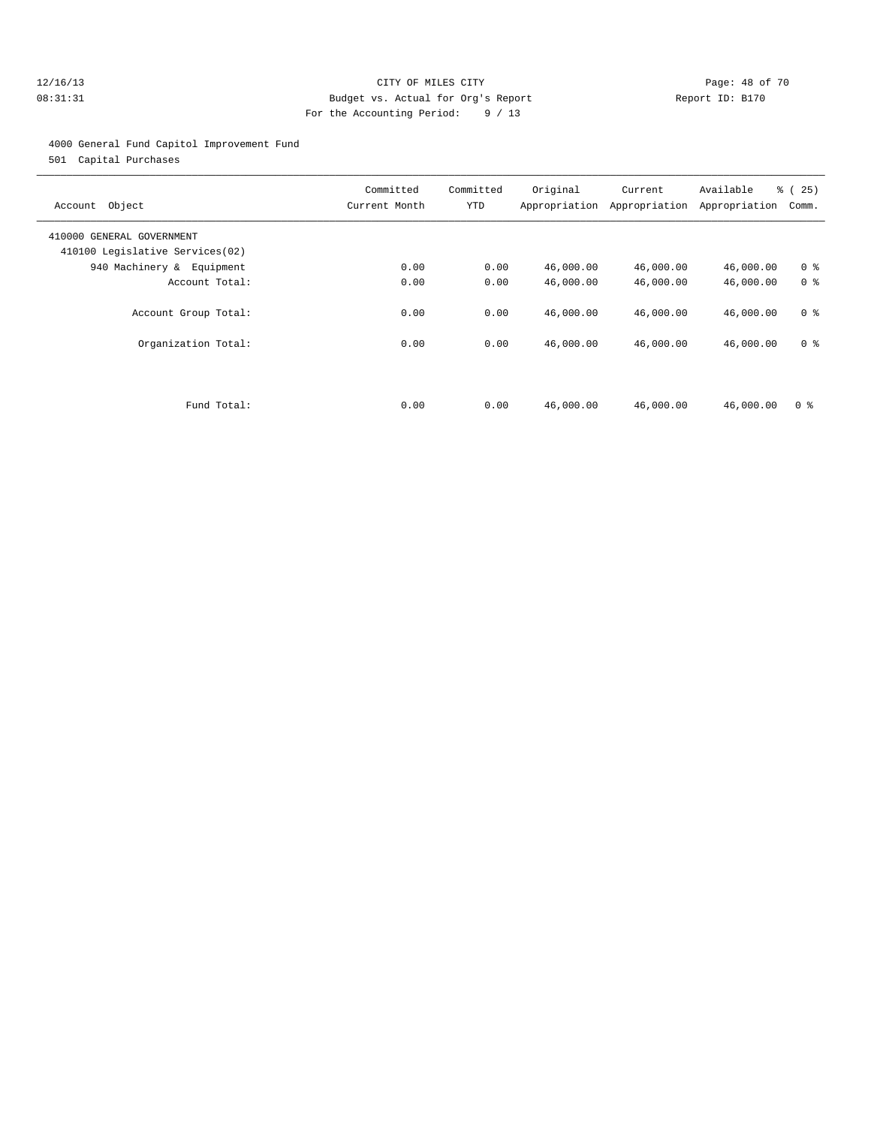### 12/16/13 Page: 48 of 70 08:31:31 Budget vs. Actual for Org's Report Report ID: B170 For the Accounting Period: 9 / 13

### 4000 General Fund Capitol Improvement Fund

501 Capital Purchases

| Object<br>Account                                            | Committed<br>Current Month | Committed<br>YTD | Original<br>Appropriation | Current<br>Appropriation | Available<br>Appropriation | % (25)<br>Comm. |
|--------------------------------------------------------------|----------------------------|------------------|---------------------------|--------------------------|----------------------------|-----------------|
| 410000 GENERAL GOVERNMENT<br>410100 Legislative Services(02) |                            |                  |                           |                          |                            |                 |
| 940 Machinery & Equipment                                    | 0.00                       | 0.00             | 46,000.00                 | 46,000.00                | 46,000.00                  | 0 <sup>8</sup>  |
| Account Total:                                               | 0.00                       | 0.00             | 46,000.00                 | 46,000.00                | 46,000.00                  | 0 <sup>8</sup>  |
| Account Group Total:                                         | 0.00                       | 0.00             | 46,000.00                 | 46,000.00                | 46,000.00                  | 0 <sup>8</sup>  |
| Organization Total:                                          | 0.00                       | 0.00             | 46,000.00                 | 46,000.00                | 46,000.00                  | 0 <sup>8</sup>  |
|                                                              |                            |                  |                           |                          |                            |                 |
| Fund Total:                                                  | 0.00                       | 0.00             | 46,000.00                 | 46,000.00                | 46,000.00                  | 0 <sup>8</sup>  |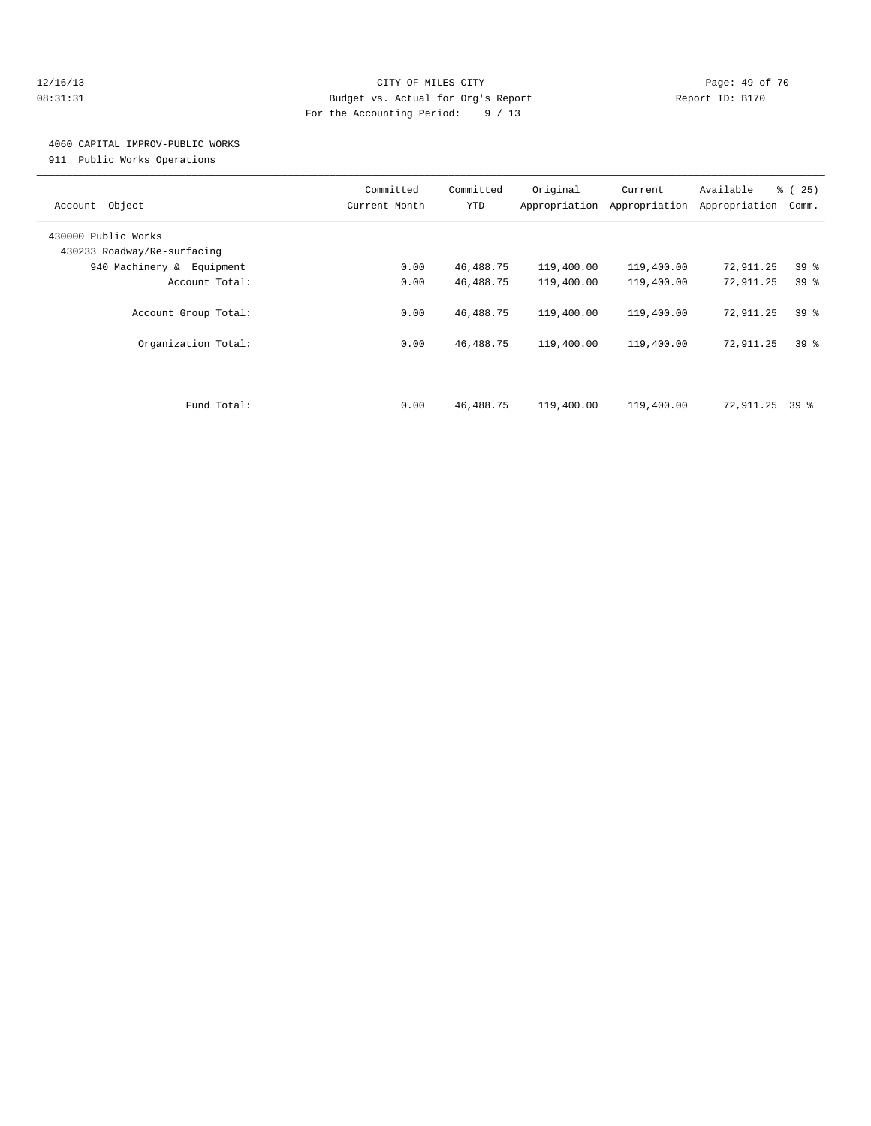### 12/16/13 Page: 49 of 70 08:31:31 Budget vs. Actual for Org's Report Changer Report ID: B170 For the Accounting Period: 9 / 13

### 4060 CAPITAL IMPROV-PUBLIC WORKS

911 Public Works Operations

| Object<br>Account                                  | Committed<br>Current Month | Committed<br>YTD | Original<br>Appropriation | Current<br>Appropriation | Available<br>Appropriation | % (25)<br>Comm. |
|----------------------------------------------------|----------------------------|------------------|---------------------------|--------------------------|----------------------------|-----------------|
| 430000 Public Works<br>430233 Roadway/Re-surfacing |                            |                  |                           |                          |                            |                 |
| 940 Machinery & Equipment                          | 0.00                       | 46, 488. 75      | 119,400.00                | 119,400.00               | 72,911.25                  | 39 <sup>8</sup> |
| Account Total:                                     | 0.00                       | 46,488.75        | 119,400.00                | 119,400.00               | 72,911.25                  | 39 <sup>8</sup> |
| Account Group Total:                               | 0.00                       | 46,488.75        | 119,400.00                | 119,400.00               | 72,911.25                  | 39 <sup>8</sup> |
| Organization Total:                                | 0.00                       | 46, 488. 75      | 119,400.00                | 119,400.00               | 72,911.25                  | 39 <sup>8</sup> |
| Fund Total:                                        | 0.00                       | 46,488.75        | 119,400.00                | 119,400.00               | 72,911.25 39 %             |                 |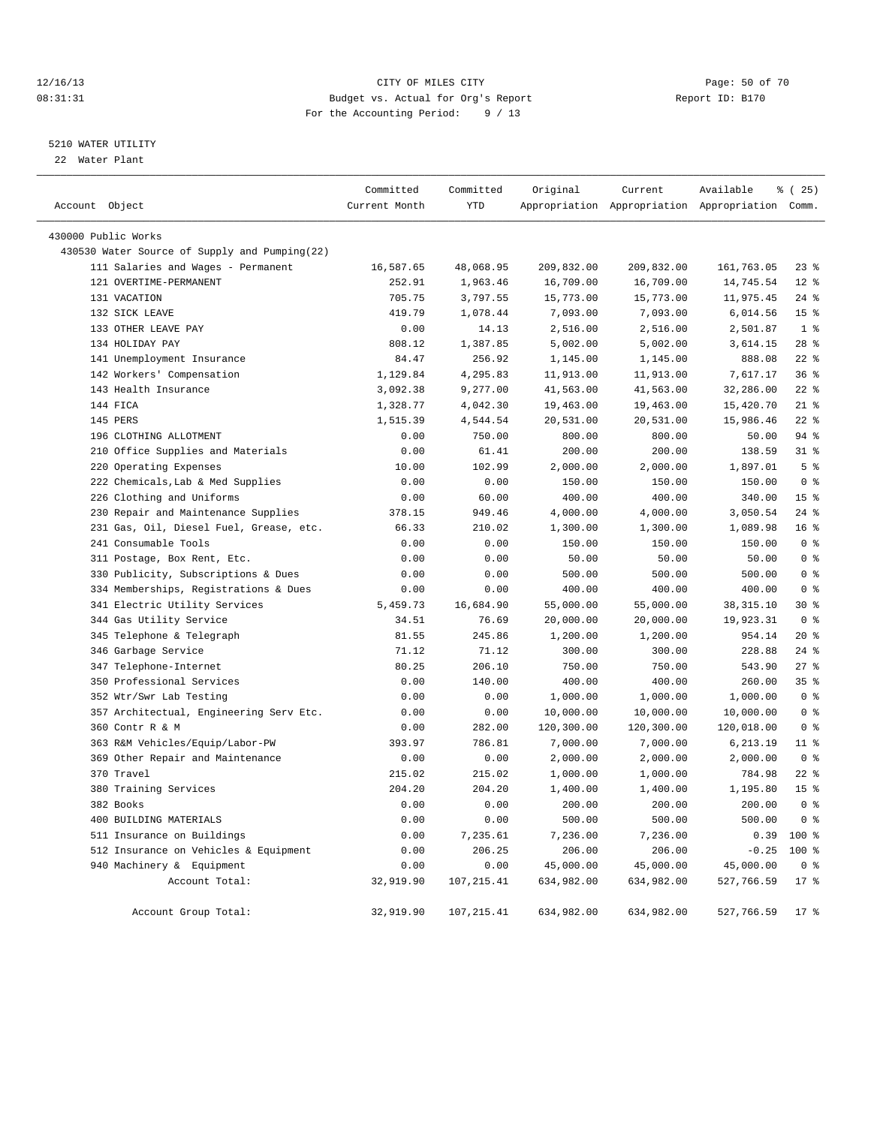### 12/16/13 Page: 50 of 70 08:31:31 Budget vs. Actual for Org's Report Changer Report ID: B170 For the Accounting Period: 9 / 13

————————————————————————————————————————————————————————————————————————————————————————————————————————————————————————————————————

### 5210 WATER UTILITY

22 Water Plant

|                                               | Committed     | Committed   | Original   | Current    | Available                                       | % (25)          |
|-----------------------------------------------|---------------|-------------|------------|------------|-------------------------------------------------|-----------------|
| Account Object                                | Current Month | <b>YTD</b>  |            |            | Appropriation Appropriation Appropriation Comm. |                 |
| 430000 Public Works                           |               |             |            |            |                                                 |                 |
| 430530 Water Source of Supply and Pumping(22) |               |             |            |            |                                                 |                 |
| 111 Salaries and Wages - Permanent            | 16,587.65     | 48,068.95   | 209,832.00 | 209,832.00 | 161,763.05                                      | 23%             |
| 121 OVERTIME-PERMANENT                        | 252.91        | 1,963.46    | 16,709.00  | 16,709.00  | 14,745.54                                       | $12*$           |
| 131 VACATION                                  | 705.75        | 3,797.55    | 15,773.00  | 15,773.00  | 11,975.45                                       | $24$ %          |
| 132 SICK LEAVE                                | 419.79        | 1,078.44    | 7,093.00   | 7,093.00   | 6,014.56                                        | 15 <sup>°</sup> |
| 133 OTHER LEAVE PAY                           | 0.00          | 14.13       | 2,516.00   | 2,516.00   | 2,501.87                                        | 1 <sup>8</sup>  |
| 134 HOLIDAY PAY                               | 808.12        | 1,387.85    | 5,002.00   | 5,002.00   | 3,614.15                                        | $28$ $%$        |
| 141 Unemployment Insurance                    | 84.47         | 256.92      | 1,145.00   | 1,145.00   | 888.08                                          | $22$ %          |
| 142 Workers' Compensation                     | 1,129.84      | 4,295.83    | 11,913.00  | 11,913.00  | 7,617.17                                        | 36%             |
| 143 Health Insurance                          | 3,092.38      | 9,277.00    | 41,563.00  | 41,563.00  | 32,286.00                                       | $22$ $%$        |
| 144 FICA                                      | 1,328.77      | 4,042.30    | 19,463.00  | 19,463.00  | 15,420.70                                       | $21$ %          |
| 145 PERS                                      | 1,515.39      | 4,544.54    | 20,531.00  | 20,531.00  | 15,986.46                                       | $22$ %          |
| 196 CLOTHING ALLOTMENT                        | 0.00          | 750.00      | 800.00     | 800.00     | 50.00                                           | 94 %            |
| 210 Office Supplies and Materials             | 0.00          | 61.41       | 200.00     | 200.00     | 138.59                                          | 31.8            |
| 220 Operating Expenses                        | 10.00         | 102.99      | 2,000.00   | 2,000.00   | 1,897.01                                        | 5 <sup>8</sup>  |
| 222 Chemicals, Lab & Med Supplies             | 0.00          | 0.00        | 150.00     | 150.00     | 150.00                                          | 0 <sup>8</sup>  |
| 226 Clothing and Uniforms                     | 0.00          | 60.00       | 400.00     | 400.00     | 340.00                                          | 15 <sup>°</sup> |
| 230 Repair and Maintenance Supplies           | 378.15        | 949.46      | 4,000.00   | 4,000.00   | 3,050.54                                        | $24$ %          |
| 231 Gas, Oil, Diesel Fuel, Grease, etc.       | 66.33         | 210.02      | 1,300.00   | 1,300.00   | 1,089.98                                        | 16 <sup>°</sup> |
| 241 Consumable Tools                          | 0.00          | 0.00        | 150.00     | 150.00     | 150.00                                          | 0 <sup>8</sup>  |
| 311 Postage, Box Rent, Etc.                   | 0.00          | 0.00        | 50.00      | 50.00      | 50.00                                           | 0 <sup>°</sup>  |
| 330 Publicity, Subscriptions & Dues           | 0.00          | 0.00        | 500.00     | 500.00     | 500.00                                          | 0 <sup>8</sup>  |
| 334 Memberships, Registrations & Dues         | 0.00          | 0.00        | 400.00     | 400.00     | 400.00                                          | 0 <sup>8</sup>  |
| 341 Electric Utility Services                 | 5,459.73      | 16,684.90   | 55,000.00  | 55,000.00  | 38, 315.10                                      | $30*$           |
| 344 Gas Utility Service                       | 34.51         | 76.69       | 20,000.00  | 20,000.00  | 19,923.31                                       | 0 <sup>8</sup>  |
| 345 Telephone & Telegraph                     | 81.55         | 245.86      | 1,200.00   | 1,200.00   | 954.14                                          | $20*$           |
| 346 Garbage Service                           | 71.12         | 71.12       | 300.00     | 300.00     | 228.88                                          | $24$ %          |
| 347 Telephone-Internet                        | 80.25         | 206.10      | 750.00     | 750.00     | 543.90                                          | $27$ $%$        |
| 350 Professional Services                     | 0.00          | 140.00      | 400.00     | 400.00     | 260.00                                          | 35%             |
| 352 Wtr/Swr Lab Testing                       | 0.00          | 0.00        | 1,000.00   | 1,000.00   | 1,000.00                                        | 0 <sup>8</sup>  |
| 357 Architectual, Engineering Serv Etc.       | 0.00          | 0.00        | 10,000.00  | 10,000.00  | 10,000.00                                       | 0 <sup>8</sup>  |
| 360 Contr R & M                               | 0.00          | 282.00      | 120,300.00 | 120,300.00 | 120,018.00                                      | 0 <sup>8</sup>  |
| 363 R&M Vehicles/Equip/Labor-PW               | 393.97        | 786.81      | 7,000.00   | 7,000.00   | 6,213.19                                        | 11 %            |
| 369 Other Repair and Maintenance              | 0.00          | 0.00        | 2,000.00   | 2,000.00   | 2,000.00                                        | 0 <sup>8</sup>  |
| 370 Travel                                    | 215.02        | 215.02      | 1,000.00   | 1,000.00   | 784.98                                          | $22$ $%$        |
| 380 Training Services                         | 204.20        | 204.20      | 1,400.00   | 1,400.00   | 1,195.80                                        | 15 <sup>°</sup> |
| 382 Books                                     | 0.00          | 0.00        | 200.00     | 200.00     | 200.00                                          | 0 <sup>8</sup>  |
| 400 BUILDING MATERIALS                        | 0.00          | 0.00        | 500.00     | 500.00     | 500.00                                          | 0 <sup>8</sup>  |
| 511 Insurance on Buildings                    | 0.00          | 7,235.61    | 7,236.00   | 7,236.00   | 0.39                                            | $100*$          |
| 512 Insurance on Vehicles & Equipment         | 0.00          | 206.25      | 206.00     | 206.00     | $-0.25$                                         | $100*$          |
| 940 Machinery & Equipment                     | 0.00          | 0.00        | 45,000.00  | 45,000.00  | 45,000.00                                       | 0 <sup>8</sup>  |
| Account Total:                                | 32,919.90     | 107, 215.41 | 634,982.00 | 634,982.00 | 527,766.59                                      | $17*$           |
| Account Group Total:                          | 32,919.90     | 107, 215.41 | 634,982.00 | 634,982.00 | 527,766.59                                      | 17.8            |
|                                               |               |             |            |            |                                                 |                 |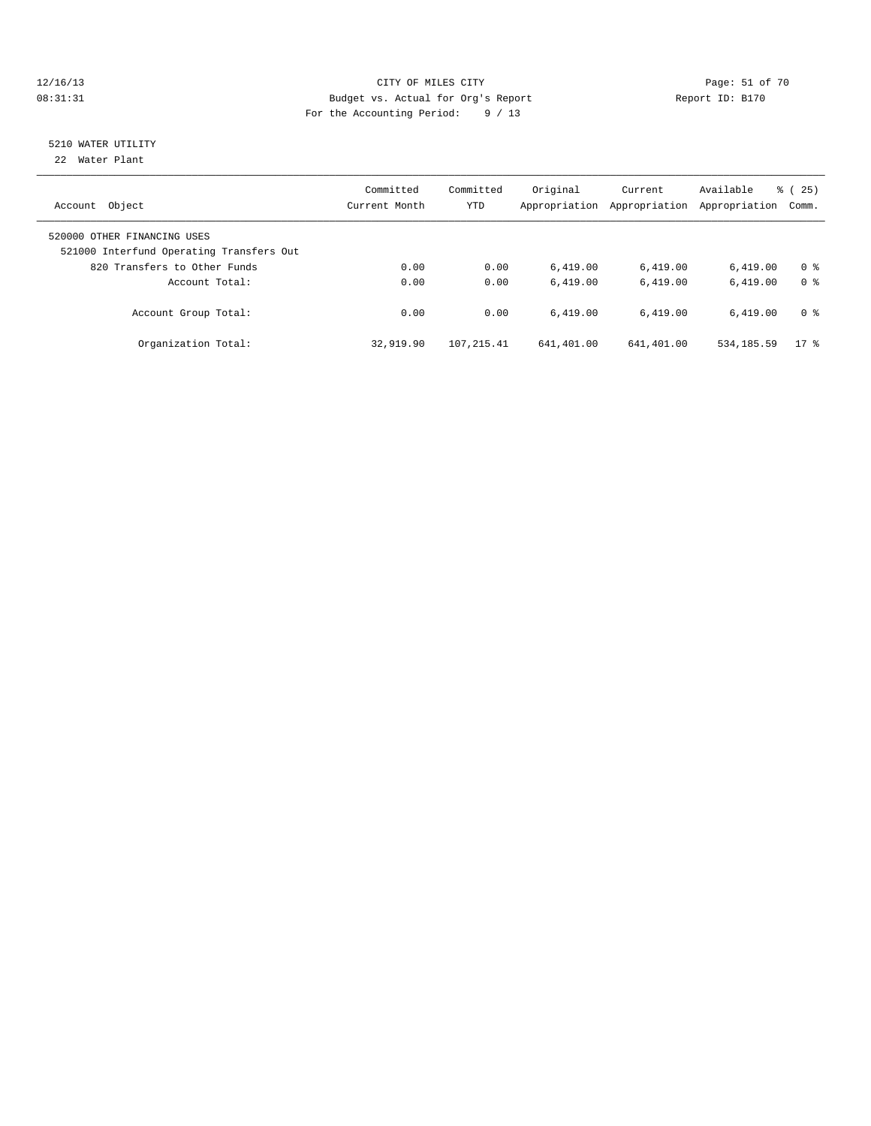### 12/16/13 Page: 51 of 70 08:31:31 Budget vs. Actual for Org's Report Changer Report ID: B170 For the Accounting Period: 9 / 13

# 5210 WATER UTILITY

22 Water Plant

| Object<br>Account                                                       | Committed<br>Current Month | Committed<br><b>YTD</b> | Original<br>Appropriation | Current<br>Appropriation | Available<br>Appropriation | $\frac{3}{6}$ ( 25 )<br>Comm. |
|-------------------------------------------------------------------------|----------------------------|-------------------------|---------------------------|--------------------------|----------------------------|-------------------------------|
| 520000 OTHER FINANCING USES<br>521000 Interfund Operating Transfers Out |                            |                         |                           |                          |                            |                               |
| 820 Transfers to Other Funds                                            | 0.00                       | 0.00                    | 6.419.00                  | 6,419.00                 | 6.419.00                   | 0 <sup>8</sup>                |
| Account Total:                                                          | 0.00                       | 0.00                    | 6.419.00                  | 6.419.00                 | 6.419.00                   | 0 <sup>8</sup>                |
| Account Group Total:                                                    | 0.00                       | 0.00                    | 6.419.00                  | 6.419.00                 | 6.419.00                   | 0 <sup>8</sup>                |
| Organization Total:                                                     | 32,919.90                  | 107.215.41              | 641,401.00                | 641,401.00               | 534, 185.59                | $17*$                         |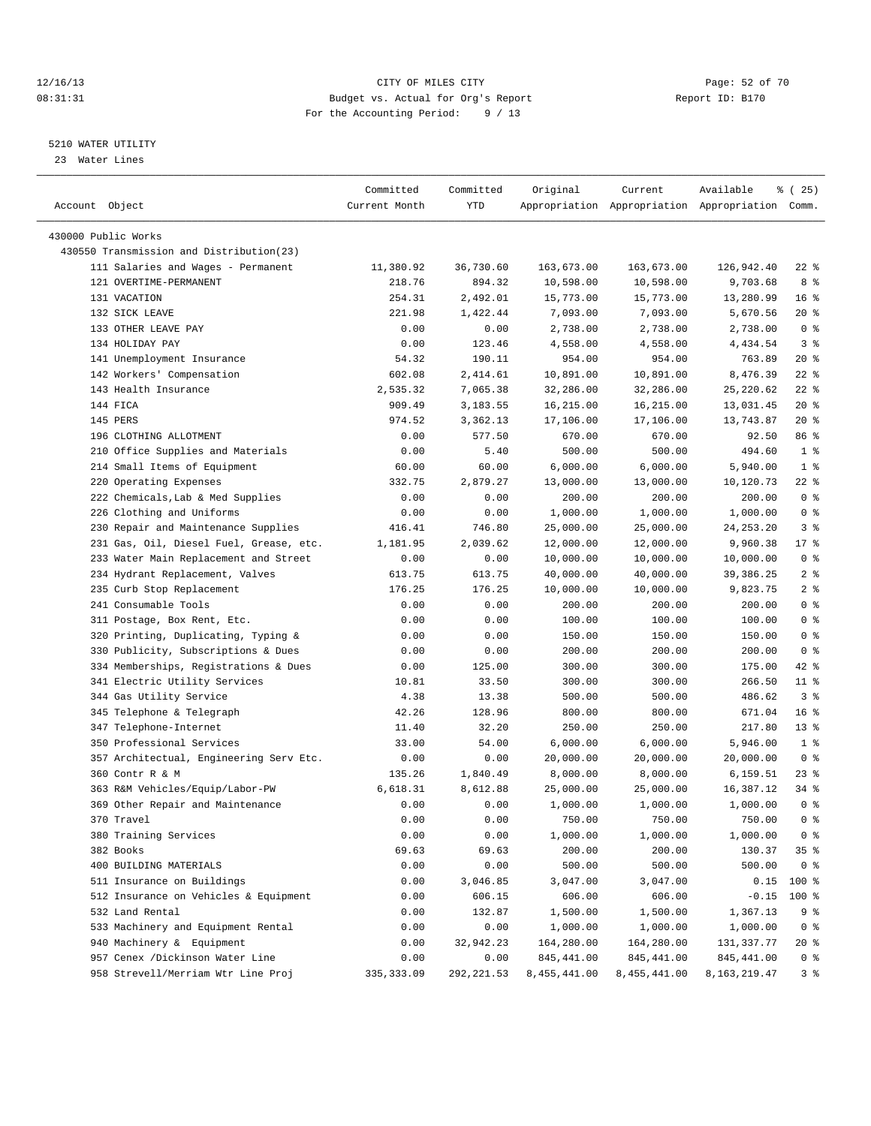### 12/16/13 Page: 52 of 70 08:31:31 Budget vs. Actual for Org's Report Changer Report ID: B170 For the Accounting Period: 9 / 13

————————————————————————————————————————————————————————————————————————————————————————————————————————————————————————————————————

### 5210 WATER UTILITY

23 Water Lines

|                                          | Committed     | Committed  | Original     | Current      | Available                                       | 8 (25)          |
|------------------------------------------|---------------|------------|--------------|--------------|-------------------------------------------------|-----------------|
| Account Object                           | Current Month | YTD        |              |              | Appropriation Appropriation Appropriation Comm. |                 |
| 430000 Public Works                      |               |            |              |              |                                                 |                 |
| 430550 Transmission and Distribution(23) |               |            |              |              |                                                 |                 |
| 111 Salaries and Wages - Permanent       | 11,380.92     | 36,730.60  | 163,673.00   | 163,673.00   | 126,942.40                                      | 22 %            |
| 121 OVERTIME-PERMANENT                   | 218.76        | 894.32     | 10,598.00    | 10,598.00    | 9,703.68                                        | 8 %             |
| 131 VACATION                             | 254.31        | 2,492.01   | 15,773.00    | 15,773.00    | 13,280.99                                       | 16 <sup>8</sup> |
| 132 SICK LEAVE                           | 221.98        | 1,422.44   | 7,093.00     | 7,093.00     | 5,670.56                                        | $20*$           |
| 133 OTHER LEAVE PAY                      | 0.00          | 0.00       | 2,738.00     | 2,738.00     | 2,738.00                                        | 0 <sup>8</sup>  |
| 134 HOLIDAY PAY                          | 0.00          | 123.46     | 4,558.00     | 4,558.00     | 4,434.54                                        | 3 <sup>8</sup>  |
| 141 Unemployment Insurance               | 54.32         | 190.11     | 954.00       | 954.00       | 763.89                                          | $20*$           |
| 142 Workers' Compensation                | 602.08        | 2,414.61   | 10,891.00    | 10,891.00    | 8,476.39                                        | $22$ %          |
| 143 Health Insurance                     | 2,535.32      | 7,065.38   | 32,286.00    | 32,286.00    | 25, 220.62                                      | $22$ %          |
| 144 FICA                                 | 909.49        | 3,183.55   | 16,215.00    | 16,215.00    | 13,031.45                                       | $20*$           |
| 145 PERS                                 | 974.52        | 3,362.13   | 17,106.00    | 17,106.00    | 13,743.87                                       | $20*$           |
| 196 CLOTHING ALLOTMENT                   | 0.00          | 577.50     | 670.00       | 670.00       | 92.50                                           | 86 %            |
| 210 Office Supplies and Materials        | 0.00          | 5.40       | 500.00       | 500.00       | 494.60                                          | 1 <sup>8</sup>  |
| 214 Small Items of Equipment             | 60.00         | 60.00      | 6,000.00     | 6,000.00     | 5,940.00                                        | 1 <sup>°</sup>  |
| 220 Operating Expenses                   | 332.75        | 2,879.27   | 13,000.00    | 13,000.00    | 10,120.73                                       | 22 %            |
| 222 Chemicals, Lab & Med Supplies        | 0.00          | 0.00       | 200.00       | 200.00       | 200.00                                          | 0 <sup>8</sup>  |
| 226 Clothing and Uniforms                | 0.00          | 0.00       | 1,000.00     | 1,000.00     | 1,000.00                                        | 0 <sup>8</sup>  |
| 230 Repair and Maintenance Supplies      | 416.41        | 746.80     | 25,000.00    | 25,000.00    | 24, 253. 20                                     | 3%              |
| 231 Gas, Oil, Diesel Fuel, Grease, etc.  | 1,181.95      | 2,039.62   | 12,000.00    | 12,000.00    | 9,960.38                                        | $17$ %          |
| 233 Water Main Replacement and Street    | 0.00          | 0.00       | 10,000.00    | 10,000.00    | 10,000.00                                       | 0 <sup>8</sup>  |
| 234 Hydrant Replacement, Valves          | 613.75        | 613.75     | 40,000.00    | 40,000.00    | 39,386.25                                       | 2 <sup>°</sup>  |
| 235 Curb Stop Replacement                | 176.25        | 176.25     | 10,000.00    | 10,000.00    | 9,823.75                                        | 2 <sup>°</sup>  |
| 241 Consumable Tools                     | 0.00          | 0.00       | 200.00       | 200.00       | 200.00                                          | 0 <sup>8</sup>  |
| 311 Postage, Box Rent, Etc.              | 0.00          | 0.00       | 100.00       | 100.00       | 100.00                                          | 0 <sup>8</sup>  |
| 320 Printing, Duplicating, Typing &      | 0.00          | 0.00       | 150.00       | 150.00       | 150.00                                          | 0 <sup>8</sup>  |
| 330 Publicity, Subscriptions & Dues      | 0.00          | 0.00       | 200.00       | 200.00       | 200.00                                          | 0 <sup>8</sup>  |
| 334 Memberships, Registrations & Dues    | 0.00          | 125.00     | 300.00       | 300.00       | 175.00                                          | 42 %            |
| 341 Electric Utility Services            | 10.81         | 33.50      | 300.00       | 300.00       | 266.50                                          | $11$ %          |
| 344 Gas Utility Service                  | 4.38          | 13.38      | 500.00       | 500.00       | 486.62                                          | 3%              |
| 345 Telephone & Telegraph                | 42.26         | 128.96     | 800.00       | 800.00       | 671.04                                          | $16*$           |
| 347 Telephone-Internet                   | 11.40         | 32.20      | 250.00       | 250.00       | 217.80                                          | $13*$           |
| 350 Professional Services                | 33.00         | 54.00      | 6,000.00     | 6,000.00     | 5,946.00                                        | 1 <sup>8</sup>  |
| 357 Architectual, Engineering Serv Etc.  | 0.00          | 0.00       | 20,000.00    | 20,000.00    | 20,000.00                                       | 0 <sup>8</sup>  |
| 360 Contr R & M                          | 135.26        | 1,840.49   | 8,000.00     | 8,000.00     | 6,159.51                                        | $23$ $%$        |
| 363 R&M Vehicles/Equip/Labor-PW          | 6,618.31      | 8,612.88   | 25,000.00    | 25,000.00    | 16,387.12                                       | $34$ $%$        |
| 369 Other Repair and Maintenance         | 0.00          | 0.00       | 1,000.00     | 1,000.00     | 1,000.00                                        | 0 <sup>8</sup>  |
| 370 Travel                               | 0.00          | 0.00       | 750.00       | 750.00       | 750.00                                          | 0 <sup>8</sup>  |
| 380 Training Services                    | 0.00          | 0.00       | 1,000.00     | 1,000.00     | 1,000.00                                        | 0 <sup>8</sup>  |
| 382 Books                                | 69.63         | 69.63      | 200.00       | 200.00       | 130.37                                          | 35%             |
| 400 BUILDING MATERIALS                   | 0.00          | 0.00       | 500.00       | 500.00       | 500.00                                          | 0 <sup>8</sup>  |
| 511 Insurance on Buildings               | 0.00          | 3,046.85   | 3,047.00     | 3,047.00     | 0.15                                            | 100 %           |
| 512 Insurance on Vehicles & Equipment    | 0.00          | 606.15     | 606.00       | 606.00       | $-0.15$                                         | $100$ %         |
| 532 Land Rental                          | 0.00          | 132.87     | 1,500.00     | 1,500.00     | 1,367.13                                        | 9 %             |
| 533 Machinery and Equipment Rental       | 0.00          | 0.00       | 1,000.00     | 1,000.00     | 1,000.00                                        | 0 <sup>8</sup>  |
| 940 Machinery & Equipment                | 0.00          | 32,942.23  | 164,280.00   | 164,280.00   | 131,337.77                                      | 20 %            |
| 957 Cenex /Dickinson Water Line          | 0.00          | 0.00       | 845,441.00   | 845,441.00   | 845,441.00                                      | 0 <sup>8</sup>  |
| 958 Strevell/Merriam Wtr Line Proj       | 335, 333.09   | 292,221.53 | 8,455,441.00 | 8,455,441.00 | 8, 163, 219. 47                                 | 3%              |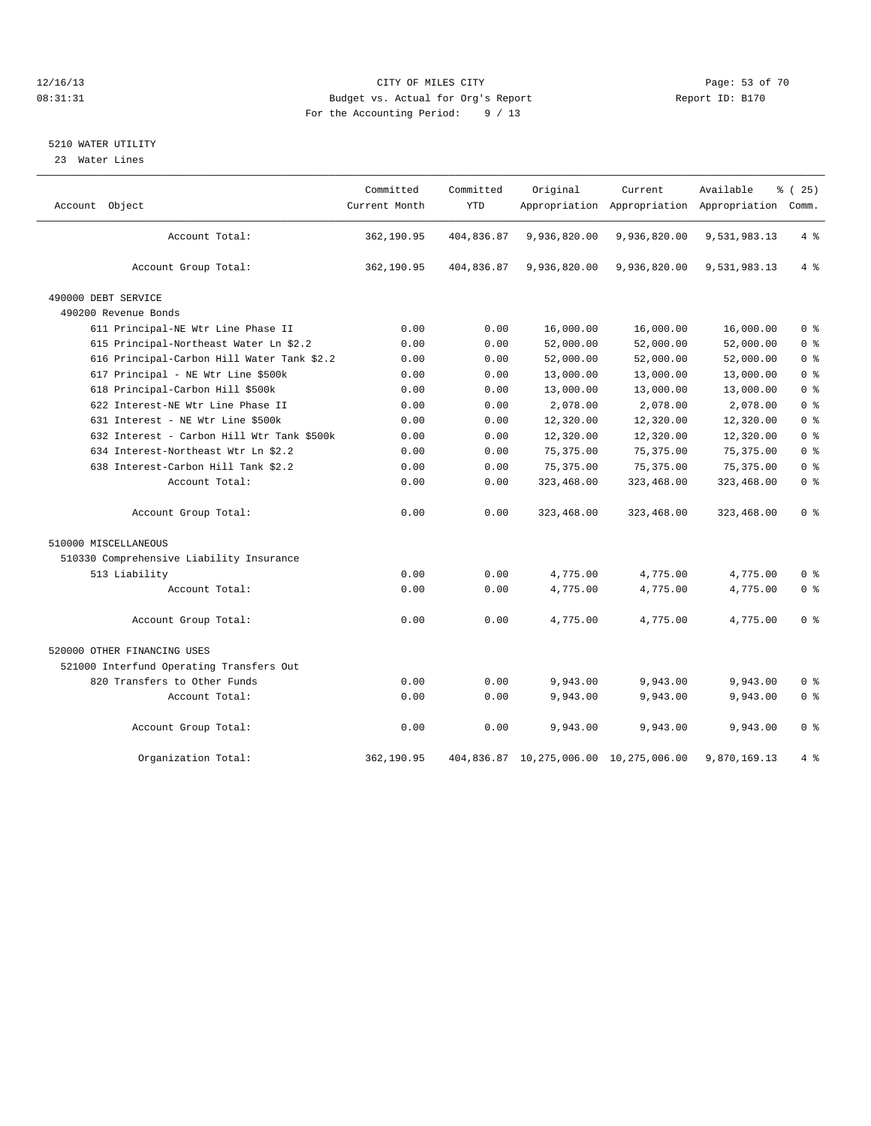### 12/16/13 Page: 53 of 70 08:31:31 Budget vs. Actual for Org's Report Changer Report ID: B170 For the Accounting Period: 9 / 13

### 5210 WATER UTILITY

23 Water Lines

| Account Object                             | Committed<br>Current Month | Committed<br><b>YTD</b> | Original                               | Current      | Available<br>Appropriation Appropriation Appropriation Comm. | % (25)         |
|--------------------------------------------|----------------------------|-------------------------|----------------------------------------|--------------|--------------------------------------------------------------|----------------|
| Account Total:                             | 362,190.95                 | 404,836.87              | 9,936,820.00                           | 9,936,820.00 | 9,531,983.13                                                 | 4%             |
| Account Group Total:                       | 362,190.95                 | 404,836.87              | 9,936,820.00                           | 9,936,820.00 | 9,531,983.13                                                 | 4%             |
| 490000 DEBT SERVICE                        |                            |                         |                                        |              |                                                              |                |
| 490200 Revenue Bonds                       |                            |                         |                                        |              |                                                              |                |
| 611 Principal-NE Wtr Line Phase II         | 0.00                       | 0.00                    | 16,000.00                              | 16,000.00    | 16,000.00                                                    | 0 <sup>8</sup> |
| 615 Principal-Northeast Water Ln \$2.2     | 0.00                       | 0.00                    | 52,000.00                              | 52,000.00    | 52,000.00                                                    | 0 <sup>8</sup> |
| 616 Principal-Carbon Hill Water Tank \$2.2 | 0.00                       | 0.00                    | 52,000.00                              | 52,000.00    | 52,000.00                                                    | 0 <sup>8</sup> |
| 617 Principal - NE Wtr Line \$500k         | 0.00                       | 0.00                    | 13,000.00                              | 13,000.00    | 13,000.00                                                    | 0 <sup>8</sup> |
| 618 Principal-Carbon Hill \$500k           | 0.00                       | 0.00                    | 13,000.00                              | 13,000.00    | 13,000.00                                                    | 0 <sup>8</sup> |
| 622 Interest-NE Wtr Line Phase II          | 0.00                       | 0.00                    | 2,078.00                               | 2,078.00     | 2,078.00                                                     | 0 <sup>8</sup> |
| 631 Interest - NE Wtr Line \$500k          | 0.00                       | 0.00                    | 12,320.00                              | 12,320.00    | 12,320.00                                                    | 0 <sup>8</sup> |
| 632 Interest - Carbon Hill Wtr Tank \$500k | 0.00                       | 0.00                    | 12,320.00                              | 12,320.00    | 12,320.00                                                    | 0 <sup>8</sup> |
| 634 Interest-Northeast Wtr Ln \$2.2        | 0.00                       | 0.00                    | 75, 375.00                             | 75, 375.00   | 75, 375.00                                                   | 0 <sup>8</sup> |
| 638 Interest-Carbon Hill Tank \$2.2        | 0.00                       | 0.00                    | 75, 375.00                             | 75, 375.00   | 75, 375.00                                                   | 0 <sup>8</sup> |
| Account Total:                             | 0.00                       | 0.00                    | 323,468.00                             | 323,468.00   | 323,468.00                                                   | 0 <sup>8</sup> |
| Account Group Total:                       | 0.00                       | 0.00                    | 323,468.00                             | 323,468.00   | 323,468.00                                                   | 0 <sup>8</sup> |
| 510000 MISCELLANEOUS                       |                            |                         |                                        |              |                                                              |                |
| 510330 Comprehensive Liability Insurance   |                            |                         |                                        |              |                                                              |                |
| 513 Liability                              | 0.00                       | 0.00                    | 4,775.00                               | 4,775.00     | 4,775.00                                                     | 0 <sup>8</sup> |
| Account Total:                             | 0.00                       | 0.00                    | 4,775.00                               | 4,775.00     | 4,775.00                                                     | 0 <sup>8</sup> |
| Account Group Total:                       | 0.00                       | 0.00                    | 4,775.00                               | 4,775.00     | 4.775.00                                                     | 0 <sup>8</sup> |
| 520000 OTHER FINANCING USES                |                            |                         |                                        |              |                                                              |                |
| 521000 Interfund Operating Transfers Out   |                            |                         |                                        |              |                                                              |                |
| 820 Transfers to Other Funds               | 0.00                       | 0.00                    | 9,943.00                               | 9,943.00     | 9,943.00                                                     | 0 <sup>8</sup> |
| Account Total:                             | 0.00                       | 0.00                    | 9,943.00                               | 9,943.00     | 9,943.00                                                     | 0 <sup>8</sup> |
| Account Group Total:                       | 0.00                       | 0.00                    | 9,943.00                               | 9,943.00     | 9,943.00                                                     | 0 <sup>8</sup> |
| Organization Total:                        | 362,190.95                 |                         | 404,836.87 10,275,006.00 10,275,006.00 |              | 9,870,169.13                                                 | 4%             |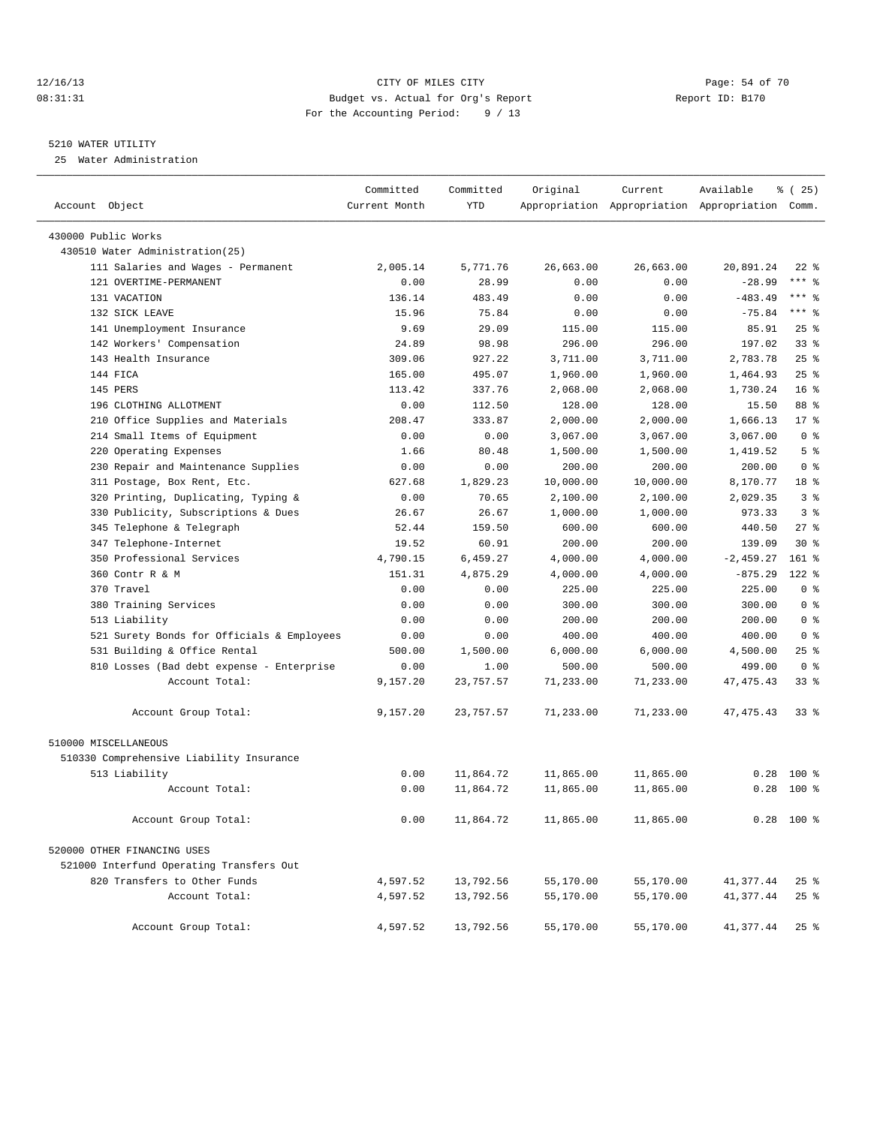### 12/16/13 Page: 54 of 70 08:31:31 Budget vs. Actual for Org's Report Changer Report ID: B170 For the Accounting Period: 9 / 13

————————————————————————————————————————————————————————————————————————————————————————————————————————————————————————————————————

### 5210 WATER UTILITY

25 Water Administration

|                                            | Committed     | Committed  | Original  | Current   | Available                                       | % (25)             |
|--------------------------------------------|---------------|------------|-----------|-----------|-------------------------------------------------|--------------------|
| Account Object                             | Current Month | <b>YTD</b> |           |           | Appropriation Appropriation Appropriation Comm. |                    |
| 430000 Public Works                        |               |            |           |           |                                                 |                    |
| 430510 Water Administration(25)            |               |            |           |           |                                                 |                    |
| 111 Salaries and Wages - Permanent         | 2,005.14      | 5,771.76   | 26,663.00 | 26,663.00 | 20,891.24                                       | $22$ %             |
| 121 OVERTIME-PERMANENT                     | 0.00          | 28.99      | 0.00      | 0.00      | $-28.99$                                        | $***$ $-$          |
| 131 VACATION                               | 136.14        | 483.49     | 0.00      | 0.00      | $-483.49$                                       | $***$ $-$          |
| 132 SICK LEAVE                             | 15.96         | 75.84      | 0.00      | 0.00      | $-75.84$                                        | $***$ $-$          |
| 141 Unemployment Insurance                 | 9.69          | 29.09      | 115.00    | 115.00    | 85.91                                           | $25$ $%$           |
| 142 Workers' Compensation                  | 24.89         | 98.98      | 296.00    | 296.00    | 197.02                                          | $33$ $%$           |
| 143 Health Insurance                       | 309.06        | 927.22     | 3,711.00  | 3,711.00  | 2,783.78                                        | $25$ %             |
| 144 FICA                                   | 165.00        | 495.07     | 1,960.00  | 1,960.00  | 1,464.93                                        | $25$ $%$           |
| 145 PERS                                   | 113.42        | 337.76     | 2,068.00  | 2,068.00  | 1,730.24                                        | $16*$              |
| 196 CLOTHING ALLOTMENT                     | 0.00          | 112.50     | 128.00    | 128.00    | 15.50                                           | 88 %               |
| 210 Office Supplies and Materials          | 208.47        | 333.87     | 2,000.00  | 2,000.00  | 1,666.13                                        | $17*$              |
| 214 Small Items of Equipment               | 0.00          | 0.00       | 3,067.00  | 3,067.00  | 3,067.00                                        | 0 <sup>8</sup>     |
| 220 Operating Expenses                     | 1.66          | 80.48      | 1,500.00  | 1,500.00  | 1,419.52                                        | 5 <sup>°</sup>     |
| 230 Repair and Maintenance Supplies        | 0.00          | 0.00       | 200.00    | 200.00    | 200.00                                          | 0 <sup>8</sup>     |
| 311 Postage, Box Rent, Etc.                | 627.68        | 1,829.23   | 10,000.00 | 10,000.00 | 8,170.77                                        | 18 <sup>8</sup>    |
| 320 Printing, Duplicating, Typing &        | 0.00          | 70.65      | 2,100.00  | 2,100.00  | 2,029.35                                        | 3%                 |
| 330 Publicity, Subscriptions & Dues        | 26.67         | 26.67      | 1,000.00  | 1,000.00  | 973.33                                          | 3 <sup>8</sup>     |
| 345 Telephone & Telegraph                  | 52.44         | 159.50     | 600.00    | 600.00    | 440.50                                          | $27$ %             |
| 347 Telephone-Internet                     | 19.52         | 60.91      | 200.00    | 200.00    | 139.09                                          | $30*$              |
| 350 Professional Services                  | 4,790.15      | 6,459.27   | 4,000.00  | 4,000.00  | $-2,459.27$                                     | $161$ %            |
| 360 Contr R & M                            | 151.31        | 4,875.29   | 4,000.00  | 4,000.00  | $-875.29$                                       | $122$ %            |
| 370 Travel                                 | 0.00          | 0.00       | 225.00    | 225.00    | 225.00                                          | 0 <sup>8</sup>     |
| 380 Training Services                      | 0.00          | 0.00       | 300.00    | 300.00    | 300.00                                          | 0 <sup>8</sup>     |
| 513 Liability                              | 0.00          | 0.00       | 200.00    | 200.00    | 200.00                                          | 0 <sup>8</sup>     |
| 521 Surety Bonds for Officials & Employees | 0.00          | 0.00       | 400.00    | 400.00    | 400.00                                          | 0 <sup>8</sup>     |
| 531 Building & Office Rental               | 500.00        | 1,500.00   | 6,000.00  | 6,000.00  | 4,500.00                                        | $25$ %             |
| 810 Losses (Bad debt expense - Enterprise  | 0.00          | 1.00       | 500.00    | 500.00    | 499.00                                          | 0 <sup>8</sup>     |
| Account Total:                             | 9,157.20      | 23,757.57  | 71,233.00 | 71,233.00 | 47, 475. 43                                     | $33$ $%$           |
| Account Group Total:                       | 9,157.20      | 23,757.57  | 71,233.00 | 71,233.00 | 47, 475. 43                                     | $33*$              |
| 510000 MISCELLANEOUS                       |               |            |           |           |                                                 |                    |
| 510330 Comprehensive Liability Insurance   |               |            |           |           |                                                 |                    |
| 513 Liability                              | 0.00          | 11,864.72  | 11,865.00 | 11,865.00 | 0.28                                            | $100$ %            |
| Account Total:                             | 0.00          | 11,864.72  | 11,865.00 | 11,865.00 |                                                 | $0.28$ 100 %       |
| Account Group Total:                       | 0.00          | 11,864.72  | 11,865.00 | 11,865.00 |                                                 | $0.28$ 100 %       |
| 520000 OTHER FINANCING USES                |               |            |           |           |                                                 |                    |
| 521000 Interfund Operating Transfers Out   |               |            |           |           |                                                 |                    |
| 820 Transfers to Other Funds               | 4,597.52      | 13,792.56  | 55,170.00 | 55,170.00 | 41,377.44                                       | $25$ $\frac{6}{5}$ |
| Account Total:                             | 4,597.52      | 13,792.56  | 55,170.00 | 55,170.00 | 41,377.44                                       | $25$ $%$           |
| Account Group Total:                       | 4,597.52      | 13,792.56  | 55,170.00 | 55,170.00 | 41,377.44                                       | $25$ $%$           |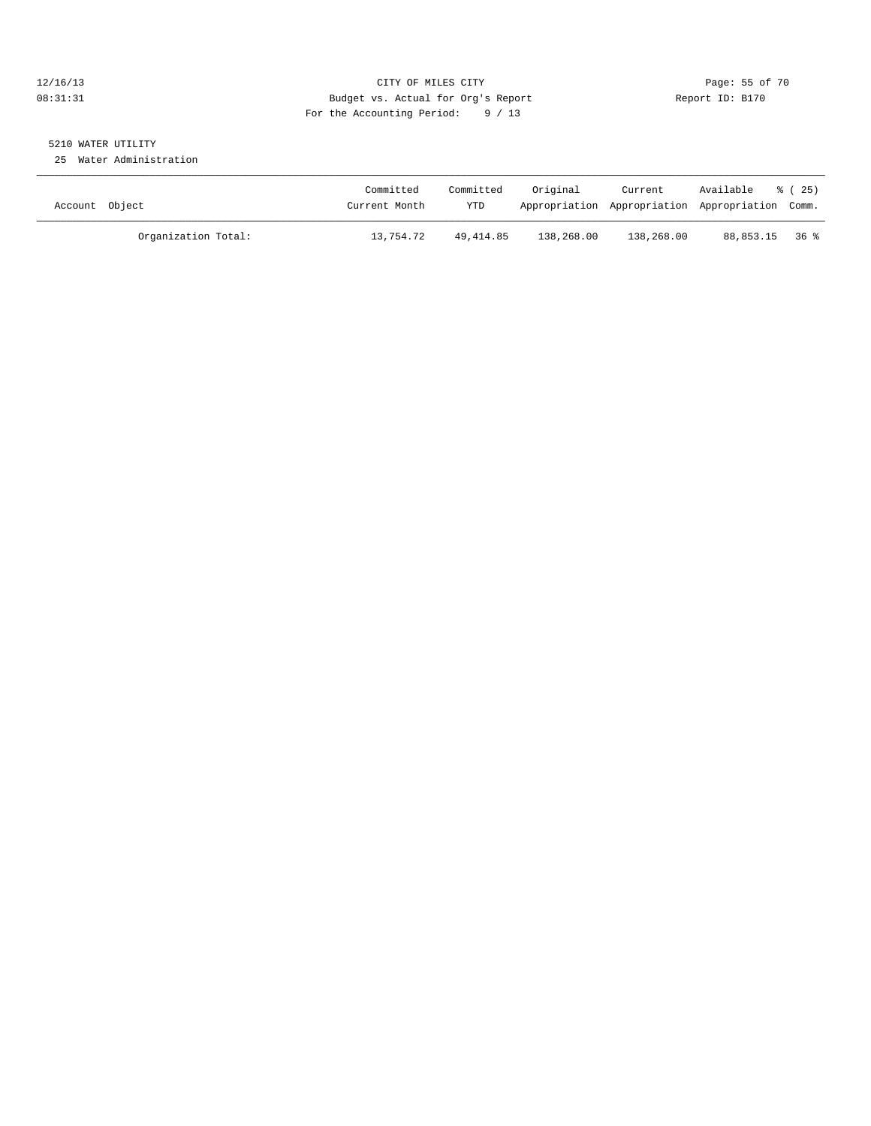### 12/16/13 Page: 55 of 70 08:31:31 Budget vs. Actual for Org's Report Changer Report ID: B170 For the Accounting Period: 9 / 13

# 5210 WATER UTILITY

25 Water Administration

| Account Object |                     | Committed<br>Current Month | Committed<br>YTD | Original   | Current<br>Appropriation Appropriation Appropriation Comm. | Available      | 8 (25) |
|----------------|---------------------|----------------------------|------------------|------------|------------------------------------------------------------|----------------|--------|
|                | Organization Total: | 13,754.72                  | 49, 414.85       | 138,268.00 | 138,268.00                                                 | 88,853.15 36 % |        |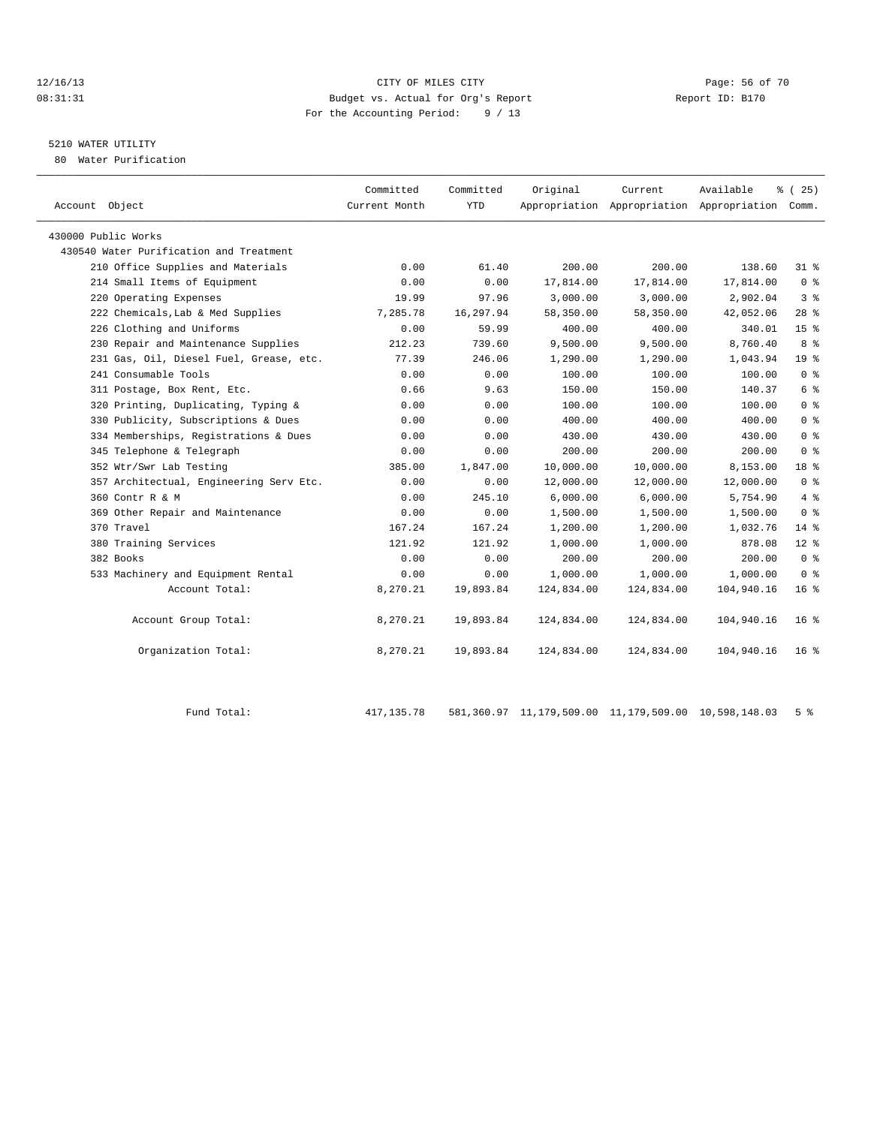### 12/16/13 Page: 56 of 70 08:31:31 Budget vs. Actual for Org's Report Report ID: B170 For the Accounting Period: 9 / 13

### 5210 WATER UTILITY

80 Water Purification

| Account Object                          | Committed<br>Current Month | Committed<br><b>YTD</b> | Original   | Current    | Available<br>Appropriation Appropriation Appropriation | 8 (25)<br>Comm. |
|-----------------------------------------|----------------------------|-------------------------|------------|------------|--------------------------------------------------------|-----------------|
| 430000 Public Works                     |                            |                         |            |            |                                                        |                 |
| 430540 Water Purification and Treatment |                            |                         |            |            |                                                        |                 |
| 210 Office Supplies and Materials       | 0.00                       | 61.40                   | 200.00     | 200.00     | 138.60                                                 | $31*$           |
| 214 Small Items of Equipment            | 0.00                       | 0.00                    | 17,814.00  | 17,814.00  | 17,814.00                                              | 0 <sup>8</sup>  |
| 220 Operating Expenses                  | 19.99                      | 97.96                   | 3,000.00   | 3,000.00   | 2,902.04                                               | 3 <sup>8</sup>  |
| 222 Chemicals, Lab & Med Supplies       | 7,285.78                   | 16,297.94               | 58,350.00  | 58,350.00  | 42,052.06                                              | $28$ %          |
| 226 Clothing and Uniforms               | 0.00                       | 59.99                   | 400.00     | 400.00     | 340.01                                                 | 15 <sup>8</sup> |
| 230 Repair and Maintenance Supplies     | 212.23                     | 739.60                  | 9,500.00   | 9,500.00   | 8,760.40                                               | 8 %             |
| 231 Gas, Oil, Diesel Fuel, Grease, etc. | 77.39                      | 246.06                  | 1,290.00   | 1,290.00   | 1,043.94                                               | 19 <sup>°</sup> |
| 241 Consumable Tools                    | 0.00                       | 0.00                    | 100.00     | 100.00     | 100.00                                                 | 0 <sup>8</sup>  |
| 311 Postage, Box Rent, Etc.             | 0.66                       | 9.63                    | 150.00     | 150.00     | 140.37                                                 | 6 <sup>°</sup>  |
| 320 Printing, Duplicating, Typing &     | 0.00                       | 0.00                    | 100.00     | 100.00     | 100.00                                                 | 0 <sup>8</sup>  |
| 330 Publicity, Subscriptions & Dues     | 0.00                       | 0.00                    | 400.00     | 400.00     | 400.00                                                 | 0 <sup>8</sup>  |
| 334 Memberships, Registrations & Dues   | 0.00                       | 0.00                    | 430.00     | 430.00     | 430.00                                                 | 0 <sup>8</sup>  |
| 345 Telephone & Telegraph               | 0.00                       | 0.00                    | 200.00     | 200.00     | 200.00                                                 | 0 <sup>8</sup>  |
| 352 Wtr/Swr Lab Testing                 | 385.00                     | 1,847.00                | 10,000.00  | 10,000.00  | 8,153.00                                               | 18 %            |
| 357 Architectual, Engineering Serv Etc. | 0.00                       | 0.00                    | 12,000.00  | 12,000.00  | 12,000.00                                              | 0 <sup>8</sup>  |
| 360 Contr R & M                         | 0.00                       | 245.10                  | 6,000.00   | 6,000.00   | 5,754.90                                               | 4%              |
| 369 Other Repair and Maintenance        | 0.00                       | 0.00                    | 1,500.00   | 1,500.00   | 1,500.00                                               | 0 <sup>8</sup>  |
| 370 Travel                              | 167.24                     | 167.24                  | 1,200.00   | 1,200.00   | 1,032.76                                               | $14*$           |
| 380 Training Services                   | 121.92                     | 121.92                  | 1,000.00   | 1,000.00   | 878.08                                                 | $12*$           |
| 382 Books                               | 0.00                       | 0.00                    | 200.00     | 200.00     | 200.00                                                 | 0 <sup>8</sup>  |
| 533 Machinery and Equipment Rental      | 0.00                       | 0.00                    | 1,000.00   | 1,000.00   | 1,000.00                                               | 0 <sup>8</sup>  |
| Account Total:                          | 8,270.21                   | 19,893.84               | 124,834.00 | 124,834.00 | 104,940.16                                             | 16 <sup>8</sup> |
| Account Group Total:                    | 8,270.21                   | 19,893.84               | 124,834.00 | 124,834.00 | 104,940.16                                             | 16 <sub>8</sub> |
| Organization Total:                     | 8,270.21                   | 19,893.84               | 124,834.00 | 124,834.00 | 104,940.16                                             | 16 <sup>8</sup> |
|                                         |                            |                         |            |            |                                                        |                 |

Fund Total: 417,135.78 581,360.97 11,179,509.00 11,179,509.00 10,598,148.03 5 %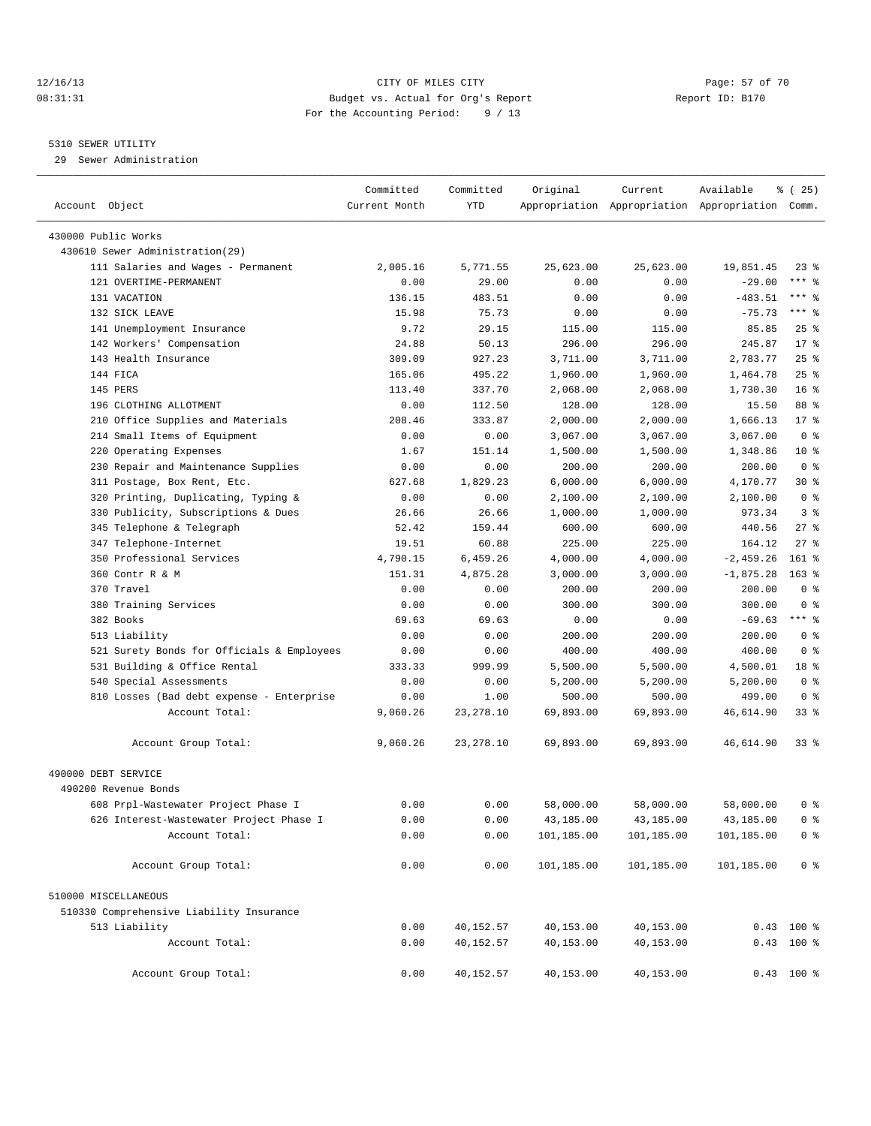### 12/16/13 Page: 57 of 70 08:31:31 Budget vs. Actual for Org's Report Changer Report ID: B170 For the Accounting Period: 9 / 13

### 5310 SEWER UTILITY

29 Sewer Administration

| Account Object                                               | Committed<br>Current Month | Committed<br>YTD | Original   | Current    | Available<br>Appropriation Appropriation Appropriation Comm. | <sub>है</sub> (25) |
|--------------------------------------------------------------|----------------------------|------------------|------------|------------|--------------------------------------------------------------|--------------------|
| 430000 Public Works                                          |                            |                  |            |            |                                                              |                    |
| 430610 Sewer Administration (29)                             |                            |                  |            |            |                                                              |                    |
|                                                              | 2,005.16                   | 5,771.55         | 25,623.00  | 25,623.00  | 19,851.45                                                    | $23$ $%$           |
| 111 Salaries and Wages - Permanent<br>121 OVERTIME-PERMANENT | 0.00                       | 29.00            | 0.00       | 0.00       | $-29.00$                                                     | $***$ 8            |
| 131 VACATION                                                 | 136.15                     | 483.51           | 0.00       | 0.00       | $-483.51$                                                    | $***$ $-$          |
| 132 SICK LEAVE                                               | 15.98                      | 75.73            | 0.00       | 0.00       | $-75.73$                                                     | $***$ $-$          |
| 141 Unemployment Insurance                                   | 9.72                       | 29.15            | 115.00     | 115.00     | 85.85                                                        | $25$ $%$           |
| 142 Workers' Compensation                                    | 24.88                      | 50.13            | 296.00     | 296.00     | 245.87                                                       | $17*$              |
| 143 Health Insurance                                         | 309.09                     | 927.23           |            | 3,711.00   | 2,783.77                                                     | 25%                |
| 144 FICA                                                     | 165.06                     | 495.22           | 3,711.00   |            |                                                              | 25%                |
|                                                              |                            | 337.70           | 1,960.00   | 1,960.00   | 1,464.78                                                     | $16*$              |
| 145 PERS                                                     | 113.40                     |                  | 2,068.00   | 2,068.00   | 1,730.30                                                     | 88 %               |
| 196 CLOTHING ALLOTMENT                                       | 0.00                       | 112.50           | 128.00     | 128.00     | 15.50                                                        |                    |
| 210 Office Supplies and Materials                            | 208.46                     | 333.87           | 2,000.00   | 2,000.00   | 1,666.13                                                     | $17*$              |
| 214 Small Items of Equipment                                 | 0.00                       | 0.00             | 3,067.00   | 3,067.00   | 3,067.00                                                     | 0 <sup>8</sup>     |
| Operating Expenses<br>220                                    | 1.67                       | 151.14           | 1,500.00   | 1,500.00   | 1,348.86                                                     | $10*$              |
| 230 Repair and Maintenance Supplies                          | 0.00                       | 0.00             | 200.00     | 200.00     | 200.00                                                       | 0 <sup>8</sup>     |
| 311 Postage, Box Rent, Etc.                                  | 627.68                     | 1,829.23         | 6,000.00   | 6,000.00   | 4,170.77                                                     | $30*$              |
| 320 Printing, Duplicating, Typing &                          | 0.00                       | 0.00             | 2,100.00   | 2,100.00   | 2,100.00                                                     | 0 <sup>8</sup>     |
| Publicity, Subscriptions & Dues<br>330                       | 26.66                      | 26.66            | 1,000.00   | 1,000.00   | 973.34                                                       | 3 <sup>8</sup>     |
| Telephone & Telegraph<br>345                                 | 52.42                      | 159.44           | 600.00     | 600.00     | 440.56                                                       | $27$ %             |
| 347 Telephone-Internet                                       | 19.51                      | 60.88            | 225.00     | 225.00     | 164.12                                                       | $27$ %             |
| 350 Professional Services                                    | 4,790.15                   | 6,459.26         | 4,000.00   | 4,000.00   | $-2, 459.26$                                                 | $161$ %            |
| 360 Contr R & M                                              | 151.31                     | 4,875.28         | 3,000.00   | 3,000.00   | $-1,875.28$                                                  | $163$ %            |
| 370 Travel                                                   | 0.00                       | 0.00             | 200.00     | 200.00     | 200.00                                                       | 0 <sup>8</sup>     |
| 380 Training Services                                        | 0.00                       | 0.00             | 300.00     | 300.00     | 300.00                                                       | 0 <sup>8</sup>     |
| 382 Books                                                    | 69.63                      | 69.63            | 0.00       | 0.00       | $-69.63$                                                     | $***$ $_{8}$       |
| 513 Liability                                                | 0.00                       | 0.00             | 200.00     | 200.00     | 200.00                                                       | 0 <sup>8</sup>     |
| 521 Surety Bonds for Officials & Employees                   | 0.00                       | 0.00             | 400.00     | 400.00     | 400.00                                                       | 0 <sup>8</sup>     |
| 531 Building & Office Rental                                 | 333.33                     | 999.99           | 5,500.00   | 5,500.00   | 4,500.01                                                     | 18 %               |
| 540<br>Special Assessments                                   | 0.00                       | 0.00             | 5,200.00   | 5,200.00   | 5,200.00                                                     | 0 <sup>8</sup>     |
| 810 Losses (Bad debt expense - Enterprise                    | 0.00                       | 1.00             | 500.00     | 500.00     | 499.00                                                       | 0 <sup>8</sup>     |
| Account Total:                                               | 9,060.26                   | 23, 278.10       | 69,893.00  | 69,893.00  | 46,614.90                                                    | 33%                |
| Account Group Total:                                         | 9,060.26                   | 23, 278.10       | 69,893.00  | 69,893.00  | 46,614.90                                                    | $33*$              |
| 490000 DEBT SERVICE                                          |                            |                  |            |            |                                                              |                    |
| 490200 Revenue Bonds                                         |                            |                  |            |            |                                                              |                    |
| 608 Prpl-Wastewater Project Phase I                          | 0.00                       | 0.00             | 58,000.00  | 58,000.00  | 58,000.00                                                    | 0 <sup>8</sup>     |
| 626 Interest-Wastewater Project Phase I                      | 0.00                       | 0.00             | 43,185.00  | 43,185.00  | 43,185.00                                                    | 0 <sup>8</sup>     |
| Account Total:                                               | 0.00                       | 0.00             | 101,185.00 | 101,185.00 | 101,185.00                                                   | 0 <sup>8</sup>     |
| Account Group Total:                                         | 0.00                       | 0.00             | 101,185.00 | 101,185.00 | 101,185.00                                                   | 0 <sup>8</sup>     |
| 510000 MISCELLANEOUS                                         |                            |                  |            |            |                                                              |                    |
| 510330 Comprehensive Liability Insurance                     |                            |                  |            |            |                                                              |                    |
| 513 Liability                                                | 0.00                       | 40,152.57        | 40,153.00  | 40,153.00  |                                                              | $0.43$ 100 %       |
| Account Total:                                               | 0.00                       | 40,152.57        | 40,153.00  | 40,153.00  |                                                              | $0.43$ 100 %       |
| Account Group Total:                                         | 0.00                       | 40,152.57        | 40,153.00  | 40,153.00  |                                                              | $0.43$ 100 %       |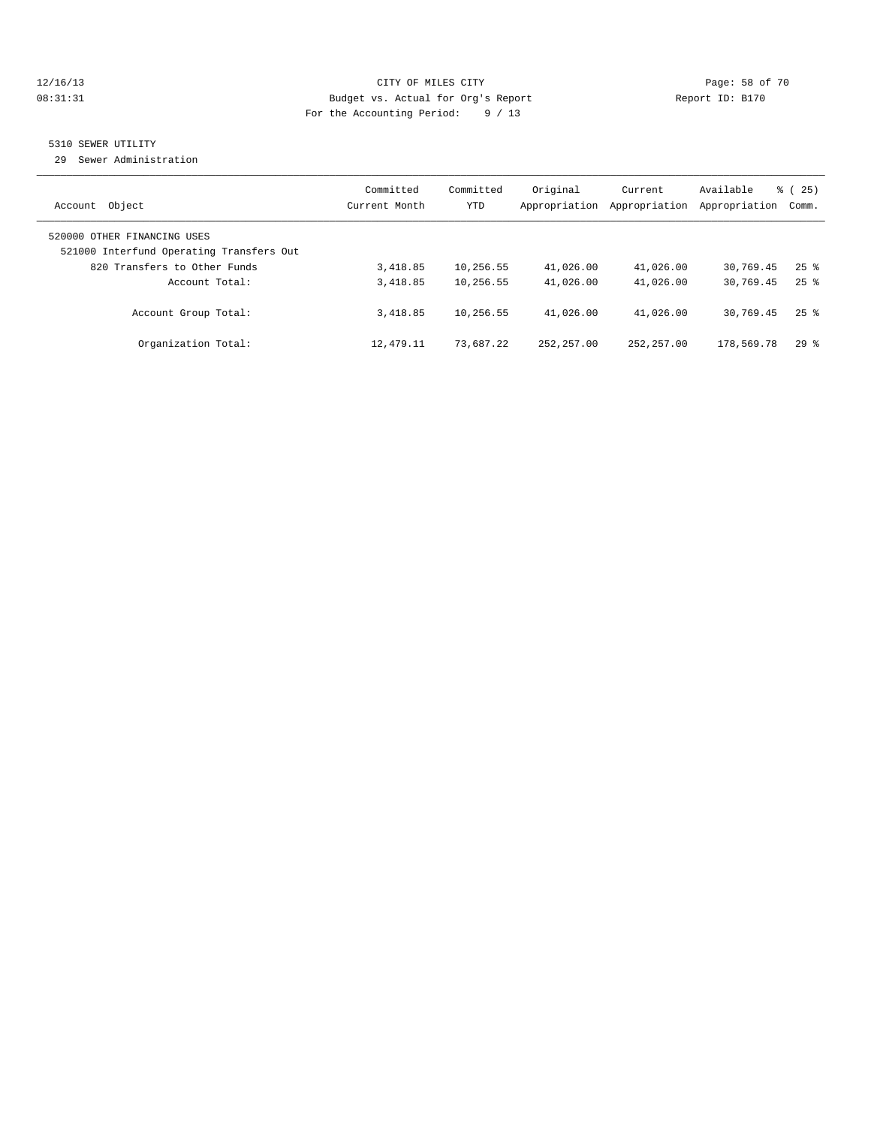### 12/16/13 Page: 58 of 70 08:31:31 Budget vs. Actual for Org's Report Changer Report ID: B170 For the Accounting Period: 9 / 13

### 5310 SEWER UTILITY

29 Sewer Administration

| Object                                                                                                  | Committed     | Committed  | Original      | Current       | Available     | $\frac{3}{6}$ ( 25 ) |
|---------------------------------------------------------------------------------------------------------|---------------|------------|---------------|---------------|---------------|----------------------|
| Account                                                                                                 | Current Month | <b>YTD</b> | Appropriation | Appropriation | Appropriation | Comm.                |
| 520000 OTHER FINANCING USES<br>521000 Interfund Operating Transfers Out<br>820 Transfers to Other Funds | 3,418.85      | 10,256.55  | 41,026.00     | 41,026.00     | 30,769.45     | $25$ $\frac{6}{5}$   |
| Account Total:                                                                                          | 3,418.85      | 10,256.55  | 41,026.00     | 41,026.00     | 30,769.45     | $25$ $\frac{6}{5}$   |
| Account Group Total:                                                                                    | 3,418.85      | 10,256.55  | 41,026.00     | 41,026.00     | 30,769.45     | $25$ $\frac{6}{5}$   |
| Organization Total:                                                                                     | 12,479.11     | 73,687.22  | 252, 257, 00  | 252, 257, 00  | 178,569.78    | 298                  |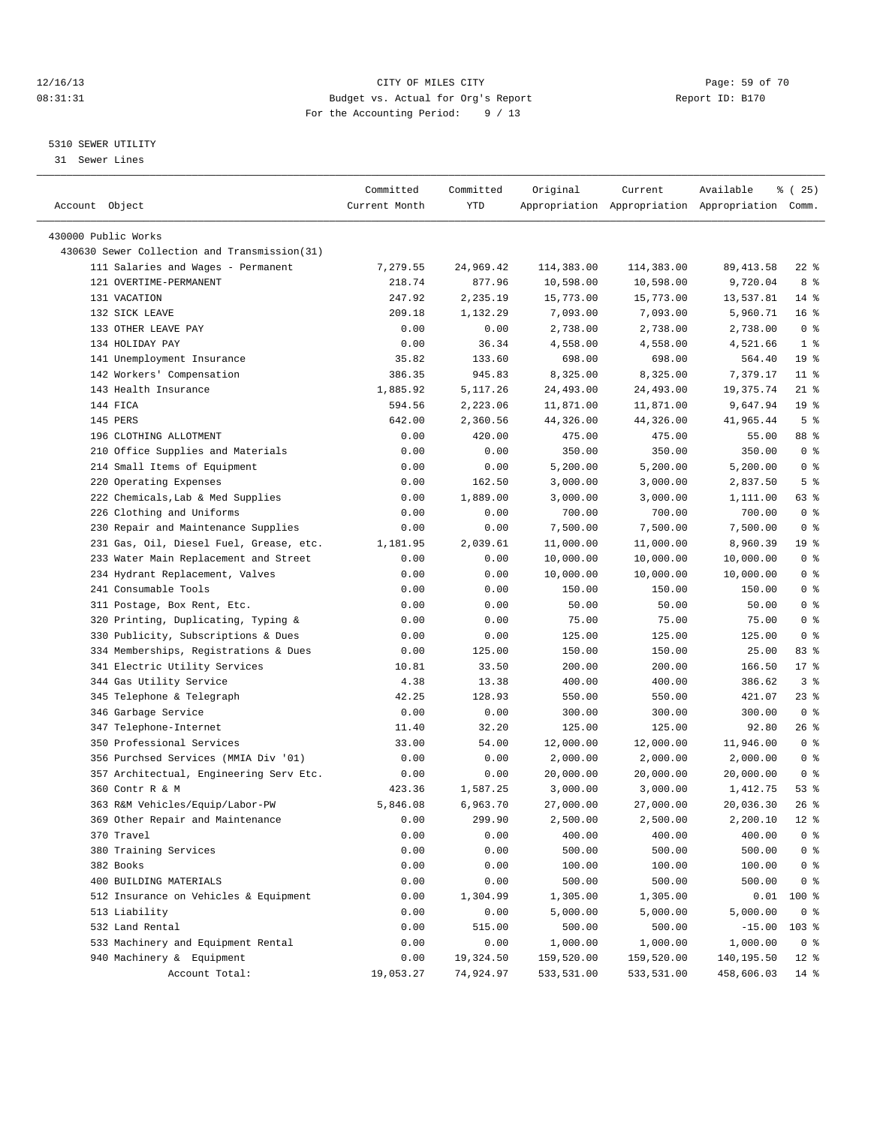### 12/16/13 Page: 59 of 70 08:31:31 Budget vs. Actual for Org's Report Changer Report ID: B170 For the Accounting Period: 9 / 13

————————————————————————————————————————————————————————————————————————————————————————————————————————————————————————————————————

### 5310 SEWER UTILITY

31 Sewer Lines

| Account Object                               | Committed<br>Current Month | Committed<br>YTD | Original   | Current    | Available<br>Appropriation Appropriation Appropriation Comm. | 8 (25)          |
|----------------------------------------------|----------------------------|------------------|------------|------------|--------------------------------------------------------------|-----------------|
|                                              |                            |                  |            |            |                                                              |                 |
| 430000 Public Works                          |                            |                  |            |            |                                                              |                 |
| 430630 Sewer Collection and Transmission(31) |                            |                  |            |            |                                                              |                 |
| 111 Salaries and Wages - Permanent           | 7,279.55                   | 24,969.42        | 114,383.00 | 114,383.00 | 89, 413.58                                                   | 22 %            |
| 121 OVERTIME-PERMANENT                       | 218.74                     | 877.96           | 10,598.00  | 10,598.00  | 9,720.04                                                     | 8 %             |
| 131 VACATION                                 | 247.92                     | 2,235.19         | 15,773.00  | 15,773.00  | 13,537.81                                                    | $14*$           |
| 132 SICK LEAVE                               | 209.18                     | 1,132.29         | 7,093.00   | 7,093.00   | 5,960.71                                                     | 16 <sup>8</sup> |
| 133 OTHER LEAVE PAY                          | 0.00                       | 0.00             | 2,738.00   | 2,738.00   | 2,738.00                                                     | 0 <sup>8</sup>  |
| 134 HOLIDAY PAY                              | 0.00                       | 36.34            | 4,558.00   | 4,558.00   | 4,521.66                                                     | 1 <sup>8</sup>  |
| 141 Unemployment Insurance                   | 35.82                      | 133.60           | 698.00     | 698.00     | 564.40                                                       | 19 <sup>°</sup> |
| 142 Workers' Compensation                    | 386.35                     | 945.83           | 8,325.00   | 8,325.00   | 7,379.17                                                     | $11*$           |
| 143 Health Insurance                         | 1,885.92                   | 5, 117.26        | 24,493.00  | 24,493.00  | 19,375.74                                                    | $21$ %          |
| 144 FICA                                     | 594.56                     | 2,223.06         | 11,871.00  | 11,871.00  | 9,647.94                                                     | 19 <sup>°</sup> |
| 145 PERS                                     | 642.00                     | 2,360.56         | 44,326.00  | 44,326.00  | 41,965.44                                                    | 5 <sup>°</sup>  |
| 196 CLOTHING ALLOTMENT                       | 0.00                       | 420.00           | 475.00     | 475.00     | 55.00                                                        | 88 %            |
| 210 Office Supplies and Materials            | 0.00                       | 0.00             | 350.00     | 350.00     | 350.00                                                       | 0 <sup>8</sup>  |
| 214 Small Items of Equipment                 | 0.00                       | 0.00             | 5,200.00   | 5,200.00   | 5,200.00                                                     | 0 <sup>8</sup>  |
| 220 Operating Expenses                       | 0.00                       | 162.50           | 3,000.00   | 3,000.00   | 2,837.50                                                     | 5 <sup>°</sup>  |
| 222 Chemicals, Lab & Med Supplies            | 0.00                       | 1,889.00         | 3,000.00   | 3,000.00   | 1,111.00                                                     | 63 %            |
| 226 Clothing and Uniforms                    | 0.00                       | 0.00             | 700.00     | 700.00     | 700.00                                                       | 0 <sup>8</sup>  |
| 230 Repair and Maintenance Supplies          | 0.00                       | 0.00             | 7,500.00   | 7,500.00   | 7,500.00                                                     | 0 <sup>8</sup>  |
| 231 Gas, Oil, Diesel Fuel, Grease, etc.      | 1,181.95                   | 2,039.61         | 11,000.00  | 11,000.00  | 8,960.39                                                     | 19 <sup>°</sup> |
| 233 Water Main Replacement and Street        | 0.00                       | 0.00             | 10,000.00  | 10,000.00  | 10,000.00                                                    | 0 <sup>8</sup>  |
| 234 Hydrant Replacement, Valves              | 0.00                       | 0.00             | 10,000.00  | 10,000.00  | 10,000.00                                                    | 0 <sup>8</sup>  |
| 241 Consumable Tools                         | 0.00                       | 0.00             | 150.00     | 150.00     | 150.00                                                       | 0 <sup>8</sup>  |
| 311 Postage, Box Rent, Etc.                  | 0.00                       | 0.00             | 50.00      | 50.00      | 50.00                                                        | 0 <sup>8</sup>  |
| 320 Printing, Duplicating, Typing &          | 0.00                       | 0.00             | 75.00      | 75.00      | 75.00                                                        | 0 <sup>8</sup>  |
| 330 Publicity, Subscriptions & Dues          | 0.00                       | 0.00             | 125.00     | 125.00     | 125.00                                                       | 0 <sup>8</sup>  |
| 334 Memberships, Registrations & Dues        | 0.00                       | 125.00           | 150.00     | 150.00     | 25.00                                                        | 83 %            |
| 341 Electric Utility Services                | 10.81                      | 33.50            | 200.00     | 200.00     | 166.50                                                       | $17*$           |
| 344 Gas Utility Service                      | 4.38                       | 13.38            | 400.00     | 400.00     | 386.62                                                       | 3%              |
| 345 Telephone & Telegraph                    | 42.25                      | 128.93           | 550.00     | 550.00     | 421.07                                                       | 23 %            |
| 346 Garbage Service                          | 0.00                       | 0.00             | 300.00     | 300.00     | 300.00                                                       | 0 <sup>8</sup>  |
| 347 Telephone-Internet                       | 11.40                      | 32.20            | 125.00     | 125.00     | 92.80                                                        | 26 %            |
| 350 Professional Services                    | 33.00                      | 54.00            | 12,000.00  | 12,000.00  | 11,946.00                                                    | 0 <sup>8</sup>  |
| 356 Purchsed Services (MMIA Div '01)         | 0.00                       | 0.00             | 2,000.00   | 2,000.00   | 2,000.00                                                     | 0 <sup>8</sup>  |
| 357 Architectual, Engineering Serv Etc.      | 0.00                       | 0.00             | 20,000.00  | 20,000.00  | 20,000.00                                                    | 0 <sup>8</sup>  |
| 360 Contr R & M                              | 423.36                     | 1,587.25         | 3,000.00   | 3,000.00   | 1,412.75                                                     | 53%             |
| 363 R&M Vehicles/Equip/Labor-PW              | 5,846.08                   | 6,963.70         | 27,000.00  | 27,000.00  | 20,036.30                                                    | $26$ %          |
| 369 Other Repair and Maintenance             | 0.00                       | 299.90           | 2,500.00   | 2,500.00   | 2,200.10                                                     | $12*$           |
| 370 Travel                                   | 0.00                       | 0.00             | 400.00     | 400.00     | 400.00                                                       | 0 <sup>8</sup>  |
| 380 Training Services                        | 0.00                       | 0.00             | 500.00     | 500.00     | 500.00                                                       | 0 <sup>8</sup>  |
| 382 Books                                    | 0.00                       | 0.00             | 100.00     | 100.00     | 100.00                                                       | $0$ %           |
| 400 BUILDING MATERIALS                       | 0.00                       | 0.00             | 500.00     | 500.00     | 500.00                                                       | 0 <sup>8</sup>  |
| 512 Insurance on Vehicles & Equipment        | 0.00                       | 1,304.99         | 1,305.00   | 1,305.00   | 0.01                                                         | 100 %           |
| 513 Liability                                | 0.00                       | 0.00             | 5,000.00   | 5,000.00   | 5,000.00                                                     | 0 <sup>8</sup>  |
| 532 Land Rental                              | 0.00                       | 515.00           | 500.00     | 500.00     | $-15.00$                                                     | $103$ %         |
| 533 Machinery and Equipment Rental           | 0.00                       | 0.00             | 1,000.00   | 1,000.00   | 1,000.00                                                     | 0 <sup>8</sup>  |
| 940 Machinery & Equipment                    | 0.00                       | 19,324.50        | 159,520.00 | 159,520.00 | 140,195.50                                                   | $12*$           |
| Account Total:                               | 19,053.27                  | 74,924.97        | 533,531.00 | 533,531.00 | 458,606.03                                                   | $14$ %          |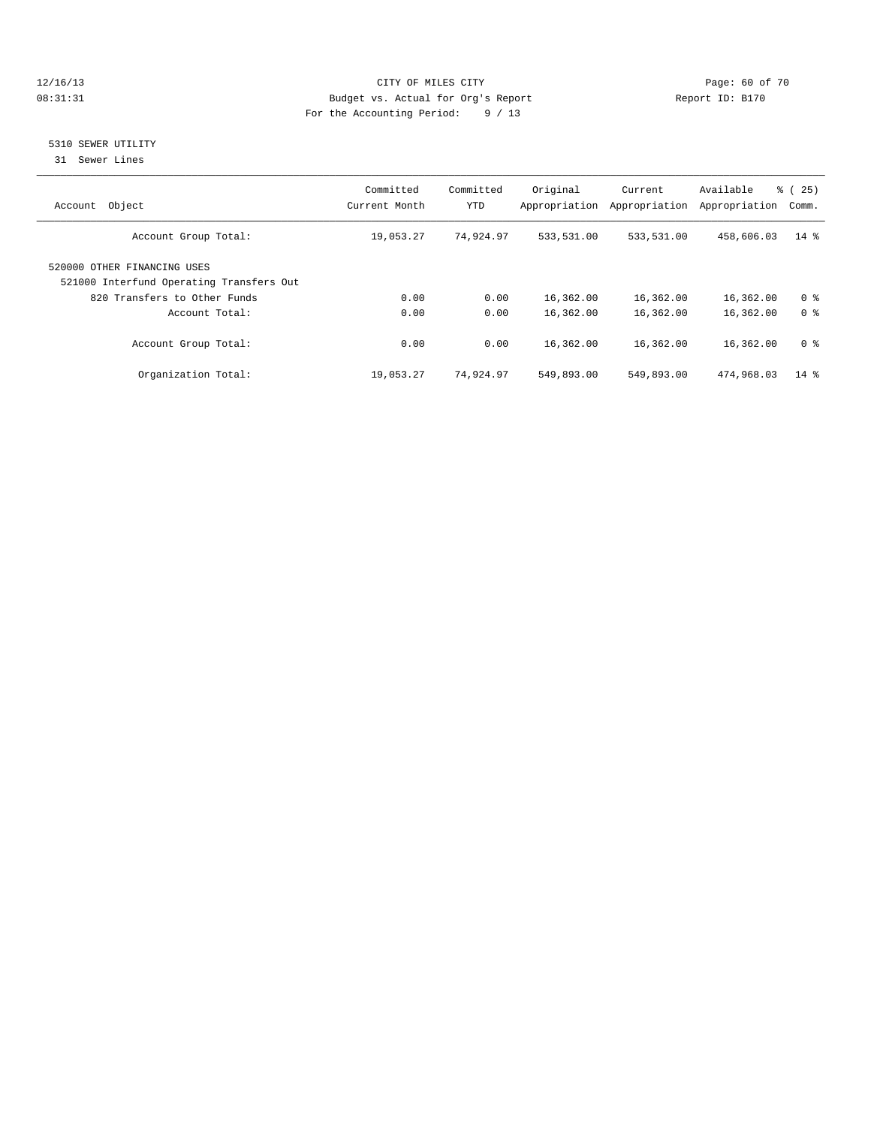### 12/16/13 Page: 60 of 70 08:31:31 Budget vs. Actual for Org's Report Changer Report ID: B170 For the Accounting Period: 9 / 13

### 5310 SEWER UTILITY

31 Sewer Lines

| Object<br>Account                                                       | Committed<br>Current Month | Committed<br><b>YTD</b> | Original<br>Appropriation | Current<br>Appropriation | Available<br>Appropriation | % (<br>25)<br>Comm. |
|-------------------------------------------------------------------------|----------------------------|-------------------------|---------------------------|--------------------------|----------------------------|---------------------|
| Account Group Total:                                                    | 19,053.27                  | 74,924.97               | 533,531.00                | 533,531.00               | 458,606.03                 | $14*$               |
| 520000 OTHER FINANCING USES<br>521000 Interfund Operating Transfers Out |                            |                         |                           |                          |                            |                     |
| 820 Transfers to Other Funds                                            | 0.00                       | 0.00                    | 16,362.00                 | 16,362.00                | 16,362.00                  | 0 <sup>8</sup>      |
| Account Total:                                                          | 0.00                       | 0.00                    | 16,362.00                 | 16,362.00                | 16,362.00                  | 0 <sup>8</sup>      |
| Account Group Total:                                                    | 0.00                       | 0.00                    | 16,362.00                 | 16,362.00                | 16,362.00                  | 0 <sup>8</sup>      |
| Organization Total:                                                     | 19,053.27                  | 74,924.97               | 549,893.00                | 549,893.00               | 474,968.03                 | $14 \text{ }$       |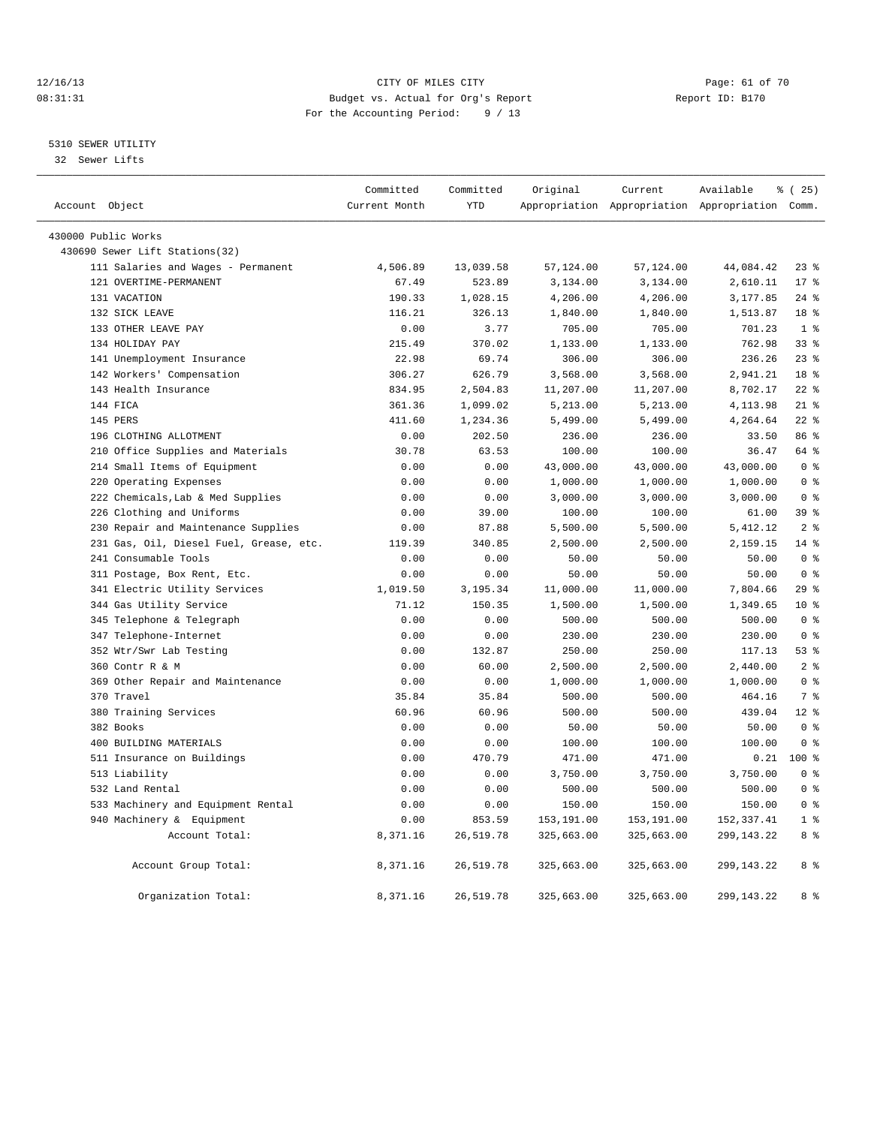### 12/16/13 Page: 61 of 70 08:31:31 Budget vs. Actual for Org's Report Changer Report ID: B170 For the Accounting Period: 9 / 13

### 5310 SEWER UTILITY

32 Sewer Lifts

|                                         | Committed     | Committed  | Original   | Current    | Available                                       | % (25)          |
|-----------------------------------------|---------------|------------|------------|------------|-------------------------------------------------|-----------------|
| Account Object                          | Current Month | <b>YTD</b> |            |            | Appropriation Appropriation Appropriation Comm. |                 |
| 430000 Public Works                     |               |            |            |            |                                                 |                 |
| 430690 Sewer Lift Stations(32)          |               |            |            |            |                                                 |                 |
| 111 Salaries and Wages - Permanent      | 4,506.89      | 13,039.58  | 57,124.00  | 57,124.00  | 44,084.42                                       | $23$ %          |
| 121 OVERTIME-PERMANENT                  | 67.49         | 523.89     | 3,134.00   | 3,134.00   | 2,610.11                                        | 17.8            |
| 131 VACATION                            | 190.33        | 1,028.15   | 4,206.00   | 4,206.00   | 3,177.85                                        | $24$ %          |
| 132 SICK LEAVE                          | 116.21        | 326.13     | 1,840.00   | 1,840.00   | 1,513.87                                        | 18 <sup>8</sup> |
| 133 OTHER LEAVE PAY                     | 0.00          | 3.77       | 705.00     | 705.00     | 701.23                                          | 1 <sup>8</sup>  |
| 134 HOLIDAY PAY                         | 215.49        | 370.02     | 1,133.00   | 1,133.00   | 762.98                                          | 33%             |
| 141 Unemployment Insurance              | 22.98         | 69.74      | 306.00     | 306.00     | 236.26                                          | $23$ $%$        |
| 142 Workers' Compensation               | 306.27        | 626.79     | 3,568.00   | 3,568.00   | 2,941.21                                        | 18 %            |
| 143 Health Insurance                    | 834.95        | 2,504.83   | 11,207.00  | 11,207.00  | 8,702.17                                        | $22$ %          |
| 144 FICA                                | 361.36        | 1,099.02   | 5,213.00   | 5,213.00   | 4,113.98                                        | $21$ %          |
| 145 PERS                                | 411.60        | 1,234.36   | 5,499.00   | 5,499.00   | 4,264.64                                        | $22$ $%$        |
| 196 CLOTHING ALLOTMENT                  | 0.00          | 202.50     | 236.00     | 236.00     | 33.50                                           | 86%             |
| 210 Office Supplies and Materials       | 30.78         | 63.53      | 100.00     | 100.00     | 36.47                                           | 64 %            |
| 214 Small Items of Equipment            | 0.00          | 0.00       | 43,000.00  | 43,000.00  | 43,000.00                                       | 0 <sup>8</sup>  |
| 220 Operating Expenses                  | 0.00          | 0.00       | 1,000.00   | 1,000.00   | 1,000.00                                        | 0 <sup>8</sup>  |
| 222 Chemicals, Lab & Med Supplies       | 0.00          | 0.00       | 3,000.00   | 3,000.00   | 3,000.00                                        | 0 <sup>8</sup>  |
| 226 Clothing and Uniforms               | 0.00          | 39.00      | 100.00     | 100.00     | 61.00                                           | 39 %            |
| 230 Repair and Maintenance Supplies     | 0.00          | 87.88      | 5,500.00   | 5,500.00   | 5, 412.12                                       | 2 <sup>8</sup>  |
| 231 Gas, Oil, Diesel Fuel, Grease, etc. | 119.39        | 340.85     | 2,500.00   | 2,500.00   | 2,159.15                                        | 14.8            |
| 241 Consumable Tools                    | 0.00          | 0.00       | 50.00      | 50.00      | 50.00                                           | 0 <sup>8</sup>  |
| 311 Postage, Box Rent, Etc.             | 0.00          | 0.00       | 50.00      | 50.00      | 50.00                                           | 0 <sup>8</sup>  |
| 341 Electric Utility Services           | 1,019.50      | 3,195.34   | 11,000.00  | 11,000.00  | 7,804.66                                        | 29%             |
| 344 Gas Utility Service                 | 71.12         | 150.35     | 1,500.00   | 1,500.00   | 1,349.65                                        | $10*$           |
| 345 Telephone & Telegraph               | 0.00          | 0.00       | 500.00     | 500.00     | 500.00                                          | 0 <sup>8</sup>  |
| 347 Telephone-Internet                  | 0.00          | 0.00       | 230.00     | 230.00     | 230.00                                          | 0 <sup>8</sup>  |
| 352 Wtr/Swr Lab Testing                 | 0.00          | 132.87     | 250.00     | 250.00     | 117.13                                          | 53%             |
| 360 Contr R & M                         | 0.00          | 60.00      | 2,500.00   | 2,500.00   | 2,440.00                                        | 2 <sup>°</sup>  |
| 369 Other Repair and Maintenance        | 0.00          | 0.00       | 1,000.00   | 1,000.00   | 1,000.00                                        | 0 <sup>8</sup>  |
| 370 Travel                              | 35.84         | 35.84      | 500.00     | 500.00     | 464.16                                          | 7 %             |
| 380 Training Services                   | 60.96         | 60.96      | 500.00     | 500.00     | 439.04                                          | $12*$           |
| 382 Books                               | 0.00          | 0.00       | 50.00      | 50.00      | 50.00                                           | 0 <sup>8</sup>  |
| 400 BUILDING MATERIALS                  | 0.00          | 0.00       | 100.00     | 100.00     | 100.00                                          | 0 <sup>8</sup>  |
| 511 Insurance on Buildings              | 0.00          | 470.79     | 471.00     | 471.00     | 0.21                                            | $100*$          |
| 513 Liability                           | 0.00          | 0.00       | 3,750.00   | 3,750.00   | 3,750.00                                        | 0 <sup>8</sup>  |
| 532 Land Rental                         | 0.00          | 0.00       | 500.00     | 500.00     | 500.00                                          | 0 <sup>8</sup>  |
| 533 Machinery and Equipment Rental      | 0.00          | 0.00       | 150.00     | 150.00     | 150.00                                          | 0 <sup>8</sup>  |
| 940 Machinery & Equipment               | 0.00          | 853.59     | 153,191.00 | 153,191.00 | 152, 337.41                                     | 1 <sup>8</sup>  |
| Account Total:                          | 8,371.16      | 26,519.78  | 325,663.00 | 325,663.00 | 299, 143. 22                                    | 8 %             |
| Account Group Total:                    | 8,371.16      | 26,519.78  | 325,663.00 | 325,663.00 | 299, 143. 22                                    | 8 %             |
| Organization Total:                     | 8,371.16      | 26,519.78  | 325,663.00 | 325,663.00 | 299, 143. 22                                    | 8 %             |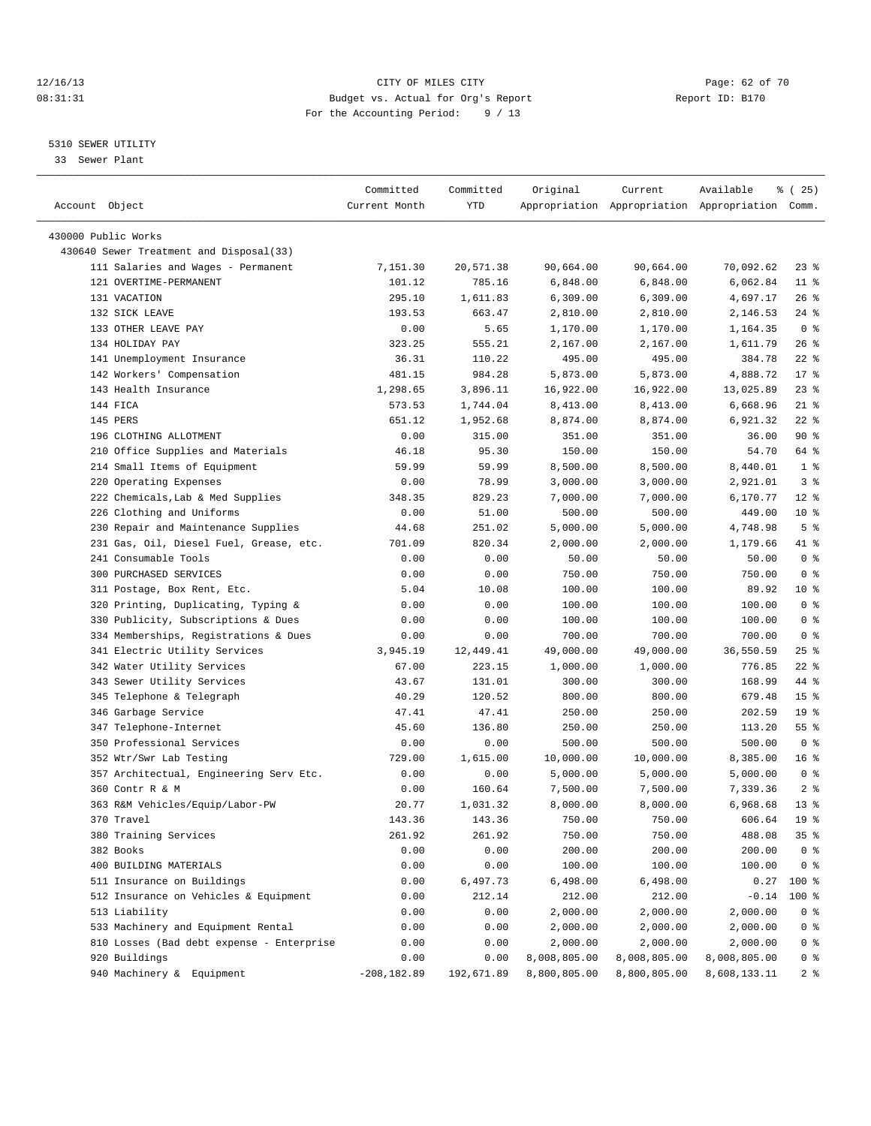### 12/16/13 Page: 62 of 70 08:31:31 Budget vs. Actual for Org's Report Changer Report ID: B170 For the Accounting Period: 9 / 13

————————————————————————————————————————————————————————————————————————————————————————————————————————————————————————————————————

### 5310 SEWER UTILITY

33 Sewer Plant

|                                           | Committed      | Committed      | Original             | Current              | Available                                       | <sub>है</sub> (25) |
|-------------------------------------------|----------------|----------------|----------------------|----------------------|-------------------------------------------------|--------------------|
| Account Object                            | Current Month  | YTD            |                      |                      | Appropriation Appropriation Appropriation Comm. |                    |
|                                           |                |                |                      |                      |                                                 |                    |
| 430000 Public Works                       |                |                |                      |                      |                                                 |                    |
| 430640 Sewer Treatment and Disposal(33)   |                |                |                      |                      |                                                 |                    |
| 111 Salaries and Wages - Permanent        | 7,151.30       | 20,571.38      | 90,664.00            | 90,664.00            | 70,092.62                                       | $23$ $%$           |
| 121 OVERTIME-PERMANENT                    | 101.12         | 785.16         | 6,848.00             | 6,848.00             | 6,062.84                                        | $11$ %             |
| 131 VACATION                              | 295.10         | 1,611.83       | 6,309.00             | 6,309.00             | 4,697.17                                        | $26$ %<br>$24$ %   |
| 132 SICK LEAVE<br>133 OTHER LEAVE PAY     | 193.53<br>0.00 | 663.47         | 2,810.00<br>1,170.00 | 2,810.00             | 2,146.53                                        | 0 <sup>8</sup>     |
| 134 HOLIDAY PAY                           | 323.25         | 5.65<br>555.21 |                      | 1,170.00<br>2,167.00 | 1,164.35<br>1,611.79                            | 26%                |
| 141 Unemployment Insurance                |                |                | 2,167.00             |                      | 384.78                                          |                    |
|                                           | 36.31          | 110.22         | 495.00<br>5,873.00   | 495.00               |                                                 | $22$ %             |
| 142 Workers' Compensation                 | 481.15         | 984.28         |                      | 5,873.00             | 4,888.72                                        | $17*$              |
| 143 Health Insurance                      | 1,298.65       | 3,896.11       | 16,922.00            | 16,922.00            | 13,025.89                                       | $23$ $%$           |
| 144 FICA                                  | 573.53         | 1,744.04       | 8,413.00             | 8,413.00             | 6,668.96                                        | $21$ %             |
| 145 PERS                                  | 651.12         | 1,952.68       | 8,874.00             | 8,874.00             | 6,921.32                                        | $22$ %             |
| 196 CLOTHING ALLOTMENT                    | 0.00           | 315.00         | 351.00               | 351.00               | 36.00                                           | 90%                |
| 210 Office Supplies and Materials         | 46.18          | 95.30          | 150.00               | 150.00               | 54.70                                           | 64 %               |
| 214 Small Items of Equipment              | 59.99          | 59.99          | 8,500.00             | 8,500.00             | 8,440.01                                        | 1 <sup>8</sup>     |
| 220 Operating Expenses                    | 0.00           | 78.99          | 3,000.00             | 3,000.00             | 2,921.01                                        | 3 <sup>8</sup>     |
| 222 Chemicals, Lab & Med Supplies         | 348.35         | 829.23         | 7,000.00             | 7,000.00             | 6,170.77                                        | $12*$              |
| 226 Clothing and Uniforms                 | 0.00           | 51.00          | 500.00               | 500.00               | 449.00                                          | $10*$              |
| 230 Repair and Maintenance Supplies       | 44.68          | 251.02         | 5,000.00             | 5,000.00             | 4,748.98                                        | 5 <sup>°</sup>     |
| 231 Gas, Oil, Diesel Fuel, Grease, etc.   | 701.09         | 820.34         | 2,000.00             | 2,000.00             | 1,179.66                                        | 41 %               |
| 241 Consumable Tools                      | 0.00           | 0.00           | 50.00                | 50.00                | 50.00                                           | 0 <sup>8</sup>     |
| 300 PURCHASED SERVICES                    | 0.00           | 0.00           | 750.00               | 750.00               | 750.00                                          | 0 <sup>8</sup>     |
| 311 Postage, Box Rent, Etc.               | 5.04           | 10.08          | 100.00               | 100.00               | 89.92                                           | $10*$              |
| 320 Printing, Duplicating, Typing &       | 0.00           | 0.00           | 100.00               | 100.00               | 100.00                                          | 0 <sup>8</sup>     |
| 330 Publicity, Subscriptions & Dues       | 0.00           | 0.00           | 100.00               | 100.00               | 100.00                                          | 0 <sup>8</sup>     |
| 334 Memberships, Registrations & Dues     | 0.00           | 0.00           | 700.00               | 700.00               | 700.00                                          | 0 <sup>8</sup>     |
| 341 Electric Utility Services             | 3,945.19       | 12,449.41      | 49,000.00            | 49,000.00            | 36,550.59                                       | $25$ $%$           |
| 342 Water Utility Services                | 67.00          | 223.15         | 1,000.00             | 1,000.00             | 776.85                                          | $22$ %             |
| 343 Sewer Utility Services                | 43.67          | 131.01         | 300.00               | 300.00               | 168.99                                          | 44 %               |
| 345 Telephone & Telegraph                 | 40.29          | 120.52         | 800.00               | 800.00               | 679.48                                          | 15 <sup>°</sup>    |
| 346 Garbage Service                       | 47.41          | 47.41          | 250.00               | 250.00               | 202.59                                          | 19 <sup>°</sup>    |
| 347 Telephone-Internet                    | 45.60          | 136.80         | 250.00               | 250.00               | 113.20                                          | $55$ $%$           |
| 350 Professional Services                 | 0.00           | 0.00           | 500.00               | 500.00               | 500.00                                          | 0 <sup>8</sup>     |
| 352 Wtr/Swr Lab Testing                   | 729.00         | 1,615.00       | 10,000.00            | 10,000.00            | 8,385.00                                        | 16 <sup>°</sup>    |
| 357 Architectual, Engineering Serv Etc.   | 0.00           | 0.00           | 5,000.00             | 5,000.00             | 5,000.00                                        | 0 <sup>8</sup>     |
| 360 Contr R & M                           | 0.00           | 160.64         | 7,500.00             | 7,500.00             | 7,339.36                                        | 2 <sup>°</sup>     |
| 363 R&M Vehicles/Equip/Labor-PW           | 20.77          | 1,031.32       | 8,000.00             | 8,000.00             | 6,968.68                                        | $13*$              |
| 370 Travel                                | 143.36         | 143.36         | 750.00               | 750.00               | 606.64                                          | 19 <sup>°</sup>    |
| 380 Training Services                     | 261.92         | 261.92         | 750.00               | 750.00               | 488.08                                          | 35%                |
| 382 Books                                 | 0.00           | 0.00           | 200.00               | 200.00               | 200.00                                          | 0 <sup>8</sup>     |
| 400 BUILDING MATERIALS                    | 0.00           | 0.00           | 100.00               | 100.00               | 100.00                                          | 0 <sup>8</sup>     |
| 511 Insurance on Buildings                | 0.00           | 6,497.73       | 6,498.00             | 6,498.00             | 0.27                                            | 100 %              |
| 512 Insurance on Vehicles & Equipment     | 0.00           | 212.14         | 212.00               | 212.00               | $-0.14$                                         | $100$ %            |
| 513 Liability                             | 0.00           | 0.00           | 2,000.00             | 2,000.00             | 2,000.00                                        | 0 <sup>8</sup>     |
| 533 Machinery and Equipment Rental        | 0.00           | 0.00           | 2,000.00             | 2,000.00             | 2,000.00                                        | 0 <sup>8</sup>     |
| 810 Losses (Bad debt expense - Enterprise | 0.00           | 0.00           | 2,000.00             | 2,000.00             | 2,000.00                                        | 0 <sup>8</sup>     |
| 920 Buildings                             | 0.00           | 0.00           | 8,008,805.00         | 8,008,805.00         | 8,008,805.00                                    | 0 <sup>8</sup>     |
| 940 Machinery & Equipment                 | $-208, 182.89$ | 192,671.89     | 8,800,805.00         | 8,800,805.00         | 8,608,133.11                                    | 2 <sub>8</sub>     |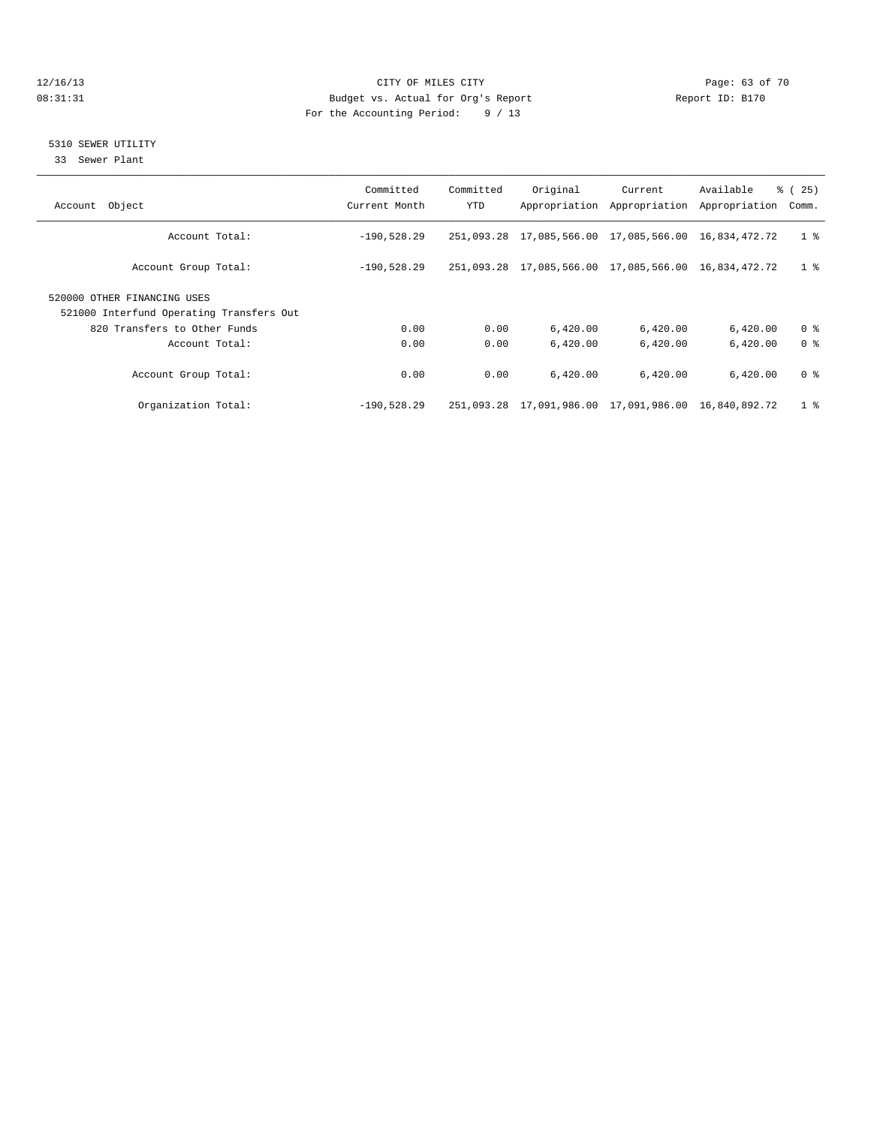### 12/16/13 Page: 63 of 70 08:31:31 Budget vs. Actual for Org's Report Changer Report ID: B170 For the Accounting Period: 9 / 13

### 5310 SEWER UTILITY

33 Sewer Plant

| Object<br>Account                                                       | Committed<br>Current Month | Committed<br><b>YTD</b> | Original                                             | Current<br>Appropriation Appropriation | Available<br>Appropriation | 8 (25)<br>Comm. |
|-------------------------------------------------------------------------|----------------------------|-------------------------|------------------------------------------------------|----------------------------------------|----------------------------|-----------------|
| Account Total:                                                          | $-190,528.29$              |                         | 251,093.28 17,085,566.00 17,085,566.00               |                                        | 16,834,472.72              | 1 <sup>8</sup>  |
| Account Group Total:                                                    | $-190,528.29$              |                         | 251,093.28 17,085,566.00 17,085,566.00 16,834,472.72 |                                        |                            | 1 <sup>8</sup>  |
| 520000 OTHER FINANCING USES<br>521000 Interfund Operating Transfers Out |                            |                         |                                                      |                                        |                            |                 |
| 820 Transfers to Other Funds                                            | 0.00                       | 0.00                    | 6,420.00                                             | 6,420.00                               | 6,420.00                   | 0 <sup>8</sup>  |
| Account Total:                                                          | 0.00                       | 0.00                    | 6.420.00                                             | 6.420.00                               | 6,420.00                   | 0 <sup>8</sup>  |
| Account Group Total:                                                    | 0.00                       | 0.00                    | 6,420.00                                             | 6,420.00                               | 6,420.00                   | 0 <sup>8</sup>  |
| Organization Total:                                                     | $-190.528.29$              |                         | 251,093.28 17,091,986.00 17,091,986.00 16,840,892.72 |                                        |                            | 1 <sup>8</sup>  |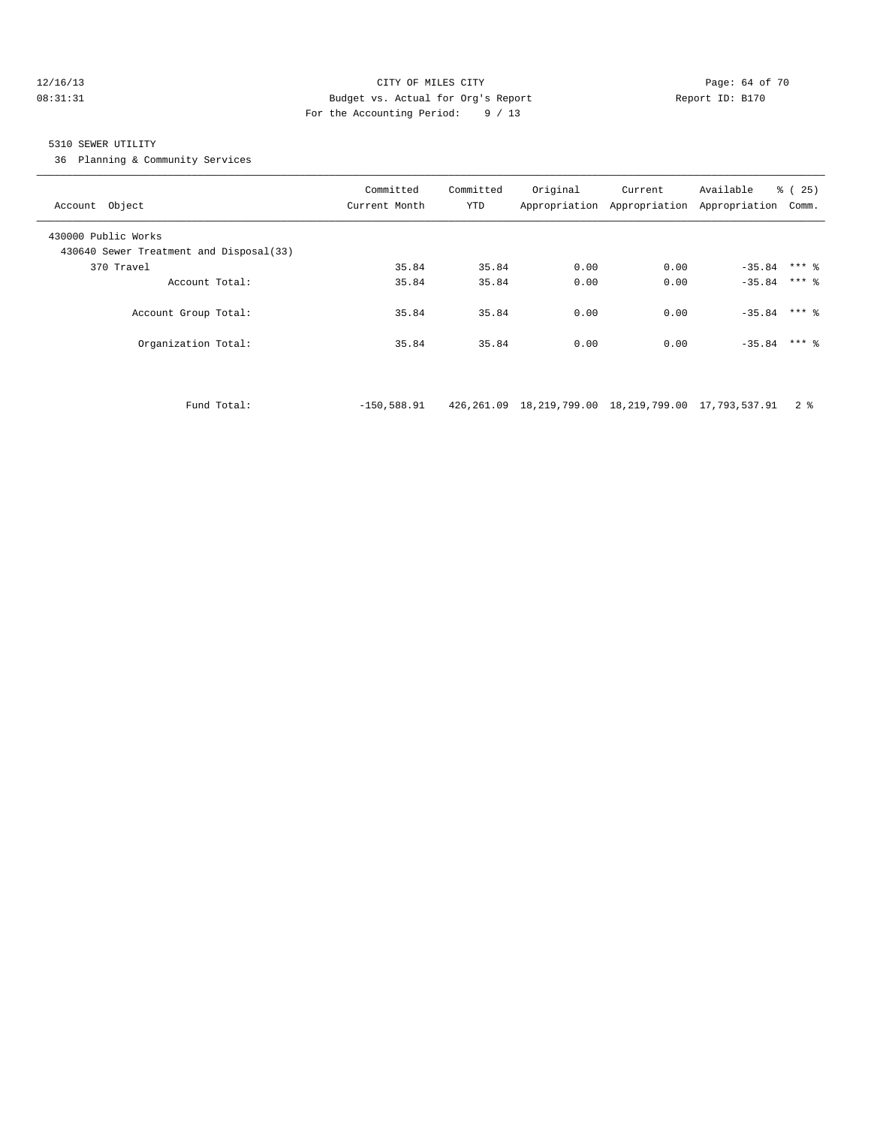### 12/16/13 Page: 64 of 70 08:31:31 Budget vs. Actual for Org's Report Changer Report ID: B170 For the Accounting Period: 9 / 13

### 5310 SEWER UTILITY

36 Planning & Community Services

| Account Object                                                 | Committed<br>Current Month | Committed<br>YTD | Original | Current<br>Appropriation Appropriation Appropriation | Available      | <b>%</b> (<br>25)<br>Comm. |
|----------------------------------------------------------------|----------------------------|------------------|----------|------------------------------------------------------|----------------|----------------------------|
| 430000 Public Works<br>430640 Sewer Treatment and Disposal(33) |                            |                  |          |                                                      |                |                            |
| 370 Travel                                                     | 35.84                      | 35.84            | 0.00     | 0.00                                                 | $-35.84$       | $***$ 2                    |
| Account Total:                                                 | 35.84                      | 35.84            | 0.00     | 0.00                                                 | $-35.84$ *** & |                            |
| Account Group Total:                                           | 35.84                      | 35.84            | 0.00     | 0.00                                                 | $-35.84$       | $***$ %                    |
| Organization Total:                                            | 35.84                      | 35.84            | 0.00     | 0.00                                                 | $-35.84$       | $***$ 2                    |

Fund Total: -150,588.91 426,261.09 18,219,799.00 18,219,799.00 17,793,537.91 2 %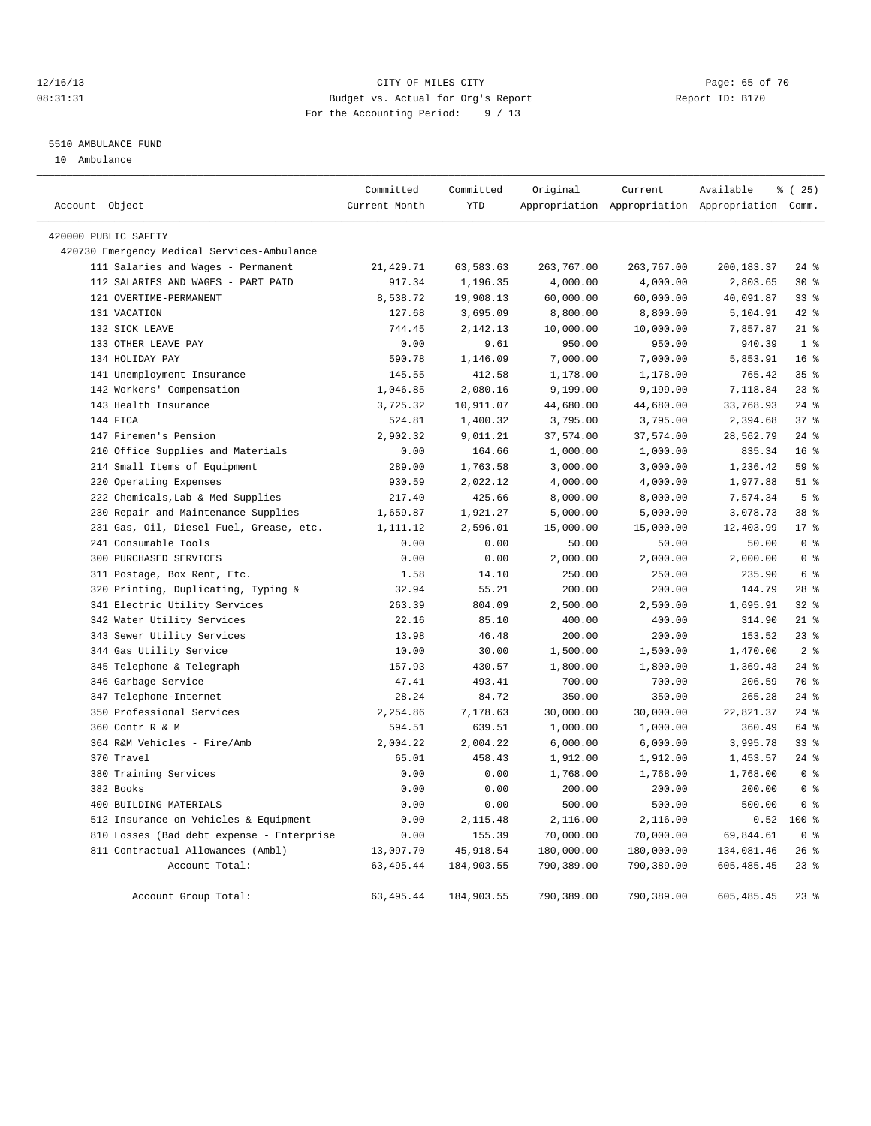### 12/16/13 Page: 65 of 70 08:31:31 Budget vs. Actual for Org's Report Changer Report ID: B170 For the Accounting Period: 9 / 13

### 5510 AMBULANCE FUND

10 Ambulance

|                |                                             | Committed     | Committed  | Original   | Current    | Available                                       | % (25)          |
|----------------|---------------------------------------------|---------------|------------|------------|------------|-------------------------------------------------|-----------------|
| Account Object |                                             | Current Month | <b>YTD</b> |            |            | Appropriation Appropriation Appropriation Comm. |                 |
|                | 420000 PUBLIC SAFETY                        |               |            |            |            |                                                 |                 |
|                | 420730 Emergency Medical Services-Ambulance |               |            |            |            |                                                 |                 |
|                | 111 Salaries and Wages - Permanent          | 21,429.71     | 63,583.63  | 263,767.00 | 263,767.00 | 200,183.37                                      | $24$ %          |
|                | 112 SALARIES AND WAGES - PART PAID          | 917.34        | 1,196.35   | 4,000.00   | 4,000.00   | 2,803.65                                        | $30*$           |
|                | 121 OVERTIME-PERMANENT                      | 8,538.72      | 19,908.13  | 60,000.00  | 60,000.00  | 40,091.87                                       | 33 <sup>8</sup> |
|                | 131 VACATION                                | 127.68        | 3,695.09   | 8,800.00   | 8,800.00   | 5,104.91                                        | $42*$           |
|                | 132 SICK LEAVE                              | 744.45        | 2,142.13   | 10,000.00  | 10,000.00  | 7,857.87                                        | $21$ %          |
|                | 133 OTHER LEAVE PAY                         | 0.00          | 9.61       | 950.00     | 950.00     | 940.39                                          | 1 <sup>°</sup>  |
|                | 134 HOLIDAY PAY                             | 590.78        | 1,146.09   | 7,000.00   | 7,000.00   | 5,853.91                                        | 16 <sup>°</sup> |
|                | 141 Unemployment Insurance                  | 145.55        | 412.58     | 1,178.00   | 1,178.00   | 765.42                                          | 35 <sup>8</sup> |
|                | 142 Workers' Compensation                   | 1,046.85      | 2,080.16   | 9,199.00   | 9,199.00   | 7,118.84                                        | $23$ $%$        |
|                | 143 Health Insurance                        | 3,725.32      | 10,911.07  | 44,680.00  | 44,680.00  | 33,768.93                                       | $24$ %          |
|                | 144 FICA                                    | 524.81        | 1,400.32   | 3,795.00   | 3,795.00   | 2,394.68                                        | 37 <sup>8</sup> |
|                | 147 Firemen's Pension                       | 2,902.32      | 9,011.21   | 37,574.00  | 37,574.00  | 28,562.79                                       | $24$ %          |
|                | 210 Office Supplies and Materials           | 0.00          | 164.66     | 1,000.00   | 1,000.00   | 835.34                                          | 16 <sup>°</sup> |
|                | 214 Small Items of Equipment                | 289.00        | 1,763.58   | 3,000.00   | 3,000.00   | 1,236.42                                        | 59 %            |
|                | 220 Operating Expenses                      | 930.59        | 2,022.12   | 4,000.00   | 4,000.00   | 1,977.88                                        | $51$ $%$        |
|                | 222 Chemicals, Lab & Med Supplies           | 217.40        | 425.66     | 8,000.00   | 8,000.00   | 7,574.34                                        | 5 <sup>°</sup>  |
|                | 230 Repair and Maintenance Supplies         | 1,659.87      | 1,921.27   | 5,000.00   | 5,000.00   | 3,078.73                                        | 38 %            |
|                | 231 Gas, Oil, Diesel Fuel, Grease, etc.     | 1,111.12      | 2,596.01   | 15,000.00  | 15,000.00  | 12,403.99                                       | $17*$           |
|                | 241 Consumable Tools                        | 0.00          | 0.00       | 50.00      | 50.00      | 50.00                                           | 0 <sup>8</sup>  |
|                | 300 PURCHASED SERVICES                      | 0.00          | 0.00       | 2,000.00   | 2,000.00   | 2,000.00                                        | 0 <sup>8</sup>  |
|                | 311 Postage, Box Rent, Etc.                 | 1.58          | 14.10      | 250.00     | 250.00     | 235.90                                          | 6 <sup>°</sup>  |
|                | 320 Printing, Duplicating, Typing &         | 32.94         | 55.21      | 200.00     | 200.00     | 144.79                                          | $28$ %          |
|                | 341 Electric Utility Services               | 263.39        | 804.09     | 2,500.00   | 2,500.00   | 1,695.91                                        | 32%             |
|                | 342 Water Utility Services                  | 22.16         | 85.10      | 400.00     | 400.00     | 314.90                                          | $21$ %          |
|                | 343 Sewer Utility Services                  | 13.98         | 46.48      | 200.00     | 200.00     | 153.52                                          | $23$ $%$        |
|                | 344 Gas Utility Service                     | 10.00         | 30.00      | 1,500.00   | 1,500.00   | 1,470.00                                        | 2 <sup>8</sup>  |
|                | 345 Telephone & Telegraph                   | 157.93        | 430.57     | 1,800.00   | 1,800.00   | 1,369.43                                        | $24$ %          |
|                | 346 Garbage Service                         | 47.41         | 493.41     | 700.00     | 700.00     | 206.59                                          | 70 %            |
|                | 347 Telephone-Internet                      | 28.24         | 84.72      | 350.00     | 350.00     | 265.28                                          | $24$ %          |
|                | 350 Professional Services                   | 2,254.86      | 7,178.63   | 30,000.00  | 30,000.00  | 22,821.37                                       | $24$ %          |
|                | 360 Contr R & M                             | 594.51        | 639.51     | 1,000.00   | 1,000.00   | 360.49                                          | 64 %            |
|                | 364 R&M Vehicles - Fire/Amb                 | 2,004.22      | 2,004.22   | 6,000.00   | 6,000.00   | 3,995.78                                        | 33 <sup>8</sup> |
|                | 370 Travel                                  | 65.01         | 458.43     | 1,912.00   | 1,912.00   | 1,453.57                                        | $24$ $%$        |
|                | 380 Training Services                       | 0.00          | 0.00       | 1,768.00   | 1,768.00   | 1,768.00                                        | 0 <sup>8</sup>  |
|                | 382 Books                                   | 0.00          | 0.00       | 200.00     | 200.00     | 200.00                                          | 0 <sup>8</sup>  |
|                | 400 BUILDING MATERIALS                      | 0.00          | 0.00       | 500.00     | 500.00     | 500.00                                          | 0 <sup>8</sup>  |
|                | 512 Insurance on Vehicles & Equipment       | 0.00          | 2,115.48   | 2,116.00   | 2,116.00   | 0.52                                            | 100 %           |
|                | 810 Losses (Bad debt expense - Enterprise   | 0.00          | 155.39     | 70,000.00  | 70,000.00  | 69,844.61                                       | 0 <sup>8</sup>  |
|                | 811 Contractual Allowances (Ambl)           | 13,097.70     | 45, 918.54 | 180,000.00 | 180,000.00 | 134,081.46                                      | $26$ $%$        |
|                | Account Total:                              | 63, 495.44    | 184,903.55 | 790,389.00 | 790,389.00 | 605, 485.45                                     | $23$ $%$        |
|                | Account Group Total:                        | 63, 495. 44   | 184,903.55 | 790,389.00 | 790,389.00 | 605, 485.45                                     | $23$ %          |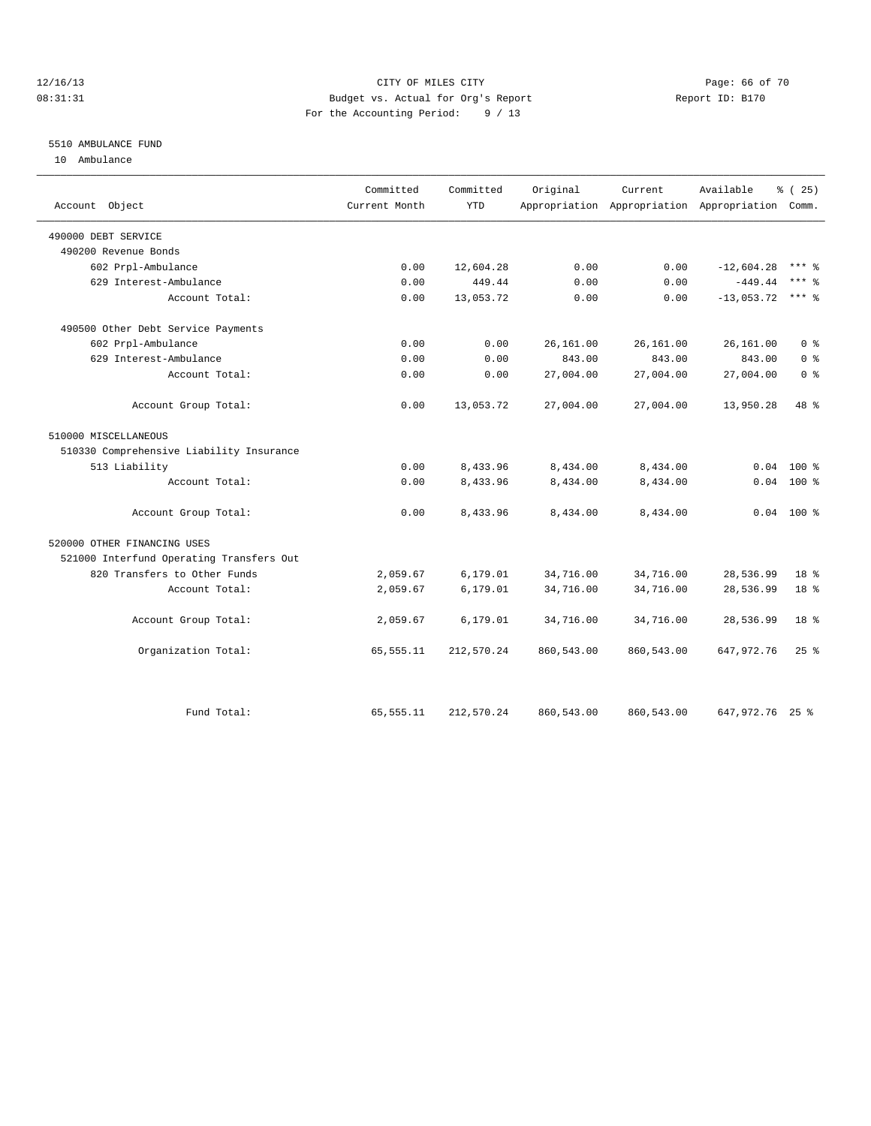### 12/16/13 Page: 66 of 70 08:31:31 Budget vs. Actual for Org's Report Changer Report ID: B170 For the Accounting Period: 9 / 13

### 5510 AMBULANCE FUND

10 Ambulance

| Account Object                           | Committed<br>Current Month | Committed<br><b>YTD</b> | Original   | Current<br>Appropriation Appropriation Appropriation Comm. | Available       | % (25)             |
|------------------------------------------|----------------------------|-------------------------|------------|------------------------------------------------------------|-----------------|--------------------|
| 490000 DEBT SERVICE                      |                            |                         |            |                                                            |                 |                    |
| 490200 Revenue Bonds                     |                            |                         |            |                                                            |                 |                    |
| 602 Prpl-Ambulance                       | 0.00                       | 12,604.28               | 0.00       | 0.00                                                       | $-12,604.28$    | *** &              |
| 629 Interest-Ambulance                   | 0.00                       | 449.44                  | 0.00       | 0.00                                                       | $-449.44$       | $***$ 2            |
| Account Total:                           | 0.00                       | 13,053.72               | 0.00       | 0.00                                                       | $-13,053.72$    | $***$ 2            |
| 490500 Other Debt Service Payments       |                            |                         |            |                                                            |                 |                    |
| 602 Prpl-Ambulance                       | 0.00                       | 0.00                    | 26,161.00  | 26,161.00                                                  | 26,161.00       | 0 <sup>8</sup>     |
| 629 Interest-Ambulance                   | 0.00                       | 0.00                    | 843.00     | 843.00                                                     | 843.00          | 0 <sup>8</sup>     |
| Account Total:                           | 0.00                       | 0.00                    | 27,004.00  | 27,004.00                                                  | 27,004.00       | 0 <sup>8</sup>     |
| Account Group Total:                     | 0.00                       | 13,053.72               | 27,004.00  | 27,004.00                                                  | 13,950.28       | 48 %               |
| 510000 MISCELLANEOUS                     |                            |                         |            |                                                            |                 |                    |
| 510330 Comprehensive Liability Insurance |                            |                         |            |                                                            |                 |                    |
| 513 Liability                            | 0.00                       | 8,433.96                | 8,434.00   | 8,434.00                                                   | 0.04            | $100*$             |
| Account Total:                           | 0.00                       | 8,433.96                | 8,434.00   | 8,434.00                                                   | 0.04            | 100 %              |
| Account Group Total:                     | 0.00                       | 8,433.96                | 8,434.00   | 8,434.00                                                   |                 | $0.04$ 100 %       |
| 520000 OTHER FINANCING USES              |                            |                         |            |                                                            |                 |                    |
| 521000 Interfund Operating Transfers Out |                            |                         |            |                                                            |                 |                    |
| 820 Transfers to Other Funds             | 2,059.67                   | 6,179.01                | 34,716.00  | 34,716.00                                                  | 28,536.99       | 18 <sup>8</sup>    |
| Account Total:                           | 2,059.67                   | 6,179.01                | 34,716.00  | 34,716.00                                                  | 28,536.99       | 18 %               |
| Account Group Total:                     | 2,059.67                   | 6,179.01                | 34,716.00  | 34,716.00                                                  | 28,536.99       | 18 <sup>8</sup>    |
| Organization Total:                      | 65,555.11                  | 212,570.24              | 860,543.00 | 860,543.00                                                 | 647, 972. 76    | $25$ $\frac{6}{5}$ |
| Fund Total:                              | 65,555.11                  | 212,570.24              | 860,543.00 | 860,543.00                                                 | 647,972.76 25 % |                    |
|                                          |                            |                         |            |                                                            |                 |                    |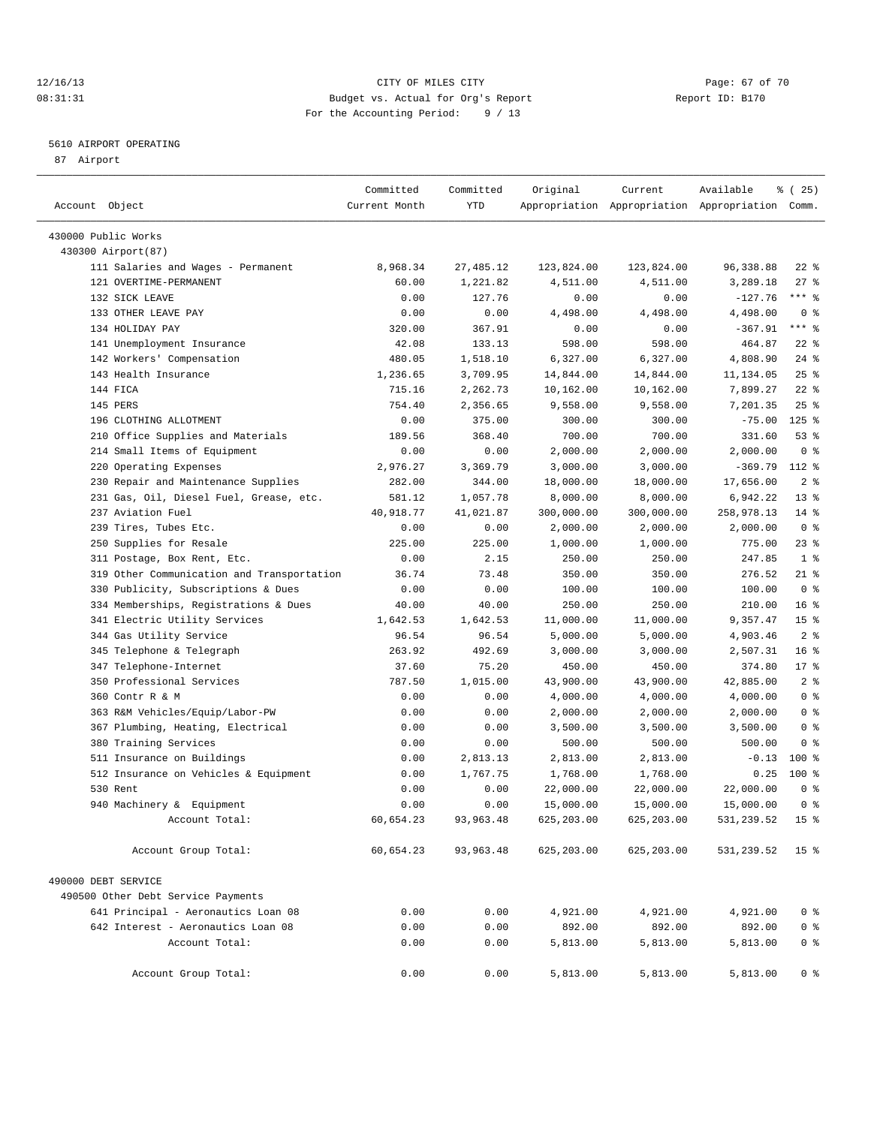### 12/16/13 Page: 67 of 70 08:31:31 Budget vs. Actual for Org's Report Changer Report ID: B170 For the Accounting Period: 9 / 13

————————————————————————————————————————————————————————————————————————————————————————————————————————————————————————————————————

### 5610 AIRPORT OPERATING

87 Airport

|                                            | Committed       | Committed      | Original         | Current          | Available                                       | 8 (25)              |
|--------------------------------------------|-----------------|----------------|------------------|------------------|-------------------------------------------------|---------------------|
| Account Object                             | Current Month   | YTD            |                  |                  | Appropriation Appropriation Appropriation Comm. |                     |
|                                            |                 |                |                  |                  |                                                 |                     |
| 430000 Public Works                        |                 |                |                  |                  |                                                 |                     |
| 430300 Airport (87)                        |                 | 27, 485.12     |                  |                  |                                                 |                     |
| 111 Salaries and Wages - Permanent         | 8,968.34        |                | 123,824.00       | 123,824.00       | 96, 338.88                                      | $22$ %              |
| 121 OVERTIME-PERMANENT<br>132 SICK LEAVE   | 60.00           | 1,221.82       | 4,511.00         | 4,511.00         | 3,289.18                                        | $27$ %<br>$***$ $-$ |
| 133 OTHER LEAVE PAY                        | 0.00            | 127.76         | 0.00             | 0.00             | $-127.76$                                       | 0 <sup>8</sup>      |
| 134 HOLIDAY PAY                            | 0.00            | 0.00<br>367.91 | 4,498.00<br>0.00 | 4,498.00<br>0.00 | 4,498.00<br>$-367.91$                           | $***$ $-$           |
| 141 Unemployment Insurance                 | 320.00<br>42.08 | 133.13         | 598.00           | 598.00           | 464.87                                          | $22$ %              |
| 142 Workers' Compensation                  | 480.05          | 1,518.10       | 6,327.00         | 6,327.00         | 4,808.90                                        | $24$ %              |
| 143 Health Insurance                       | 1,236.65        | 3,709.95       | 14,844.00        | 14,844.00        | 11,134.05                                       | 25%                 |
| 144 FICA                                   | 715.16          | 2,262.73       | 10,162.00        | 10,162.00        | 7,899.27                                        | $22$ %              |
| 145 PERS                                   | 754.40          | 2,356.65       | 9,558.00         | 9,558.00         | 7,201.35                                        | $25$ $%$            |
| 196 CLOTHING ALLOTMENT                     | 0.00            | 375.00         | 300.00           | 300.00           | $-75.00$                                        | $125$ %             |
| 210 Office Supplies and Materials          | 189.56          | 368.40         | 700.00           | 700.00           | 331.60                                          | 53%                 |
| 214 Small Items of Equipment               | 0.00            | 0.00           | 2,000.00         | 2,000.00         | 2,000.00                                        | 0 <sup>8</sup>      |
| 220 Operating Expenses                     | 2,976.27        | 3,369.79       | 3,000.00         | 3,000.00         | $-369.79$                                       | $112*$              |
| 230 Repair and Maintenance Supplies        | 282.00          | 344.00         | 18,000.00        | 18,000.00        | 17,656.00                                       | 2 <sup>°</sup>      |
| 231 Gas, Oil, Diesel Fuel, Grease, etc.    | 581.12          | 1,057.78       | 8,000.00         | 8,000.00         | 6,942.22                                        | $13*$               |
| 237 Aviation Fuel                          | 40,918.77       | 41,021.87      | 300,000.00       | 300,000.00       | 258,978.13                                      | $14*$               |
| 239 Tires, Tubes Etc.                      | 0.00            | 0.00           | 2,000.00         | 2,000.00         | 2,000.00                                        | 0 <sup>8</sup>      |
| Supplies for Resale<br>250                 | 225.00          | 225.00         | 1,000.00         | 1,000.00         | 775.00                                          | $23$ %              |
| 311 Postage, Box Rent, Etc.                | 0.00            | 2.15           | 250.00           | 250.00           | 247.85                                          | 1 <sup>8</sup>      |
| 319 Other Communication and Transportation | 36.74           | 73.48          | 350.00           | 350.00           | 276.52                                          | 21 %                |
| 330 Publicity, Subscriptions & Dues        | 0.00            | 0.00           | 100.00           | 100.00           | 100.00                                          | 0 <sup>8</sup>      |
| 334 Memberships, Registrations & Dues      | 40.00           | 40.00          | 250.00           | 250.00           | 210.00                                          | $16*$               |
| 341 Electric Utility Services              | 1,642.53        | 1,642.53       | 11,000.00        | 11,000.00        | 9,357.47                                        | 15 <sup>°</sup>     |
| 344 Gas Utility Service                    | 96.54           | 96.54          | 5,000.00         | 5,000.00         | 4,903.46                                        | 2 <sub>8</sub>      |
| 345 Telephone & Telegraph                  | 263.92          | 492.69         | 3,000.00         | 3,000.00         | 2,507.31                                        | 16 <sup>8</sup>     |
| 347 Telephone-Internet                     | 37.60           | 75.20          | 450.00           | 450.00           | 374.80                                          | $17$ %              |
| 350 Professional Services                  | 787.50          | 1,015.00       | 43,900.00        | 43,900.00        | 42,885.00                                       | 2 <sub>8</sub>      |
| 360 Contr R & M                            | 0.00            | 0.00           | 4,000.00         | 4,000.00         | 4,000.00                                        | 0 <sup>8</sup>      |
| 363 R&M Vehicles/Equip/Labor-PW            | 0.00            | 0.00           | 2,000.00         | 2,000.00         | 2,000.00                                        | 0 <sup>8</sup>      |
| 367 Plumbing, Heating, Electrical          | 0.00            | 0.00           | 3,500.00         | 3,500.00         | 3,500.00                                        | 0 <sup>8</sup>      |
| 380 Training Services                      | 0.00            | 0.00           | 500.00           | 500.00           | 500.00                                          | 0 <sup>8</sup>      |
| 511 Insurance on Buildings                 | 0.00            | 2,813.13       | 2,813.00         | 2,813.00         | $-0.13$                                         | 100 %               |
| 512 Insurance on Vehicles & Equipment      | 0.00            | 1,767.75       | 1,768.00         | 1,768.00         | 0.25                                            | $100*$              |
| 530 Rent                                   | 0.00            | 0.00           | 22,000.00        | 22,000.00        | 22,000.00                                       | 0 <sup>8</sup>      |
| 940 Machinery & Equipment                  | 0.00            | 0.00           | 15,000.00        | 15,000.00        | 15,000.00                                       | 0 <sup>8</sup>      |
| Account Total:                             | 60,654.23       | 93, 963. 48    | 625,203.00       | 625,203.00       | 531,239.52                                      | 15 <sup>°</sup>     |
|                                            |                 |                |                  |                  |                                                 |                     |
| Account Group Total:                       | 60,654.23       | 93,963.48      | 625,203.00       | 625,203.00       | 531,239.52                                      | 15 <sub>8</sub>     |
| 490000 DEBT SERVICE                        |                 |                |                  |                  |                                                 |                     |
| 490500 Other Debt Service Payments         |                 |                |                  |                  |                                                 |                     |
| 641 Principal - Aeronautics Loan 08        | 0.00            | 0.00           | 4,921.00         | 4,921.00         | 4,921.00                                        | 0 <sup>8</sup>      |
| 642 Interest - Aeronautics Loan 08         | 0.00            | 0.00           | 892.00           | 892.00           | 892.00                                          | 0 <sup>8</sup>      |
| Account Total:                             | 0.00            | 0.00           | 5,813.00         | 5,813.00         | 5,813.00                                        | 0 <sup>8</sup>      |
|                                            |                 |                |                  |                  |                                                 |                     |
| Account Group Total:                       | 0.00            | 0.00           | 5,813.00         | 5,813.00         | 5,813.00                                        | 0 <sup>8</sup>      |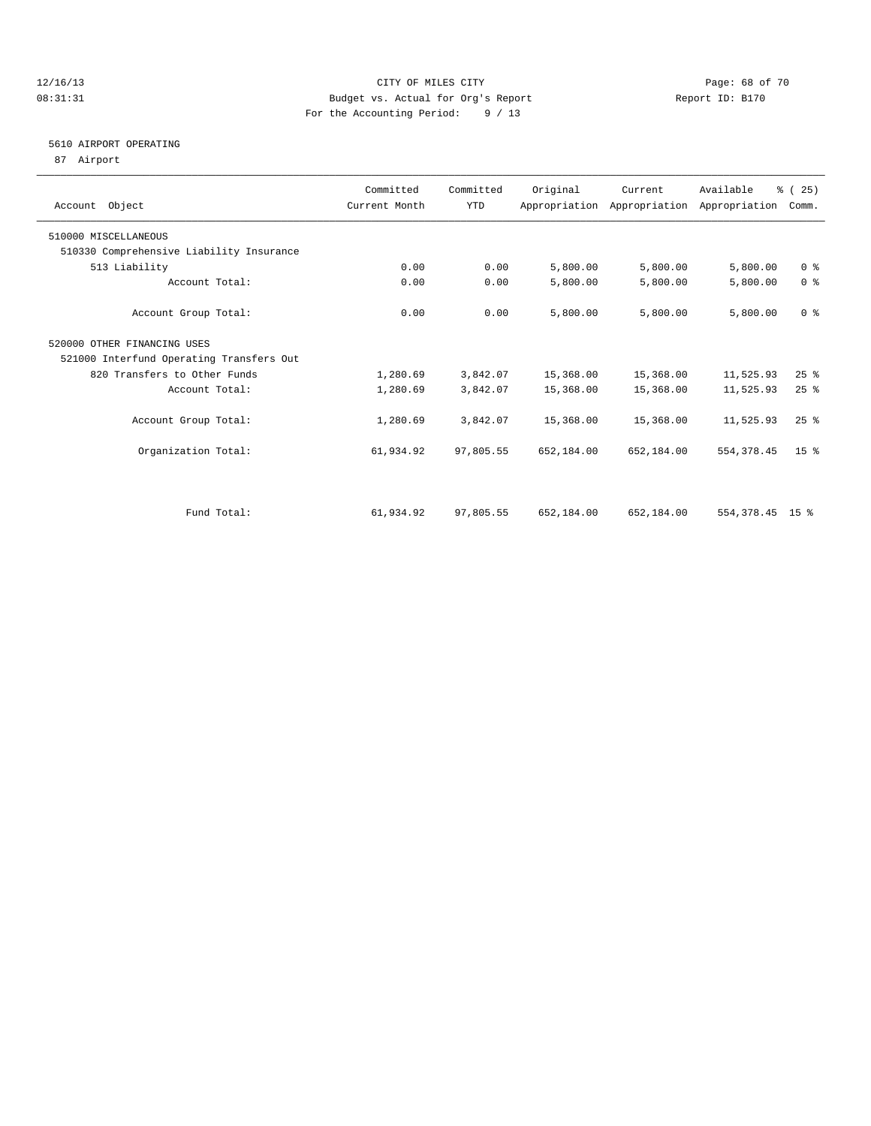### 12/16/13 Page: 68 of 70 08:31:31 Budget vs. Actual for Org's Report Changer Report ID: B170 For the Accounting Period: 9 / 13

### 5610 AIRPORT OPERATING

87 Airport

| Account Object                           | Committed<br>Current Month | Committed<br><b>YTD</b> | Original   | Current    | Available<br>Appropriation Appropriation Appropriation | % (25)<br>Comm. |
|------------------------------------------|----------------------------|-------------------------|------------|------------|--------------------------------------------------------|-----------------|
| 510000 MISCELLANEOUS                     |                            |                         |            |            |                                                        |                 |
| 510330 Comprehensive Liability Insurance |                            |                         |            |            |                                                        |                 |
| 513 Liability                            | 0.00                       | 0.00                    | 5,800.00   | 5,800.00   | 5,800.00                                               | 0 <sup>8</sup>  |
| Account Total:                           | 0.00                       | 0.00                    | 5,800.00   | 5,800.00   | 5,800.00                                               | 0 <sup>8</sup>  |
| Account Group Total:                     | 0.00                       | 0.00                    | 5,800.00   | 5,800.00   | 5,800.00                                               | 0 <sup>8</sup>  |
| 520000 OTHER FINANCING USES              |                            |                         |            |            |                                                        |                 |
| 521000 Interfund Operating Transfers Out |                            |                         |            |            |                                                        |                 |
| 820 Transfers to Other Funds             | 1,280.69                   | 3,842.07                | 15,368.00  | 15,368.00  | 11,525.93                                              | $25$ $%$        |
| Account Total:                           | 1,280.69                   | 3,842.07                | 15,368.00  | 15,368.00  | 11,525.93                                              | 25%             |
| Account Group Total:                     | 1,280.69                   | 3,842.07                | 15,368.00  | 15,368.00  | 11,525.93                                              | 25%             |
| Organization Total:                      | 61,934.92                  | 97,805.55               | 652,184.00 | 652,184.00 | 554, 378.45                                            | 15 <sup>8</sup> |
|                                          |                            |                         |            |            |                                                        |                 |
| Fund Total:                              | 61,934.92                  | 97,805.55               | 652,184.00 | 652,184.00 | 554, 378. 45 15 %                                      |                 |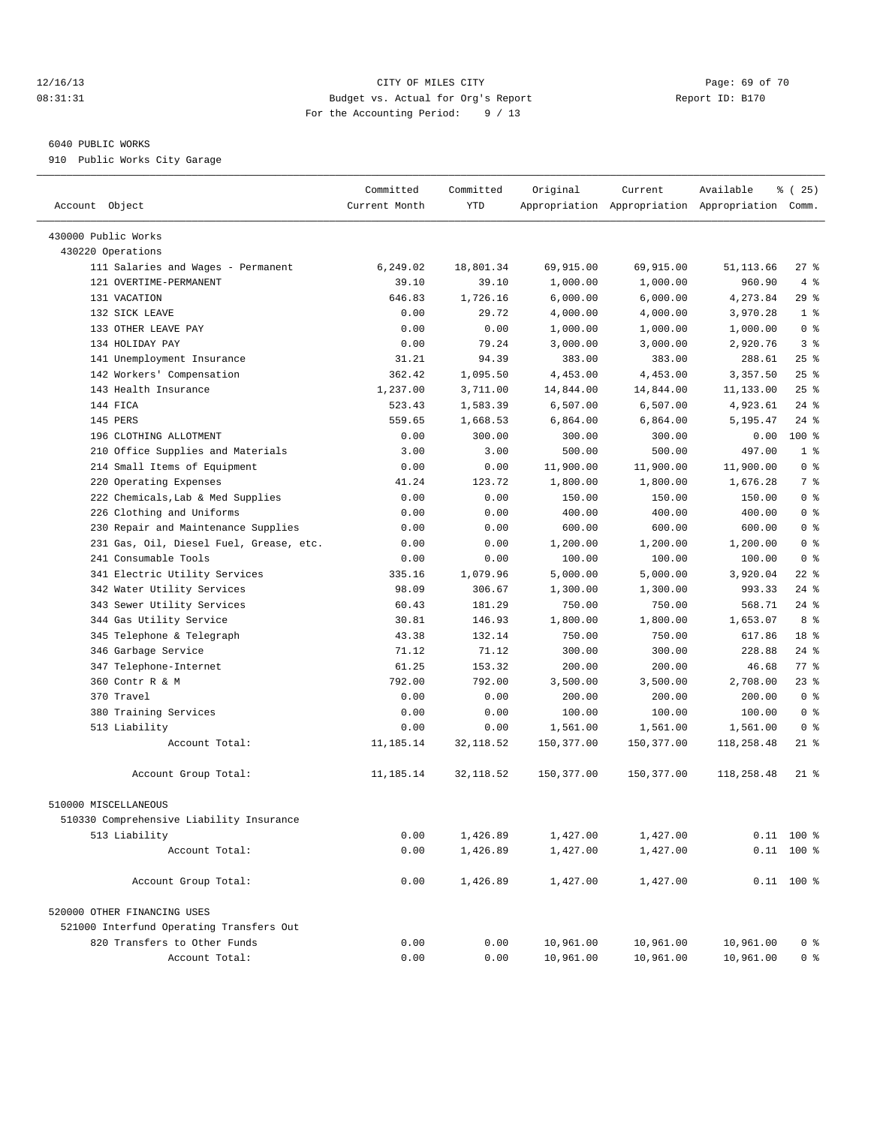### 12/16/13 Page: 69 of 70 08:31:31 Budget vs. Actual for Org's Report Changer Report ID: B170 For the Accounting Period: 9 / 13

————————————————————————————————————————————————————————————————————————————————————————————————————————————————————————————————————

### 6040 PUBLIC WORKS

910 Public Works City Garage

|                                                                 | Committed     | Committed      | Original              | Current                                         | Available            | <sub>है</sub> (25)               |
|-----------------------------------------------------------------|---------------|----------------|-----------------------|-------------------------------------------------|----------------------|----------------------------------|
| Account Object                                                  | Current Month | YTD            |                       | Appropriation Appropriation Appropriation Comm. |                      |                                  |
|                                                                 |               |                |                       |                                                 |                      |                                  |
| 430000 Public Works<br>430220 Operations                        |               |                |                       |                                                 |                      |                                  |
| 111 Salaries and Wages - Permanent                              | 6,249.02      | 18,801.34      | 69,915.00             | 69,915.00                                       | 51,113.66            | $27$ %                           |
| 121 OVERTIME-PERMANENT                                          | 39.10         | 39.10          |                       | 1,000.00                                        | 960.90               | 4%                               |
| 131 VACATION                                                    | 646.83        | 1,726.16       | 1,000.00              |                                                 |                      | $29$ %                           |
| 132 SICK LEAVE                                                  |               | 29.72          | 6,000.00              | 6,000.00                                        | 4,273.84<br>3,970.28 | 1 <sup>°</sup>                   |
| 133 OTHER LEAVE PAY                                             | 0.00<br>0.00  | 0.00           | 4,000.00              | 4,000.00                                        | 1,000.00             | 0 <sup>8</sup>                   |
| 134 HOLIDAY PAY                                                 | 0.00          | 79.24          | 1,000.00<br>3,000.00  | 1,000.00<br>3,000.00                            | 2,920.76             | 3 <sup>8</sup>                   |
| 141 Unemployment Insurance                                      | 31.21         | 94.39          | 383.00                | 383.00                                          | 288.61               | $25$ $%$                         |
| 142 Workers' Compensation                                       | 362.42        | 1,095.50       | 4,453.00              | 4,453.00                                        | 3,357.50             | 25%                              |
| 143 Health Insurance                                            | 1,237.00      | 3,711.00       | 14,844.00             | 14,844.00                                       | 11,133.00            | $25$ %                           |
| 144 FICA                                                        | 523.43        | 1,583.39       | 6,507.00              | 6,507.00                                        | 4,923.61             | $24$ %                           |
| 145 PERS                                                        | 559.65        | 1,668.53       | 6,864.00              | 6,864.00                                        | 5,195.47             | $24$ %                           |
| 196 CLOTHING ALLOTMENT                                          | 0.00          | 300.00         |                       |                                                 | 0.00                 | $100$ %                          |
|                                                                 |               |                | 300.00                | 300.00                                          |                      | 1 <sup>°</sup>                   |
| 210 Office Supplies and Materials                               | 3.00          | 3.00           | 500.00                | 500.00                                          | 497.00               |                                  |
| 214 Small Items of Equipment                                    | 0.00          | 0.00<br>123.72 | 11,900.00<br>1,800.00 | 11,900.00                                       | 11,900.00            | 0 <sup>8</sup><br>7 %            |
| 220 Operating Expenses                                          | 41.24         |                |                       | 1,800.00                                        | 1,676.28             | 0 <sup>8</sup>                   |
| 222 Chemicals, Lab & Med Supplies                               | 0.00          | 0.00           | 150.00                | 150.00                                          | 150.00               | 0 <sup>8</sup>                   |
| 226 Clothing and Uniforms                                       | 0.00          | 0.00           | 400.00                | 400.00                                          | 400.00               |                                  |
| 230 Repair and Maintenance Supplies                             | 0.00          | 0.00           | 600.00                | 600.00                                          | 600.00               | 0 <sup>8</sup>                   |
| 231 Gas, Oil, Diesel Fuel, Grease, etc.<br>241 Consumable Tools | 0.00          | 0.00           | 1,200.00              | 1,200.00                                        | 1,200.00             | 0 <sup>8</sup><br>0 <sup>8</sup> |
|                                                                 | 0.00          | 0.00           | 100.00                | 100.00                                          | 100.00               |                                  |
| 341 Electric Utility Services                                   | 335.16        | 1,079.96       | 5,000.00              | 5,000.00                                        | 3,920.04             | $22$ %                           |
| 342 Water Utility Services                                      | 98.09         | 306.67         | 1,300.00              | 1,300.00                                        | 993.33               | $24$ %                           |
| 343 Sewer Utility Services                                      | 60.43         | 181.29         | 750.00                | 750.00                                          | 568.71               | 24 %                             |
| 344 Gas Utility Service                                         | 30.81         | 146.93         | 1,800.00              | 1,800.00                                        | 1,653.07             | 8 %                              |
| 345 Telephone & Telegraph                                       | 43.38         | 132.14         | 750.00                | 750.00                                          | 617.86               | 18 %                             |
| 346 Garbage Service                                             | 71.12         | 71.12          | 300.00                | 300.00                                          | 228.88               | $24$ %                           |
| 347 Telephone-Internet                                          | 61.25         | 153.32         | 200.00                | 200.00                                          | 46.68                | 77 %                             |
| 360 Contr R & M                                                 | 792.00        | 792.00         | 3,500.00              | 3,500.00                                        | 2,708.00             | 23%                              |
| 370 Travel                                                      | 0.00          | 0.00           | 200.00                | 200.00                                          | 200.00               | 0 <sup>8</sup>                   |
| 380 Training Services                                           | 0.00          | 0.00           | 100.00                | 100.00                                          | 100.00               | 0 <sup>8</sup>                   |
| 513 Liability                                                   | 0.00          | 0.00           | 1,561.00              | 1,561.00                                        | 1,561.00             | 0 <sup>8</sup>                   |
| Account Total:                                                  | 11,185.14     | 32, 118.52     | 150,377.00            | 150,377.00                                      | 118,258.48           | $21$ %                           |
| Account Group Total:                                            | 11,185.14     | 32, 118.52     | 150,377.00            | 150,377.00                                      | 118,258.48           | $21$ %                           |
| 510000 MISCELLANEOUS                                            |               |                |                       |                                                 |                      |                                  |
| 510330 Comprehensive Liability Insurance                        |               |                |                       |                                                 |                      |                                  |
| 513 Liability                                                   | 0.00          | 1,426.89       | 1,427.00              | 1,427.00                                        |                      | $0.11$ 100 %                     |
| Account Total:                                                  | 0.00          | 1,426.89       | 1,427.00              | 1,427.00                                        |                      | $0.11$ 100 %                     |
|                                                                 |               |                |                       |                                                 |                      |                                  |
| Account Group Total:                                            | 0.00          | 1,426.89       | 1,427.00              | 1,427.00                                        |                      | $0.11$ 100 %                     |
| 520000 OTHER FINANCING USES                                     |               |                |                       |                                                 |                      |                                  |
| 521000 Interfund Operating Transfers Out                        |               |                |                       |                                                 |                      |                                  |
| 820 Transfers to Other Funds                                    | 0.00          | 0.00           | 10,961.00             | 10,961.00                                       | 10,961.00            | 0 <sup>8</sup>                   |
| Account Total:                                                  | 0.00          | 0.00           | 10,961.00             | 10,961.00                                       | 10,961.00            | 0 <sup>8</sup>                   |